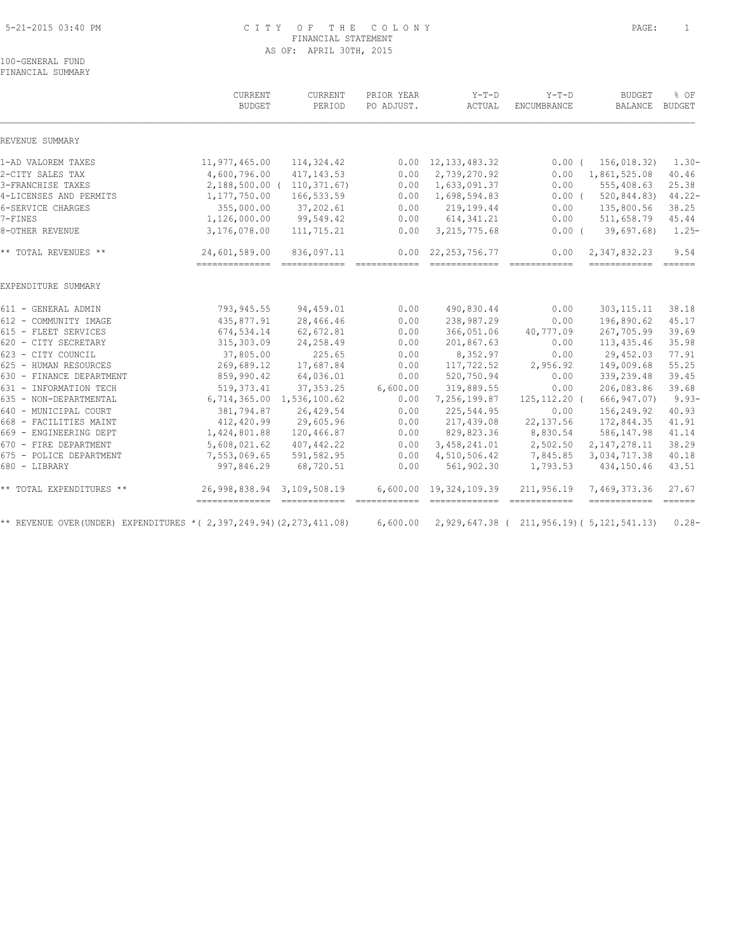#### 5-21-2015 03:40 PM C I T Y O F T H E C O L O N Y PAGE: 1 FINANCIAL STATEMENT AS OF: APRIL 30TH, 2015

100-GENERAL FUND FINANCIAL SUMMARY

|                                                                     | CURRENT<br><b>BUDGET</b>                     | CURRENT<br>PERIOD          | PRIOR YEAR<br>PO ADJUST. | $Y-T-D$<br>ACTUAL | $Y-T-D$<br><b>ENCUMBRANCE</b>                                                                                                                                                                                                                                                                                                                                                                                                                                                                        | <b>BUDGET</b><br>BALANCE                      | % OF<br><b>BUDGET</b>        |
|---------------------------------------------------------------------|----------------------------------------------|----------------------------|--------------------------|-------------------|------------------------------------------------------------------------------------------------------------------------------------------------------------------------------------------------------------------------------------------------------------------------------------------------------------------------------------------------------------------------------------------------------------------------------------------------------------------------------------------------------|-----------------------------------------------|------------------------------|
| REVENUE SUMMARY                                                     |                                              |                            |                          |                   |                                                                                                                                                                                                                                                                                                                                                                                                                                                                                                      |                                               |                              |
| 1-AD VALOREM TAXES                                                  | 11,977,465.00                                | 114,324.42                 | 0.00                     | 12, 133, 483.32   | $0.00$ (                                                                                                                                                                                                                                                                                                                                                                                                                                                                                             | 156,018.32)                                   | $1.30 -$                     |
| 2-CITY SALES TAX                                                    | 4,600,796.00                                 | 417, 143.53                | 0.00                     | 2,739,270.92      | 0.00                                                                                                                                                                                                                                                                                                                                                                                                                                                                                                 | 1,861,525.08                                  | 40.46                        |
| 3-FRANCHISE TAXES                                                   |                                              | 2,188,500.00 ( 110,371.67) | 0.00                     | 1,633,091.37      | 0.00                                                                                                                                                                                                                                                                                                                                                                                                                                                                                                 | 555,408.63                                    | 25.38                        |
| 4-LICENSES AND PERMITS                                              | 1,177,750.00                                 | 166,533.59                 | 0.00                     | 1,698,594.83      | $0.00$ (                                                                                                                                                                                                                                                                                                                                                                                                                                                                                             | 520, 844.83                                   | $44.22 -$                    |
| 6-SERVICE CHARGES                                                   | 355,000.00                                   | 37,202.61                  | 0.00                     | 219,199.44        | 0.00                                                                                                                                                                                                                                                                                                                                                                                                                                                                                                 | 135,800.56                                    | 38.25                        |
| 7-FINES                                                             | 1,126,000.00                                 | 99,549.42                  | 0.00                     | 614, 341.21       | 0.00                                                                                                                                                                                                                                                                                                                                                                                                                                                                                                 | 511,658.79                                    | 45.44                        |
| 8-OTHER REVENUE                                                     | 3,176,078.00                                 | 111,715.21                 | 0.00                     | 3, 215, 775.68    | $0.00$ (                                                                                                                                                                                                                                                                                                                                                                                                                                                                                             | 39,697.68                                     | $1.25-$                      |
| ** TOTAL REVENUES **                                                | 24,601,589.00                                | 836,097.11                 | 0.00                     | 22, 253, 756. 77  | 0.00                                                                                                                                                                                                                                                                                                                                                                                                                                                                                                 | 2,347,832.23                                  | 9.54                         |
|                                                                     |                                              |                            |                          |                   |                                                                                                                                                                                                                                                                                                                                                                                                                                                                                                      |                                               |                              |
| EXPENDITURE SUMMARY                                                 |                                              |                            |                          |                   |                                                                                                                                                                                                                                                                                                                                                                                                                                                                                                      |                                               |                              |
| 611 - GENERAL ADMIN                                                 | 793,945.55                                   | 94,459.01                  | 0.00                     | 490,830.44        | 0.00                                                                                                                                                                                                                                                                                                                                                                                                                                                                                                 | 303, 115. 11                                  | 38.18                        |
| 612 - COMMUNITY IMAGE                                               | 435,877.91                                   | 28,466.46                  | 0.00                     | 238,987.29        | 0.00                                                                                                                                                                                                                                                                                                                                                                                                                                                                                                 | 196,890.62                                    | 45.17                        |
| 615 - FLEET SERVICES                                                | 674,534.14                                   | 62,672.81                  | 0.00                     | 366,051.06        | 40,777.09                                                                                                                                                                                                                                                                                                                                                                                                                                                                                            | 267,705.99                                    | 39.69                        |
| 620 - CITY SECRETARY                                                | 315,303.09                                   | 24,258.49                  | 0.00                     | 201,867.63        | 0.00                                                                                                                                                                                                                                                                                                                                                                                                                                                                                                 | 113, 435.46                                   | 35.98                        |
| 623 - CITY COUNCIL                                                  | 37,805.00                                    | 225.65                     | 0.00                     | 8,352.97          | 0.00                                                                                                                                                                                                                                                                                                                                                                                                                                                                                                 | 29,452.03                                     | 77.91                        |
| 625 - HUMAN RESOURCES                                               | 269,689.12                                   | 17,687.84                  | 0.00                     | 117,722.52        | 2,956.92                                                                                                                                                                                                                                                                                                                                                                                                                                                                                             | 149,009.68                                    | 55.25                        |
| 630 - FINANCE DEPARTMENT                                            | 859,990.42                                   | 64,036.01                  | 0.00                     | 520,750.94        | 0.00                                                                                                                                                                                                                                                                                                                                                                                                                                                                                                 | 339,239.48                                    | 39.45                        |
| 631 - INFORMATION TECH                                              | 519, 373.41                                  | 37, 353.25                 | 6,600.00                 | 319,889.55        | 0.00                                                                                                                                                                                                                                                                                                                                                                                                                                                                                                 | 206,083.86                                    | 39.68                        |
| 635 - NON-DEPARTMENTAL                                              | 6,714,365.00                                 | 1,536,100.62               | 0.00                     | 7,256,199.87      | $125, 112.20$ (                                                                                                                                                                                                                                                                                                                                                                                                                                                                                      | 666, 947.07)                                  | $9.93 -$                     |
| 640 - MUNICIPAL COURT                                               | 381,794.87                                   | 26,429.54                  | 0.00                     | 225,544.95        | 0.00                                                                                                                                                                                                                                                                                                                                                                                                                                                                                                 | 156,249.92                                    | 40.93                        |
| 668 - FACILITIES MAINT                                              | 412,420.99                                   | 29,605.96                  | 0.00                     | 217,439.08        | 22, 137.56                                                                                                                                                                                                                                                                                                                                                                                                                                                                                           | 172,844.35                                    | 41.91                        |
| 669 - ENGINEERING DEPT                                              | 1,424,801.88                                 | 120,466.87                 | 0.00                     | 829,823.36        | 8,830.54                                                                                                                                                                                                                                                                                                                                                                                                                                                                                             | 586, 147.98                                   | 41.14                        |
| 670 - FIRE DEPARTMENT                                               | 5,608,021.62                                 | 407,442.22                 | 0.00                     | 3,458,241.01      | 2,502.50                                                                                                                                                                                                                                                                                                                                                                                                                                                                                             | 2, 147, 278.11                                | 38.29                        |
| 675 - POLICE DEPARTMENT                                             | 7,553,069.65                                 | 591,582.95                 | 0.00                     | 4,510,506.42      | 7,845.85                                                                                                                                                                                                                                                                                                                                                                                                                                                                                             | 3,034,717.38                                  | 40.18                        |
| 680 - LIBRARY                                                       | 997,846.29                                   | 68,720.51                  | 0.00                     | 561,902.30        | 1,793.53                                                                                                                                                                                                                                                                                                                                                                                                                                                                                             | 434,150.46                                    | 43.51                        |
| ** TOTAL EXPENDITURES **                                            | 26,998,838.94 3,109,508.19<br>-------------- |                            | 6,600.00                 | 19,324,109.39     | 211,956.19<br>$\begin{array}{cccccccccccccc} \multicolumn{2}{c}{} & \multicolumn{2}{c}{} & \multicolumn{2}{c}{} & \multicolumn{2}{c}{} & \multicolumn{2}{c}{} & \multicolumn{2}{c}{} & \multicolumn{2}{c}{} & \multicolumn{2}{c}{} & \multicolumn{2}{c}{} & \multicolumn{2}{c}{} & \multicolumn{2}{c}{} & \multicolumn{2}{c}{} & \multicolumn{2}{c}{} & \multicolumn{2}{c}{} & \multicolumn{2}{c}{} & \multicolumn{2}{c}{} & \multicolumn{2}{c}{} & \multicolumn{2}{c}{} & \multicolumn{2}{c}{} & \$ | 7,469,373.36<br>============                  | 27.67<br>$=$ $=$ $=$ $=$ $=$ |
| ** REVENUE OVER (UNDER) EXPENDITURES *(2,397,249.94) (2,273,411.08) |                                              |                            | 6,600.00                 |                   |                                                                                                                                                                                                                                                                                                                                                                                                                                                                                                      | 2, 929, 647.38 (211, 956.19) (5, 121, 541.13) | $0.28 -$                     |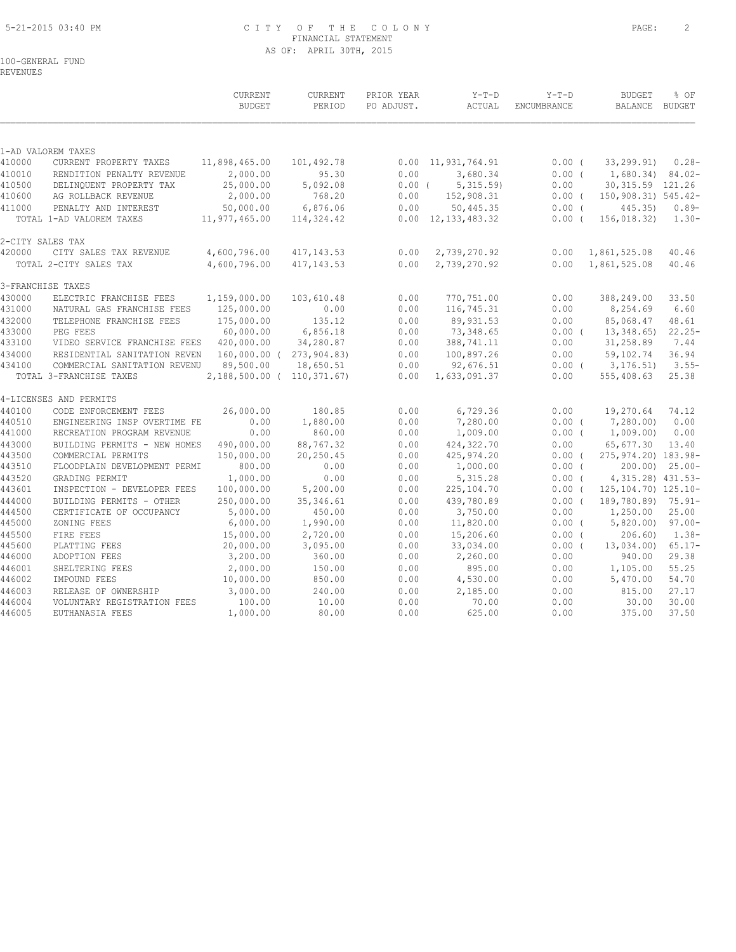## 5-21-2015 03:40 PM C I T Y O F T H E C O L O N Y PAGE: 2 FINANCIAL STATEMENT AS OF: APRIL 30TH, 2015

## 100-GENERAL FUND

REVENUES

|                  |                                                              | <b>CURRENT</b><br><b>BUDGET</b> | CURRENT<br>PERIOD                     | PRIOR YEAR<br>PO ADJUST. | $Y-T-D$<br>ACTUAL          | $Y-T-D$<br>ENCUMBRANCE | <b>BUDGET</b><br>BALANCE BUDGET | % OF                |
|------------------|--------------------------------------------------------------|---------------------------------|---------------------------------------|--------------------------|----------------------------|------------------------|---------------------------------|---------------------|
|                  | 1-AD VALOREM TAXES                                           |                                 |                                       |                          |                            |                        |                                 |                     |
| 410000           | CURRENT PROPERTY TAXES                                       | 11,898,465.00                   | 101,492.78                            | 0.00                     | 11,931,764.91              | $0.00$ (               | 33, 299.91)                     | $0.28 -$            |
| 410010           | RENDITION PENALTY REVENUE                                    | 2,000.00                        | 95.30                                 | 0.00                     | 3,680.34                   | 0.00(                  | $1,680.34$ $84.02$              |                     |
| 410500           | DELINQUENT PROPERTY TAX                                      | 25,000.00                       | 5,092.08                              | $0.00$ (                 | 5,315.59                   | 0.00                   | 30, 315.59 121.26               |                     |
| 410600           | AG ROLLBACK REVENUE                                          | 2,000.00                        | 768.20                                | 0.00                     | 152,908.31                 | $0.00$ (               | 150,908.31) 545.42-             |                     |
| 411000           | PENALTY AND INTEREST                                         | 50,000.00                       | 6,876.06                              | 0.00                     | 50,445.35                  | $0.00$ (               | 445.35)                         | $0.89-$             |
|                  | TOTAL 1-AD VALOREM TAXES                                     | 11,977,465.00                   | 114,324.42                            |                          | $0.00 \quad 12,133,483.32$ | $0.00$ (               | 156,018.32)                     | $1.30 -$            |
|                  | 2-CITY SALES TAX                                             |                                 |                                       |                          |                            |                        |                                 |                     |
| 420000           | CITY SALES TAX REVENUE                                       | 4,600,796.00                    | 417, 143.53                           | 0.00                     | 2,739,270.92               | 0.00                   | 1,861,525.08                    | 40.46               |
|                  | TOTAL 2-CITY SALES TAX                                       | 4,600,796.00                    | 417, 143.53                           | 0.00                     | 2,739,270.92               | 0.00                   | 1,861,525.08                    | 40.46               |
|                  | 3-FRANCHISE TAXES                                            |                                 |                                       |                          |                            |                        |                                 |                     |
| 430000           | ELECTRIC FRANCHISE FEES                                      | 1,159,000.00                    | 103,610.48                            | 0.00                     | 770,751.00                 | 0.00                   | 388,249.00                      | 33.50               |
| 431000           | NATURAL GAS FRANCHISE FEES                                   | 125,000.00                      | 0.00                                  | 0.00                     | 116,745.31                 | 0.00                   | 8,254.69                        | 6.60                |
| 432000           | TELEPHONE FRANCHISE FEES                                     | 175,000.00                      | 135.12                                | 0.00                     | 89,931.53                  | 0.00                   | 85,068.47                       | 48.61               |
| 433000           | PEG FEES                                                     | 60,000.00                       | 6,856.18                              | 0.00                     | 73,348.65                  | $0.00$ (               | 13,348.65)                      | $22.25-$            |
| 433100           | VIDEO SERVICE FRANCHISE FEES                                 | 420,000.00                      | 34,280.87                             | 0.00                     | 388,741.11                 | 0.00                   | 31,258.89                       | 7.44                |
| 434000<br>434100 | RESIDENTIAL SANITATION REVEN<br>COMMERCIAL SANITATION REVENU | 89,500.00                       | 160,000.00 ( 273,904.83)<br>18,650.51 | 0.00<br>0.00             | 100,897.26<br>92,676.51    | 0.00<br>$0.00$ (       | 59,102.74<br>3, 176, 51)        | 36.94<br>$3.55-$    |
|                  | TOTAL 3-FRANCHISE TAXES                                      | 2, 188, 500.00 ( 110, 371.67)   |                                       | 0.00                     | 1,633,091.37               | 0.00                   | 555,408.63                      | 25.38               |
|                  | 4-LICENSES AND PERMITS                                       |                                 |                                       |                          |                            |                        |                                 |                     |
| 440100           | CODE ENFORCEMENT FEES                                        | 26,000.00                       | 180.85                                | 0.00                     | 6,729.36                   | 0.00                   | 19,270.64                       | 74.12               |
| 440510           | ENGINEERING INSP OVERTIME FE                                 | 0.00                            | 1,880.00                              | 0.00                     | 7,280.00                   | 0.00(                  | 7,280.00)                       | 0.00                |
| 441000           | RECREATION PROGRAM REVENUE                                   | 0.00                            | 860.00                                | 0.00                     | 1,009.00                   | $0.00$ (               | 1,009.00                        | 0.00                |
| 443000           | BUILDING PERMITS - NEW HOMES                                 | 490,000.00                      | 88,767.32                             | 0.00                     | 424,322.70                 | 0.00                   | 65,677.30                       | 13.40               |
| 443500           | COMMERCIAL PERMITS                                           | 150,000.00                      | 20, 250.45                            | 0.00                     | 425, 974.20                | $0.00$ (               | 275, 974. 20) 183. 98-          |                     |
| 443510           | FLOODPLAIN DEVELOPMENT PERMI                                 | 800.00                          | 0.00                                  | 0.00                     | 1,000.00                   | $0.00$ (               |                                 | $200.00$ ) $25.00-$ |
| 443520           | GRADING PERMIT                                               | 1,000.00                        | 0.00                                  | 0.00                     | 5, 315.28                  | $0.00$ (               | 4, 315.28) 431.53-              |                     |
| 443601           | INSPECTION - DEVELOPER FEES                                  | 100,000.00                      | 5,200.00                              | 0.00                     | 225,104.70                 | $0.00$ (               | 125, 104. 70) 125. 10-          |                     |
| 444000           | BUILDING PERMITS - OTHER                                     | 250,000.00                      | 35, 346.61                            | 0.00                     | 439,780.89                 | $0.00$ (               | 189,780.89) 75.91-              |                     |
| 444500           | CERTIFICATE OF OCCUPANCY                                     | 5,000.00                        | 450.00                                | 0.00                     | 3,750.00                   | 0.00                   | 1,250.00                        | 25.00               |
| 445000           | ZONING FEES                                                  | 6,000.00                        | 1,990.00                              | 0.00                     | 11,820.00                  | $0.00$ (               | 5,820.00)                       | $97.00 -$           |
| 445500           | FIRE FEES                                                    | 15,000.00                       | 2,720.00                              | 0.00                     | 15,206.60                  | $0.00$ (               | 206.60                          | $1.38-$             |
| 445600<br>446000 | PLATTING FEES<br>ADOPTION FEES                               | 20,000.00<br>3,200.00           | 3,095.00<br>360.00                    | 0.00<br>0.00             | 33,034.00<br>2,260.00      | $0.00$ (<br>0.00       | 13,034.00)<br>940.00            | $65.17-$<br>29.38   |
| 446001           | SHELTERING FEES                                              | 2,000.00                        | 150.00                                | 0.00                     | 895.00                     | 0.00                   | 1,105.00                        | 55.25               |
| 446002           | IMPOUND FEES                                                 | 10,000.00                       | 850.00                                | 0.00                     | 4,530.00                   | 0.00                   | 5,470.00                        | 54.70               |
| 446003           | RELEASE OF OWNERSHIP                                         | 3,000.00                        | 240.00                                | 0.00                     | 2,185.00                   | 0.00                   | 815.00                          | 27.17               |
| 446004           | VOLUNTARY REGISTRATION FEES                                  | 100.00                          | 10.00                                 | 0.00                     | 70.00                      | 0.00                   | 30.00                           | 30.00               |
| 446005           | EUTHANASIA FEES                                              | 1,000.00                        | 80.00                                 | 0.00                     | 625.00                     | 0.00                   | 375.00                          | 37.50               |
|                  |                                                              |                                 |                                       |                          |                            |                        |                                 |                     |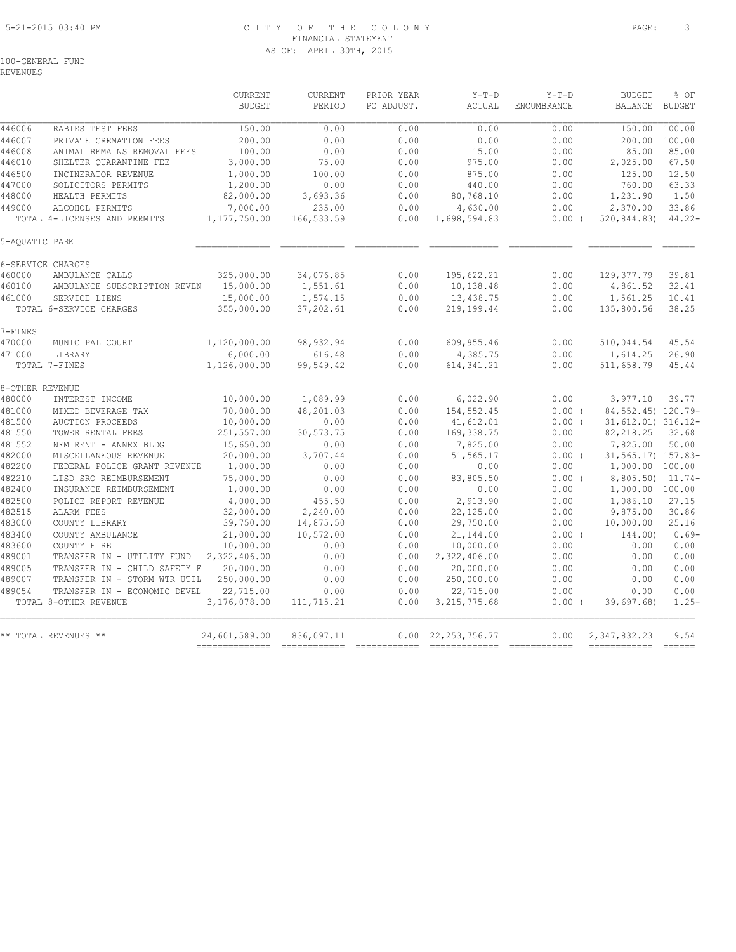## 5-21-2015 03:40 PM C I T Y O F T H E C O L O N Y PAGE: 3 FINANCIAL STATEMENT AS OF: APRIL 30TH, 2015

REVENUES

|                  |                                 | <b>CURRENT</b><br><b>BUDGET</b> | CURRENT<br>PERIOD | PRIOR YEAR<br>PO ADJUST. | $Y-T-D$<br><b>ACTUAL</b>  | $Y-T-D$<br><b>ENCUMBRANCE</b> | <b>BUDGET</b><br><b>BALANCE</b> | % OF<br><b>BUDGET</b>   |
|------------------|---------------------------------|---------------------------------|-------------------|--------------------------|---------------------------|-------------------------------|---------------------------------|-------------------------|
| 446006           | RABIES TEST FEES                | 150.00                          | 0.00              | 0.00                     | 0.00                      | 0.00                          | 150.00                          | 100.00                  |
| 446007           | PRIVATE CREMATION FEES          | 200.00                          | 0.00              | 0.00                     | 0.00                      | 0.00                          | 200.00                          | 100.00                  |
| 446008           | ANIMAL REMAINS REMOVAL FEES     | 100.00                          | 0.00              | 0.00                     | 15.00                     | 0.00                          | 85.00                           | 85.00                   |
| 446010           | SHELTER OUARANTINE FEE          | 3,000.00                        | 75.00             | 0.00                     | 975.00                    | 0.00                          | 2,025.00                        | 67.50                   |
| 446500           | INCINERATOR REVENUE             | 1,000.00                        | 100.00            | 0.00                     | 875.00                    | 0.00                          | 125.00                          | 12.50                   |
| 447000           | SOLICITORS PERMITS              | 1,200.00                        | 0.00              | 0.00                     | 440.00                    | 0.00                          | 760.00                          | 63.33                   |
| 448000           | HEALTH PERMITS                  | 82,000.00                       | 3,693.36          | 0.00                     | 80,768.10                 | 0.00                          | 1,231.90                        | 1.50                    |
| 449000           | ALCOHOL PERMITS                 | 7,000.00                        | 235.00            | 0.00                     | 4,630.00                  | 0.00                          | 2,370.00                        | 33.86                   |
|                  | TOTAL 4-LICENSES AND PERMITS    | 1,177,750.00                    | 166,533.59        | 0.00                     | 1,698,594.83              | 0.00(                         | 520,844.83)                     | $44.22 -$               |
| 5-AOUATIC PARK   |                                 |                                 |                   |                          |                           |                               |                                 |                         |
|                  | 6-SERVICE CHARGES               |                                 |                   |                          |                           |                               |                                 |                         |
| 460000           | AMBULANCE CALLS                 | 325,000.00                      | 34,076.85         | 0.00                     | 195,622.21                | 0.00                          | 129, 377.79                     | 39.81                   |
| 460100           | AMBULANCE SUBSCRIPTION REVEN    | 15,000.00                       | 1,551.61          | 0.00                     | 10,138.48                 | 0.00                          | 4,861.52                        | 32.41                   |
| 461000           | SERVICE LIENS                   | 15,000.00                       | 1,574.15          | 0.00                     | 13,438.75                 | 0.00                          | 1,561.25                        | 10.41                   |
|                  | TOTAL 6-SERVICE CHARGES         | 355,000.00                      | 37,202.61         | 0.00                     | 219,199.44                | 0.00                          | 135,800.56                      | 38.25                   |
| 7-FINES          |                                 |                                 |                   |                          |                           |                               |                                 |                         |
| 470000           | MUNICIPAL COURT                 | 1,120,000.00                    | 98, 932.94        | 0.00                     | 609, 955.46               | 0.00                          | 510,044.54                      | 45.54                   |
| 471000           | LIBRARY                         | 6,000.00                        | 616.48            | 0.00                     | 4,385.75                  | 0.00                          | 1,614.25                        | 26.90                   |
|                  | TOTAL 7-FINES                   | 1,126,000.00                    | 99,549.42         | 0.00                     | 614, 341.21               | 0.00                          | 511,658.79                      | 45.44                   |
| 8-OTHER REVENUE  |                                 |                                 |                   |                          |                           |                               |                                 |                         |
| 480000           | INTEREST INCOME                 | 10,000.00                       | 1,089.99          | 0.00                     | 6,022.90                  | 0.00                          | 3,977.10                        | 39.77                   |
| 481000           | MIXED BEVERAGE TAX              | 70,000.00                       | 48,201.03         | 0.00                     | 154, 552.45               | 0.00(                         | 84, 552, 45) 120, 79-           |                         |
| 481500           | <b>AUCTION PROCEEDS</b>         | 10,000.00                       | 0.00              | 0.00                     | 41,612.01                 | $0.00$ (                      | 31,612.01) 316.12-              |                         |
| 481550           | TOWER RENTAL FEES               | 251,557.00                      | 30,573.75         | 0.00                     | 169, 338.75               | 0.00                          | 82, 218.25                      | 32.68                   |
| 481552           | NFM RENT - ANNEX BLDG           | 15,650.00                       | 0.00              | 0.00                     | 7,825.00                  | 0.00                          | 7,825.00                        | 50.00                   |
| 482000           | MISCELLANEOUS REVENUE           | 20,000.00                       | 3,707.44          | 0.00                     | 51,565.17                 | 0.00(                         | 31, 565. 17) 157. 83-           |                         |
| 482200           | FEDERAL POLICE GRANT REVENUE    | 1,000.00                        | 0.00              | 0.00                     | 0.00                      | 0.00                          | 1,000.00 100.00                 |                         |
| 482210           | LISD SRO REIMBURSEMENT          | 75,000.00                       | 0.00              | 0.00                     | 83,805.50                 | $0.00$ (                      | 8,805.50)                       | 11.74-                  |
| 482400           | INSURANCE REIMBURSEMENT         | 1,000.00                        | 0.00              | 0.00                     | 0.00                      | 0.00                          | 1,000.00 100.00                 |                         |
| 482500           | POLICE REPORT REVENUE           | 4,000.00                        | 455.50            | 0.00                     | 2,913.90                  | 0.00                          | 1,086.10                        | 27.15                   |
| 482515           | ALARM FEES                      | 32,000.00                       | 2,240.00          | 0.00                     | 22,125.00                 | 0.00                          | 9,875.00                        | 30.86                   |
| 483000           | COUNTY LIBRARY                  | 39,750.00                       | 14,875.50         | 0.00                     | 29,750.00                 | 0.00                          | 10,000.00                       | 25.16                   |
| 483400<br>483600 | COUNTY AMBULANCE<br>COUNTY FIRE | 21,000.00                       | 10,572.00<br>0.00 | 0.00<br>0.00             | 21,144.00                 | $0.00$ (                      | 144.00)<br>0.00                 | $0.69-$<br>0.00         |
| 489001           | TRANSFER IN - UTILITY FUND      | 10,000.00<br>2,322,406.00       | 0.00              | 0.00                     | 10,000.00<br>2,322,406.00 | 0.00<br>0.00                  | 0.00                            | 0.00                    |
| 489005           | TRANSFER IN - CHILD SAFETY F    | 20,000.00                       | 0.00              | 0.00                     | 20,000.00                 | 0.00                          | 0.00                            | 0.00                    |
| 489007           | TRANSFER IN - STORM WTR UTIL    | 250,000.00                      | 0.00              | 0.00                     | 250,000.00                | 0.00                          | 0.00                            | 0.00                    |
| 489054           | TRANSFER IN - ECONOMIC DEVEL    | 22,715.00                       | 0.00              | 0.00                     | 22,715.00                 | 0.00                          | 0.00                            | 0.00                    |
|                  | TOTAL 8-OTHER REVENUE           | 3,176,078.00                    | 111,715.21        | 0.00                     | 3, 215, 775.68            | 0.00(                         | 39,697.68)                      | $1.25 -$                |
|                  |                                 |                                 |                   |                          |                           |                               |                                 |                         |
|                  | ** TOTAL REVENUES **            | 24,601,589.00                   | 836,097.11        | 0.00                     | 22, 253, 756.77           | 0.00                          | 2,347,832.23                    | 9.54                    |
|                  |                                 | --------------                  |                   |                          |                           |                               | ============                    | $=$ $=$ $=$ $=$ $=$ $=$ |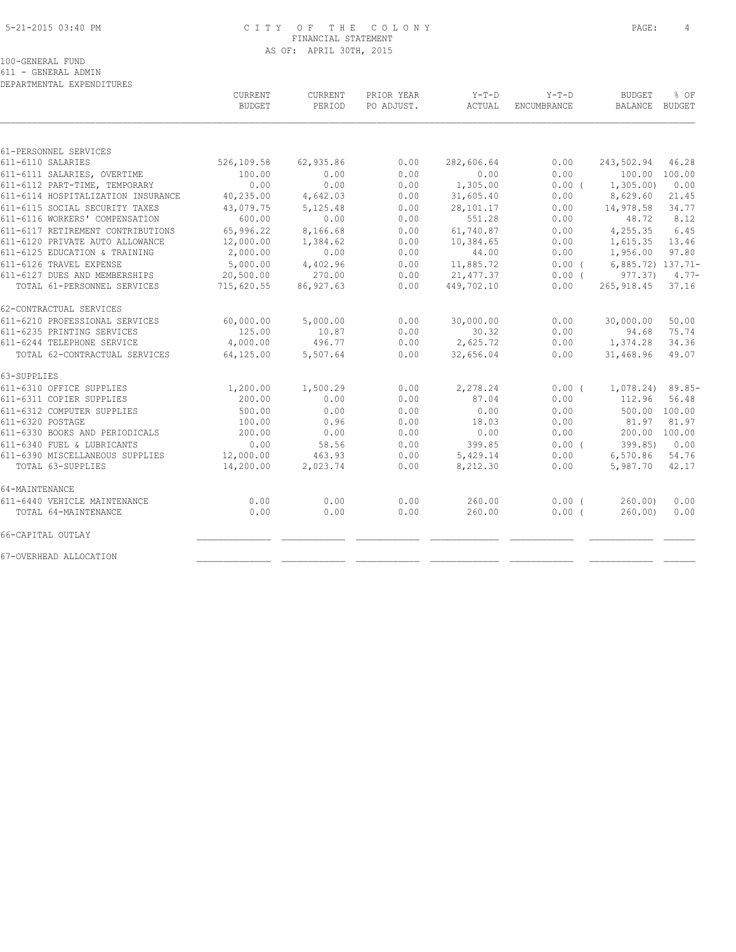#### 5-21-2015 03:40 PM C I T Y O F T H E C O L O N Y PAGE: 4 FINANCIAL STATEMENT AS OF: APRIL 30TH, 2015

100-GENERAL FUND

611 - GENERAL ADMIN

| DEPARTMENTAL EXPENDITURES          |                |           |            |            |                    |                   |           |
|------------------------------------|----------------|-----------|------------|------------|--------------------|-------------------|-----------|
|                                    | <b>CURRENT</b> | CURRENT   | PRIOR YEAR | $Y-T-D$    | $Y-T-D$            | <b>BUDGET</b>     | % OF      |
|                                    | <b>BUDGET</b>  | PERIOD    | PO ADJUST. | ACTUAL     | <b>ENCUMBRANCE</b> | BALANCE           | BUDGET    |
|                                    |                |           |            |            |                    |                   |           |
| 61-PERSONNEL SERVICES              |                |           |            |            |                    |                   |           |
| 611-6110 SALARIES                  | 526,109.58     | 62,935.86 | 0.00       | 282,606.64 | 0.00               | 243,502.94        | 46.28     |
| 611-6111 SALARIES, OVERTIME        | 100.00         | 0.00      | 0.00       | 0.00       | 0.00               | 100.00 100.00     |           |
| 611-6112 PART-TIME, TEMPORARY      | 0.00           | 0.00      | 0.00       | 1,305.00   | 0.00(              | 1, 305.00         | 0.00      |
| 611-6114 HOSPITALIZATION INSURANCE | 40,235.00      | 4,642.03  | 0.00       | 31,605.40  | 0.00               | 8,629.60          | 21.45     |
| 611-6115 SOCIAL SECURITY TAXES     | 43,079.75      | 5,125.48  | 0.00       | 28,101.17  | 0.00               | 14,978.58         | 34.77     |
| 611-6116 WORKERS' COMPENSATION     | 600.00         | 0.00      | 0.00       | 551.28     | 0.00               | 48.72             | 8.12      |
| 611-6117 RETIREMENT CONTRIBUTIONS  | 65,996.22      | 8,166.68  | 0.00       | 61,740.87  | 0.00               | 4,255.35          | 6.45      |
| 611-6120 PRIVATE AUTO ALLOWANCE    | 12,000.00      | 1,384.62  | 0.00       | 10,384.65  | 0.00               | 1,615.35          | 13.46     |
| 611-6125 EDUCATION & TRAINING      | 2,000.00       | 0.00      | 0.00       | 44.00      | 0.00               | 1,956.00          | 97.80     |
| 611-6126 TRAVEL EXPENSE            | 5,000.00       | 4,402.96  | 0.00       | 11,885.72  | $0.00$ (           | 6,885.72) 137.71- |           |
| 611-6127 DUES AND MEMBERSHIPS      | 20,500.00      | 270.00    | 0.00       | 21, 477.37 | $0.00$ (           | 977.37)           | $4.77-$   |
| TOTAL 61-PERSONNEL SERVICES        | 715,620.55     | 86,927.63 | 0.00       | 449,702.10 | 0.00               | 265, 918.45       | 37.16     |
| 62-CONTRACTUAL SERVICES            |                |           |            |            |                    |                   |           |
| 611-6210 PROFESSIONAL SERVICES     | 60,000.00      | 5,000.00  | 0.00       | 30,000.00  | 0.00               | 30,000.00         | 50.00     |
| 611-6235 PRINTING SERVICES         | 125.00         | 10.87     | 0.00       | 30.32      | 0.00               | 94.68             | 75.74     |
| 611-6244 TELEPHONE SERVICE         | 4,000.00       | 496.77    | 0.00       | 2,625.72   | 0.00               | 1,374.28          | 34.36     |
| TOTAL 62-CONTRACTUAL SERVICES      | 64,125.00      | 5,507.64  | 0.00       | 32,656.04  | 0.00               | 31,468.96         | 49.07     |
| 63-SUPPLIES                        |                |           |            |            |                    |                   |           |
| 611-6310 OFFICE SUPPLIES           | 1,200.00       | 1,500.29  | 0.00       | 2,278.24   | $0.00$ (           | 1,078.24)         | $89.85 -$ |
| 611-6311 COPIER SUPPLIES           | 200.00         | 0.00      | 0.00       | 87.04      | 0.00               | 112.96            | 56.48     |
| 611-6312 COMPUTER SUPPLIES         | 500.00         | 0.00      | 0.00       | 0.00       | 0.00               | 500.00 100.00     |           |
| 611-6320 POSTAGE                   | 100.00         | 0.96      | 0.00       | 18.03      | 0.00               | 81.97             | 81.97     |
| 611-6330 BOOKS AND PERIODICALS     | 200.00         | 0.00      | 0.00       | 0.00       | 0.00               | 200.00            | 100.00    |
| 611-6340 FUEL & LUBRICANTS         | 0.00           | 58.56     | 0.00       | 399.85     | $0.00$ (           | 399.85            | 0.00      |
| 611-6390 MISCELLANEOUS SUPPLIES    | 12,000.00      | 463.93    | 0.00       | 5,429.14   | 0.00               | 6,570.86          | 54.76     |
| TOTAL 63-SUPPLIES                  | 14,200.00      | 2,023.74  | 0.00       | 8,212.30   | 0.00               | 5,987.70          | 42.17     |
| 64-MAINTENANCE                     |                |           |            |            |                    |                   |           |
| 611-6440 VEHICLE MAINTENANCE       | 0.00           | 0.00      | 0.00       | 260.00     | 0.00(              | 260.00            | 0.00      |
| TOTAL 64-MAINTENANCE               | 0.00           | 0.00      | 0.00       | 260.00     | 0.00(              | 260.00            | 0.00      |
| 66-CAPITAL OUTLAY                  |                |           |            |            |                    |                   |           |
| 67-OVERHEAD ALLOCATION             |                |           |            |            |                    |                   |           |
|                                    |                |           |            |            |                    |                   |           |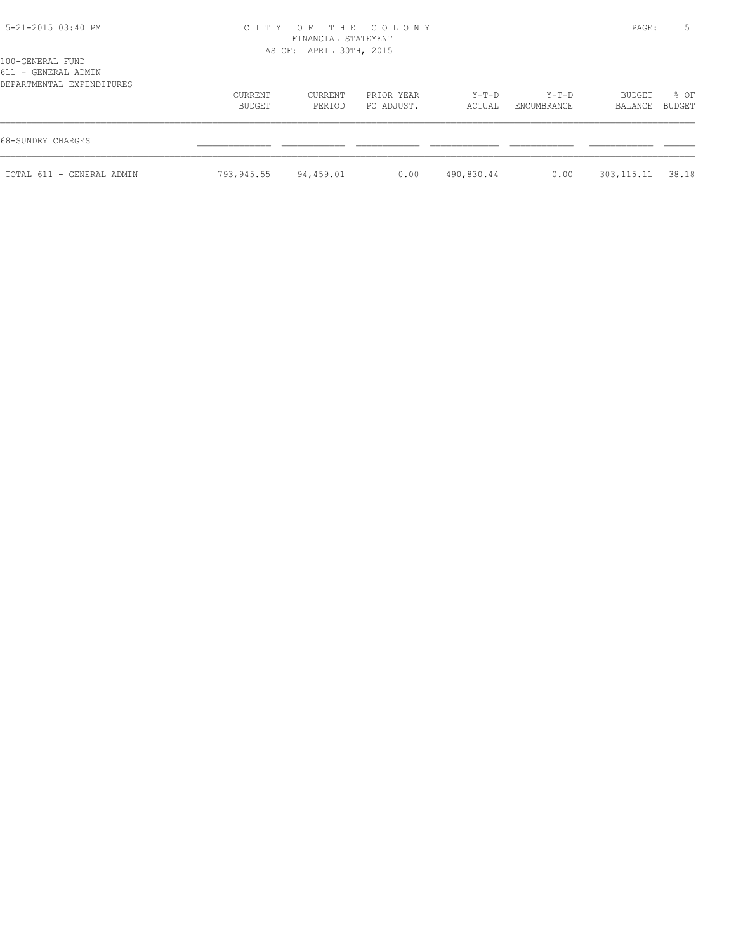# 5-21-2015 03:40 PM C I T Y O F T H E C O L O N Y PAGE: 5 FINANCIAL STATEMENT

AS OF: APRIL 30TH, 2015

| 100-GENERAL FUND          |
|---------------------------|
| 611 - GENERAL ADMIN       |
| DEPARTMENTAL EXPENDITURES |

| DEPARTMENTAL EXPENDITURES |                   |                   |                          |                   |                        |                     |                |
|---------------------------|-------------------|-------------------|--------------------------|-------------------|------------------------|---------------------|----------------|
|                           | CURRENT<br>BUDGET | CURRENT<br>PERIOD | PRIOR YEAR<br>PO ADJUST. | $Y-T-D$<br>ACTUAL | $Y-T-D$<br>ENCUMBRANCE | BUDGET<br>BALANCE   | % OF<br>BUDGET |
| 68-SUNDRY CHARGES         |                   |                   |                          |                   |                        |                     |                |
| TOTAL 611 - GENERAL ADMIN | 793,945.55        | 94,459.01         | 0.00                     | 490,830.44        | 0.00                   | 303, 115. 11 38. 18 |                |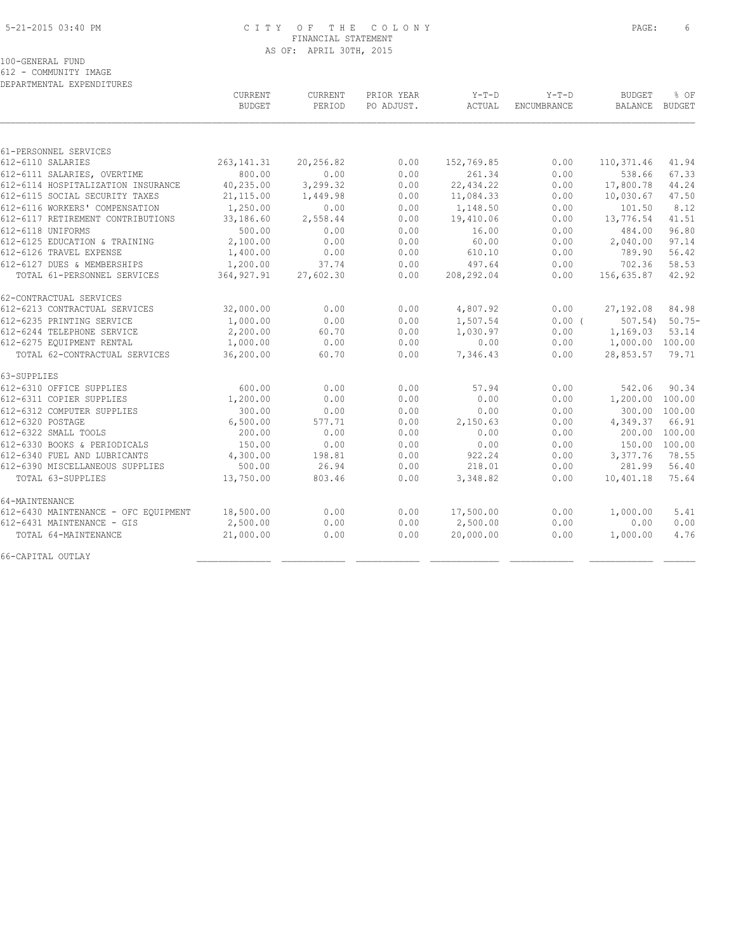#### 5-21-2015 03:40 PM C I T Y O F T H E C O L O N Y PAGE: 6 FINANCIAL STATEMENT AS OF: APRIL 30TH, 2015

100-GENERAL FUND

612 - COMMUNITY IMAGE

| DEPARTMENTAL EXPENDITURES            |               |           |            |            |             |                 |               |
|--------------------------------------|---------------|-----------|------------|------------|-------------|-----------------|---------------|
|                                      | CURRENT       | CURRENT   | PRIOR YEAR | $Y-T-D$    | $Y-T-D$     | <b>BUDGET</b>   | % OF          |
|                                      | <b>BUDGET</b> | PERIOD    | PO ADJUST. | ACTUAL     | ENCUMBRANCE | BALANCE         | BUDGET        |
|                                      |               |           |            |            |             |                 |               |
| 61-PERSONNEL SERVICES                |               |           |            |            |             |                 |               |
| 612-6110 SALARIES                    | 263, 141.31   | 20,256.82 | 0.00       | 152,769.85 | 0.00        | 110, 371.46     | 41.94         |
| 612-6111 SALARIES, OVERTIME          | 800.00        | 0.00      | 0.00       | 261.34     | 0.00        | 538.66          | 67.33         |
| 612-6114 HOSPITALIZATION INSURANCE   | 40,235.00     | 3,299.32  | 0.00       | 22,434.22  | 0.00        | 17,800.78       | 44.24         |
| 612-6115 SOCIAL SECURITY TAXES       | 21,115.00     | 1,449.98  | 0.00       | 11,084.33  | 0.00        | 10,030.67       | 47.50         |
| 612-6116 WORKERS' COMPENSATION       | 1,250.00      | 0.00      | 0.00       | 1,148.50   | 0.00        | 101.50          | 8.12          |
| 612-6117 RETIREMENT CONTRIBUTIONS    | 33,186.60     | 2,558.44  | 0.00       | 19,410.06  | 0.00        | 13,776.54       | 41.51         |
| 612-6118 UNIFORMS                    | 500.00        | 0.00      | 0.00       | 16.00      | 0.00        | 484.00          | 96.80         |
| 612-6125 EDUCATION & TRAINING        | 2,100.00      | 0.00      | 0.00       | 60.00      | 0.00        | 2,040.00        | 97.14         |
| 612-6126 TRAVEL EXPENSE              | 1,400.00      | 0.00      | 0.00       | 610.10     | 0.00        | 789.90          | 56.42         |
| 612-6127 DUES & MEMBERSHIPS          | 1,200.00      | 37.74     | 0.00       | 497.64     | 0.00        | 702.36          | 58.53         |
| TOTAL 61-PERSONNEL SERVICES          | 364, 927.91   | 27,602.30 | 0.00       | 208,292.04 | 0.00        | 156,635.87      | 42.92         |
| 62-CONTRACTUAL SERVICES              |               |           |            |            |             |                 |               |
| 612-6213 CONTRACTUAL SERVICES        | 32,000.00     | 0.00      | 0.00       | 4,807.92   | 0.00        | 27,192.08       | 84.98         |
| 612-6235 PRINTING SERVICE            | 1,000.00      | 0.00      | 0.00       | 1,507.54   | $0.00$ (    | 507.54)         | $50.75-$      |
| 612-6244 TELEPHONE SERVICE           | 2,200.00      | 60.70     | 0.00       | 1,030.97   | 0.00        | 1,169.03        | 53.14         |
| 612-6275 EQUIPMENT RENTAL            | 1,000.00      | 0.00      | 0.00       | 0.00       | 0.00        | 1,000.00 100.00 |               |
| TOTAL 62-CONTRACTUAL SERVICES        | 36,200.00     | 60.70     | 0.00       | 7,346.43   | 0.00        | 28,853.57       | 79.71         |
| 63-SUPPLIES                          |               |           |            |            |             |                 |               |
| 612-6310 OFFICE SUPPLIES             | 600.00        | 0.00      | 0.00       | 57.94      | 0.00        | 542.06          | 90.34         |
| 612-6311 COPIER SUPPLIES             | 1,200.00      | 0.00      | 0.00       | 0.00       | 0.00        | 1,200.00 100.00 |               |
| 612-6312 COMPUTER SUPPLIES           | 300.00        | 0.00      | 0.00       | 0.00       | 0.00        |                 | 300.00 100.00 |
| 612-6320 POSTAGE                     | 6,500.00      | 577.71    | 0.00       | 2,150.63   | 0.00        | 4,349.37        | 66.91         |
| 612-6322 SMALL TOOLS                 | 200.00        | 0.00      | 0.00       | 0.00       | 0.00        |                 | 200.00 100.00 |
| 612-6330 BOOKS & PERIODICALS         | 150.00        | 0.00      | 0.00       | 0.00       | 0.00        | 150.00 100.00   |               |
| 612-6340 FUEL AND LUBRICANTS         | 4,300.00      | 198.81    | 0.00       | 922.24     | 0.00        | 3,377.76        | 78.55         |
| 612-6390 MISCELLANEOUS SUPPLIES      | 500.00        | 26.94     | 0.00       | 218.01     | 0.00        | 281.99          | 56.40         |
| TOTAL 63-SUPPLIES                    | 13,750.00     | 803.46    | 0.00       | 3,348.82   | 0.00        | 10,401.18       | 75.64         |
| 64-MAINTENANCE                       |               |           |            |            |             |                 |               |
| 612-6430 MAINTENANCE - OFC EQUIPMENT | 18,500.00     | 0.00      | 0.00       | 17,500.00  | 0.00        | 1,000.00        | 5.41          |
| 612-6431 MAINTENANCE - GIS           | 2,500.00      | 0.00      | 0.00       | 2,500.00   | 0.00        | 0.00            | 0.00          |
| TOTAL 64-MAINTENANCE                 | 21,000.00     | 0.00      | 0.00       | 20,000.00  | 0.00        | 1,000.00        | 4.76          |
| 66-CAPITAL OUTLAY                    |               |           |            |            |             |                 |               |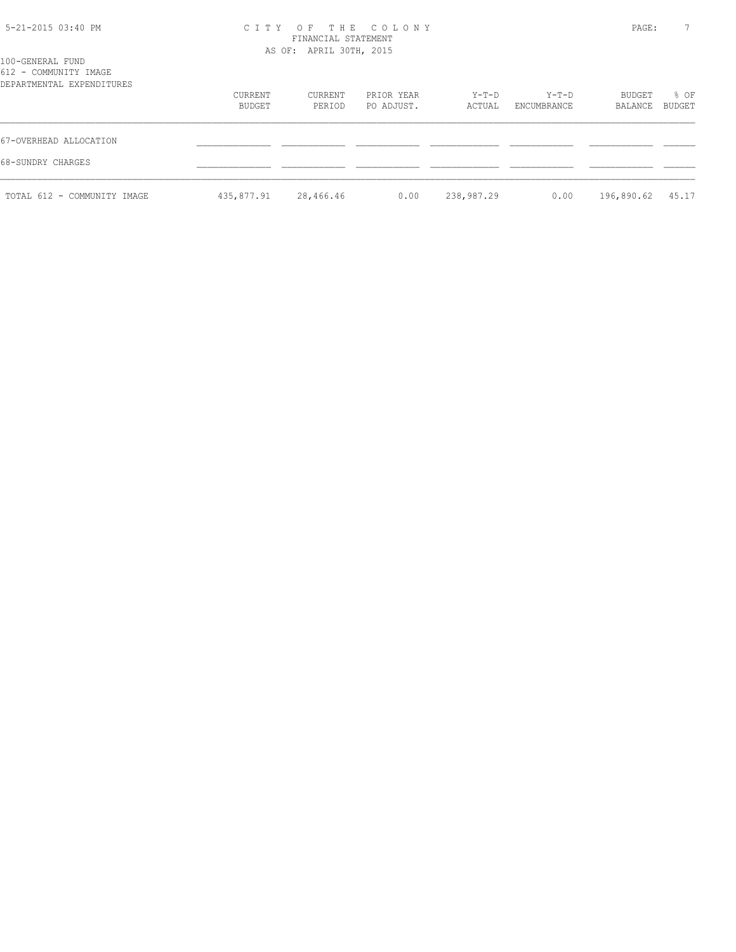## 5-21-2015 03:40 PM C I T Y O F T H E C O L O N Y PAGE: 7 FINANCIAL STATEMENT AS OF: APRIL 30TH, 2015

| 100-GENERAL FUND<br>612 - COMMUNITY IMAGE<br>DEPARTMENTAL EXPENDITURES |            |           |            |            |             |            |        |
|------------------------------------------------------------------------|------------|-----------|------------|------------|-------------|------------|--------|
|                                                                        | CURRENT    | CURRENT   | PRIOR YEAR | $Y-T-D$    | $Y-T-D$     | BUDGET     | % OF   |
|                                                                        | BUDGET     | PERIOD    | PO ADJUST. | ACTUAL     | ENCUMBRANCE | BALANCE    | BUDGET |
| 67-OVERHEAD ALLOCATION                                                 |            |           |            |            |             |            |        |
| 68-SUNDRY CHARGES                                                      |            |           |            |            |             |            |        |
| TOTAL 612 - COMMUNITY IMAGE                                            | 435,877.91 | 28,466.46 | 0.00       | 238,987.29 | 0.00        | 196,890.62 | 45.17  |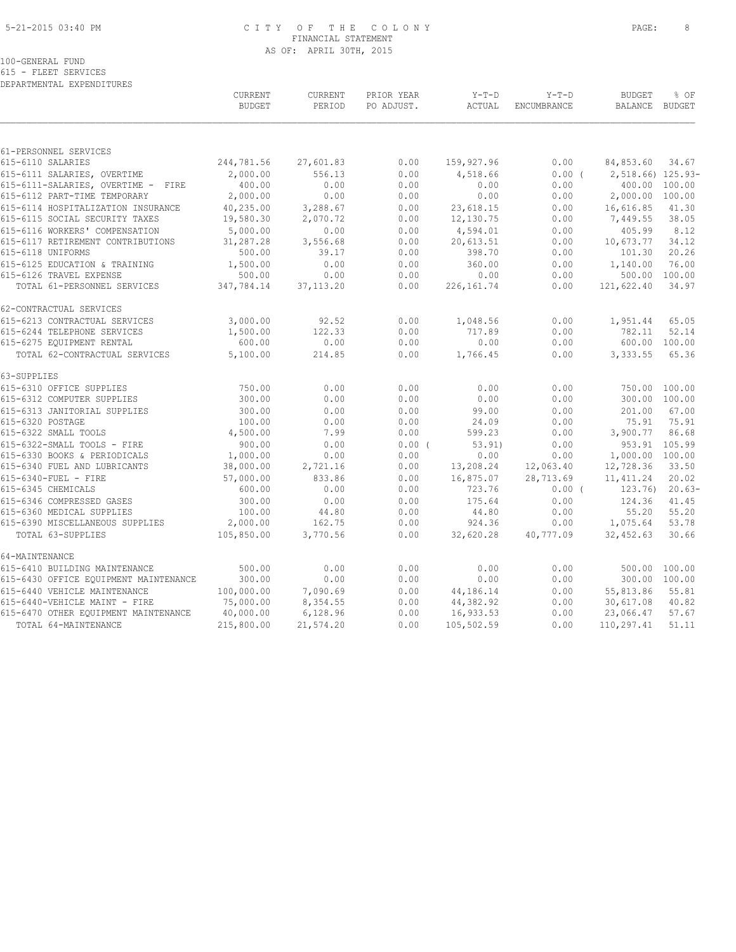#### 5-21-2015 03:40 PM C I T Y O F T H E C O L O N Y PAGE: 8 FINANCIAL STATEMENT AS OF: APRIL 30TH, 2015

100-GENERAL FUND

615 - FLEET SERVICES DEPARTMENTAL EXPENDITURES

|                                       | CURRENT<br><b>BUDGET</b> | <b>CURRENT</b><br>PERIOD | PRIOR YEAR<br>PO ADJUST. | $Y-T-D$<br>ACTUAL | $Y-T-D$<br>ENCUMBRANCE | <b>BUDGET</b><br><b>BALANCE</b> | % OF<br>BUDGET |
|---------------------------------------|--------------------------|--------------------------|--------------------------|-------------------|------------------------|---------------------------------|----------------|
|                                       |                          |                          |                          |                   |                        |                                 |                |
| 61-PERSONNEL SERVICES                 |                          |                          |                          |                   |                        |                                 |                |
| 615-6110 SALARIES                     | 244,781.56               | 27,601.83                | 0.00                     | 159,927.96        | 0.00                   | 84,853.60                       | 34.67          |
| 615-6111 SALARIES, OVERTIME           | 2,000.00                 | 556.13                   | 0.00                     | 4,518.66          | $0.00$ (               | 2,518.66) 125.93-               |                |
| 615-6111-SALARIES, OVERTIME - FIRE    | 400.00                   | 0.00                     | 0.00                     | 0.00              | 0.00                   |                                 | 400.00 100.00  |
| 615-6112 PART-TIME TEMPORARY          | 2,000.00                 | 0.00                     | 0.00                     | 0.00              | 0.00                   | 2,000.00 100.00                 |                |
| 615-6114 HOSPITALIZATION INSURANCE    | 40,235.00                | 3,288.67                 | 0.00                     | 23,618.15         | 0.00                   | 16,616.85                       | 41.30          |
| 615-6115 SOCIAL SECURITY TAXES        | 19,580.30                | 2,070.72                 | 0.00                     | 12,130.75         | 0.00                   | 7,449.55                        | 38.05          |
| 615-6116 WORKERS' COMPENSATION        | 5,000.00                 | 0.00                     | 0.00                     | 4,594.01          | 0.00                   | 405.99                          | 8.12           |
| 615-6117 RETIREMENT CONTRIBUTIONS     | 31,287.28                | 3,556.68                 | 0.00                     | 20,613.51         | 0.00                   | 10,673.77                       | 34.12          |
| 615-6118 UNIFORMS                     | 500.00                   | 39.17                    | 0.00                     | 398.70            | 0.00                   | 101.30                          | 20.26          |
| 615-6125 EDUCATION & TRAINING         | 1,500.00                 | 0.00                     | 0.00                     | 360.00            | 0.00                   | 1,140.00                        | 76.00          |
| 615-6126 TRAVEL EXPENSE               | 500.00                   | 0.00                     | 0.00                     | 0.00              | 0.00                   | 500.00                          | 100.00         |
| TOTAL 61-PERSONNEL SERVICES           | 347,784.14               | 37, 113.20               | 0.00                     | 226, 161.74       | 0.00                   | 121,622.40                      | 34.97          |
| 62-CONTRACTUAL SERVICES               |                          |                          |                          |                   |                        |                                 |                |
| 615-6213 CONTRACTUAL SERVICES         | 3,000.00                 | 92.52                    | 0.00                     | 1,048.56          | 0.00                   | 1,951.44                        | 65.05          |
| 615-6244 TELEPHONE SERVICES           | 1,500.00                 | 122.33                   | 0.00                     | 717.89            | 0.00                   | 782.11                          | 52.14          |
| 615-6275 EQUIPMENT RENTAL             | 600.00                   | 0.00                     | 0.00                     | 0.00              | 0.00                   |                                 | 600.00 100.00  |
| TOTAL 62-CONTRACTUAL SERVICES         | 5,100.00                 | 214.85                   | 0.00                     | 1,766.45          | 0.00                   | 3,333.55                        | 65.36          |
| 63-SUPPLIES                           |                          |                          |                          |                   |                        |                                 |                |
| 615-6310 OFFICE SUPPLIES              | 750.00                   | 0.00                     | 0.00                     | 0.00              | 0.00                   | 750.00 100.00                   |                |
| 615-6312 COMPUTER SUPPLIES            | 300.00                   | 0.00                     | 0.00                     | 0.00              | 0.00                   | 300.00                          | 100.00         |
| 615-6313 JANITORIAL SUPPLIES          | 300.00                   | 0.00                     | 0.00                     | 99.00             | 0.00                   | 201.00                          | 67.00          |
| 615-6320 POSTAGE                      | 100.00                   | 0.00                     | 0.00                     | 24.09             | 0.00                   | 75.91                           | 75.91          |
| 615-6322 SMALL TOOLS                  | 4,500.00                 | 7.99                     | 0.00                     | 599.23            | 0.00                   | 3,900.77                        | 86.68          |
| 615-6322-SMALL TOOLS - FIRE           | 900.00                   | 0.00                     | 0.00(                    | 53.91             | 0.00                   |                                 | 953.91 105.99  |
| 615-6330 BOOKS & PERIODICALS          | 1,000.00                 | 0.00                     | 0.00                     | 0.00              | 0.00                   | 1,000.00 100.00                 |                |
| 615-6340 FUEL AND LUBRICANTS          | 38,000.00                | 2,721.16                 | 0.00                     | 13,208.24         | 12,063.40              | 12,728.36                       | 33.50          |
| 615-6340-FUEL - FIRE                  | 57,000.00                | 833.86                   | 0.00                     | 16,875.07         | 28,713.69              | 11, 411.24                      | 20.02          |
| 615-6345 CHEMICALS                    | 600.00                   | 0.00                     | 0.00                     | 723.76            | $0.00$ (               | 123.76                          | $20.63-$       |
| 615-6346 COMPRESSED GASES             | 300.00                   | 0.00                     | 0.00                     | 175.64            | 0.00                   | 124.36                          | 41.45          |
| 615-6360 MEDICAL SUPPLIES             | 100.00                   | 44.80                    | 0.00                     | 44.80             | 0.00                   | 55.20                           | 55.20          |
| 615-6390 MISCELLANEOUS SUPPLIES       | 2,000.00                 | 162.75                   | 0.00                     | 924.36            | 0.00                   | 1,075.64                        | 53.78          |
| TOTAL 63-SUPPLIES                     | 105,850.00               | 3,770.56                 | 0.00                     | 32,620.28         | 40,777.09              | 32,452.63                       | 30.66          |
| 64-MAINTENANCE                        |                          |                          |                          |                   |                        |                                 |                |
| 615-6410 BUILDING MAINTENANCE         | 500.00                   | 0.00                     | 0.00                     | 0.00              | 0.00                   | 500.00 100.00                   |                |
| 615-6430 OFFICE EQUIPMENT MAINTENANCE | 300.00                   | 0.00                     | 0.00                     | 0.00              | 0.00                   | 300.00 100.00                   |                |
| 615-6440 VEHICLE MAINTENANCE          | 100,000.00               | 7,090.69                 | 0.00                     | 44,186.14         | 0.00                   | 55,813.86                       | 55.81          |
| 615-6440-VEHICLE MAINT - FIRE         | 75,000.00                | 8,354.55                 | 0.00                     | 44,382.92         | 0.00                   | 30,617.08                       | 40.82          |
| 615-6470 OTHER EQUIPMENT MAINTENANCE  | 40,000.00                | 6,128.96                 | 0.00                     | 16,933.53         | 0.00                   | 23,066.47                       | 57.67          |
| TOTAL 64-MAINTENANCE                  | 215,800.00               | 21,574.20                | 0.00                     | 105,502.59        | 0.00                   | 110,297.41                      | 51.11          |
|                                       |                          |                          |                          |                   |                        |                                 |                |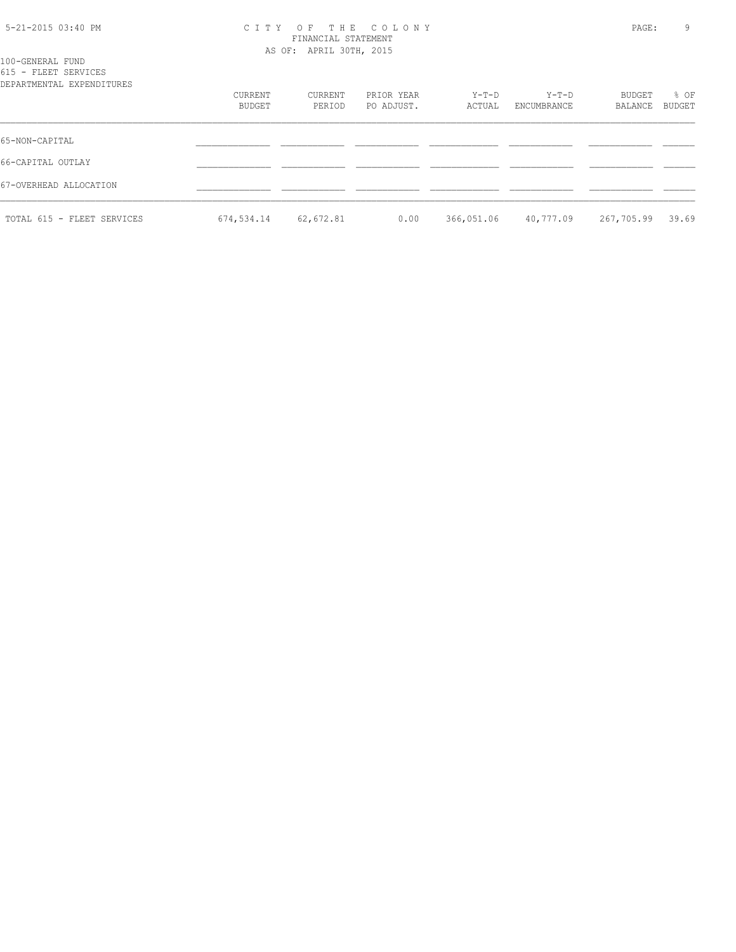| 5-21-2015 03:40 PM |  |  |
|--------------------|--|--|
|--------------------|--|--|

## 5-21-2015 03:40 PM C I T Y O F T H E C O L O N Y PAGE: 9 FINANCIAL STATEMENT AS OF: APRIL 30TH, 2015

| 100-GENERAL FUND<br>615 - FLEET SERVICES<br>DEPARTMENTAL EXPENDITURES |                   |                   |                          |                 |                        |                   |                |
|-----------------------------------------------------------------------|-------------------|-------------------|--------------------------|-----------------|------------------------|-------------------|----------------|
|                                                                       | CURRENT<br>BUDGET | CURRENT<br>PERIOD | PRIOR YEAR<br>PO ADJUST. | Y-T-D<br>ACTUAL | $Y-T-D$<br>ENCUMBRANCE | BUDGET<br>BALANCE | % OF<br>BUDGET |
| 65-NON-CAPITAL                                                        |                   |                   |                          |                 |                        |                   |                |
| 66-CAPITAL OUTLAY                                                     |                   |                   |                          |                 |                        |                   |                |
| 67-OVERHEAD ALLOCATION                                                |                   |                   |                          |                 |                        |                   |                |
| TOTAL 615 - FLEET SERVICES                                            | 674,534.14        | 62,672.81         | 0.00                     | 366,051.06      | 40,777.09              | 267,705.99        | 39.69          |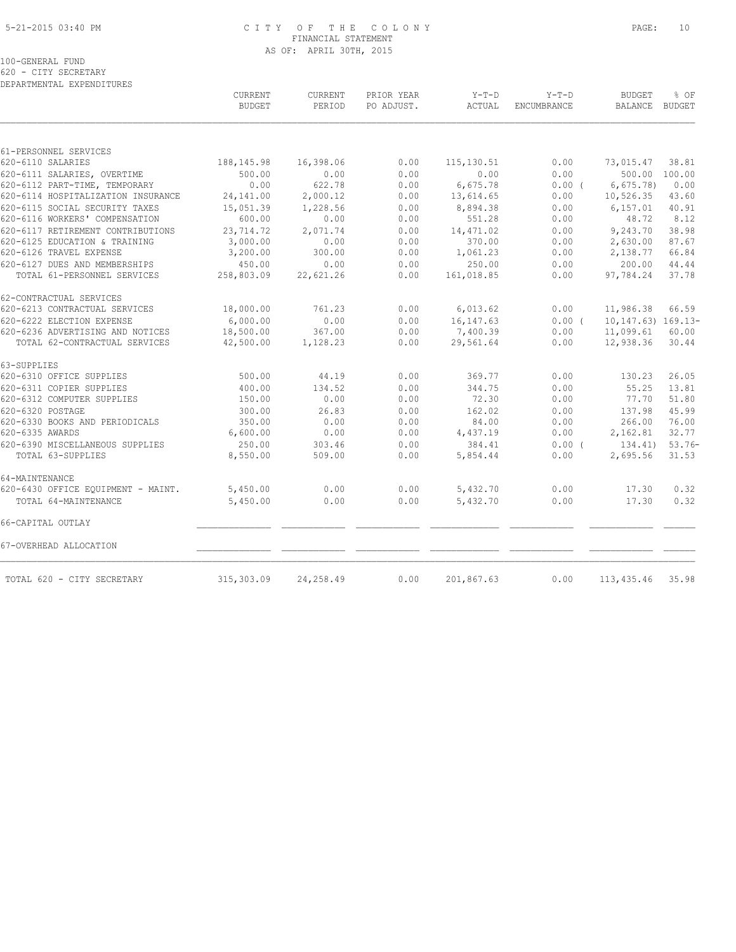#### 5-21-2015 03:40 PM C I T Y O F T H E C O L O N Y PAGE: 10 FINANCIAL STATEMENT AS OF: APRIL 30TH, 2015

100-GENERAL FUND

620 - CITY SECRETARY DEPARTMENTAL EXPENDITURES

|                                    | CURRENT<br><b>BUDGET</b> | CURRENT<br>PERIOD | PRIOR YEAR<br>PO ADJUST. | $Y-T-D$<br><b>ACTUAL</b> | $Y-T-D$<br><b>ENCUMBRANCE</b> | <b>BUDGET</b><br><b>BALANCE</b> | % OF<br><b>BUDGET</b> |
|------------------------------------|--------------------------|-------------------|--------------------------|--------------------------|-------------------------------|---------------------------------|-----------------------|
|                                    |                          |                   |                          |                          |                               |                                 |                       |
| 61-PERSONNEL SERVICES              |                          |                   |                          |                          |                               |                                 |                       |
| 620-6110 SALARIES                  | 188, 145. 98             | 16,398.06         | 0.00                     | 115, 130.51              | 0.00                          | 73,015.47                       | 38.81                 |
| 620-6111 SALARIES, OVERTIME        | 500.00                   | 0.00              | 0.00                     | 0.00                     | 0.00                          | 500.00                          | 100.00                |
| 620-6112 PART-TIME, TEMPORARY      | 0.00                     | 622.78            | 0.00                     | 6,675.78                 | 0.00(                         | 6,675.78                        | 0.00                  |
| 620-6114 HOSPITALIZATION INSURANCE | 24,141.00                | 2,000.12          | 0.00                     | 13,614.65                | 0.00                          | 10,526.35                       | 43.60                 |
| 620-6115 SOCIAL SECURITY TAXES     | 15,051.39                | 1,228.56          | 0.00                     | 8,894.38                 | 0.00                          | 6, 157.01                       | 40.91                 |
| 620-6116 WORKERS' COMPENSATION     | 600.00                   | 0.00              | 0.00                     | 551.28                   | 0.00                          | 48.72                           | 8.12                  |
| 620-6117 RETIREMENT CONTRIBUTIONS  | 23,714.72                | 2,071.74          | 0.00                     | 14, 471.02               | 0.00                          | 9,243.70                        | 38.98                 |
| 620-6125 EDUCATION & TRAINING      | 3,000.00                 | 0.00              | 0.00                     | 370.00                   | 0.00                          | 2,630.00                        | 87.67                 |
| 620-6126 TRAVEL EXPENSE            | 3,200.00                 | 300.00            | 0.00                     | 1,061.23                 | 0.00                          | 2,138.77                        | 66.84                 |
| 620-6127 DUES AND MEMBERSHIPS      | 450.00                   | 0.00              | 0.00                     | 250.00                   | 0.00                          | 200.00                          | 44.44                 |
| TOTAL 61-PERSONNEL SERVICES        | 258,803.09               | 22,621.26         | 0.00                     | 161,018.85               | 0.00                          | 97,784.24                       | 37.78                 |
| 62-CONTRACTUAL SERVICES            |                          |                   |                          |                          |                               |                                 |                       |
| 620-6213 CONTRACTUAL SERVICES      | 18,000.00                | 761.23            | 0.00                     | 6,013.62                 | 0.00                          | 11,986.38                       | 66.59                 |
| 620-6222 ELECTION EXPENSE          | 6,000.00                 | 0.00              | 0.00                     | 16, 147.63               | 0.00(                         | $10, 147.63)$ $169.13-$         |                       |
| 620-6236 ADVERTISING AND NOTICES   | 18,500.00                | 367.00            | 0.00                     | 7,400.39                 | 0.00                          | 11,099.61                       | 60.00                 |
| TOTAL 62-CONTRACTUAL SERVICES      | 42,500.00                | 1,128.23          | 0.00                     | 29,561.64                | 0.00                          | 12,938.36                       | 30.44                 |
| 63-SUPPLIES                        |                          |                   |                          |                          |                               |                                 |                       |
| 620-6310 OFFICE SUPPLIES           | 500.00                   | 44.19             | 0.00                     | 369.77                   | 0.00                          | 130.23                          | 26.05                 |
| 620-6311 COPIER SUPPLIES           | 400.00                   | 134.52            | 0.00                     | 344.75                   | 0.00                          | 55.25                           | 13.81                 |
| 620-6312 COMPUTER SUPPLIES         | 150.00                   | 0.00              | 0.00                     | 72.30                    | 0.00                          | 77.70                           | 51.80                 |
| 620-6320 POSTAGE                   | 300.00                   | 26.83             | 0.00                     | 162.02                   | 0.00                          | 137.98                          | 45.99                 |
| 620-6330 BOOKS AND PERIODICALS     | 350.00                   | 0.00              | 0.00                     | 84.00                    | 0.00                          | 266.00                          | 76.00                 |
| 620-6335 AWARDS                    | 6,600.00                 | 0.00              | 0.00                     | 4,437.19                 | 0.00                          | 2,162.81                        | 32.77                 |
| 620-6390 MISCELLANEOUS SUPPLIES    | 250.00                   | 303.46            | 0.00                     | 384.41                   | $0.00$ (                      | 134.41)                         | $53.76-$              |
| TOTAL 63-SUPPLIES                  | 8,550.00                 | 509.00            | 0.00                     | 5,854.44                 | 0.00                          | 2,695.56                        | 31.53                 |
| 64-MAINTENANCE                     |                          |                   |                          |                          |                               |                                 |                       |
| 620-6430 OFFICE EQUIPMENT - MAINT. | 5,450.00                 | 0.00              | 0.00                     | 5,432.70                 | 0.00                          | 17.30                           | 0.32                  |
| TOTAL 64-MAINTENANCE               | 5,450.00                 | 0.00              | 0.00                     | 5,432.70                 | 0.00                          | 17.30                           | 0.32                  |
| 66-CAPITAL OUTLAY                  |                          |                   |                          |                          |                               |                                 |                       |
| 67-OVERHEAD ALLOCATION             |                          |                   |                          |                          |                               |                                 |                       |
| TOTAL 620 - CITY SECRETARY         | 315, 303.09              | 24,258.49         | 0.00                     | 201,867.63               | 0.00                          | 113, 435.46                     | 35.98                 |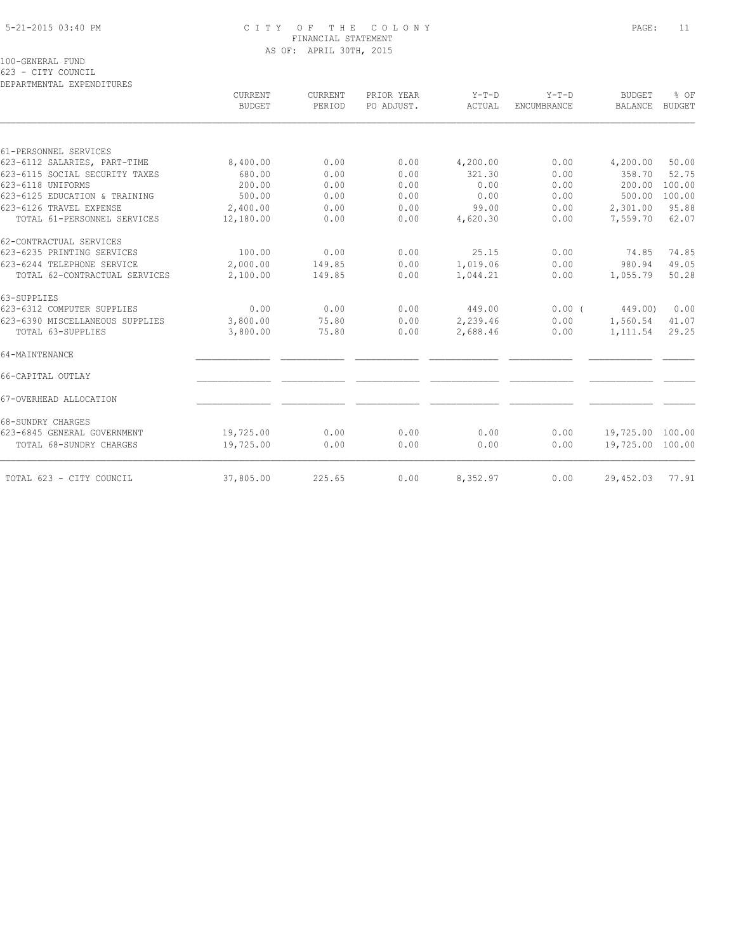#### 5-21-2015 03:40 PM C I T Y O F T H E C O L O N Y PAGE: 11 FINANCIAL STATEMENT AS OF: APRIL 30TH, 2015

100-GENERAL FUND

623 - CITY COUNCIL

| <b>CURRENT</b><br><b>BUDGET</b> | <b>CURRENT</b> | PRIOR YEAR | $Y-T-D$  | $Y-T-D$            | <b>BUDGET</b>    | % OF   |
|---------------------------------|----------------|------------|----------|--------------------|------------------|--------|
|                                 | PERIOD         | PO ADJUST. | ACTUAL   | <b>ENCUMBRANCE</b> | <b>BALANCE</b>   | BUDGET |
|                                 |                |            |          |                    |                  |        |
|                                 |                |            |          |                    |                  |        |
| 8,400.00                        | 0.00           | 0.00       | 4,200.00 | 0.00               | 4,200.00         | 50.00  |
| 680.00                          | 0.00           | 0.00       | 321.30   | 0.00               | 358.70           | 52.75  |
| 200.00                          | 0.00           | 0.00       | 0.00     | 0.00               | 200.00           | 100.00 |
| 500.00                          | 0.00           | 0.00       | 0.00     | 0.00               | 500.00           | 100.00 |
| 2,400.00                        | 0.00           | 0.00       | 99.00    | 0.00               | 2,301.00         | 95.88  |
| 12,180.00                       | 0.00           | 0.00       | 4,620.30 | 0.00               | 7,559.70         | 62.07  |
|                                 |                |            |          |                    |                  |        |
| 100.00                          | 0.00           | 0.00       | 25.15    | 0.00               | 74.85            | 74.85  |
| 2,000.00                        | 149.85         | 0.00       | 1,019.06 | 0.00               | 980.94           | 49.05  |
| 2,100.00                        | 149.85         | 0.00       | 1,044.21 | 0.00               | 1,055.79         | 50.28  |
|                                 |                |            |          |                    |                  |        |
| 0.00                            | 0.00           | 0.00       | 449.00   | $0.00$ (           | 449.00)          | 0.00   |
| 3,800.00                        | 75.80          | 0.00       | 2,239.46 | 0.00               | 1,560.54         | 41.07  |
| 3,800.00                        | 75.80          | 0.00       | 2,688.46 | 0.00               | 1,111.54         | 29.25  |
|                                 |                |            |          |                    |                  |        |
|                                 |                |            |          |                    |                  |        |
|                                 |                |            |          |                    |                  |        |
|                                 |                |            |          |                    |                  |        |
| 19,725.00                       | 0.00           | 0.00       | 0.00     | 0.00               | 19,725.00 100.00 |        |
| 19,725.00                       | 0.00           | 0.00       | 0.00     | 0.00               | 19,725.00 100.00 |        |
| 37,805.00                       | 225.65         | 0.00       |          | 0.00               | 29,452.03        | 77.91  |
|                                 |                |            |          | 8,352.97           |                  |        |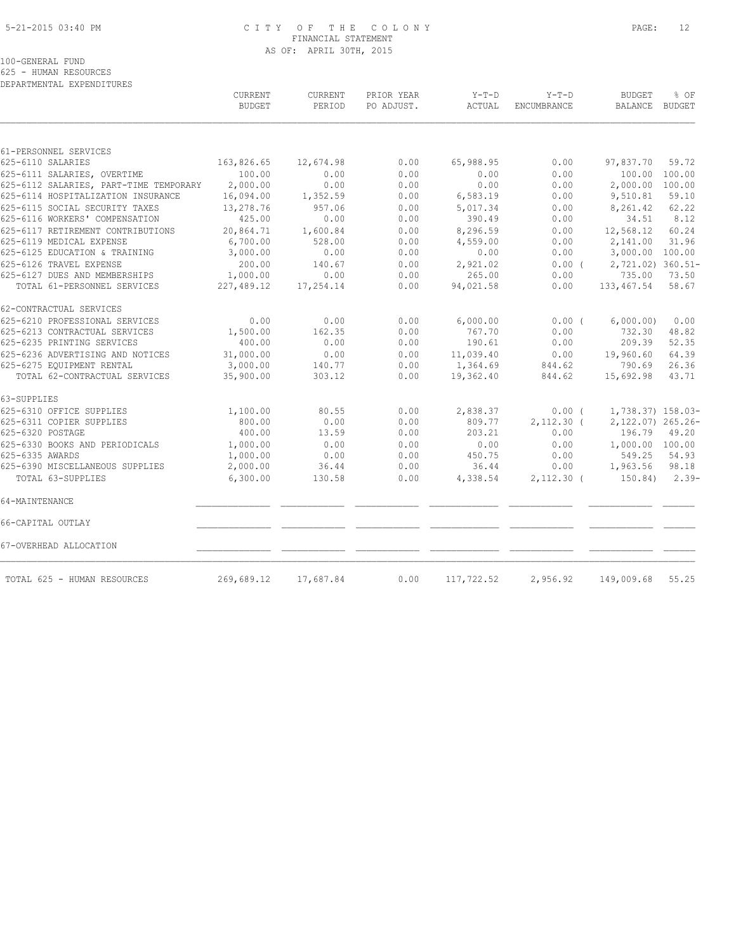#### 5-21-2015 03:40 PM C I T Y O F T H E C O L O N Y PAGE: 12 FINANCIAL STATEMENT AS OF: APRIL 30TH, 2015

100-GENERAL FUND

625 - HUMAN RESOURCES

| DEPARTMENTAL EXPENDITURES              |                                 |                          |                          |                   |                        |                                 |         |
|----------------------------------------|---------------------------------|--------------------------|--------------------------|-------------------|------------------------|---------------------------------|---------|
|                                        | <b>CURRENT</b><br><b>BUDGET</b> | <b>CURRENT</b><br>PERIOD | PRIOR YEAR<br>PO ADJUST. | $Y-T-D$<br>ACTUAL | $Y-T-D$<br>ENCUMBRANCE | <b>BUDGET</b><br>BALANCE BUDGET | % OF    |
|                                        |                                 |                          |                          |                   |                        |                                 |         |
| 61-PERSONNEL SERVICES                  |                                 |                          |                          |                   |                        |                                 |         |
| 625-6110 SALARIES                      | 163,826.65                      | 12,674.98                | 0.00                     | 65,988.95         | 0.00                   | 97,837.70                       | 59.72   |
| 625-6111 SALARIES, OVERTIME            | 100.00                          | 0.00                     | 0.00                     | 0.00              | 0.00                   | 100.00                          | 100.00  |
| 625-6112 SALARIES, PART-TIME TEMPORARY | 2,000.00                        | 0.00                     | 0.00                     | 0.00              | 0.00                   | 2,000.00                        | 100.00  |
| 625-6114 HOSPITALIZATION INSURANCE     | 16,094.00                       | 1,352.59                 | 0.00                     | 6,583.19          | 0.00                   | 9,510.81                        | 59.10   |
| 625-6115 SOCIAL SECURITY TAXES         | 13,278.76                       | 957.06                   | 0.00                     | 5,017.34          | 0.00                   | 8,261.42                        | 62.22   |
| 625-6116 WORKERS' COMPENSATION         | 425.00                          | 0.00                     | 0.00                     | 390.49            | 0.00                   | 34.51                           | 8.12    |
| 625-6117 RETIREMENT CONTRIBUTIONS      | 20,864.71                       | 1,600.84                 | 0.00                     | 8,296.59          | 0.00                   | 12,568.12                       | 60.24   |
| 625-6119 MEDICAL EXPENSE               | 6,700.00                        | 528.00                   | 0.00                     | 4,559.00          | 0.00                   | 2,141.00                        | 31.96   |
| 625-6125 EDUCATION & TRAINING          | 3,000.00                        | 0.00                     | 0.00                     | 0.00              | 0.00                   | 3,000.00 100.00                 |         |
| 625-6126 TRAVEL EXPENSE                | 200.00                          | 140.67                   | 0.00                     | 2,921.02          | 0.00(                  | 2,721.02) 360.51-               |         |
| 625-6127 DUES AND MEMBERSHIPS          | 1,000.00                        | 0.00                     | 0.00                     | 265.00            | 0.00                   | 735.00                          | 73.50   |
| TOTAL 61-PERSONNEL SERVICES            | 227,489.12                      | 17,254.14                | 0.00                     | 94,021.58         | 0.00                   | 133,467.54                      | 58.67   |
| 62-CONTRACTUAL SERVICES                |                                 |                          |                          |                   |                        |                                 |         |
| 625-6210 PROFESSIONAL SERVICES         | 0.00                            | 0.00                     | 0.00                     | 6,000.00          | $0.00$ (               | 6,000.00)                       | 0.00    |
| 625-6213 CONTRACTUAL SERVICES          | 1,500.00                        | 162.35                   | 0.00                     | 767.70            | 0.00                   | 732.30                          | 48.82   |
| 625-6235 PRINTING SERVICES             | 400.00                          | 0.00                     | 0.00                     | 190.61            | 0.00                   | 209.39                          | 52.35   |
| 625-6236 ADVERTISING AND NOTICES       | 31,000.00                       | 0.00                     | 0.00                     | 11,039.40         | 0.00                   | 19,960.60                       | 64.39   |
| 625-6275 EQUIPMENT RENTAL              | 3,000.00                        | 140.77                   | 0.00                     | 1,364.69          | 844.62                 | 790.69                          | 26.36   |
| TOTAL 62-CONTRACTUAL SERVICES          | 35,900.00                       | 303.12                   | 0.00                     | 19,362.40         | 844.62                 | 15,692.98                       | 43.71   |
| 63-SUPPLIES                            |                                 |                          |                          |                   |                        |                                 |         |
| 625-6310 OFFICE SUPPLIES               | 1,100.00                        | 80.55                    | 0.00                     | 2,838.37          | $0.00$ (               | 1,738.37) 158.03-               |         |
| 625-6311 COPIER SUPPLIES               | 800.00                          | 0.00                     | 0.00                     | 809.77            | $2,112.30$ (           | 2,122.07) 265.26-               |         |
| 625-6320 POSTAGE                       | 400.00                          | 13.59                    | 0.00                     | 203.21            | 0.00                   | 196.79                          | 49.20   |
| 625-6330 BOOKS AND PERIODICALS         | 1,000.00                        | 0.00                     | 0.00                     | 0.00              | 0.00                   | 1,000.00 100.00                 |         |
| 625-6335 AWARDS                        | 1,000.00                        | 0.00                     | 0.00                     | 450.75            | 0.00                   | 549.25                          | 54.93   |
| 625-6390 MISCELLANEOUS SUPPLIES        | 2,000.00                        | 36.44                    | 0.00                     | 36.44             | 0.00                   | 1,963.56                        | 98.18   |
| TOTAL 63-SUPPLIES                      | 6,300.00                        | 130.58                   | 0.00                     | 4,338.54          | $2,112.30$ (           | 150.84)                         | $2.39-$ |
| 64-MAINTENANCE                         |                                 |                          |                          |                   |                        |                                 |         |
| 66-CAPITAL OUTLAY                      |                                 |                          |                          |                   |                        |                                 |         |
| 67-OVERHEAD ALLOCATION                 |                                 |                          |                          |                   |                        |                                 |         |
| TOTAL 625 - HUMAN RESOURCES            | 269,689.12                      | 17,687.84                | 0.00                     | 117,722.52        | 2,956.92               | 149,009.68                      | 55.25   |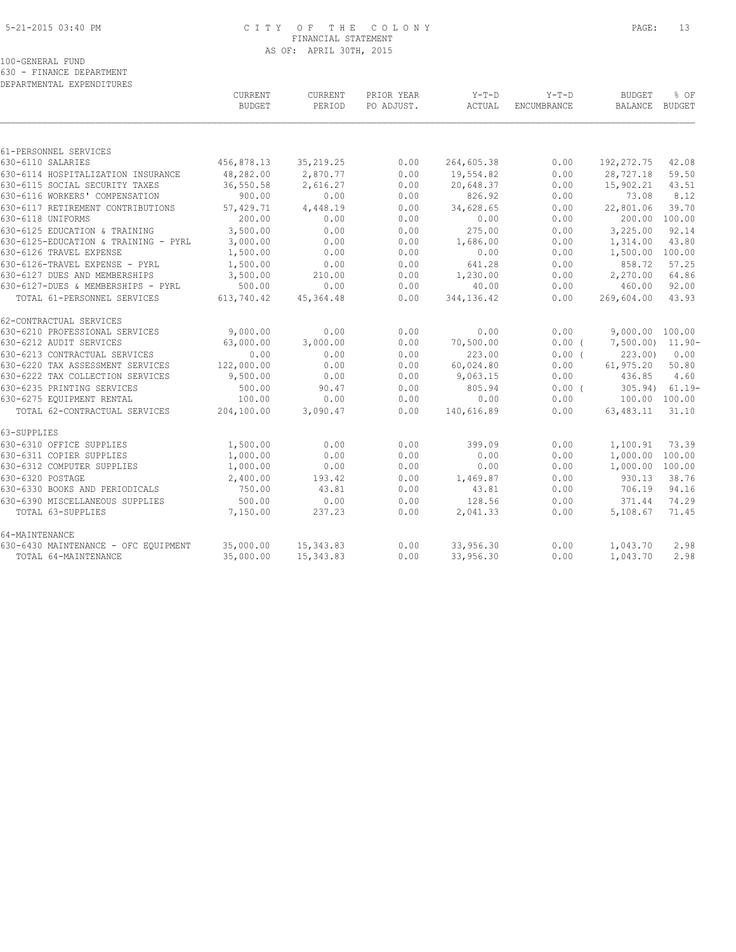### 5-21-2015 03:40 PM C I T Y O F T H E C O L O N Y PAGE: 13 FINANCIAL STATEMENT AS OF: APRIL 30TH, 2015

100-GENERAL FUND

630 - FINANCE DEPARTMENT

| DEPARTMENTAL EXPENDITURES            |               |            |            |            |             |                  |           |
|--------------------------------------|---------------|------------|------------|------------|-------------|------------------|-----------|
|                                      | CURRENT       | CURRENT    | PRIOR YEAR | $Y-T-D$    | $Y-T-D$     | <b>BUDGET</b>    | % OF      |
|                                      | <b>BUDGET</b> | PERIOD     | PO ADJUST. | ACTUAL     | ENCUMBRANCE | <b>BALANCE</b>   | BUDGET    |
|                                      |               |            |            |            |             |                  |           |
| 61-PERSONNEL SERVICES                |               |            |            |            |             |                  |           |
| 630-6110 SALARIES                    | 456,878.13    | 35, 219.25 | 0.00       | 264,605.38 | 0.00        | 192, 272.75      | 42.08     |
| 630-6114 HOSPITALIZATION INSURANCE   | 48,282.00     | 2,870.77   | 0.00       | 19,554.82  | 0.00        | 28,727.18        | 59.50     |
| 630-6115 SOCIAL SECURITY TAXES       | 36,550.58     | 2,616.27   | 0.00       | 20,648.37  | 0.00        | 15,902.21        | 43.51     |
| 630-6116 WORKERS' COMPENSATION       | 900.00        | 0.00       | 0.00       | 826.92     | 0.00        | 73.08            | 8.12      |
| 630-6117 RETIREMENT CONTRIBUTIONS    | 57,429.71     | 4,448.19   | 0.00       | 34,628.65  | 0.00        | 22,801.06        | 39.70     |
| 630-6118 UNIFORMS                    | 200.00        | 0.00       | 0.00       | 0.00       | 0.00        | 200.00           | 100.00    |
| 630-6125 EDUCATION & TRAINING        | 3,500.00      | 0.00       | 0.00       | 275.00     | 0.00        | 3,225.00         | 92.14     |
| 630-6125-EDUCATION & TRAINING - PYRL | 3,000.00      | 0.00       | 0.00       | 1,686.00   | 0.00        | 1,314.00         | 43.80     |
| 630-6126 TRAVEL EXPENSE              | 1,500.00      | 0.00       | 0.00       | 0.00       | 0.00        | 1,500.00         | 100.00    |
| 630-6126-TRAVEL EXPENSE - PYRL       | 1,500.00      | 0.00       | 0.00       | 641.28     | 0.00        | 858.72           | 57.25     |
| 630-6127 DUES AND MEMBERSHIPS        | 3,500.00      | 210.00     | 0.00       | 1,230.00   | 0.00        | 2,270.00         | 64.86     |
| 630-6127-DUES & MEMBERSHIPS - PYRL   | 500.00        | 0.00       | 0.00       | 40.00      | 0.00        | 460.00           | 92.00     |
| TOTAL 61-PERSONNEL SERVICES          | 613,740.42    | 45, 364.48 | 0.00       | 344,136.42 | 0.00        | 269,604.00       | 43.93     |
| 62-CONTRACTUAL SERVICES              |               |            |            |            |             |                  |           |
| 630-6210 PROFESSIONAL SERVICES       | 9,000.00      | 0.00       | 0.00       | 0.00       | 0.00        | 9,000.00 100.00  |           |
| 630-6212 AUDIT SERVICES              | 63,000.00     | 3,000.00   | 0.00       | 70,500.00  | 0.00(       | 7,500.00) 11.90- |           |
| 630-6213 CONTRACTUAL SERVICES        | 0.00          | 0.00       | 0.00       | 223.00     | 0.00(       | 223.00           | 0.00      |
| 630-6220 TAX ASSESSMENT SERVICES     | 122,000.00    | 0.00       | 0.00       | 60,024.80  | 0.00        | 61,975.20        | 50.80     |
| 630-6222 TAX COLLECTION SERVICES     | 9,500.00      | 0.00       | 0.00       | 9,063.15   | 0.00        | 436.85           | 4.60      |
| 630-6235 PRINTING SERVICES           | 500.00        | 90.47      | 0.00       | 805.94     | 0.00(       | 305.94)          | $61.19 -$ |
| 630-6275 EQUIPMENT RENTAL            | 100.00        | 0.00       | 0.00       | 0.00       | 0.00        | 100.00 100.00    |           |
| TOTAL 62-CONTRACTUAL SERVICES        | 204,100.00    | 3,090.47   | 0.00       | 140,616.89 | 0.00        | 63,483.11        | 31.10     |
| 63-SUPPLIES                          |               |            |            |            |             |                  |           |
| 630-6310 OFFICE SUPPLIES             | 1,500.00      | 0.00       | 0.00       | 399.09     | 0.00        | 1,100.91         | 73.39     |
| 630-6311 COPIER SUPPLIES             | 1,000.00      | 0.00       | 0.00       | 0.00       | 0.00        | 1,000.00         | 100.00    |
| 630-6312 COMPUTER SUPPLIES           | 1,000.00      | 0.00       | 0.00       | 0.00       | 0.00        | 1,000.00         | 100.00    |
| 630-6320 POSTAGE                     | 2,400.00      | 193.42     | 0.00       | 1,469.87   | 0.00        | 930.13           | 38.76     |
| 630-6330 BOOKS AND PERIODICALS       | 750.00        | 43.81      | 0.00       | 43.81      | 0.00        | 706.19           | 94.16     |
| 630-6390 MISCELLANEOUS SUPPLIES      | 500.00        | 0.00       | 0.00       | 128.56     | 0.00        | 371.44           | 74.29     |
| TOTAL 63-SUPPLIES                    | 7,150.00      | 237.23     | 0.00       | 2,041.33   | 0.00        | 5,108.67         | 71.45     |
| 64-MAINTENANCE                       |               |            |            |            |             |                  |           |
| 630-6430 MAINTENANCE - OFC EQUIPMENT | 35,000.00     | 15, 343.83 | 0.00       | 33,956.30  | 0.00        | 1,043.70         | 2.98      |
| TOTAL 64-MAINTENANCE                 | 35,000.00     | 15, 343.83 | 0.00       | 33,956.30  | 0.00        | 1,043.70         | 2.98      |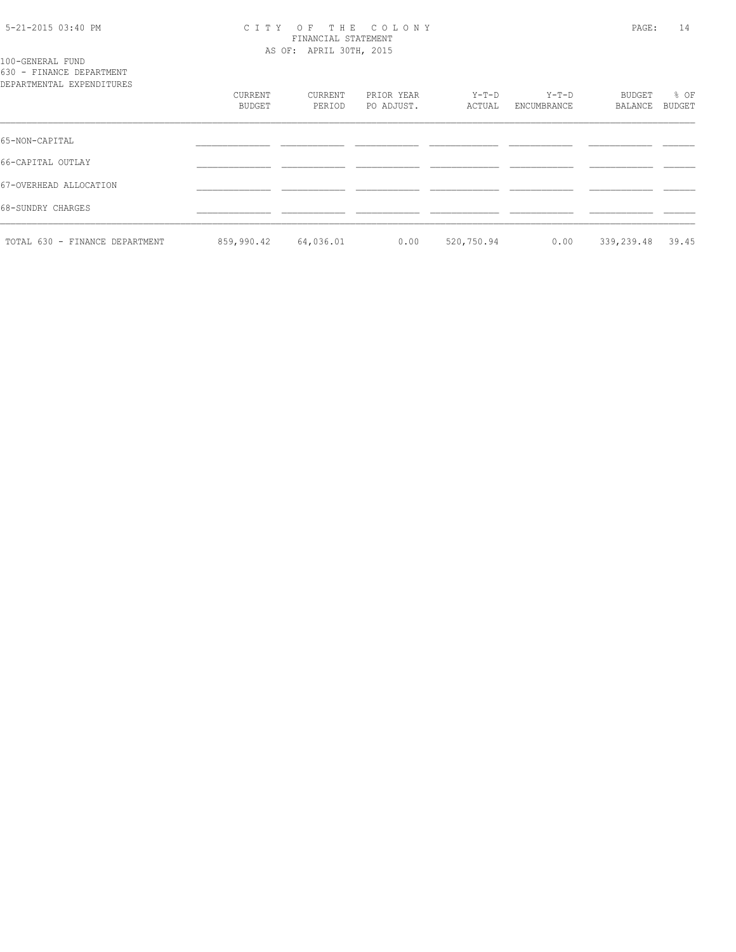#### 5-21-2015 03:40 PM C I T Y O F T H E C O L O N Y PAGE: 14 FINANCIAL STATEMENT AS OF: APRIL 30TH, 2015

100-GENERAL FUND 630 - FINANCE DEPARTMENT

| DEPARTMENTAL EXPENDITURES      |                   |                   |                          |                 |                      |                   |                |
|--------------------------------|-------------------|-------------------|--------------------------|-----------------|----------------------|-------------------|----------------|
|                                | CURRENT<br>BUDGET | CURRENT<br>PERIOD | PRIOR YEAR<br>PO ADJUST. | Y-T-D<br>ACTUAL | Y-T-D<br>ENCUMBRANCE | BUDGET<br>BALANCE | % OF<br>BUDGET |
| 65-NON-CAPITAL                 |                   |                   |                          |                 |                      |                   |                |
| 66-CAPITAL OUTLAY              |                   |                   |                          |                 |                      |                   |                |
| 67-OVERHEAD ALLOCATION         |                   |                   |                          |                 |                      |                   |                |
| 68-SUNDRY CHARGES              |                   |                   |                          |                 |                      |                   |                |
| TOTAL 630 - FINANCE DEPARTMENT | 859,990.42        | 64,036.01         | 0.00                     | 520,750.94      | 0.00                 | 339,239.48        | 39.45          |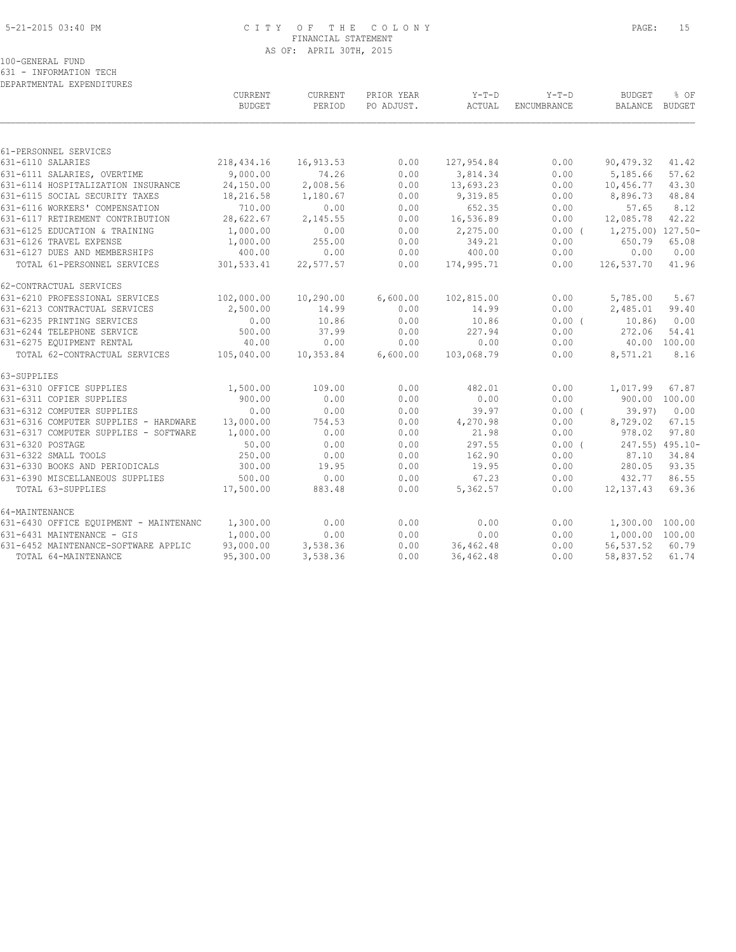#### 5-21-2015 03:40 PM C I T Y O F T H E C O L O N Y PAGE: 15 FINANCIAL STATEMENT AS OF: APRIL 30TH, 2015

100-GENERAL FUND

631 - INFORMATION TECH DEPARTMENTAL EXPENDITURES

|                                        | <b>CURRENT</b><br><b>BUDGET</b> | CURRENT<br>PERIOD | PRIOR YEAR<br>PO ADJUST. | $Y-T-D$<br>ACTUAL | $Y-T-D$<br>ENCUMBRANCE | <b>BUDGET</b><br>BALANCE BUDGET | % OF         |
|----------------------------------------|---------------------------------|-------------------|--------------------------|-------------------|------------------------|---------------------------------|--------------|
|                                        |                                 |                   |                          |                   |                        |                                 |              |
| 61-PERSONNEL SERVICES                  |                                 |                   |                          |                   |                        |                                 |              |
| 631-6110 SALARIES                      | 218,434.16                      | 16,913.53         | 0.00                     | 127,954.84        | 0.00                   | 90,479.32                       | 41.42        |
| 631-6111 SALARIES, OVERTIME            | 9,000.00                        | 74.26             | 0.00                     | 3,814.34          | 0.00                   | 5,185.66                        | 57.62        |
| 631-6114 HOSPITALIZATION INSURANCE     | 24,150.00                       | 2,008.56          | 0.00                     | 13,693.23         | 0.00                   | 10,456.77                       | 43.30        |
| 631-6115 SOCIAL SECURITY TAXES         | 18,216.58                       | 1,180.67          | 0.00                     | 9,319.85          | 0.00                   | 8,896.73                        | 48.84        |
| 631-6116 WORKERS' COMPENSATION         | 710.00                          | 0.00              | 0.00                     | 652.35            | 0.00                   | 57.65                           | 8.12         |
| 631-6117 RETIREMENT CONTRIBUTION       | 28,622.67                       | 2,145.55          | 0.00                     | 16,536.89         | 0.00                   | 12,085.78                       | 42.22        |
| 631-6125 EDUCATION & TRAINING          | 1,000.00                        | 0.00              | 0.00                     | 2,275.00          | 0.00(                  | 1,275.00) 127.50-               |              |
| 631-6126 TRAVEL EXPENSE                | 1,000.00                        | 255.00            | 0.00                     | 349.21            | 0.00                   | 650.79                          | 65.08        |
| 631-6127 DUES AND MEMBERSHIPS          | 400.00                          | 0.00              | 0.00                     | 400.00            | 0.00                   | 0.00                            | 0.00         |
| TOTAL 61-PERSONNEL SERVICES            | 301,533.41                      | 22,577.57         | 0.00                     | 174,995.71        | 0.00                   | 126,537.70                      | 41.96        |
| 62-CONTRACTUAL SERVICES                |                                 |                   |                          |                   |                        |                                 |              |
| 631-6210 PROFESSIONAL SERVICES         | 102,000.00                      | 10,290.00         | 6,600.00                 | 102,815.00        | 0.00                   | 5,785.00                        | 5.67         |
| 631-6213 CONTRACTUAL SERVICES          | 2,500.00                        | 14.99             | 0.00                     | 14.99             | 0.00                   | 2,485.01                        | 99.40        |
| 631-6235 PRINTING SERVICES             | 0.00                            | 10.86             | 0.00                     | 10.86             | 0.00(                  | 10.86)                          | 0.00         |
| 631-6244 TELEPHONE SERVICE             | 500.00                          | 37.99             | 0.00                     | 227.94            | 0.00                   | 272.06                          | 54.41        |
| 631-6275 EQUIPMENT RENTAL              | 40.00                           | 0.00              | 0.00                     | 0.00              | 0.00                   |                                 | 40.00 100.00 |
| TOTAL 62-CONTRACTUAL SERVICES          | 105,040.00                      | 10,353.84         | 6,600.00                 | 103,068.79        | 0.00                   | 8,571.21                        | 8.16         |
| 63-SUPPLIES                            |                                 |                   |                          |                   |                        |                                 |              |
| 631-6310 OFFICE SUPPLIES               | 1,500.00                        | 109.00            | 0.00                     | 482.01            | 0.00                   | 1,017.99                        | 67.87        |
| 631-6311 COPIER SUPPLIES               | 900.00                          | 0.00              | 0.00                     | 0.00              | 0.00                   | 900.00 100.00                   |              |
| 631-6312 COMPUTER SUPPLIES             | 0.00                            | 0.00              | 0.00                     | 39.97             | 0.00(                  | 39.97                           | 0.00         |
| 631-6316 COMPUTER SUPPLIES - HARDWARE  | 13,000.00                       | 754.53            | 0.00                     | 4,270.98          | 0.00                   | 8,729.02                        | 67.15        |
| 631-6317 COMPUTER SUPPLIES - SOFTWARE  | 1,000.00                        | 0.00              | 0.00                     | 21.98             | 0.00                   | 978.02                          | 97.80        |
| 631-6320 POSTAGE                       | 50.00                           | 0.00              | 0.00                     | 297.55            | 0.00(                  | 247.55) 495.10-                 |              |
| 631-6322 SMALL TOOLS                   | 250.00                          | 0.00              | 0.00                     | 162.90            | 0.00                   | 87.10                           | 34.84        |
| 631-6330 BOOKS AND PERIODICALS         | 300.00                          | 19.95             | 0.00                     | 19.95             | 0.00                   | 280.05                          | 93.35        |
| 631-6390 MISCELLANEOUS SUPPLIES        | 500.00                          | 0.00              | 0.00                     | 67.23             | 0.00                   | 432.77                          | 86.55        |
| TOTAL 63-SUPPLIES                      | 17,500.00                       | 883.48            | 0.00                     | 5,362.57          | 0.00                   | 12,137.43                       | 69.36        |
| 64-MAINTENANCE                         |                                 |                   |                          |                   |                        |                                 |              |
| 631-6430 OFFICE EQUIPMENT - MAINTENANC | 1,300.00                        | 0.00              | 0.00                     | 0.00              | 0.00                   | 1,300.00 100.00                 |              |
| 631-6431 MAINTENANCE - GIS             | 1,000.00                        | 0.00              | 0.00                     | 0.00              | 0.00                   | 1,000.00 100.00                 |              |
| 631-6452 MAINTENANCE-SOFTWARE APPLIC   | 93,000.00                       | 3,538.36          | 0.00                     | 36, 462.48        | 0.00                   | 56, 537.52                      | 60.79        |
| TOTAL 64-MAINTENANCE                   | 95,300.00                       | 3,538.36          | 0.00                     | 36, 462.48        | 0.00                   | 58,837.52                       | 61.74        |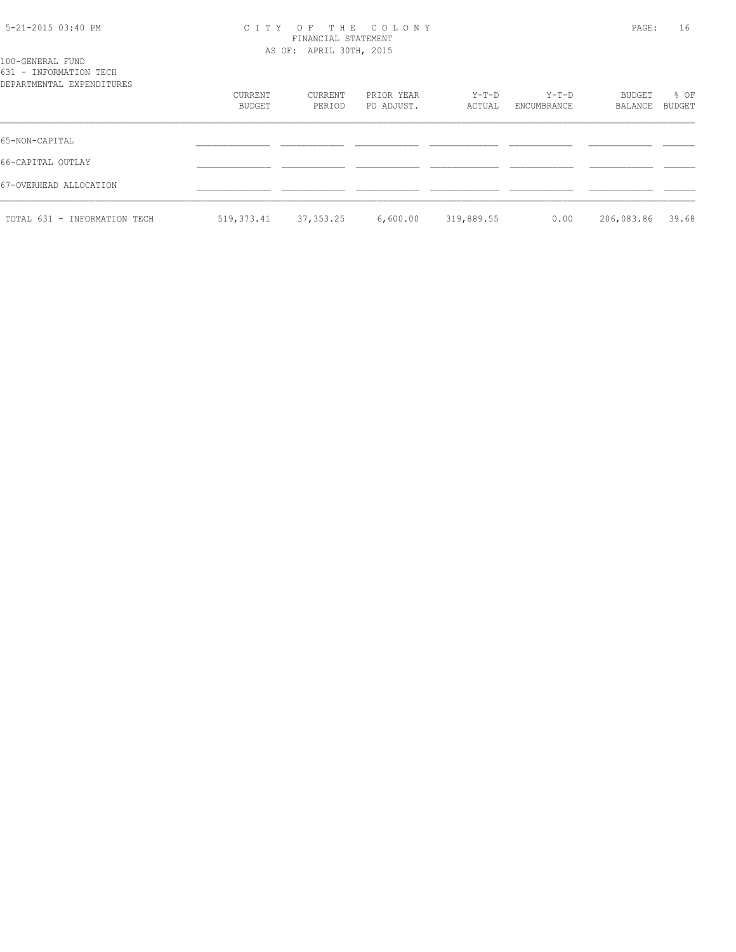#### 5-21-2015 03:40 PM C I T Y O F T H E C O L O N Y PAGE: 16 FINANCIAL STATEMENT AS OF: APRIL 30TH, 2015

| 100-GENERAL FUND          |  |  |
|---------------------------|--|--|
| 631 - INFORMATION TECH    |  |  |
| DEPARTMENTAL EXPENDITURES |  |  |
|                           |  |  |
|                           |  |  |
|                           |  |  |
|                           |  |  |

| DILINININININI UNI HIVDI OINDU | CURRENT<br>BUDGET | CURRENT<br>PERIOD | PRIOR YEAR<br>PO ADJUST. | $Y-T-D$<br>ACTUAL | $Y-T-D$<br>ENCUMBRANCE | BUDGET<br>BALANCE | % OF<br>BUDGET |
|--------------------------------|-------------------|-------------------|--------------------------|-------------------|------------------------|-------------------|----------------|
| 65-NON-CAPITAL                 |                   |                   |                          |                   |                        |                   |                |
| 66-CAPITAL OUTLAY              |                   |                   |                          |                   |                        |                   |                |
| 67-OVERHEAD ALLOCATION         |                   |                   |                          |                   |                        |                   |                |
| TOTAL 631 - INFORMATION TECH   | 519,373.41        | 37, 353, 25       | 6,600.00                 | 319,889.55        | 0.00                   | 206,083.86        | 39.68          |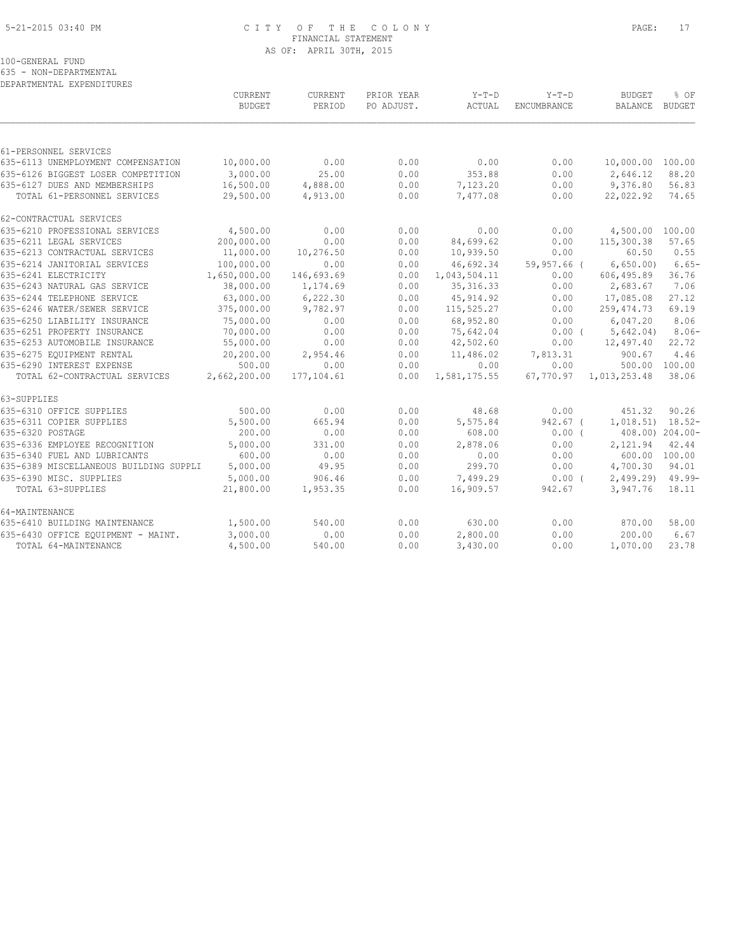#### 5-21-2015 03:40 PM C I T Y O F T H E C O L O N Y PAGE: 17 FINANCIAL STATEMENT AS OF: APRIL 30TH, 2015

100-GENERAL FUND

635 - NON-DEPARTMENTAL

|                                        | CURRENT<br><b>BUDGET</b> | CURRENT<br>PERIOD | PRIOR YEAR<br>PO ADJUST. | $Y-T-D$<br>ACTUAL | $Y-T-D$<br><b>ENCUMBRANCE</b> | <b>BUDGET</b><br>BALANCE | % OF<br>BUDGET        |
|----------------------------------------|--------------------------|-------------------|--------------------------|-------------------|-------------------------------|--------------------------|-----------------------|
|                                        |                          |                   |                          |                   |                               |                          |                       |
| 61-PERSONNEL SERVICES                  |                          |                   |                          |                   |                               |                          |                       |
| 635-6113 UNEMPLOYMENT COMPENSATION     | 10,000.00                | 0.00              | 0.00                     | 0.00              | 0.00                          | 10,000.00 100.00         |                       |
| 635-6126 BIGGEST LOSER COMPETITION     | 3,000.00                 | 25.00             | 0.00                     | 353.88            | 0.00                          | 2,646.12                 | 88.20                 |
| 635-6127 DUES AND MEMBERSHIPS          | 16,500.00                | 4,888.00          | 0.00                     | 7,123.20          | 0.00                          | 9,376.80                 | 56.83                 |
| TOTAL 61-PERSONNEL SERVICES            | 29,500.00                | 4,913.00          | 0.00                     | 7,477.08          | 0.00                          | 22,022.92                | 74.65                 |
| 62-CONTRACTUAL SERVICES                |                          |                   |                          |                   |                               |                          |                       |
| 635-6210 PROFESSIONAL SERVICES         | 4,500.00                 | 0.00              | 0.00                     | 0.00              | 0.00                          | 4,500.00 100.00          |                       |
| 635-6211 LEGAL SERVICES                | 200,000.00               | 0.00              | 0.00                     | 84,699.62         | 0.00                          | 115,300.38               | 57.65                 |
| 635-6213 CONTRACTUAL SERVICES          | 11,000.00                | 10,276.50         | 0.00                     | 10,939.50         | 0.00                          | 60.50                    | 0.55                  |
| 635-6214 JANITORIAL SERVICES           | 100,000.00               | 0.00              | 0.00                     | 46,692.34         | 59,957.66 (                   | 6,650.00                 | $6.65-$               |
| 635-6241 ELECTRICITY                   | 1,650,000.00             | 146,693.69        | 0.00                     | 1,043,504.11      | 0.00                          | 606,495.89               | 36.76                 |
| 635-6243 NATURAL GAS SERVICE           | 38,000.00                | 1,174.69          | 0.00                     | 35, 316.33        | 0.00                          | 2,683.67                 | 7.06                  |
| 635-6244 TELEPHONE SERVICE             | 63,000.00                | 6,222.30          | 0.00                     | 45, 914.92        | 0.00                          | 17,085.08                | 27.12                 |
| 635-6246 WATER/SEWER SERVICE           | 375,000.00               | 9,782.97          | 0.00                     | 115,525.27        | 0.00                          | 259,474.73               | 69.19                 |
| 635-6250 LIABILITY INSURANCE           | 75,000.00                | 0.00              | 0.00                     | 68,952.80         | 0.00                          | 6,047.20                 | 8.06                  |
| 635-6251 PROPERTY INSURANCE            | 70,000.00                | 0.00              | 0.00                     | 75,642.04         | $0.00$ (                      | 5,642.04)                | $8.06-$               |
| 635-6253 AUTOMOBILE INSURANCE          | 55,000.00                | 0.00              | 0.00                     | 42,502.60         | 0.00                          | 12,497.40                | 22.72                 |
| 635-6275 EOUIPMENT RENTAL              | 20,200.00                | 2,954.46          | 0.00                     | 11,486.02         | 7,813.31                      | 900.67                   | 4.46                  |
| 635-6290 INTEREST EXPENSE              | 500.00                   | 0.00              | 0.00                     | 0.00              | 0.00                          |                          | 500.00 100.00         |
| TOTAL 62-CONTRACTUAL SERVICES          | 2,662,200.00             | 177,104.61        | 0.00                     | 1,581,175.55      | 67,770.97                     | 1,013,253.48             | 38.06                 |
| 63-SUPPLIES                            |                          |                   |                          |                   |                               |                          |                       |
| 635-6310 OFFICE SUPPLIES               | 500.00                   | 0.00              | 0.00                     | 48.68             | 0.00                          | 451.32                   | 90.26                 |
| 635-6311 COPIER SUPPLIES               | 5,500.00                 | 665.94            | 0.00                     | 5,575.84          | 942.67 (                      | $1,018.51$ $18.52-$      |                       |
| 635-6320 POSTAGE                       | 200.00                   | 0.00              | 0.00                     | 608.00            | $0.00$ (                      |                          | $408.00$ ) $204.00$ - |
| 635-6336 EMPLOYEE RECOGNITION          | 5,000.00                 | 331.00            | 0.00                     | 2,878.06          | 0.00                          | 2,121.94                 | 42.44                 |
| 635-6340 FUEL AND LUBRICANTS           | 600.00                   | 0.00              | 0.00                     | 0.00              | 0.00                          |                          | 600.00 100.00         |
| 635-6389 MISCELLANEOUS BUILDING SUPPLI | 5,000.00                 | 49.95             | 0.00                     | 299.70            | 0.00                          | 4,700.30                 | 94.01                 |
| 635-6390 MISC. SUPPLIES                | 5,000.00                 | 906.46            | 0.00                     | 7,499.29          | $0.00$ (                      | $2,499.29$ $49.99$ -     |                       |
| TOTAL 63-SUPPLIES                      | 21,800.00                | 1,953.35          | 0.00                     | 16,909.57         | 942.67                        | 3,947.76                 | 18.11                 |
| 64-MAINTENANCE                         |                          |                   |                          |                   |                               |                          |                       |
| 635-6410 BUILDING MAINTENANCE          | 1,500.00                 | 540.00            | 0.00                     | 630.00            | 0.00                          | 870.00                   | 58.00                 |
| 635-6430 OFFICE EQUIPMENT - MAINT.     | 3,000.00                 | 0.00              | 0.00                     | 2,800.00          | 0.00                          | 200.00                   | 6.67                  |
| TOTAL 64-MAINTENANCE                   | 4,500.00                 | 540.00            | 0.00                     | 3,430.00          | 0.00                          | 1,070.00                 | 23.78                 |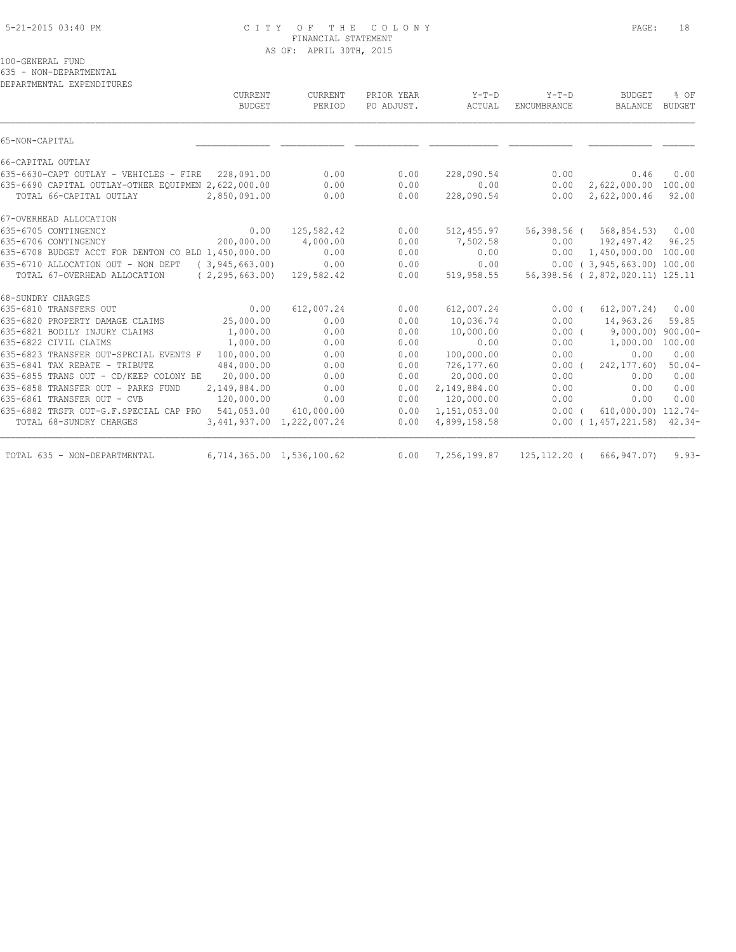#### 5-21-2015 03:40 PM C I T Y O F T H E C O L O N Y PAGE: 18 FINANCIAL STATEMENT AS OF: APRIL 30TH, 2015

100-GENERAL FUND

635 - NON-DEPARTMENTAL

DEPARTMENTAL EXPENDITURES

| CURRENT<br>BUDGET                                            | CURRENT<br>PERIOD         | PRIOR YEAR<br>PO ADJUST. | $Y-T-D$<br>ACTUAL | $Y-T-D$<br>ENCUMBRANCE | <b>BUDGET</b><br>BALANCE               | % OF<br><b>BUDGET</b> |
|--------------------------------------------------------------|---------------------------|--------------------------|-------------------|------------------------|----------------------------------------|-----------------------|
| 65-NON-CAPITAL                                               |                           |                          |                   |                        |                                        |                       |
| 66-CAPITAL OUTLAY                                            |                           |                          |                   |                        |                                        |                       |
| 635-6630-CAPT OUTLAY - VEHICLES - FIRE 228,091.00            | 0.00                      | 0.00                     | 228,090.54        | 0.00                   | 0.46                                   | 0.00                  |
| 635-6690 CAPITAL OUTLAY-OTHER EOUIPMEN 2,622,000.00          | 0.00                      | 0.00                     | 0.00              | 0.00                   | 2,622,000.00                           | 100.00                |
| TOTAL 66-CAPITAL OUTLAY<br>2,850,091.00                      | 0.00                      | 0.00                     | 228,090.54        | 0.00                   | 2,622,000.46                           | 92.00                 |
| 67-OVERHEAD ALLOCATION                                       |                           |                          |                   |                        |                                        |                       |
| 0.00<br>635-6705 CONTINGENCY                                 | 125,582.42                | 0.00                     | 512,455.97        |                        | 56,398.56 ( 568,854.53)                | 0.00                  |
| 200,000.00<br>635-6706 CONTINGENCY                           | 4,000.00                  | 0.00                     | 7,502.58          | 0.00                   | 192,497.42                             | 96.25                 |
| 635-6708 BUDGET ACCT FOR DENTON CO BLD 1,450,000.00          | 0.00                      | 0.00                     | 0.00              |                        | $0.00 \quad 1,450,000.00 \quad 100.00$ |                       |
| 635-6710 ALLOCATION OUT - NON DEPT (3,945,663.00)            | 0.00                      | 0.00                     | 0.00              |                        | $0.00$ ( 3,945,663.00) 100.00          |                       |
| (2, 295, 663.00)<br>TOTAL 67-OVERHEAD ALLOCATION             | 129,582.42                | 0.00                     | 519,958.55        |                        | 56,398.56 (2,872,020.11) 125.11        |                       |
| 68-SUNDRY CHARGES                                            |                           |                          |                   |                        |                                        |                       |
| 0.00<br>635-6810 TRANSFERS OUT                               | 612,007.24                | 0.00                     | 612,007.24        | $0.00$ (               | 612,007.24)                            | 0.00                  |
| 635-6820 PROPERTY DAMAGE CLAIMS<br>25,000.00                 | 0.00                      | 0.00                     | 10,036.74         | 0.00                   | 14,963.26                              | 59.85                 |
| 635-6821 BODILY INJURY CLAIMS<br>1,000.00                    | 0.00                      | 0.00                     | 10,000.00         |                        | $0.00$ ( $9,000.00$ ) $900.00$         |                       |
| 635-6822 CIVIL CLAIMS<br>1,000.00                            | 0.00                      | 0.00                     | 0.00              | 0.00                   | 1,000.00                               | 100.00                |
| 100,000.00<br>635-6823 TRANSFER OUT-SPECIAL EVENTS F         | 0.00                      | 0.00                     | 100,000.00        | 0.00                   | 0.00                                   | 0.00                  |
| 635-6841 TAX REBATE - TRIBUTE<br>484,000.00                  | 0.00                      | 0.00                     | 726,177.60        | $0.00$ (               | 242, 177.60)                           | $50.04-$              |
| 635-6855 TRANS OUT - CD/KEEP COLONY BE<br>20,000.00          | 0.00                      | 0.00                     | 20,000.00         | 0.00                   | 0.00                                   | 0.00                  |
| 635-6858 TRANSFER OUT - PARKS FUND<br>2,149,884.00           | 0.00                      | 0.00                     | 2,149,884.00      | 0.00                   | 0.00                                   | 0.00                  |
| 635-6861 TRANSFER OUT - CVB<br>120,000.00                    | 0.00                      | 0.00                     | 120,000.00        | 0.00                   | 0.00                                   | 0.00                  |
| 635-6882 TRSFR OUT-G.F.SPECIAL CAP PRO 541,053.00 610,000.00 |                           | 0.00                     | 1,151,053.00      | 0.00(                  | 610,000.00) 112.74-                    |                       |
| TOTAL 68-SUNDRY CHARGES                                      | 3,441,937.00 1,222,007.24 | 0.00                     | 4,899,158.58      |                        | 0.00(1,457,221.58)                     | $42.34-$              |
| TOTAL 635 - NON-DEPARTMENTAL                                 | 6,714,365.00 1,536,100.62 | 0.00                     | 7,256,199.87      |                        | 125, 112.20 ( 666, 947.07)             | $9.93-$               |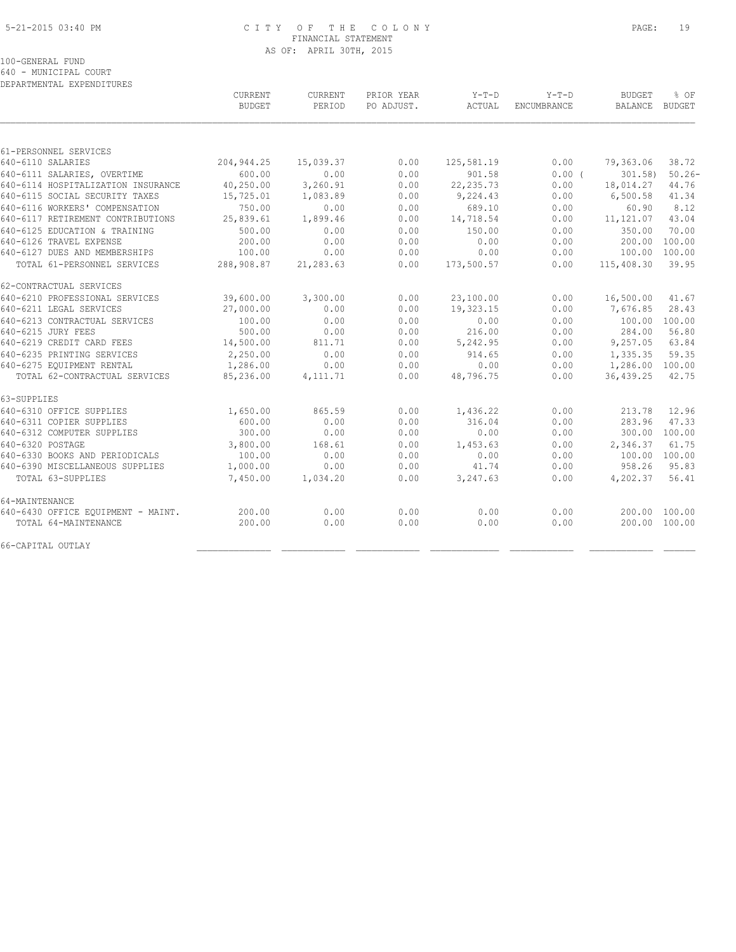#### 5-21-2015 03:40 PM C I T Y O F T H E C O L O N Y PAGE: 19 FINANCIAL STATEMENT AS OF: APRIL 30TH, 2015

100-GENERAL FUND

640 - MUNICIPAL COURT

| DEPARTMENTAL EXPENDITURES          |                                 |                          |                          |                 |                        |                                 |                |
|------------------------------------|---------------------------------|--------------------------|--------------------------|-----------------|------------------------|---------------------------------|----------------|
|                                    | <b>CURRENT</b><br><b>BUDGET</b> | <b>CURRENT</b><br>PERIOD | PRIOR YEAR<br>PO ADJUST. | Y-T-D<br>ACTUAL | $Y-T-D$<br>ENCUMBRANCE | <b>BUDGET</b><br><b>BALANCE</b> | % OF<br>BUDGET |
|                                    |                                 |                          |                          |                 |                        |                                 |                |
| 61-PERSONNEL SERVICES              |                                 |                          |                          |                 |                        |                                 |                |
| 640-6110 SALARIES                  | 204, 944.25                     | 15,039.37                | 0.00                     | 125,581.19      | 0.00                   | 79,363.06                       | 38.72          |
| 640-6111 SALARIES, OVERTIME        | 600.00                          | 0.00                     | 0.00                     | 901.58          | 0.00(                  | 301.58                          | $50.26 -$      |
| 640-6114 HOSPITALIZATION INSURANCE | 40,250.00                       | 3,260.91                 | 0.00                     | 22, 235.73      | 0.00                   | 18,014.27                       | 44.76          |
| 640-6115 SOCIAL SECURITY TAXES     | 15,725.01                       | 1,083.89                 | 0.00                     | 9,224.43        | 0.00                   | 6,500.58                        | 41.34          |
| 640-6116 WORKERS' COMPENSATION     | 750.00                          | 0.00                     | 0.00                     | 689.10          | 0.00                   | 60.90                           | 8.12           |
| 640-6117 RETIREMENT CONTRIBUTIONS  | 25,839.61                       | 1,899.46                 | 0.00                     | 14,718.54       | 0.00                   | 11, 121.07                      | 43.04          |
| 640-6125 EDUCATION & TRAINING      | 500.00                          | 0.00                     | 0.00                     | 150.00          | 0.00                   | 350.00                          | 70.00          |
| 640-6126 TRAVEL EXPENSE            | 200.00                          | 0.00                     | 0.00                     | 0.00            | 0.00                   | 200.00                          | 100.00         |
| 640-6127 DUES AND MEMBERSHIPS      | 100.00                          | 0.00                     | 0.00                     | 0.00            | 0.00                   | 100.00                          | 100.00         |
| TOTAL 61-PERSONNEL SERVICES        | 288,908.87                      | 21,283.63                | 0.00                     | 173,500.57      | 0.00                   | 115,408.30                      | 39.95          |
| 62-CONTRACTUAL SERVICES            |                                 |                          |                          |                 |                        |                                 |                |
| 640-6210 PROFESSIONAL SERVICES     | 39,600.00                       | 3,300.00                 | 0.00                     | 23,100.00       | 0.00                   | 16,500.00                       | 41.67          |
| 640-6211 LEGAL SERVICES            | 27,000.00                       | 0.00                     | 0.00                     | 19,323.15       | 0.00                   | 7,676.85                        | 28.43          |
| 640-6213 CONTRACTUAL SERVICES      | 100.00                          | 0.00                     | 0.00                     | 0.00            | 0.00                   | 100.00                          | 100.00         |
| 640-6215 JURY FEES                 | 500.00                          | 0.00                     | 0.00                     | 216.00          | 0.00                   | 284.00                          | 56.80          |
| 640-6219 CREDIT CARD FEES          | 14,500.00                       | 811.71                   | 0.00                     | 5,242.95        | 0.00                   | 9,257.05                        | 63.84          |
| 640-6235 PRINTING SERVICES         | 2,250.00                        | 0.00                     | 0.00                     | 914.65          | 0.00                   | 1,335.35                        | 59.35          |
| 640-6275 EQUIPMENT RENTAL          | 1,286.00                        | 0.00                     | 0.00                     | 0.00            | 0.00                   | 1,286.00 100.00                 |                |
| TOTAL 62-CONTRACTUAL SERVICES      | 85,236.00                       | 4, 111.71                | 0.00                     | 48,796.75       | 0.00                   | 36,439.25                       | 42.75          |
| 63-SUPPLIES                        |                                 |                          |                          |                 |                        |                                 |                |
| 640-6310 OFFICE SUPPLIES           | 1,650.00                        | 865.59                   | 0.00                     | 1,436.22        | 0.00                   | 213.78                          | 12.96          |
| 640-6311 COPIER SUPPLIES           | 600.00                          | 0.00                     | 0.00                     | 316.04          | 0.00                   | 283.96                          | 47.33          |
| 640-6312 COMPUTER SUPPLIES         | 300.00                          | 0.00                     | 0.00                     | 0.00            | 0.00                   | 300.00 100.00                   |                |
| 640-6320 POSTAGE                   | 3,800.00                        | 168.61                   | 0.00                     | 1,453.63        | 0.00                   | 2,346.37                        | 61.75          |
| 640-6330 BOOKS AND PERIODICALS     | 100.00                          | 0.00                     | 0.00                     | 0.00            | 0.00                   | 100.00 100.00                   |                |
| 640-6390 MISCELLANEOUS SUPPLIES    | 1,000.00                        | 0.00                     | 0.00                     | 41.74           | 0.00                   | 958.26                          | 95.83          |
| TOTAL 63-SUPPLIES                  | 7,450.00                        | 1,034.20                 | 0.00                     | 3,247.63        | 0.00                   | 4,202.37                        | 56.41          |
| 64-MAINTENANCE                     |                                 |                          |                          |                 |                        |                                 |                |
| 640-6430 OFFICE EQUIPMENT - MAINT. | 200.00                          | 0.00                     | 0.00                     | 0.00            | 0.00                   | 200.00 100.00                   |                |
| TOTAL 64-MAINTENANCE               | 200.00                          | 0.00                     | 0.00                     | 0.00            | 0.00                   | 200.00 100.00                   |                |
| 66-CAPITAL OUTLAY                  |                                 |                          |                          |                 |                        |                                 |                |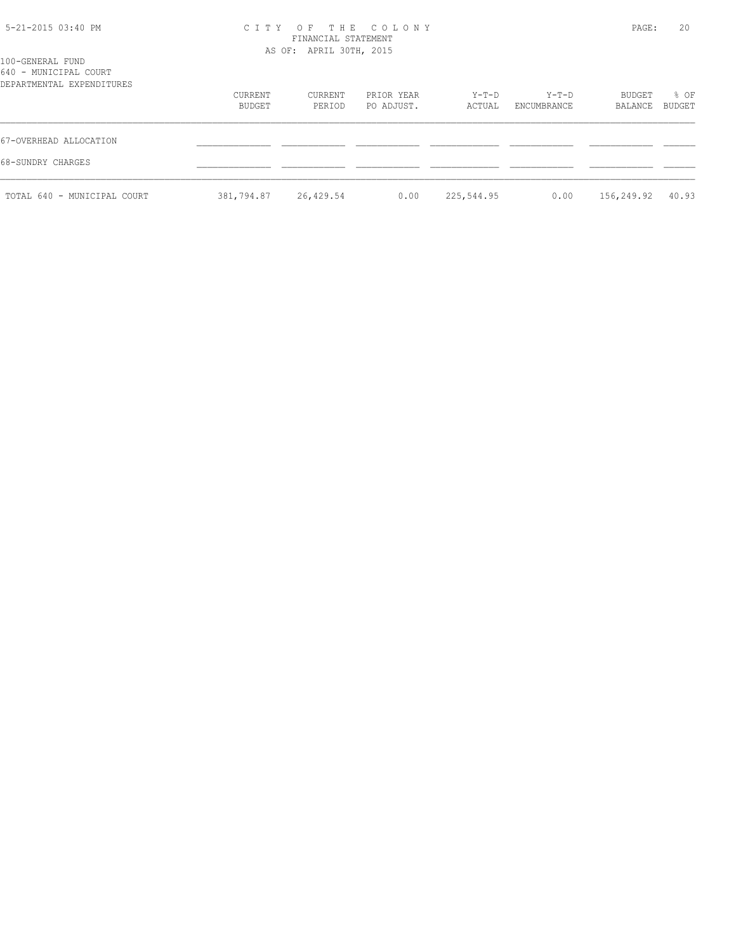## 5-21-2015 03:40 PM C I T Y O F T H E C O L O N Y PAGE: 20 FINANCIAL STATEMENT AS OF: APRIL 30TH, 2015

| 100-GENERAL FUND<br>640 - MUNICIPAL COURT<br>DEPARTMENTAL EXPENDITURES |                   | AU UI. ALITLE JUIII, 201J |                          |                 |                      |                   |                |
|------------------------------------------------------------------------|-------------------|---------------------------|--------------------------|-----------------|----------------------|-------------------|----------------|
|                                                                        | CURRENT<br>BUDGET | CURRENT<br>PERIOD         | PRIOR YEAR<br>PO ADJUST. | Y-T-D<br>ACTUAL | Y-T-D<br>ENCUMBRANCE | BUDGET<br>BALANCE | % OF<br>BUDGET |
| 67-OVERHEAD ALLOCATION<br>68-SUNDRY CHARGES                            |                   |                           |                          |                 |                      |                   |                |
| TOTAL 640 - MUNICIPAL COURT                                            | 381,794.87        | 26,429.54                 | 0.00                     | 225,544.95      | 0.00                 | 156,249.92        | 40.93          |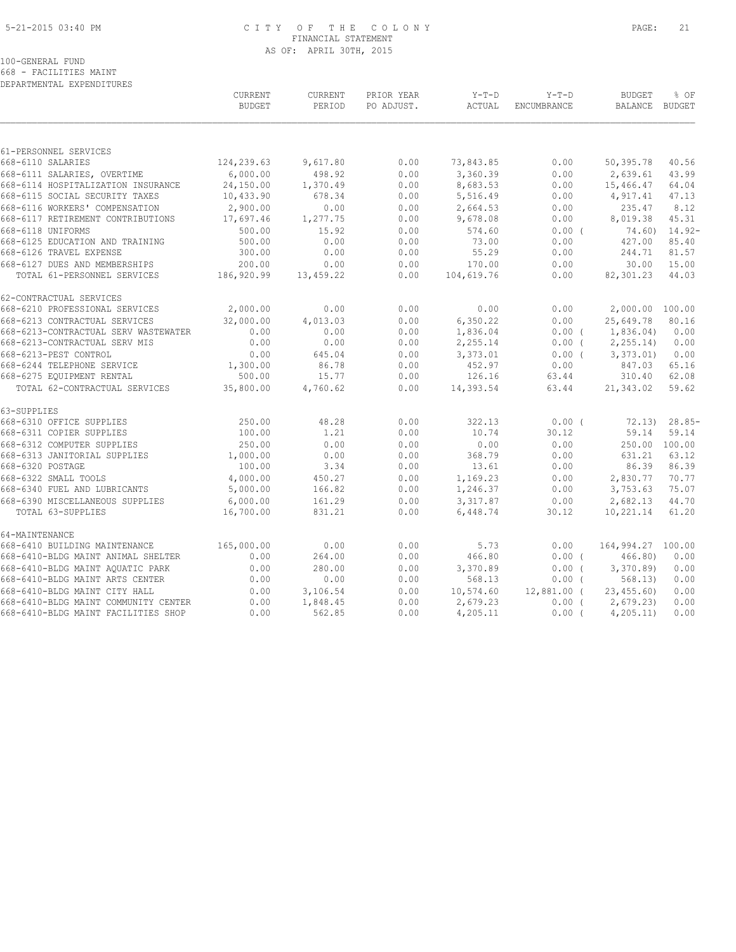#### 5-21-2015 03:40 PM C I T Y O F T H E C O L O N Y PAGE: 21 FINANCIAL STATEMENT AS OF: APRIL 30TH, 2015

100-GENERAL FUND

668 - FACILITIES MAINT DEPARTMENTAL EXPENDITURES

|                                            | <b>CURRENT</b><br><b>BUDGET</b> | <b>CURRENT</b><br>PERIOD | PRIOR YEAR<br>PO ADJUST. | $Y-T-D$<br>ACTUAL | $Y-T-D$<br>ENCUMBRANCE | <b>BUDGET</b><br>BALANCE BUDGET | % OF             |
|--------------------------------------------|---------------------------------|--------------------------|--------------------------|-------------------|------------------------|---------------------------------|------------------|
|                                            |                                 |                          |                          |                   |                        |                                 |                  |
| 61-PERSONNEL SERVICES<br>668-6110 SALARIES | 124,239.63                      | 9,617.80                 | 0.00                     | 73,843.85         | 0.00                   | 50,395.78                       | 40.56            |
| 668-6111 SALARIES, OVERTIME                | 6,000.00                        | 498.92                   | 0.00                     | 3,360.39          | 0.00                   | 2,639.61                        | 43.99            |
| 668-6114 HOSPITALIZATION INSURANCE         | 24,150.00                       | 1,370.49                 | 0.00                     | 8,683.53          | 0.00                   | 15,466.47                       | 64.04            |
| 668-6115 SOCIAL SECURITY TAXES             | 10,433.90                       | 678.34                   | 0.00                     | 5,516.49          | 0.00                   | 4,917.41                        | 47.13            |
| 668-6116 WORKERS' COMPENSATION             | 2,900.00                        | 0.00                     | 0.00                     | 2,664.53          | 0.00                   | 235.47                          | 8.12             |
| 668-6117 RETIREMENT CONTRIBUTIONS          | 17,697.46                       | 1,277.75                 | 0.00                     | 9,678.08          | 0.00                   | 8,019.38                        | 45.31            |
| 668-6118 UNIFORMS                          | 500.00                          | 15.92                    | 0.00                     | 574.60            | $0.00$ (               |                                 | $74.60$ ) 14.92- |
| 668-6125 EDUCATION AND TRAINING            | 500.00                          | 0.00                     | 0.00                     | 73.00             | 0.00                   | 427.00                          | 85.40            |
| 668-6126 TRAVEL EXPENSE                    | 300.00                          | 0.00                     | 0.00                     | 55.29             | 0.00                   | 244.71                          | 81.57            |
| 668-6127 DUES AND MEMBERSHIPS              | 200.00                          | 0.00                     | 0.00                     | 170.00            | 0.00                   | 30.00                           | 15.00            |
| TOTAL 61-PERSONNEL SERVICES                | 186,920.99                      | 13,459.22                | 0.00                     | 104,619.76        | 0.00                   | 82,301.23                       | 44.03            |
|                                            |                                 |                          |                          |                   |                        |                                 |                  |
| 62-CONTRACTUAL SERVICES                    |                                 |                          |                          |                   |                        |                                 |                  |
| 668-6210 PROFESSIONAL SERVICES             | 2,000.00                        | 0.00                     | 0.00                     | 0.00              | 0.00                   | 2,000.00 100.00                 |                  |
| 668-6213 CONTRACTUAL SERVICES              | 32,000.00                       | 4,013.03                 | 0.00                     | 6,350.22          | 0.00                   | 25,649.78                       | 80.16            |
| 668-6213-CONTRACTUAL SERV WASTEWATER       | 0.00                            | 0.00                     | 0.00                     | 1,836.04          | $0.00$ (               | 1,836.04)                       | 0.00             |
| 668-6213-CONTRACTUAL SERV MIS              | 0.00                            | 0.00                     | 0.00                     | 2,255.14          | $0.00$ (               | 2, 255.14                       | 0.00             |
| 668-6213-PEST CONTROL                      | 0.00                            | 645.04                   | 0.00                     | 3,373.01          | $0.00$ (               | 3,373.01                        | 0.00             |
| 668-6244 TELEPHONE SERVICE                 | 1,300.00                        | 86.78                    | 0.00                     | 452.97            | 0.00                   | 847.03                          | 65.16            |
| 668-6275 EQUIPMENT RENTAL                  | 500.00                          | 15.77                    | 0.00                     | 126.16            | 63.44                  | 310.40                          | 62.08            |
| TOTAL 62-CONTRACTUAL SERVICES              | 35,800.00                       | 4,760.62                 | 0.00                     | 14,393.54         | 63.44                  | 21,343.02                       | 59.62            |
| 63-SUPPLIES                                |                                 |                          |                          |                   |                        |                                 |                  |
| 668-6310 OFFICE SUPPLIES                   | 250.00                          | 48.28                    | 0.00                     | 322.13            | 0.00(                  | 72.13)                          | $28.85-$         |
| 668-6311 COPIER SUPPLIES                   | 100.00                          | 1.21                     | 0.00                     | 10.74             | 30.12                  | 59.14                           | 59.14            |
| 668-6312 COMPUTER SUPPLIES                 | 250.00                          | 0.00                     | 0.00                     | 0.00              | 0.00                   |                                 | 250.00 100.00    |
| 668-6313 JANITORIAL SUPPLIES               | 1,000.00                        | 0.00                     | 0.00                     | 368.79            | 0.00                   | 631.21                          | 63.12            |
| 668-6320 POSTAGE                           | 100.00                          | 3.34                     | 0.00                     | 13.61             | 0.00                   | 86.39                           | 86.39            |
| 668-6322 SMALL TOOLS                       | 4,000.00                        | 450.27                   | 0.00                     | 1,169.23          | 0.00                   | 2,830.77                        | 70.77            |
| 668-6340 FUEL AND LUBRICANTS               | 5,000.00                        | 166.82                   | 0.00                     | 1,246.37          | 0.00                   | 3,753.63                        | 75.07            |
| 668-6390 MISCELLANEOUS SUPPLIES            | 6,000.00                        | 161.29                   | 0.00                     | 3, 317.87         | 0.00                   | 2,682.13                        | 44.70            |
| TOTAL 63-SUPPLIES                          | 16,700.00                       | 831.21                   | 0.00                     | 6,448.74          | 30.12                  | 10,221.14                       | 61.20            |
| 64-MAINTENANCE                             |                                 |                          |                          |                   |                        |                                 |                  |
| 668-6410 BUILDING MAINTENANCE              | 165,000.00                      | 0.00                     | 0.00                     | 5.73              | 0.00                   | 164,994.27 100.00               |                  |
| 668-6410-BLDG MAINT ANIMAL SHELTER         | 0.00                            | 264.00                   | 0.00                     | 466.80            | $0.00$ (               | 466.80                          | 0.00             |
| 668-6410-BLDG MAINT AOUATIC PARK           | 0.00                            | 280.00                   | 0.00                     | 3,370.89          | 0.00(                  | 3,370.89                        | 0.00             |
| 668-6410-BLDG MAINT ARTS CENTER            | 0.00                            | 0.00                     | 0.00                     | 568.13            | 0.00(                  | 568.13)                         | 0.00             |
| 668-6410-BLDG MAINT CITY HALL              | 0.00                            | 3,106.54                 | 0.00                     | 10, 574.60        | 12,881.00 (            | 23, 455, 60)                    | 0.00             |
| 668-6410-BLDG MAINT COMMUNITY CENTER       | 0.00                            | 1,848.45                 | 0.00                     | 2,679.23          | $0.00$ (               | 2,679.23                        | 0.00             |
| 668-6410-BLDG MAINT FACILITIES SHOP        | 0.00                            | 562.85                   | 0.00                     | 4,205.11          | $0.00$ (               | 4, 205.11)                      | 0.00             |
|                                            |                                 |                          |                          |                   |                        |                                 |                  |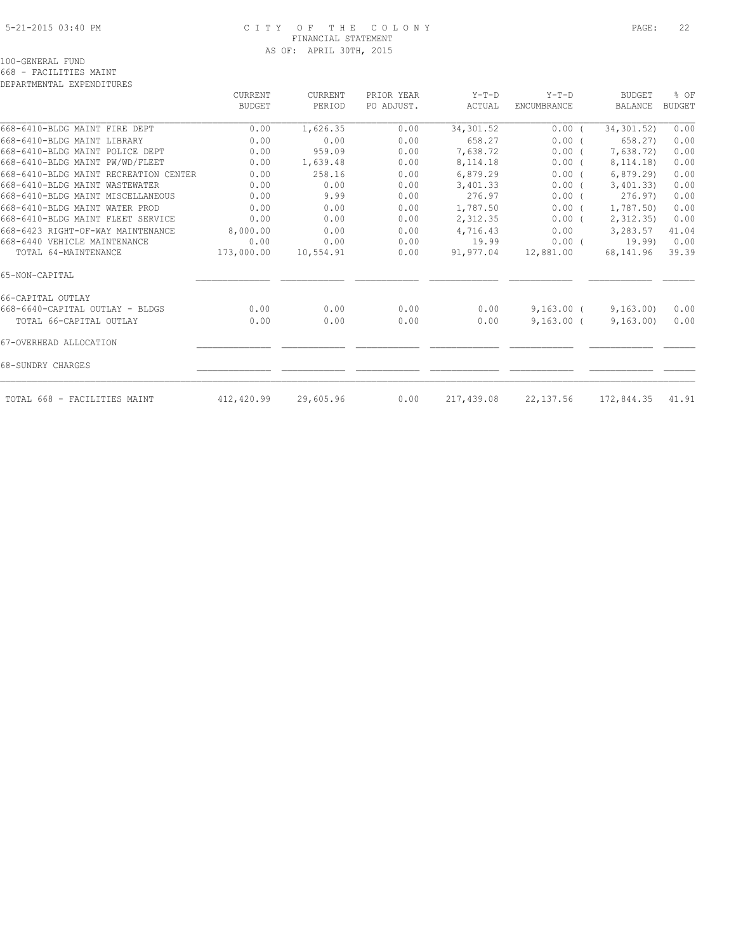#### 5-21-2015 03:40 PM C I T Y O F T H E C O L O N Y PAGE: 22 FINANCIAL STATEMENT AS OF: APRIL 30TH, 2015

100-GENERAL FUND

668 - FACILITIES MAINT

| DEPARTMENTAL EXPENDITURES             |            |                |            |            |                    |               |               |
|---------------------------------------|------------|----------------|------------|------------|--------------------|---------------|---------------|
|                                       | CURRENT    | <b>CURRENT</b> | PRIOR YEAR | $Y-T-D$    | $Y-T-D$            | <b>BUDGET</b> | % OF          |
|                                       | BUDGET     | PERIOD         | PO ADJUST. | ACTUAL     | <b>ENCUMBRANCE</b> | BALANCE       | <b>BUDGET</b> |
| 668-6410-BLDG MAINT FIRE DEPT         | 0.00       | 1,626.35       | 0.00       | 34,301.52  | 0.00(              | 34, 301.52)   | 0.00          |
| 668-6410-BLDG MAINT LIBRARY           | 0.00       | 0.00           | 0.00       | 658.27     | 0.00(              | 658.27)       | 0.00          |
| 668-6410-BLDG MAINT POLICE DEPT       | 0.00       | 959.09         | 0.00       | 7,638.72   | 0.00(              | 7,638.72)     | 0.00          |
| 668-6410-BLDG MAINT PW/WD/FLEET       | 0.00       | 1,639.48       | 0.00       | 8,114.18   | $0.00$ (           | 8, 114. 18)   | 0.00          |
| 668-6410-BLDG MAINT RECREATION CENTER | 0.00       | 258.16         | 0.00       | 6,879.29   | 0.00(              | 6, 879.29     | 0.00          |
| 668-6410-BLDG MAINT WASTEWATER        | 0.00       | 0.00           | 0.00       | 3,401.33   | $0.00$ (           | 3,401,33)     | 0.00          |
| 668-6410-BLDG MAINT MISCELLANEOUS     | 0.00       | 9.99           | 0.00       | 276.97     | 0.00(              | 276.97        | 0.00          |
| 668-6410-BLDG MAINT WATER PROD        | 0.00       | 0.00           | 0.00       | 1,787.50   | 0.00(              | 1,787.50)     | 0.00          |
| 668-6410-BLDG MAINT FLEET SERVICE     | 0.00       | 0.00           | 0.00       | 2,312.35   | 0.00(              | 2, 312.35     | 0.00          |
| 668-6423 RIGHT-OF-WAY MAINTENANCE     | 8,000.00   | 0.00           | 0.00       | 4,716.43   | 0.00               | 3,283.57      | 41.04         |
| 668-6440 VEHICLE MAINTENANCE          | 0.00       | 0.00           | 0.00       | 19.99      | $0.00$ (           | 19.99)        | 0.00          |
| TOTAL 64-MAINTENANCE                  | 173,000.00 | 10,554.91      | 0.00       | 91,977.04  | 12,881.00          | 68,141.96     | 39.39         |
| 65-NON-CAPITAL                        |            |                |            |            |                    |               |               |
| 66-CAPITAL OUTLAY                     |            |                |            |            |                    |               |               |
| 668-6640-CAPITAL OUTLAY - BLDGS       | 0.00       | 0.00           | 0.00       | 0.00       | $9,163.00$ (       | 9,163.00      | 0.00          |
| TOTAL 66-CAPITAL OUTLAY               | 0.00       | 0.00           | 0.00       | 0.00       | $9,163.00$ (       | 9,163.00      | 0.00          |
| 67-OVERHEAD ALLOCATION                |            |                |            |            |                    |               |               |
| 68-SUNDRY CHARGES                     |            |                |            |            |                    |               |               |
| TOTAL 668 - FACILITIES MAINT          | 412,420.99 | 29,605.96      | 0.00       | 217,439.08 | 22,137.56          | 172,844.35    | 41.91         |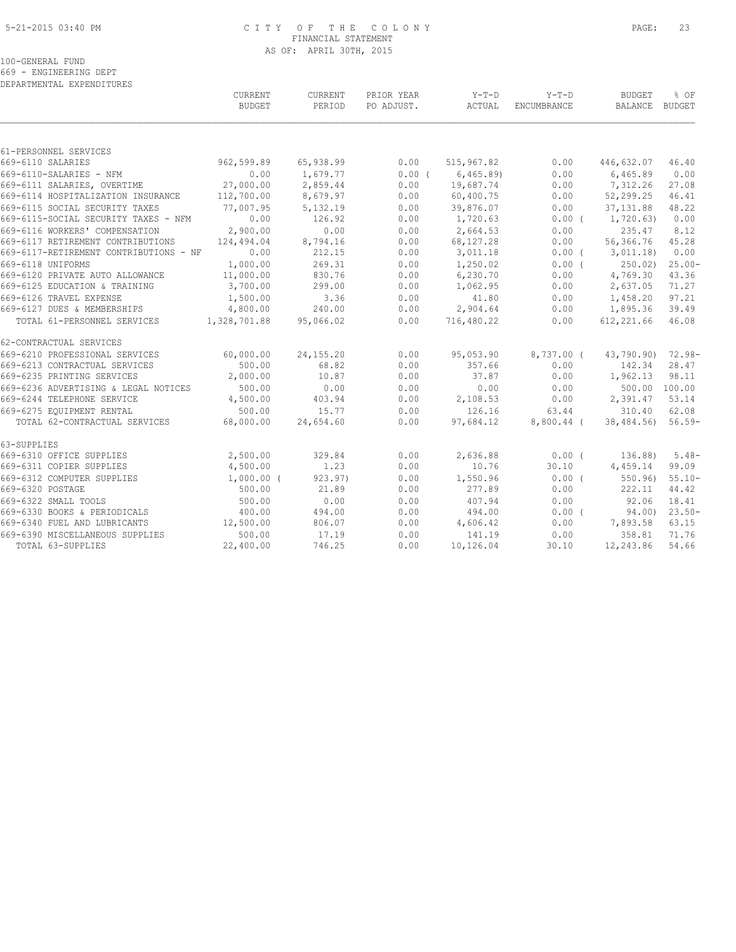#### 5-21-2015 03:40 PM C I T Y O F T H E C O L O N Y PAGE: 23 FINANCIAL STATEMENT AS OF: APRIL 30TH, 2015

100-GENERAL FUND

669 - ENGINEERING DEPT

| DEPARTMENTAL EXPENDITURES              |               |             |            |            |              |                   |           |
|----------------------------------------|---------------|-------------|------------|------------|--------------|-------------------|-----------|
|                                        | CURRENT       | CURRENT     | PRIOR YEAR | Y-T-D      | $Y-T-D$      | <b>BUDGET</b>     | % OF      |
|                                        | <b>BUDGET</b> | PERIOD      | PO ADJUST. | ACTUAL     | ENCUMBRANCE  | BALANCE BUDGET    |           |
|                                        |               |             |            |            |              |                   |           |
| 61-PERSONNEL SERVICES                  |               |             |            |            |              |                   |           |
| 669-6110 SALARIES                      | 962,599.89    | 65,938.99   | 0.00       | 515,967.82 | 0.00         | 446,632.07        | 46.40     |
| 669-6110-SALARIES - NFM                | 0.00          | 1,679.77    | $0.00$ (   | 6,465.89)  | 0.00         | 6,465.89          | 0.00      |
| 669-6111 SALARIES, OVERTIME            | 27,000.00     | 2,859.44    | 0.00       | 19,687.74  | 0.00         | 7,312.26          | 27.08     |
| 669-6114 HOSPITALIZATION INSURANCE     | 112,700.00    | 8,679.97    | 0.00       | 60,400.75  | 0.00         | 52,299.25         | 46.41     |
| 669-6115 SOCIAL SECURITY TAXES         | 77,007.95     | 5,132.19    | 0.00       | 39,876.07  | 0.00         | 37, 131.88        | 48.22     |
| 669-6115-SOCIAL SECURITY TAXES - NFM   | 0.00          | 126.92      | 0.00       | 1,720.63   | $0.00$ (     | 1,720.63)         | 0.00      |
| 669-6116 WORKERS' COMPENSATION         | 2,900.00      | 0.00        | 0.00       | 2,664.53   | 0.00         | 235.47            | 8.12      |
| 669-6117 RETIREMENT CONTRIBUTIONS      | 124,494.04    | 8,794.16    | 0.00       | 68,127.28  | 0.00         | 56,366.76         | 45.28     |
| 669-6117-RETIREMENT CONTRIBUTIONS - NF | 0.00          | 212.15      | 0.00       | 3,011.18   | 0.00(        | 3,011.18)         | 0.00      |
| 669-6118 UNIFORMS                      | 1,000.00      | 269.31      | 0.00       | 1,250.02   | $0.00$ (     | 250.02            | $25.00 -$ |
| 669-6120 PRIVATE AUTO ALLOWANCE        | 11,000.00     | 830.76      | 0.00       | 6,230.70   | 0.00         | 4,769.30          | 43.36     |
| 669-6125 EDUCATION & TRAINING          | 3,700.00      | 299.00      | 0.00       | 1,062.95   | 0.00         | 2,637.05          | 71.27     |
| 669-6126 TRAVEL EXPENSE                | 1,500.00      | 3.36        | 0.00       | 41.80      | 0.00         | 1,458.20          | 97.21     |
| 669-6127 DUES & MEMBERSHIPS            | 4,800.00      | 240.00      | 0.00       | 2,904.64   | 0.00         | 1,895.36          | 39.49     |
| TOTAL 61-PERSONNEL SERVICES            | 1,328,701.88  | 95,066.02   | 0.00       | 716,480.22 | 0.00         | 612,221.66        | 46.08     |
| 62-CONTRACTUAL SERVICES                |               |             |            |            |              |                   |           |
| 669-6210 PROFESSIONAL SERVICES         | 60,000.00     | 24, 155. 20 | 0.00       | 95,053.90  | $8,737.00$ ( | 43,790.90) 72.98- |           |
| 669-6213 CONTRACTUAL SERVICES          | 500.00        | 68.82       | 0.00       | 357.66     | 0.00         | 142.34            | 28.47     |
| 669-6235 PRINTING SERVICES             | 2,000.00      | 10.87       | 0.00       | 37.87      | 0.00         | 1,962.13          | 98.11     |
| 669-6236 ADVERTISING & LEGAL NOTICES   | 500.00        | 0.00        | 0.00       | 0.00       | 0.00         | 500.00 100.00     |           |
| 669-6244 TELEPHONE SERVICE             | 4,500.00      | 403.94      | 0.00       | 2,108.53   | 0.00         | 2,391.47          | 53.14     |
| 669-6275 EQUIPMENT RENTAL              | 500.00        | 15.77       | 0.00       | 126.16     | 63.44        | 310.40            | 62.08     |
| TOTAL 62-CONTRACTUAL SERVICES          | 68,000.00     | 24,654.60   | 0.00       | 97,684.12  | 8,800.44 (   | 38,484.56)        | $56.59-$  |
| 63-SUPPLIES                            |               |             |            |            |              |                   |           |
| 669-6310 OFFICE SUPPLIES               | 2,500.00      | 329.84      | 0.00       | 2,636.88   | 0.00(        | 136.88)           | $5.48-$   |
| 669-6311 COPIER SUPPLIES               | 4,500.00      | 1.23        | 0.00       | 10.76      | 30.10        | 4,459.14          | 99.09     |
| 669-6312 COMPUTER SUPPLIES             | $1,000.00$ (  | 923.97      | 0.00       | 1,550.96   | 0.00(        | 550.96)           | $55.10 -$ |
| 669-6320 POSTAGE                       | 500.00        | 21.89       | 0.00       | 277.89     | 0.00         | 222.11            | 44.42     |
| 669-6322 SMALL TOOLS                   | 500.00        | 0.00        | 0.00       | 407.94     | 0.00         | 92.06             | 18.41     |
| 669-6330 BOOKS & PERIODICALS           | 400.00        | 494.00      | 0.00       | 494.00     | $0.00$ (     | 94.00)            | $23.50-$  |
| 669-6340 FUEL AND LUBRICANTS           | 12,500.00     | 806.07      | 0.00       | 4,606.42   | 0.00         | 7,893.58          | 63.15     |
| 669-6390 MISCELLANEOUS SUPPLIES        | 500.00        | 17.19       | 0.00       | 141.19     | 0.00         | 358.81            | 71.76     |
| TOTAL 63-SUPPLIES                      | 22,400.00     | 746.25      | 0.00       | 10,126.04  | 30.10        | 12,243.86         | 54.66     |
|                                        |               |             |            |            |              |                   |           |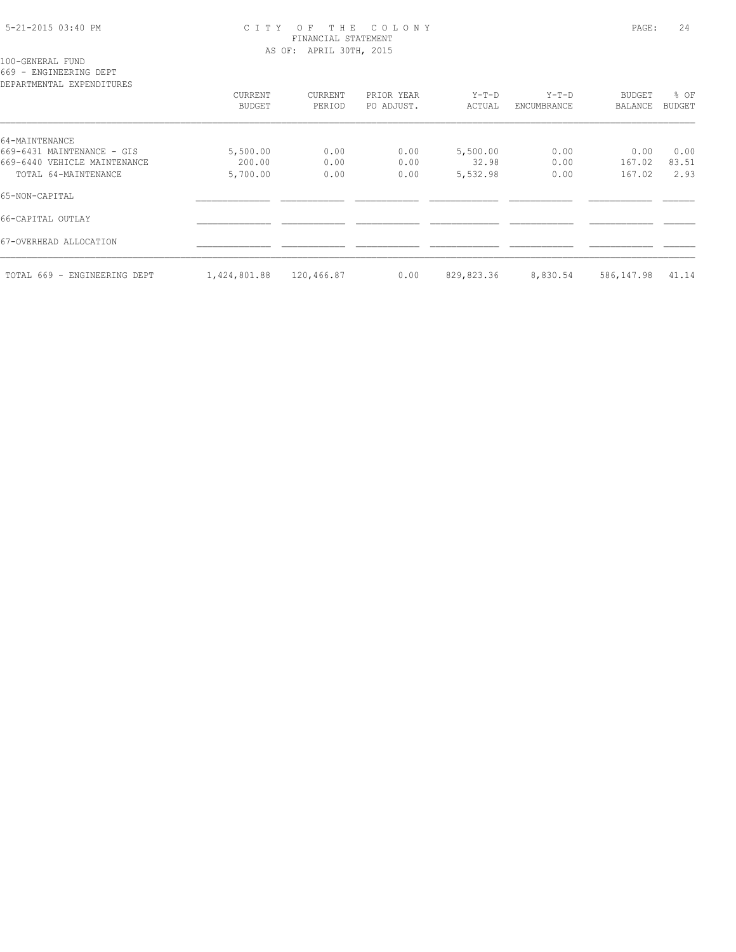#### 5-21-2015 03:40 PM C I T Y O F T H E C O L O N Y PAGE: 24 FINANCIAL STATEMENT AS OF: APRIL 30TH, 2015

100-GENERAL FUND

669 - ENGINEERING DEPT

| DEPARTMENTAL EXPENDITURES    |               |            |            |            |             |            |               |
|------------------------------|---------------|------------|------------|------------|-------------|------------|---------------|
|                              | CURRENT       | CURRENT    | PRIOR YEAR | $Y-T-D$    | $Y-T-D$     | BUDGET     | % OF          |
|                              | <b>BUDGET</b> | PERIOD     | PO ADJUST. | ACTUAL     | ENCUMBRANCE | BALANCE    | <b>BUDGET</b> |
| 64-MAINTENANCE               |               |            |            |            |             |            |               |
| 669-6431 MAINTENANCE - GIS   | 5,500.00      | 0.00       | 0.00       | 5,500.00   | 0.00        | 0.00       | 0.00          |
| 669-6440 VEHICLE MAINTENANCE | 200.00        | 0.00       | 0.00       | 32.98      | 0.00        | 167.02     | 83.51         |
| TOTAL 64-MAINTENANCE         | 5,700.00      | 0.00       | 0.00       | 5,532.98   | 0.00        | 167.02     | 2.93          |
| 65-NON-CAPITAL               |               |            |            |            |             |            |               |
| 66-CAPITAL OUTLAY            |               |            |            |            |             |            |               |
| 67-OVERHEAD ALLOCATION       |               |            |            |            |             |            |               |
| TOTAL 669 - ENGINEERING DEPT | 1,424,801.88  | 120,466.87 | 0.00       | 829,823.36 | 8,830.54    | 586,147.98 | 41.14         |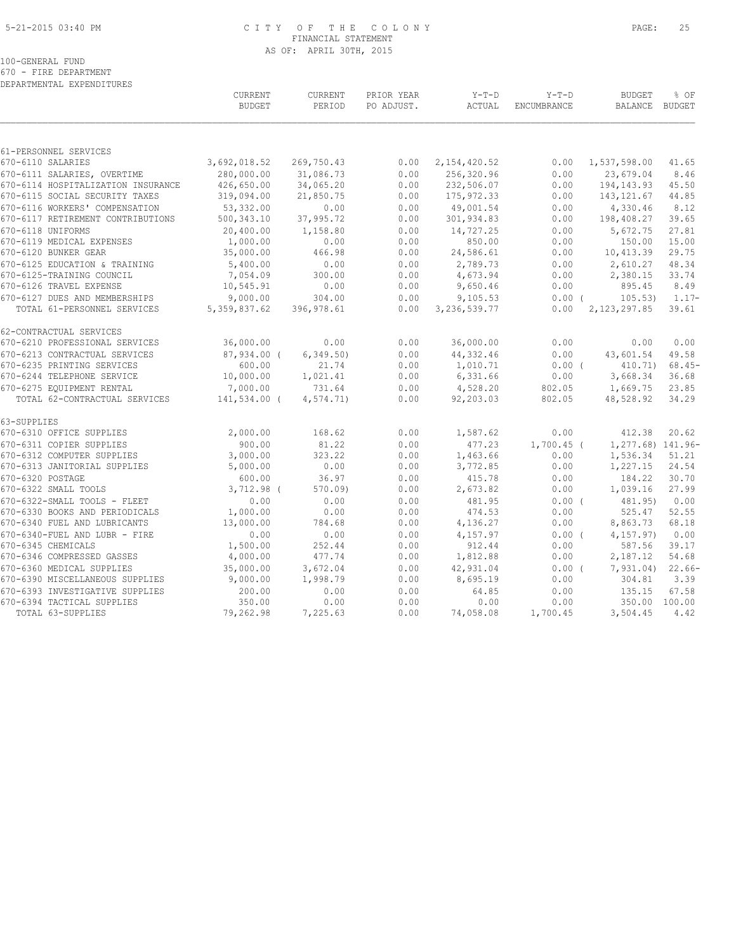#### 5-21-2015 03:40 PM C I T Y O F T H E C O L O N Y PAGE: 25 FINANCIAL STATEMENT AS OF: APRIL 30TH, 2015

100-GENERAL FUND

670 - FIRE DEPARTMENT DEPARTMENTAL EXPENDITURES

|                                    | <b>CURRENT</b><br><b>BUDGET</b> | CURRENT<br>PERIOD | PRIOR YEAR<br>PO ADJUST. | $Y-T-D$<br>ACTUAL | $Y-T-D$<br>ENCUMBRANCE | <b>BUDGET</b><br>BALANCE | % OF<br>BUDGET |
|------------------------------------|---------------------------------|-------------------|--------------------------|-------------------|------------------------|--------------------------|----------------|
|                                    |                                 |                   |                          |                   |                        |                          |                |
| 61-PERSONNEL SERVICES              |                                 |                   |                          |                   |                        |                          |                |
| 670-6110 SALARIES                  | 3,692,018.52                    | 269,750.43        | 0.00                     | 2, 154, 420.52    | 0.00                   | 1,537,598.00             | 41.65          |
| 670-6111 SALARIES, OVERTIME        | 280,000.00                      | 31,086.73         | 0.00                     | 256,320.96        | 0.00                   | 23,679.04                | 8.46           |
| 670-6114 HOSPITALIZATION INSURANCE | 426,650.00                      | 34,065.20         | 0.00                     | 232,506.07        | 0.00                   | 194, 143. 93             | 45.50          |
| 670-6115 SOCIAL SECURITY TAXES     | 319,094.00                      | 21,850.75         | 0.00                     | 175, 972.33       | 0.00                   | 143, 121.67              | 44.85          |
| 670-6116 WORKERS' COMPENSATION     | 53,332.00                       | 0.00              | 0.00                     | 49,001.54         | 0.00                   | 4,330.46                 | 8.12           |
| 670-6117 RETIREMENT CONTRIBUTIONS  | 500, 343.10                     | 37,995.72         | 0.00                     | 301,934.83        | 0.00                   | 198,408.27               | 39.65          |
| 670-6118 UNIFORMS                  | 20,400.00                       | 1,158.80          | 0.00                     | 14,727.25         | 0.00                   | 5,672.75                 | 27.81          |
| 670-6119 MEDICAL EXPENSES          | 1,000.00                        | 0.00              | 0.00                     | 850.00            | 0.00                   | 150.00                   | 15.00          |
| 670-6120 BUNKER GEAR               | 35,000.00                       | 466.98            | 0.00                     | 24,586.61         | 0.00                   | 10,413.39                | 29.75          |
| 670-6125 EDUCATION & TRAINING      | 5,400.00                        | 0.00              | 0.00                     | 2,789.73          | 0.00                   | 2,610.27                 | 48.34          |
| 670-6125-TRAINING COUNCIL          | 7,054.09                        | 300.00            | 0.00                     | 4,673.94          | 0.00                   | 2,380.15                 | 33.74          |
| 670-6126 TRAVEL EXPENSE            | 10,545.91                       | 0.00              | 0.00                     | 9,650.46          | 0.00                   | 895.45                   | 8.49           |
| 670-6127 DUES AND MEMBERSHIPS      | 9,000.00                        | 304.00            | 0.00                     | 9,105.53          | 0.00(                  | 105.53)                  | $1.17-$        |
| TOTAL 61-PERSONNEL SERVICES        | 5, 359, 837.62                  | 396,978.61        | 0.00                     | 3, 236, 539.77    | 0.00                   | 2, 123, 297.85           | 39.61          |
| 62-CONTRACTUAL SERVICES            |                                 |                   |                          |                   |                        |                          |                |
| 670-6210 PROFESSIONAL SERVICES     | 36,000.00                       | 0.00              | 0.00                     | 36,000.00         | 0.00                   | 0.00                     | 0.00           |
| 670-6213 CONTRACTUAL SERVICES      | $87,934.00$ (                   | 6, 349.50         | 0.00                     | 44,332.46         | 0.00                   | 43,601.54                | 49.58          |
| 670-6235 PRINTING SERVICES         | 600.00                          | 21.74             | 0.00                     | 1,010.71          | $0.00$ (               | 410.71                   | $68.45-$       |
| 670-6244 TELEPHONE SERVICE         | 10,000.00                       | 1,021.41          | 0.00                     | 6,331.66          | 0.00                   | 3,668.34                 | 36.68          |
| 670-6275 EQUIPMENT RENTAL          | 7,000.00                        | 731.64            | 0.00                     | 4,528.20          | 802.05                 | 1,669.75                 | 23.85          |
| TOTAL 62-CONTRACTUAL SERVICES      | 141,534.00 (                    | 4, 574.71)        | 0.00                     | 92,203.03         | 802.05                 | 48,528.92                | 34.29          |
| 63-SUPPLIES                        |                                 |                   |                          |                   |                        |                          |                |
| 670-6310 OFFICE SUPPLIES           | 2,000.00                        | 168.62            | 0.00                     | 1,587.62          | 0.00                   | 412.38                   | 20.62          |
| 670-6311 COPIER SUPPLIES           | 900.00                          | 81.22             | 0.00                     | 477.23            | $1,700.45$ (           | 1,277.68) 141.96-        |                |
| 670-6312 COMPUTER SUPPLIES         | 3,000.00                        | 323.22            | 0.00                     | 1,463.66          | 0.00                   | 1,536.34                 | 51.21          |
| 670-6313 JANITORIAL SUPPLIES       | 5,000.00                        | 0.00              | 0.00                     | 3,772.85          | 0.00                   | 1,227.15                 | 24.54          |
| 670-6320 POSTAGE                   | 600.00                          | 36.97             | 0.00                     | 415.78            | 0.00                   | 184.22                   | 30.70          |
| 670-6322 SMALL TOOLS               | $3,712.98$ (                    | 570.09            | 0.00                     | 2,673.82          | 0.00                   | 1,039.16                 | 27.99          |
| 670-6322-SMALL TOOLS - FLEET       | 0.00                            | 0.00              | 0.00                     | 481.95            | 0.00(                  | 481.95)                  | 0.00           |
| 670-6330 BOOKS AND PERIODICALS     | 1,000.00                        | 0.00              | 0.00                     | 474.53            | 0.00                   | 525.47                   | 52.55          |
| 670-6340 FUEL AND LUBRICANTS       | 13,000.00                       | 784.68            | 0.00                     | 4,136.27          | 0.00                   | 8,863.73                 | 68.18          |
| 670-6340-FUEL AND LUBR - FIRE      | 0.00                            | 0.00              | 0.00                     | 4,157.97          | 0.00(                  | 4, 157, 97)              | 0.00           |
| 670-6345 CHEMICALS                 | 1,500.00                        | 252.44            | 0.00                     | 912.44            | 0.00                   | 587.56                   | 39.17          |
| 670-6346 COMPRESSED GASSES         | 4,000.00                        | 477.74            | 0.00                     | 1,812.88          | 0.00                   | 2,187.12                 | 54.68          |
| 670-6360 MEDICAL SUPPLIES          | 35,000.00                       | 3,672.04          | 0.00                     | 42,931.04         | $0.00$ (               | 7,931.04)                | $22.66-$       |
| 670-6390 MISCELLANEOUS SUPPLIES    | 9,000.00                        | 1,998.79          | 0.00                     | 8,695.19          | 0.00                   | 304.81                   | 3.39           |
| 670-6393 INVESTIGATIVE SUPPLIES    | 200.00                          | 0.00              | 0.00                     | 64.85             | 0.00                   | 135.15                   | 67.58          |
| 670-6394 TACTICAL SUPPLIES         | 350.00                          | 0.00              | 0.00                     | 0.00              | 0.00                   | 350.00 100.00            |                |
| TOTAL 63-SUPPLIES                  | 79,262.98                       | 7,225.63          | 0.00                     | 74,058.08         | 1,700.45               | 3,504.45                 | 4.42           |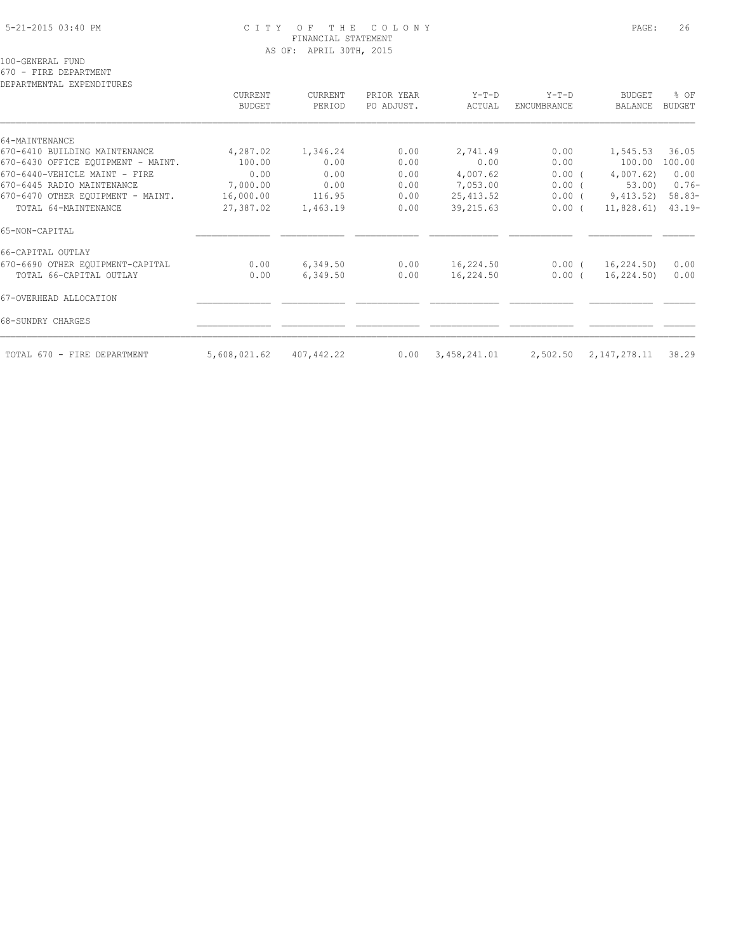#### 5-21-2015 03:40 PM C I T Y O F T H E C O L O N Y PAGE: 26 FINANCIAL STATEMENT AS OF: APRIL 30TH, 2015

100-GENERAL FUND

670 - FIRE DEPARTMENT

| DEPARTMENTAL EXPENDITURES          | CURRENT<br>BUDGET | CURRENT<br>PERIOD | PRIOR YEAR<br>PO ADJUST. | $Y-T-D$<br>ACTUAL | $Y-T-D$<br>ENCUMBRANCE | <b>BUDGET</b><br>BALANCE | % OF<br><b>BUDGET</b> |
|------------------------------------|-------------------|-------------------|--------------------------|-------------------|------------------------|--------------------------|-----------------------|
|                                    |                   |                   |                          |                   |                        |                          |                       |
| 64-MAINTENANCE                     |                   |                   |                          |                   |                        |                          |                       |
| 670-6410 BUILDING MAINTENANCE      | 4,287.02          | 1,346.24          | 0.00                     | 2,741.49          | 0.00                   | 1,545.53                 | 36.05                 |
| 670-6430 OFFICE EQUIPMENT - MAINT. | 100.00            | 0.00              | 0.00                     | 0.00              | 0.00                   | 100.00                   | 100.00                |
| 670-6440-VEHICLE MAINT - FIRE      | 0.00              | 0.00              | 0.00                     | 4,007.62          | $0.00$ (               | 4,007.62)                | 0.00                  |
| 670-6445 RADIO MAINTENANCE         | 7,000.00          | 0.00              | 0.00                     | 7,053.00          | 0.00(                  | 53.00)                   | $0.76-$               |
| 670-6470 OTHER EOUIPMENT - MAINT.  | 16,000.00         | 116.95            | 0.00                     | 25, 413.52        | $0.00$ (               | 9,413.52)                | $58.83-$              |
| TOTAL 64-MAINTENANCE               | 27,387.02         | 1,463.19          | 0.00                     | 39, 215.63        | $0.00$ (               | 11,828.61)               | $43.19-$              |
| 65-NON-CAPITAL                     |                   |                   |                          |                   |                        |                          |                       |
| 66-CAPITAL OUTLAY                  |                   |                   |                          |                   |                        |                          |                       |
| 670-6690 OTHER EQUIPMENT-CAPITAL   | 0.00              | 6,349.50          | 0.00                     | 16,224.50         | $0.00$ (               | 16,224.50)               | 0.00                  |
| TOTAL 66-CAPITAL OUTLAY            | 0.00              | 6,349.50          | 0.00                     | 16,224.50         | $0.00$ (               | 16,224.50)               | 0.00                  |
| 67-OVERHEAD ALLOCATION             |                   |                   |                          |                   |                        |                          |                       |
| 68-SUNDRY CHARGES                  |                   |                   |                          |                   |                        |                          |                       |
| TOTAL 670 - FIRE DEPARTMENT        | 5,608,021.62      | 407,442.22        | 0.00                     | 3,458,241.01      | 2,502.50               | 2,147,278.11             | 38.29                 |
|                                    |                   |                   |                          |                   |                        |                          |                       |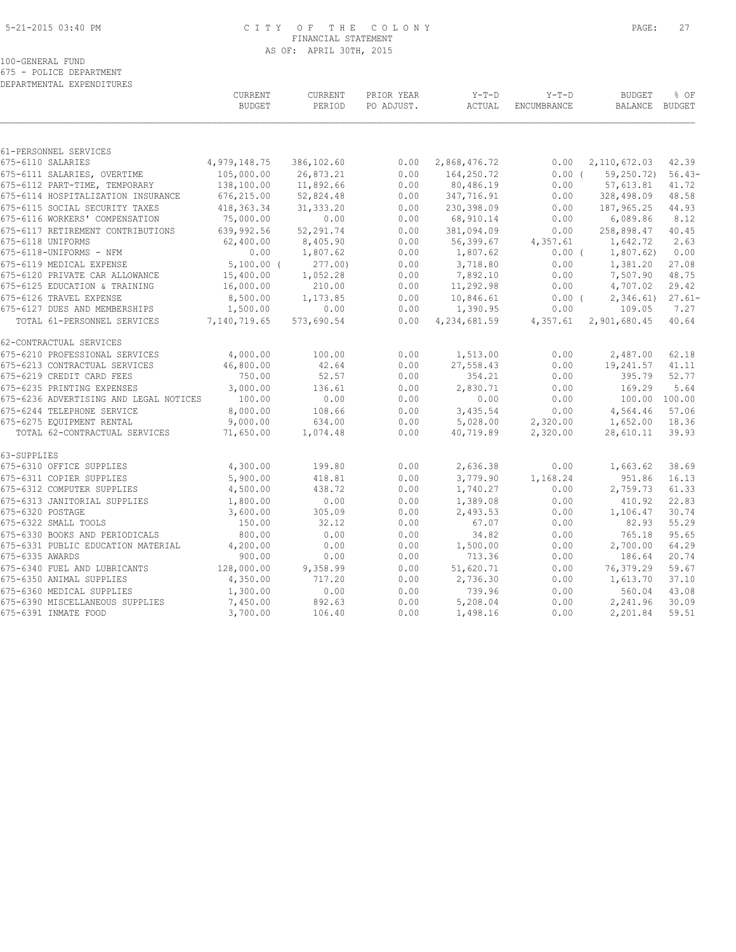#### 5-21-2015 03:40 PM C I T Y O F T H E C O L O N Y PAGE: 27 FINANCIAL STATEMENT AS OF: APRIL 30TH, 2015

100-GENERAL FUND

675 - POLICE DEPARTMENT DEPARTMENTAL EXPENDITURES

|                                        | <b>CURRENT</b><br><b>BUDGET</b> | <b>CURRENT</b><br>PERIOD | PRIOR YEAR<br>PO ADJUST. | $Y-T-D$<br>ACTUAL | $Y-T-D$<br>ENCUMBRANCE | <b>BUDGET</b><br>BALANCE | % OF<br>BUDGET |
|----------------------------------------|---------------------------------|--------------------------|--------------------------|-------------------|------------------------|--------------------------|----------------|
| 61-PERSONNEL SERVICES                  |                                 |                          |                          |                   |                        |                          |                |
| 675-6110 SALARIES                      | 4,979,148.75                    | 386,102.60               | 0.00                     | 2,868,476.72      | 0.00                   | 2, 110, 672.03           | 42.39          |
| 675-6111 SALARIES, OVERTIME            | 105,000.00                      | 26,873.21                | 0.00                     | 164,250.72        | $0.00$ (               | 59,250.72)               | $56.43-$       |
| 675-6112 PART-TIME, TEMPORARY          | 138,100.00                      | 11,892.66                | 0.00                     | 80,486.19         | 0.00                   | 57,613.81                | 41.72          |
| 675-6114 HOSPITALIZATION INSURANCE     | 676,215.00                      | 52,824.48                | 0.00                     | 347,716.91        | 0.00                   | 328,498.09               | 48.58          |
| 675-6115 SOCIAL SECURITY TAXES         | 418, 363. 34                    | 31, 333.20               | 0.00                     | 230,398.09        | 0.00                   | 187,965.25               | 44.93          |
| 675-6116 WORKERS' COMPENSATION         | 75,000.00                       | 0.00                     | 0.00                     | 68,910.14         | 0.00                   | 6,089.86                 | 8.12           |
| 675-6117 RETIREMENT CONTRIBUTIONS      | 639,992.56                      | 52,291.74                | 0.00                     | 381,094.09        | 0.00                   | 258,898.47               | 40.45          |
| 675-6118 UNIFORMS                      | 62,400.00                       | 8,405.90                 | 0.00                     | 56,399.67         | 4,357.61               | 1,642.72                 | 2.63           |
| 675-6118-UNIFORMS - NFM                | ${\bf 0}$ . ${\bf 0}$ ${\bf 0}$ | 1,807.62                 | 0.00                     | 1,807.62          | $0.00$ (               | 1,807.62)                | 0.00           |
| 675-6119 MEDICAL EXPENSE               | $5,100.00$ (                    | 277.00                   | 0.00                     | 3,718.80          | 0.00                   | 1,381.20                 | 27.08          |
| 675-6120 PRIVATE CAR ALLOWANCE         | 15,400.00                       | 1,052.28                 | 0.00                     | 7,892.10          | 0.00                   | 7,507.90                 | 48.75          |
| 675-6125 EDUCATION & TRAINING          | 16,000.00                       | 210.00                   | 0.00                     | 11,292.98         | 0.00                   | 4,707.02                 | 29.42          |
| 675-6126 TRAVEL EXPENSE                | 8,500.00                        | 1,173.85                 | 0.00                     | 10,846.61         | $0.00$ (               | 2,346.61                 | $27.61-$       |
| 675-6127 DUES AND MEMBERSHIPS          | 1,500.00                        | 0.00                     | 0.00                     | 1,390.95          | 0.00                   | 109.05                   | 7.27           |
| TOTAL 61-PERSONNEL SERVICES            | 7,140,719.65                    | 573,690.54               | 0.00                     | 4,234,681.59      | 4,357.61               | 2,901,680.45             | 40.64          |
| 62-CONTRACTUAL SERVICES                |                                 |                          |                          |                   |                        |                          |                |
| 675-6210 PROFESSIONAL SERVICES         | 4,000.00                        | 100.00                   | 0.00                     | 1,513.00          | 0.00                   | 2,487.00                 | 62.18          |
| 675-6213 CONTRACTUAL SERVICES          | 46,800.00                       | 42.64                    | 0.00                     | 27,558.43         | 0.00                   | 19,241.57                | 41.11          |
| 675-6219 CREDIT CARD FEES              | 750.00                          | 52.57                    | 0.00                     | 354.21            | 0.00                   | 395.79                   | 52.77          |
| 675-6235 PRINTING EXPENSES             | 3,000.00                        | 136.61                   | 0.00                     | 2,830.71          | 0.00                   | 169.29                   | 5.64           |
| 675-6236 ADVERTISING AND LEGAL NOTICES | 100.00                          | 0.00                     | 0.00                     | 0.00              | 0.00                   | 100.00 100.00            |                |
| 675-6244 TELEPHONE SERVICE             | 8,000.00                        | 108.66                   | 0.00                     | 3,435.54          | 0.00                   | 4,564.46                 | 57.06          |
| 675-6275 EQUIPMENT RENTAL              | 9,000.00                        | 634.00                   | 0.00                     | 5,028.00          | 2,320.00               | 1,652.00                 | 18.36          |
| TOTAL 62-CONTRACTUAL SERVICES          | 71,650.00                       | 1,074.48                 | 0.00                     | 40,719.89         | 2,320.00               | 28,610.11                | 39.93          |
| 63-SUPPLIES                            |                                 |                          |                          |                   |                        |                          |                |
| 675-6310 OFFICE SUPPLIES               | 4,300.00                        | 199.80                   | 0.00                     | 2,636.38          | 0.00                   | 1,663.62                 | 38.69          |
| 675-6311 COPIER SUPPLIES               | 5,900.00                        | 418.81                   | 0.00                     | 3,779.90          | 1,168.24               | 951.86                   | 16.13          |
| 675-6312 COMPUTER SUPPLIES             | 4,500.00                        | 438.72                   | 0.00                     | 1,740.27          | 0.00                   | 2,759.73                 | 61.33          |
| 675-6313 JANITORIAL SUPPLIES           | 1,800.00                        | 0.00                     | 0.00                     | 1,389.08          | 0.00                   | 410.92                   | 22.83          |
| 675-6320 POSTAGE                       | 3,600.00                        | 305.09                   | 0.00                     | 2,493.53          | 0.00                   | 1,106.47                 | 30.74          |
| 675-6322 SMALL TOOLS                   | 150.00                          | 32.12                    | 0.00                     | 67.07             | 0.00                   | 82.93                    | 55.29          |
| 675-6330 BOOKS AND PERIODICALS         | 800.00                          | 0.00                     | 0.00                     | 34.82             | 0.00                   | 765.18                   | 95.65          |
| 675-6331 PUBLIC EDUCATION MATERIAL     | 4,200.00                        | 0.00                     | 0.00                     | 1,500.00          | 0.00                   | 2,700.00                 | 64.29          |
| 675-6335 AWARDS                        | 900.00                          | 0.00                     | 0.00                     | 713.36            | 0.00                   | 186.64                   | 20.74          |
| 675-6340 FUEL AND LUBRICANTS           | 128,000.00                      | 9,358.99                 | 0.00                     | 51,620.71         | 0.00                   | 76,379.29                | 59.67          |
| 675-6350 ANIMAL SUPPLIES               | 4,350.00                        | 717.20                   | 0.00                     | 2,736.30          | 0.00                   | 1,613.70                 | 37.10          |
| 675-6360 MEDICAL SUPPLIES              | 1,300.00                        | 0.00                     | 0.00                     | 739.96            | 0.00                   | 560.04                   | 43.08          |
| 675-6390 MISCELLANEOUS SUPPLIES        | 7,450.00                        | 892.63                   | 0.00                     | 5,208.04          | 0.00                   | 2,241.96                 | 30.09          |
| 675-6391 INMATE FOOD                   | 3,700.00                        | 106.40                   | 0.00                     | 1,498.16          | 0.00                   | 2,201.84                 | 59.51          |
|                                        |                                 |                          |                          |                   |                        |                          |                |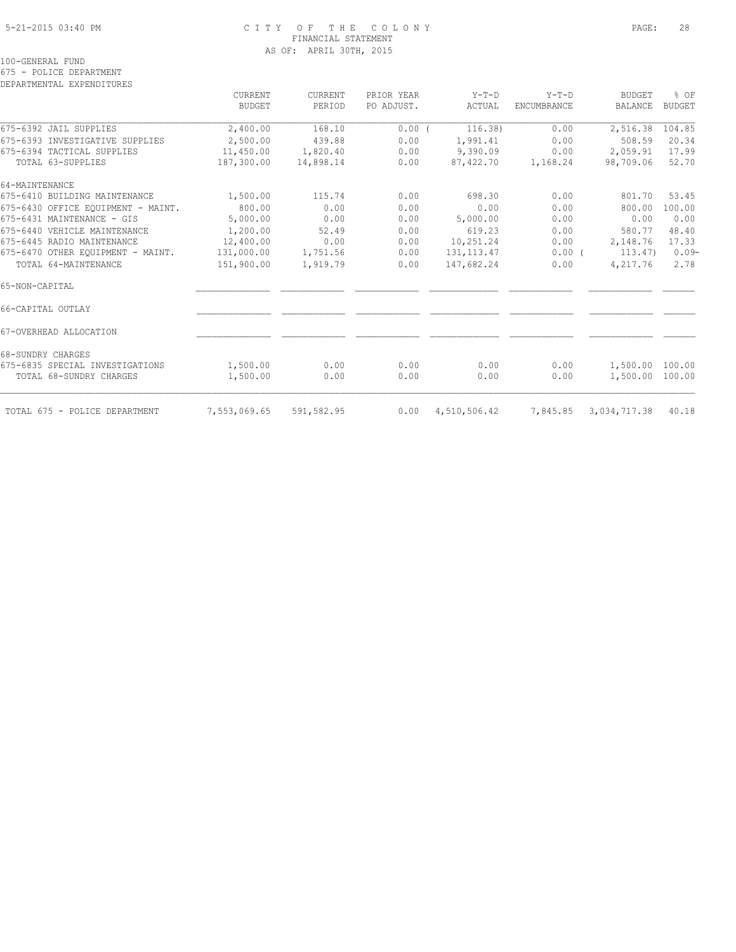### 5-21-2015 03:40 PM C I T Y O F T H E C O L O N Y PAGE: 28 FINANCIAL STATEMENT AS OF: APRIL 30TH, 2015

100-GENERAL FUND

675 - POLICE DEPARTMENT

DEPARTMENTAL EXPENDITURES

|                                    | CURRENT<br><b>BUDGET</b> | CURRENT<br>PERIOD | PRIOR YEAR<br>PO ADJUST. | $Y-T-D$<br>ACTUAL | $Y-T-D$<br>ENCUMBRANCE | <b>BUDGET</b><br><b>BALANCE</b> | % OF<br><b>BUDGET</b> |
|------------------------------------|--------------------------|-------------------|--------------------------|-------------------|------------------------|---------------------------------|-----------------------|
|                                    |                          |                   |                          |                   |                        |                                 |                       |
| 675-6392 JAIL SUPPLIES             | 2,400.00                 | 168.10            | 0.00(                    | 116.38)           | 0.00                   | 2,516.38                        | 104.85                |
| 675-6393 INVESTIGATIVE SUPPLIES    | 2,500.00                 | 439.88            | 0.00                     | 1,991.41          | 0.00                   | 508.59                          | 20.34                 |
| 675-6394 TACTICAL SUPPLIES         | 11,450.00                | 1,820.40          | 0.00                     | 9,390.09          | 0.00                   | 2,059.91                        | 17.99                 |
| TOTAL 63-SUPPLIES                  | 187,300.00               | 14,898.14         | 0.00                     | 87,422.70         | 1,168.24               | 98,709.06                       | 52.70                 |
| 64-MAINTENANCE                     |                          |                   |                          |                   |                        |                                 |                       |
| 675-6410 BUILDING MAINTENANCE      | 1,500.00                 | 115.74            | 0.00                     | 698.30            | 0.00                   | 801.70                          | 53.45                 |
| 675-6430 OFFICE EQUIPMENT - MAINT. | 800.00                   | 0.00              | 0.00                     | 0.00              | 0.00                   | 800.00                          | 100.00                |
| 675-6431 MAINTENANCE - GIS         | 5,000.00                 | 0.00              | 0.00                     | 5,000.00          | 0.00                   | 0.00                            | 0.00                  |
| 675-6440 VEHICLE MAINTENANCE       | 1,200.00                 | 52.49             | 0.00                     | 619.23            | 0.00                   | 580.77                          | 48.40                 |
| 675-6445 RADIO MAINTENANCE         | 12,400.00                | 0.00              | 0.00                     | 10,251.24         | 0.00                   | 2,148.76                        | 17.33                 |
| 675-6470 OTHER EOUIPMENT - MAINT.  | 131,000.00               | 1,751.56          | 0.00                     | 131, 113.47       | $0.00$ (               | 113.47)                         | $0.09-$               |
| TOTAL 64-MAINTENANCE               | 151,900.00               | 1,919.79          | 0.00                     | 147,682.24        | 0.00                   | 4,217.76                        | 2.78                  |
| 65-NON-CAPITAL                     |                          |                   |                          |                   |                        |                                 |                       |
| 66-CAPITAL OUTLAY                  |                          |                   |                          |                   |                        |                                 |                       |
| 67-OVERHEAD ALLOCATION             |                          |                   |                          |                   |                        |                                 |                       |
| 68-SUNDRY CHARGES                  |                          |                   |                          |                   |                        |                                 |                       |
| 675-6835 SPECIAL INVESTIGATIONS    | 1,500.00                 | 0.00              | 0.00                     | 0.00              | 0.00                   | 1,500.00                        | 100.00                |
| TOTAL 68-SUNDRY CHARGES            | 1,500.00                 | 0.00              | 0.00                     | 0.00              | 0.00                   | 1,500.00                        | 100.00                |
| TOTAL 675 - POLICE DEPARTMENT      | 7,553,069.65             | 591,582.95        | 0.00                     | 4,510,506.42      | 7,845.85               | 3,034,717.38                    | 40.18                 |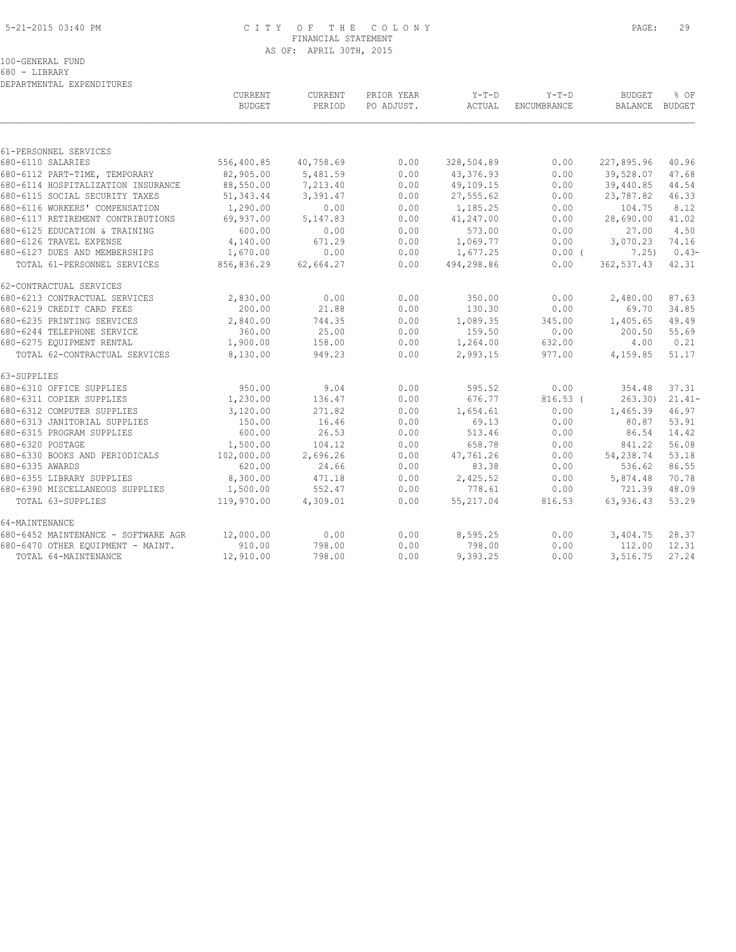#### 5-21-2015 03:40 PM C I T Y O F T H E C O L O N Y PAGE: 29 FINANCIAL STATEMENT AS OF: APRIL 30TH, 2015

100-GENERAL FUND

680 - LIBRARY DEPARTMENTAL EXPENDITURES

|                                     | CURRENT<br><b>BUDGET</b> | CURRENT<br>PERIOD | PRIOR YEAR<br>PO ADJUST. | $Y-T-D$<br><b>ACTUAL</b> | $Y-T-D$<br><b>ENCUMBRANCE</b> | <b>BUDGET</b><br>BALANCE BUDGET | % OF     |
|-------------------------------------|--------------------------|-------------------|--------------------------|--------------------------|-------------------------------|---------------------------------|----------|
|                                     |                          |                   |                          |                          |                               |                                 |          |
| 61-PERSONNEL SERVICES               |                          |                   |                          |                          |                               |                                 |          |
| 680-6110 SALARIES                   | 556,400.85               | 40,758.69         | 0.00                     | 328,504.89               | 0.00                          | 227,895.96                      | 40.96    |
| 680-6112 PART-TIME, TEMPORARY       | 82,905.00                | 5,481.59          | 0.00                     | 43,376.93                | 0.00                          | 39,528.07                       | 47.68    |
| 680-6114 HOSPITALIZATION INSURANCE  | 88,550.00                | 7,213.40          | 0.00                     | 49,109.15                | 0.00                          | 39,440.85                       | 44.54    |
| 680-6115 SOCIAL SECURITY TAXES      | 51,343.44                | 3,391.47          | 0.00                     | 27,555.62                | 0.00                          | 23,787.82                       | 46.33    |
| 680-6116 WORKERS' COMPENSATION      | 1,290.00                 | 0.00              | 0.00                     | 1,185.25                 | 0.00                          | 104.75                          | 8.12     |
| 680-6117 RETIREMENT CONTRIBUTIONS   | 69,937.00                | 5,147.83          | 0.00                     | 41,247.00                | 0.00                          | 28,690.00                       | 41.02    |
| 680-6125 EDUCATION & TRAINING       | 600.00                   | 0.00              | 0.00                     | 573.00                   | 0.00                          | 27.00                           | 4.50     |
| 680-6126 TRAVEL EXPENSE             | 4,140.00                 | 671.29            | 0.00                     | 1,069.77                 | 0.00                          | 3,070.23                        | 74.16    |
| 680-6127 DUES AND MEMBERSHIPS       | 1,670.00                 | 0.00              | 0.00                     | 1,677.25                 | $0.00$ (                      | 7.25)                           | $0.43-$  |
| TOTAL 61-PERSONNEL SERVICES         | 856,836.29               | 62,664.27         | 0.00                     | 494,298.86               | 0.00                          | 362,537.43                      | 42.31    |
| 62-CONTRACTUAL SERVICES             |                          |                   |                          |                          |                               |                                 |          |
| 680-6213 CONTRACTUAL SERVICES       | 2,830.00                 | 0.00              | 0.00                     | 350.00                   | 0.00                          | 2,480.00                        | 87.63    |
| 680-6219 CREDIT CARD FEES           | 200.00                   | 21.88             | 0.00                     | 130.30                   | 0.00                          | 69.70                           | 34.85    |
| 680-6235 PRINTING SERVICES          | 2,840.00                 | 744.35            | 0.00                     | 1,089.35                 | 345.00                        | 1,405.65                        | 49.49    |
| 680-6244 TELEPHONE SERVICE          | 360.00                   | 25.00             | 0.00                     | 159.50                   | 0.00                          | 200.50                          | 55.69    |
| 680-6275 EQUIPMENT RENTAL           | 1,900.00                 | 158.00            | 0.00                     | 1,264.00                 | 632.00                        | 4.00                            | 0.21     |
| TOTAL 62-CONTRACTUAL SERVICES       | 8,130.00                 | 949.23            | 0.00                     | 2,993.15                 | 977.00                        | 4,159.85                        | 51.17    |
| 63-SUPPLIES                         |                          |                   |                          |                          |                               |                                 |          |
| 680-6310 OFFICE SUPPLIES            | 950.00                   | 9.04              | 0.00                     | 595.52                   | 0.00                          | 354.48                          | 37.31    |
| 680-6311 COPIER SUPPLIES            | 1,230.00                 | 136.47            | 0.00                     | 676.77                   | $816.53$ (                    | 263.30                          | $21.41-$ |
| 680-6312 COMPUTER SUPPLIES          | 3,120.00                 | 271.82            | 0.00                     | 1,654.61                 | 0.00                          | 1,465.39                        | 46.97    |
| 680-6313 JANITORIAL SUPPLIES        | 150.00                   | 16.46             | 0.00                     | 69.13                    | 0.00                          | 80.87                           | 53.91    |
| 680-6315 PROGRAM SUPPLIES           | 600.00                   | 26.53             | 0.00                     | 513.46                   | 0.00                          | 86.54                           | 14.42    |
| 680-6320 POSTAGE                    | 1,500.00                 | 104.12            | 0.00                     | 658.78                   | 0.00                          | 841.22                          | 56.08    |
| 680-6330 BOOKS AND PERIODICALS      | 102,000.00               | 2,696.26          | 0.00                     | 47,761.26                | 0.00                          | 54,238.74                       | 53.18    |
| 680-6335 AWARDS                     | 620.00                   | 24.66             | 0.00                     | 83.38                    | 0.00                          | 536.62                          | 86.55    |
| 680-6355 LIBRARY SUPPLIES           | 8,300.00                 | 471.18            | 0.00                     | 2,425.52                 | 0.00                          | 5,874.48                        | 70.78    |
| 680-6390 MISCELLANEOUS SUPPLIES     | 1,500.00                 | 552.47            | 0.00                     | 778.61                   | 0.00                          | 721.39                          | 48.09    |
| TOTAL 63-SUPPLIES                   | 119,970.00               | 4,309.01          | 0.00                     | 55,217.04                | 816.53                        | 63,936.43                       | 53.29    |
| 64-MAINTENANCE                      |                          |                   |                          |                          |                               |                                 |          |
| 680-6452 MAINTENANCE - SOFTWARE AGR | 12,000.00                | 0.00              | 0.00                     | 8,595.25                 | 0.00                          | 3,404.75                        | 28.37    |
| 680-6470 OTHER EQUIPMENT - MAINT.   | 910.00                   | 798.00            | 0.00                     | 798.00                   | 0.00                          | 112.00                          | 12.31    |
| TOTAL 64-MAINTENANCE                | 12,910.00                | 798.00            | 0.00                     | 9,393.25                 | 0.00                          | 3,516.75                        | 27.24    |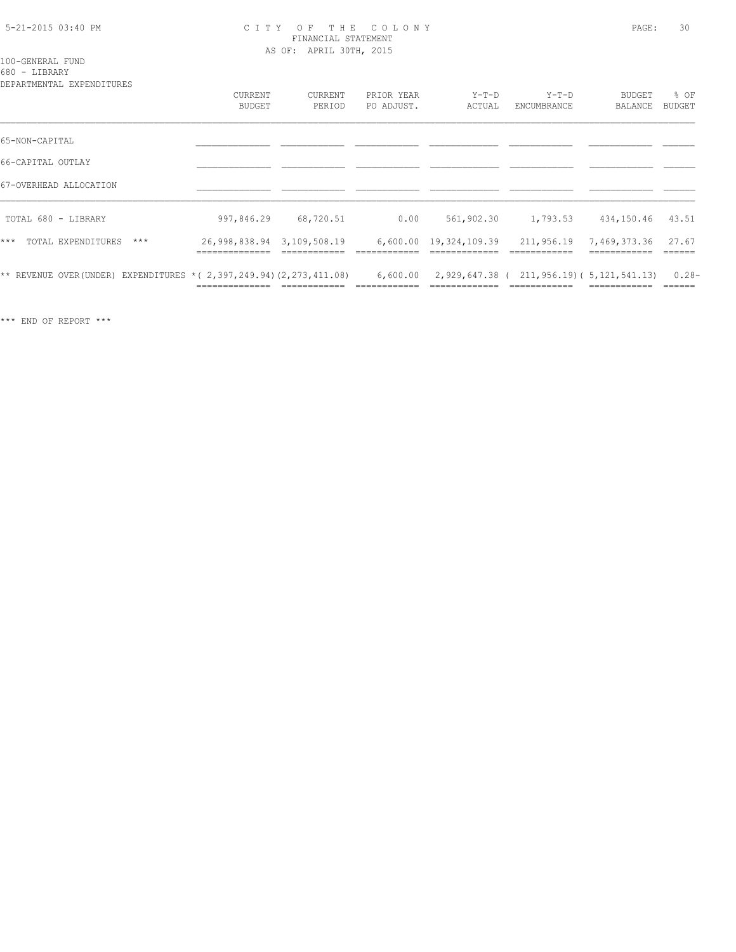#### 5-21-2015 03:40 PM C I T Y O F T H E C O L O N Y PAGE: 30 FINANCIAL STATEMENT AS OF: APRIL 30TH, 2015

100-GENERAL FUND

680 - LIBRARY

| DEPARTMENTAL EXPENDITURES                                                |                                              |                          |                          |                        |                                            |                          |                  |
|--------------------------------------------------------------------------|----------------------------------------------|--------------------------|--------------------------|------------------------|--------------------------------------------|--------------------------|------------------|
|                                                                          | <b>CURRENT</b><br>BUDGET                     | <b>CURRENT</b><br>PERIOD | PRIOR YEAR<br>PO ADJUST. | $Y-T-D$<br>ACTUAL      | $Y-T-D$<br>ENCUMBRANCE                     | <b>BUDGET</b><br>BALANCE | % OF<br>BUDGET   |
| 65-NON-CAPITAL                                                           |                                              |                          |                          |                        |                                            |                          |                  |
| 66-CAPITAL OUTLAY                                                        |                                              |                          |                          |                        |                                            |                          |                  |
| 67-OVERHEAD ALLOCATION                                                   |                                              |                          |                          |                        |                                            |                          |                  |
| TOTAL 680 - LIBRARY                                                      | 997,846.29                                   | 68,720.51                | 0.00                     | 561,902.30             | 1,793.53                                   | 434,150.46               | 43.51            |
| $***$<br>TOTAL EXPENDITURES<br>$***$                                     | 26,998,838.94 3,109,508.19<br>______________ |                          |                          | 6,600.00 19,324,109.39 | 211,956.19                                 | 7,469,373.36             | 27.67<br>------- |
| ** REVENUE OVER (UNDER) EXPENDITURES * ( $2,397,249.94$ ) (2,273,411.08) |                                              |                          | 6,600.00                 |                        | 2,929,647.38 ( 211,956.19) ( 5,121,541.13) |                          | $0.28 -$         |

\*\*\* END OF REPORT \*\*\*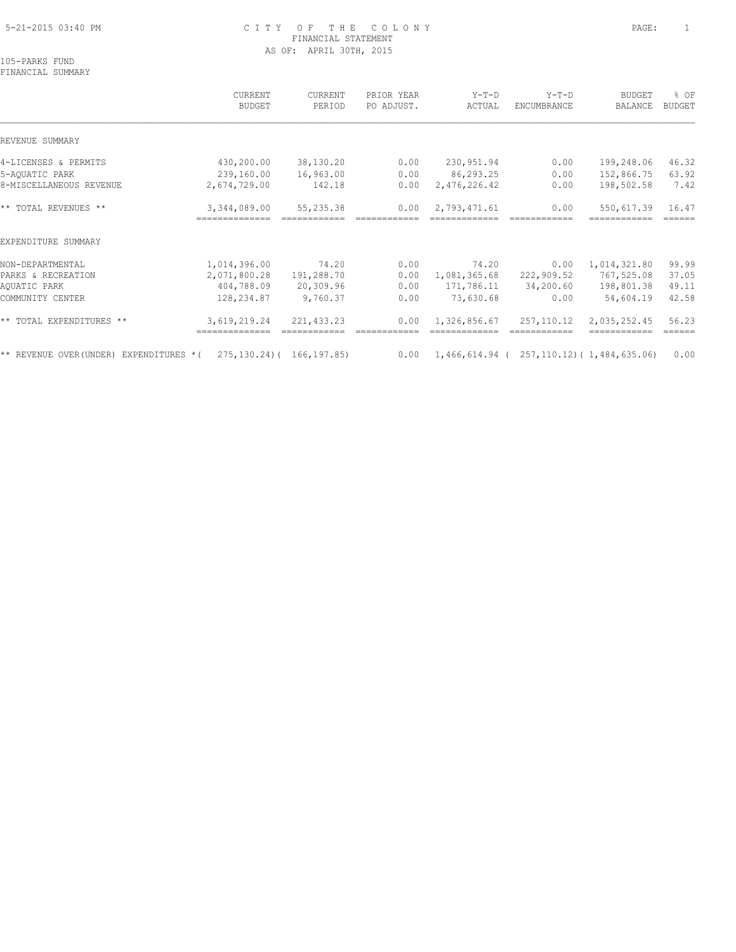## 5-21-2015 03:40 PM C I T Y O F T H E C O L O N Y PAGE: 1 FINANCIAL STATEMENT AS OF: APRIL 30TH, 2015

105-PARKS FUND FINANCIAL SUMMARY

 CURRENT CURRENT PRIOR YEAR Y-T-D Y-T-D BUDGET % OF BUDGET PERIOD PO ADJUST. ACTUAL ENCUMBRANCE BALANCE BUDGET  $\mathcal{L} = \{ \mathcal{L} = \{ \mathcal{L} = \{ \mathcal{L} = \{ \mathcal{L} = \{ \mathcal{L} = \{ \mathcal{L} = \{ \mathcal{L} = \{ \mathcal{L} = \{ \mathcal{L} = \{ \mathcal{L} = \{ \mathcal{L} = \{ \mathcal{L} = \{ \mathcal{L} = \{ \mathcal{L} = \{ \mathcal{L} = \{ \mathcal{L} = \{ \mathcal{L} = \{ \mathcal{L} = \{ \mathcal{L} = \{ \mathcal{L} = \{ \mathcal{L} = \{ \mathcal{L} = \{ \mathcal{L} = \{ \mathcal{$ REVENUE SUMMARY 4-LICENSES & PERMITS 430,200.00 38,130.20 0.00 230,951.94 0.00 199,248.06 46.32 5-AQUATIC PARK 239,160.00 16,963.00 0.00 86,293.25 0.00 152,866.75 63.92 8-MISCELLANEOUS REVENUE 2,674,729.00 142.18 0.00 2,476,226.42 0.00 198,502.58 7.42 \*\* TOTAL REVENUES \*\* 3,344,089.00 55,235.38 0.00 2,793,471.61 0.00 550,617.39 16.47 ============== ============ ============ ============= ============ ============ ====== EXPENDITURE SUMMARY NON-DEPARTMENTAL 1,014,396.00 74.20 0.00 74.20 0.00 1,014,321.80 99.99 PARKS & RECREATION 2,071,800.28 191,288.70 0.00 1,081,365.68 222,909.52 767,525.08 37.05 AQUATIC PARK 404,788.09 20,309.96 0.00 171,786.11 34,200.60 198,801.38 49.11 COMMUNITY CENTER 128,234.87 9,760.37 0.00 73,630.68 0.00 54,604.19 42.58 \*\* TOTAL EXPENDITURES \*\* 3,619,219.24 221,433.23 0.00 1,326,856.67 257,110.12 2,035,252.45 56.23 ============== ============ ============ ============= ============ ============ ====== \*\* REVENUE OVER(UNDER) EXPENDITURES \*( 275,130.24)( 166,197.85) 0.00 1,466,614.94 ( 257,110.12)( 1,484,635.06) 0.00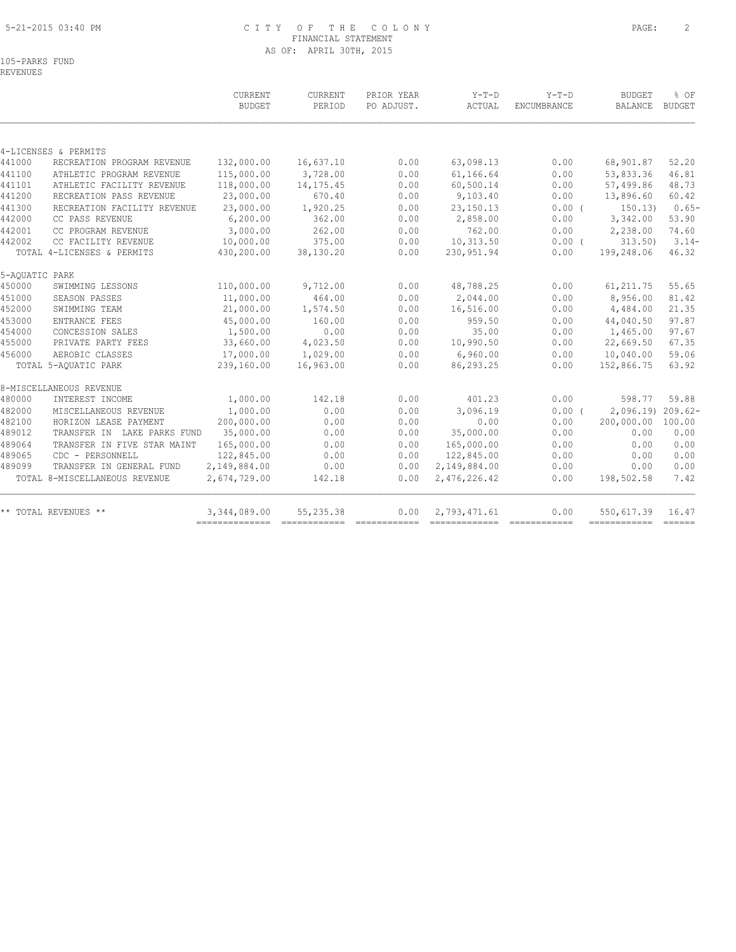## 5-21-2015 03:40 PM C I T Y O F T H E C O L O N Y PAGE: 2 FINANCIAL STATEMENT AS OF: APRIL 30TH, 2015

105-PARKS FUND REVENUES

|                |                               | CURRENT<br><b>BUDGET</b> | CURRENT<br>PERIOD | PRIOR YEAR<br>PO ADJUST. | $Y-T-D$<br>ACTUAL | $Y-T-D$<br>ENCUMBRANCE | <b>BUDGET</b><br><b>BALANCE</b> | % OF<br><b>BUDGET</b> |
|----------------|-------------------------------|--------------------------|-------------------|--------------------------|-------------------|------------------------|---------------------------------|-----------------------|
|                |                               |                          |                   |                          |                   |                        |                                 |                       |
|                | 4-LICENSES & PERMITS          |                          |                   |                          |                   |                        |                                 |                       |
| 441000         | RECREATION PROGRAM REVENUE    | 132,000.00               | 16,637.10         | 0.00                     | 63,098.13         | 0.00                   | 68,901.87                       | 52.20                 |
| 441100         | ATHLETIC PROGRAM REVENUE      | 115,000.00               | 3,728.00          | 0.00                     | 61,166.64         | 0.00                   | 53,833.36                       | 46.81                 |
| 441101         | ATHLETIC FACILITY REVENUE     | 118,000.00               | 14, 175.45        | 0.00                     | 60,500.14         | 0.00                   | 57,499.86                       | 48.73                 |
| 441200         | RECREATION PASS REVENUE       | 23,000.00                | 670.40            | 0.00                     | 9,103.40          | 0.00                   | 13,896.60                       | 60.42                 |
| 441300         | RECREATION FACILITY REVENUE   | 23,000.00                | 1,920.25          | 0.00                     | 23, 150. 13       | $0.00$ (               | 150.13)                         | $0.65-$               |
| 442000         | CC PASS REVENUE               | 6, 200.00                | 362.00            | 0.00                     | 2,858.00          | 0.00                   | 3,342.00                        | 53.90                 |
| 442001         | CC PROGRAM REVENUE            | 3,000.00                 | 262.00            | 0.00                     | 762.00            | 0.00                   | 2,238.00                        | 74.60                 |
| 442002         | CC FACILITY REVENUE           | 10,000.00                | 375.00            | 0.00                     | 10,313.50         | $0.00$ (               | 313.50                          | $3.14-$               |
|                | TOTAL 4-LICENSES & PERMITS    | 430,200.00               | 38,130.20         | 0.00                     | 230,951.94        | 0.00                   | 199,248.06                      | 46.32                 |
| 5-AQUATIC PARK |                               |                          |                   |                          |                   |                        |                                 |                       |
| 450000         | SWIMMING LESSONS              | 110,000.00               | 9,712.00          | 0.00                     | 48,788.25         | 0.00                   | 61, 211.75                      | 55.65                 |
| 451000         | SEASON PASSES                 | 11,000.00                | 464.00            | 0.00                     | 2,044.00          | 0.00                   | 8,956.00                        | 81.42                 |
| 452000         | SWIMMING TEAM                 | 21,000.00                | 1,574.50          | 0.00                     | 16,516.00         | 0.00                   | 4,484.00                        | 21.35                 |
| 453000         | ENTRANCE FEES                 | 45,000.00                | 160.00            | 0.00                     | 959.50            | 0.00                   | 44,040.50                       | 97.87                 |
| 454000         | CONCESSION SALES              | 1,500.00                 | 0.00              | 0.00                     | 35.00             | 0.00                   | 1,465.00                        | 97.67                 |
| 455000         | PRIVATE PARTY FEES            | 33,660.00                | 4,023.50          | 0.00                     | 10,990.50         | 0.00                   | 22,669.50                       | 67.35                 |
| 456000         | AEROBIC CLASSES               | 17,000.00                | 1,029.00          | 0.00                     | 6,960.00          | 0.00                   | 10,040.00                       | 59.06                 |
|                | TOTAL 5-AQUATIC PARK          | 239,160.00               | 16,963.00         | 0.00                     | 86,293.25         | 0.00                   | 152,866.75                      | 63.92                 |
|                | 8-MISCELLANEOUS REVENUE       |                          |                   |                          |                   |                        |                                 |                       |
| 480000         | INTEREST INCOME               | 1,000.00                 | 142.18            | 0.00                     | 401.23            | 0.00                   | 598.77                          | 59.88                 |
| 482000         | MISCELLANEOUS REVENUE         | 1,000.00                 | 0.00              | 0.00                     | 3,096.19          | 0.00(                  | 2,096.19) 209.62-               |                       |
| 482100         | HORIZON LEASE PAYMENT         | 200,000.00               | 0.00              | 0.00                     | 0.00              | 0.00                   | 200,000.00                      | 100.00                |
| 489012         | TRANSFER IN LAKE PARKS FUND   | 35,000.00                | 0.00              | 0.00                     | 35,000.00         | 0.00                   | 0.00                            | 0.00                  |
| 489064         | TRANSFER IN FIVE STAR MAINT   | 165,000.00               | 0.00              | 0.00                     | 165,000.00        | 0.00                   | 0.00                            | 0.00                  |
| 489065         | CDC - PERSONNELL              | 122,845.00               | 0.00              | 0.00                     | 122,845.00        | 0.00                   | 0.00                            | 0.00                  |
| 489099         | TRANSFER IN GENERAL FUND      | 2,149,884.00             | 0.00              | 0.00                     | 2,149,884.00      | 0.00                   | 0.00                            | 0.00                  |
|                | TOTAL 8-MISCELLANEOUS REVENUE | 2,674,729.00             | 142.18            | 0.00                     | 2,476,226.42      | 0.00                   | 198,502.58                      | 7.42                  |
|                | ** TOTAL REVENUES **          | 3,344,089.00             | 55,235.38         | 0.00                     | 2,793,471.61      | 0.00                   | 550,617.39                      | 16.47                 |
|                |                               |                          |                   |                          |                   |                        | ------------ -----              |                       |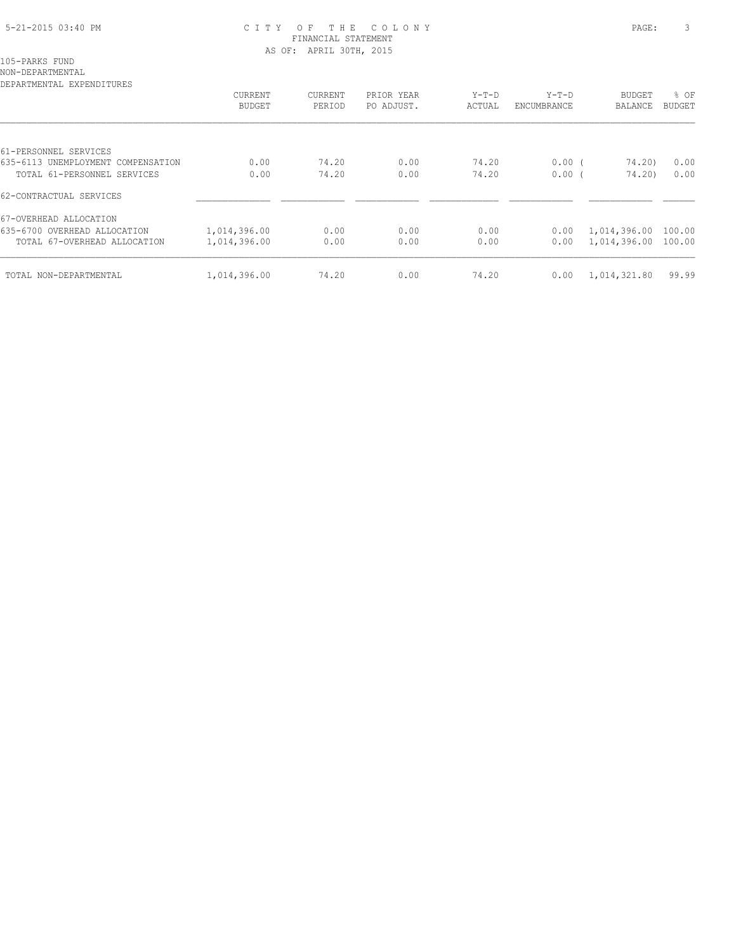## 5-21-2015 03:40 PM C I T Y O F T H E C O L O N Y PAGE: 3 FINANCIAL STATEMENT AS OF: APRIL 30TH, 2015

105-PARKS FUND

NON-DEPARTMENTAL

| CURRENT<br>BUDGET | CURRENT<br>PERIOD | PRIOR YEAR<br>PO ADJUST. | Y-T-D<br>ACTUAL | Y-T-D<br>ENCUMBRANCE | <b>BUDGET</b><br>BALANCE | % OF<br><b>BUDGET</b>                                     |
|-------------------|-------------------|--------------------------|-----------------|----------------------|--------------------------|-----------------------------------------------------------|
|                   |                   |                          |                 |                      |                          |                                                           |
|                   |                   |                          |                 |                      |                          |                                                           |
| 0.00              | 74.20             | 0.00                     | 74.20           |                      |                          | 0.00                                                      |
| 0.00              | 74.20             | 0.00                     | 74.20           |                      |                          | 0.00                                                      |
|                   |                   |                          |                 |                      |                          |                                                           |
|                   |                   |                          |                 |                      |                          |                                                           |
| 1,014,396.00      | 0.00              | 0.00                     | 0.00            | 0.00                 | 1,014,396.00             | 100.00                                                    |
| 1,014,396.00      | 0.00              | 0.00                     | 0.00            | 0.00                 |                          |                                                           |
| 1,014,396.00      | 74.20             | 0.00                     | 74.20           | 0.00                 | 1,014,321.80             | 99.99                                                     |
|                   |                   |                          |                 |                      |                          | 0.00(<br>74.20)<br>0.00(<br>74.20)<br>1,014,396.00 100.00 |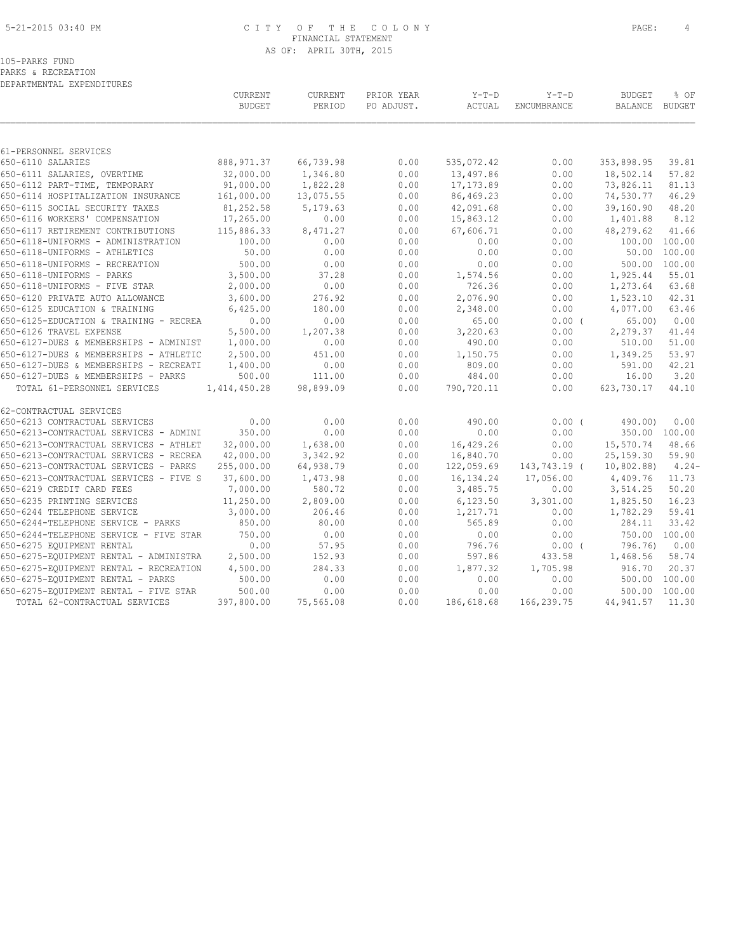#### 5-21-2015 03:40 PM C I T Y O F T H E C O L O N Y PAGE: 4 FINANCIAL STATEMENT AS OF: APRIL 30TH, 2015

105-PARKS FUND

PARKS & RECREATION DEPARTMENTAL EXPENDITURES

|                                        | CURRENT<br><b>BUDGET</b> | CURRENT<br>PERIOD | PRIOR YEAR<br>PO ADJUST. | $Y-T-D$<br>ACTUAL | $Y-T-D$<br>ENCUMBRANCE | <b>BUDGET</b><br><b>BALANCE</b> | % OF<br>BUDGET |
|----------------------------------------|--------------------------|-------------------|--------------------------|-------------------|------------------------|---------------------------------|----------------|
| 61-PERSONNEL SERVICES                  |                          |                   |                          |                   |                        |                                 |                |
| 650-6110 SALARIES                      | 888, 971.37              | 66,739.98         | 0.00                     | 535,072.42        | 0.00                   | 353,898.95                      | 39.81          |
| 650-6111 SALARIES, OVERTIME            | 32,000.00                | 1,346.80          | 0.00                     | 13,497.86         | 0.00                   | 18,502.14                       | 57.82          |
| 650-6112 PART-TIME, TEMPORARY          | 91,000.00                | 1,822.28          | 0.00                     | 17, 173.89        | 0.00                   | 73,826.11                       | 81.13          |
| 650-6114 HOSPITALIZATION INSURANCE     | 161,000.00               | 13,075.55         | 0.00                     | 86,469.23         | 0.00                   | 74,530.77                       | 46.29          |
| 650-6115 SOCIAL SECURITY TAXES         | 81,252.58                | 5,179.63          | 0.00                     | 42,091.68         | 0.00                   | 39,160.90                       | 48.20          |
| 650-6116 WORKERS' COMPENSATION         | 17,265.00                | 0.00              | 0.00                     | 15,863.12         | 0.00                   | 1,401.88                        | 8.12           |
| 650-6117 RETIREMENT CONTRIBUTIONS      | 115,886.33               | 8,471.27          | 0.00                     | 67,606.71         | 0.00                   | 48,279.62                       | 41.66          |
| 650-6118-UNIFORMS - ADMINISTRATION     | 100.00                   | 0.00              | 0.00                     | 0.00              | 0.00                   |                                 | 100.00 100.00  |
| 650-6118-UNIFORMS - ATHLETICS          | 50.00                    | 0.00              | 0.00                     | 0.00              | 0.00                   | 50.00                           | 100.00         |
| 650-6118-UNIFORMS - RECREATION         | 500.00                   | 0.00              | 0.00                     | 0.00              | 0.00                   | 500.00                          | 100.00         |
| 650-6118-UNIFORMS - PARKS              | 3,500.00                 | 37.28             | 0.00                     | 1,574.56          | 0.00                   | 1,925.44                        | 55.01          |
| 650-6118-UNIFORMS - FIVE STAR          | 2,000.00                 | 0.00              | 0.00                     | 726.36            | 0.00                   | 1,273.64                        | 63.68          |
| 650-6120 PRIVATE AUTO ALLOWANCE        | 3,600.00                 | 276.92            | 0.00                     | 2,076.90          | 0.00                   | 1,523.10                        | 42.31          |
| 650-6125 EDUCATION & TRAINING          | 6,425.00                 | 180.00            | 0.00                     | 2,348.00          | 0.00                   | 4,077.00                        | 63.46          |
| 650-6125-EDUCATION & TRAINING - RECREA | 0.00                     | 0.00              | 0.00                     | 65.00             | 0.00(                  | 65.00)                          | 0.00           |
| 650-6126 TRAVEL EXPENSE                | 5,500.00                 | 1,207.38          | 0.00                     | 3,220.63          | 0.00                   | 2,279.37                        | 41.44          |
| 650-6127-DUES & MEMBERSHIPS - ADMINIST | 1,000.00                 | 0.00              | 0.00                     | 490.00            | 0.00                   | 510.00                          | 51.00          |
| 650-6127-DUES & MEMBERSHIPS - ATHLETIC | 2,500.00                 | 451.00            | 0.00                     | 1,150.75          | 0.00                   | 1,349.25                        | 53.97          |
| 650-6127-DUES & MEMBERSHIPS - RECREATI | 1,400.00                 | 0.00              | 0.00                     | 809.00            | 0.00                   | 591.00                          | 42.21          |
| 650-6127-DUES & MEMBERSHIPS - PARKS    | 500.00                   | 111.00            | 0.00                     | 484.00            | 0.00                   | 16.00                           | 3.20           |
| TOTAL 61-PERSONNEL SERVICES            | 1,414,450.28             | 98,899.09         | 0.00                     | 790,720.11        | 0.00                   | 623,730.17                      | 44.10          |
| 62-CONTRACTUAL SERVICES                |                          |                   |                          |                   |                        |                                 |                |
| 650-6213 CONTRACTUAL SERVICES          | 0.00                     | 0.00              | 0.00                     | 490.00            | $0.00$ (               | 490.00                          | 0.00           |
| 650-6213-CONTRACTUAL SERVICES - ADMINI | 350.00                   | 0.00              | 0.00                     | 0.00              | 0.00                   |                                 | 350.00 100.00  |
| 650-6213-CONTRACTUAL SERVICES - ATHLET | 32,000.00                | 1,638.00          | 0.00                     | 16,429.26         | 0.00                   | 15,570.74                       | 48.66          |
| 650-6213-CONTRACTUAL SERVICES - RECREA | 42,000.00                | 3,342.92          | 0.00                     | 16,840.70         | 0.00                   | 25, 159.30                      | 59.90          |
| 650-6213-CONTRACTUAL SERVICES - PARKS  | 255,000.00               | 64,938.79         | 0.00                     | 122,059.69        | 143,743.19 (           | 10,802.88)                      | $4.24-$        |
| 650-6213-CONTRACTUAL SERVICES - FIVE S | 37,600.00                | 1,473.98          | 0.00                     | 16,134.24         | 17,056.00              | 4,409.76                        | 11.73          |
| 650-6219 CREDIT CARD FEES              | 7,000.00                 | 580.72            | 0.00                     | 3,485.75          | 0.00                   | 3,514.25                        | 50.20          |
| 650-6235 PRINTING SERVICES             | 11,250.00                | 2,809.00          | 0.00                     | 6,123.50          | 3,301.00               | 1,825.50                        | 16.23          |
| 650-6244 TELEPHONE SERVICE             | 3,000.00                 | 206.46            | 0.00                     | 1,217.71          | 0.00                   | 1,782.29                        | 59.41          |
| 650-6244-TELEPHONE SERVICE - PARKS     | 850.00                   | 80.00             | 0.00                     | 565.89            | 0.00                   | 284.11                          | 33.42          |
| 650-6244-TELEPHONE SERVICE - FIVE STAR | 750.00                   | 0.00              | 0.00                     | 0.00              | 0.00                   |                                 | 750.00 100.00  |
| 650-6275 EQUIPMENT RENTAL              | 0.00                     | 57.95             | 0.00                     | 796.76            | 0.00(                  | 796.76)                         | 0.00           |
| 650-6275-EQUIPMENT RENTAL - ADMINISTRA | 2,500.00                 | 152.93            | 0.00                     | 597.86            | 433.58                 | 1,468.56                        | 58.74          |
| 650-6275-EQUIPMENT RENTAL - RECREATION | 4,500.00                 | 284.33<br>0.00    | 0.00                     | 1,877.32          | 1,705.98               | 916.70                          | 20.37          |
| 650-6275-EQUIPMENT RENTAL - PARKS      | 500.00                   |                   | 0.00                     | 0.00              | 0.00                   | 500.00                          | 100.00         |
| 650-6275-EQUIPMENT RENTAL - FIVE STAR  | 500.00                   | 0.00              | 0.00                     | 0.00              | 0.00                   |                                 | 500.00 100.00  |
| TOTAL 62-CONTRACTUAL SERVICES          | 397,800.00               | 75,565.08         | 0.00                     | 186,618.68        | 166,239.75             | 44,941.57                       | 11.30          |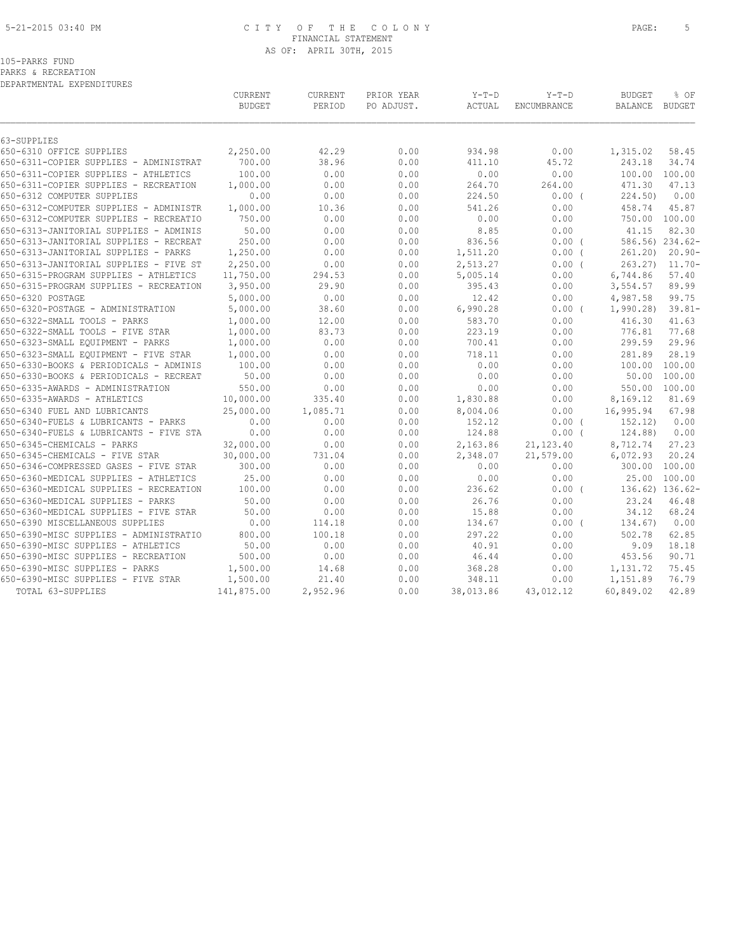### 5-21-2015 03:40 PM C I T Y O F T H E C O L O N Y PAGE: 5 FINANCIAL STATEMENT AS OF: APRIL 30TH, 2015

PARKS & RECREATION DEPARTMENTAL EXPENDITURES

|                                        | CURRENT<br><b>BUDGET</b> | CURRENT<br>PERIOD | PRIOR YEAR<br>PO ADJUST. | $Y-T-D$<br>ACTUAL | $Y-T-D$<br>ENCUMBRANCE | <b>BUDGET</b><br>BALANCE | % OF<br>BUDGET  |
|----------------------------------------|--------------------------|-------------------|--------------------------|-------------------|------------------------|--------------------------|-----------------|
| 63-SUPPLIES                            |                          |                   |                          |                   |                        |                          |                 |
| 650-6310 OFFICE SUPPLIES               | 2,250.00                 | 42.29             | 0.00                     | 934.98            | 0.00                   | 1,315.02                 | 58.45           |
| 650-6311-COPIER SUPPLIES - ADMINISTRAT | 700.00                   | 38.96             | 0.00                     | 411.10            | 45.72                  | 243.18                   | 34.74           |
| 650-6311-COPIER SUPPLIES - ATHLETICS   | 100.00                   | 0.00              | 0.00                     | 0.00              | 0.00                   | 100.00                   | 100.00          |
| 650-6311-COPIER SUPPLIES - RECREATION  | 1,000.00                 | 0.00              | 0.00                     | 264.70            | 264.00                 | 471.30                   | 47.13           |
| 650-6312 COMPUTER SUPPLIES             | 0.00                     | 0.00              | 0.00                     | 224.50            | 0.00(                  | 224.50                   | 0.00            |
| 650-6312-COMPUTER SUPPLIES - ADMINISTR | 1,000.00                 | 10.36             | 0.00                     | 541.26            | 0.00                   | 458.74                   | 45.87           |
| 650-6312-COMPUTER SUPPLIES - RECREATIO | 750.00                   | 0.00              | 0.00                     | 0.00              | 0.00                   |                          | 750.00 100.00   |
| 650-6313-JANITORIAL SUPPLIES - ADMINIS | 50.00                    | 0.00              | 0.00                     | 8.85              | 0.00                   | 41.15                    | 82.30           |
| 650-6313-JANITORIAL SUPPLIES - RECREAT | 250.00                   | 0.00              | 0.00                     | 836.56            | $0.00$ (               |                          | 586.56) 234.62- |
| 650-6313-JANITORIAL SUPPLIES - PARKS   | 1,250.00                 | 0.00              | 0.00                     | 1,511.20          | $0.00$ (               | 261.20)                  | $20.90 -$       |
| 650-6313-JANITORIAL SUPPLIES - FIVE ST | 2,250.00                 | 0.00              | 0.00                     | 2,513.27          | 0.00(                  | 263.27                   | $11.70 -$       |
| 650-6315-PROGRAM SUPPLIES - ATHLETICS  | 11,750.00                | 294.53            | 0.00                     | 5,005.14          | 0.00                   | 6,744.86                 | 57.40           |
| 650-6315-PROGRAM SUPPLIES - RECREATION | 3,950.00                 | 29.90             | 0.00                     | 395.43            | 0.00                   | 3,554.57                 | 89.99           |
| 650-6320 POSTAGE                       | 5,000.00                 | 0.00              | 0.00                     | 12.42             | 0.00                   | 4,987.58                 | 99.75           |
| 650-6320-POSTAGE - ADMINISTRATION      | 5,000.00                 | 38.60             | 0.00                     | 6,990.28          | $0.00$ (               | 1,990.28                 | $39.81 -$       |
| 650-6322-SMALL TOOLS - PARKS           | 1,000.00                 | 12.00             | 0.00                     | 583.70            | 0.00                   | 416.30                   | 41.63           |
| 650-6322-SMALL TOOLS - FIVE STAR       | 1,000.00                 | 83.73             | 0.00                     | 223.19            | 0.00                   | 776.81                   | 77.68           |
| 650-6323-SMALL EQUIPMENT - PARKS       | 1,000.00                 | 0.00              | 0.00                     | 700.41            | 0.00                   | 299.59                   | 29.96           |
| 650-6323-SMALL EQUIPMENT - FIVE STAR   | 1,000.00                 | 0.00              | 0.00                     | 718.11            | 0.00                   | 281.89                   | 28.19           |
| 650-6330-BOOKS & PERIODICALS - ADMINIS | 100.00                   | 0.00              | 0.00                     | 0.00              | 0.00                   |                          | 100.00 100.00   |
| 650-6330-BOOKS & PERIODICALS - RECREAT | 50.00                    | 0.00              | 0.00                     | 0.00              | 0.00                   | 50.00                    | 100.00          |
| 650-6335-AWARDS - ADMINISTRATION       | 550.00                   | 0.00              | 0.00                     | 0.00              | 0.00                   |                          | 550.00 100.00   |
| 650-6335-AWARDS - ATHLETICS            | 10,000.00                | 335.40            | 0.00                     | 1,830.88          | 0.00                   | 8,169.12                 | 81.69           |
| 650-6340 FUEL AND LUBRICANTS           | 25,000.00                | 1,085.71          | 0.00                     | 8,004.06          | 0.00                   | 16,995.94                | 67.98           |
| 650-6340-FUELS & LUBRICANTS - PARKS    | 0.00                     | 0.00              | 0.00                     | 152.12            | $0.00$ (               | 152.12)                  | 0.00            |
| 650-6340-FUELS & LUBRICANTS - FIVE STA | 0.00                     | 0.00              | 0.00                     | 124.88            | 0.00(                  | 124.88)                  | 0.00            |
| 650-6345-CHEMICALS - PARKS             | 32,000.00                | 0.00              | 0.00                     | 2,163.86          | 21, 123.40             | 8,712.74                 | 27.23           |
| 650-6345-CHEMICALS - FIVE STAR         | 30,000.00                | 731.04            | 0.00                     | 2,348.07          | 21,579.00              | 6,072.93                 | 20.24           |
| 650-6346-COMPRESSED GASES - FIVE STAR  | 300.00                   | 0.00              | 0.00                     | 0.00              | 0.00                   | 300.00                   | 100.00          |
| 650-6360-MEDICAL SUPPLIES - ATHLETICS  | 25.00                    | 0.00              | 0.00                     | 0.00              | 0.00                   | 25.00                    | 100.00          |
| 650-6360-MEDICAL SUPPLIES - RECREATION | 100.00                   | 0.00              | 0.00                     | 236.62            | $0.00$ (               |                          | 136.62) 136.62- |
| 650-6360-MEDICAL SUPPLIES - PARKS      | 50.00                    | 0.00              | 0.00                     | 26.76             | 0.00                   | 23.24                    | 46.48           |
| 650-6360-MEDICAL SUPPLIES - FIVE STAR  | 50.00                    | 0.00              | 0.00                     | 15.88             | 0.00                   | 34.12                    | 68.24           |
| 650-6390 MISCELLANEOUS SUPPLIES        | 0.00                     | 114.18            | 0.00                     | 134.67            | $0.00$ (               | 134.67)                  | 0.00            |
| 650-6390-MISC SUPPLIES - ADMINISTRATIO | 800.00                   | 100.18            | 0.00                     | 297.22            | 0.00                   | 502.78                   | 62.85           |
| 650-6390-MISC SUPPLIES - ATHLETICS     | 50.00                    | 0.00              | 0.00                     | 40.91             | 0.00                   | 9.09                     | 18.18           |
| 650-6390-MISC SUPPLIES - RECREATION    | 500.00                   | 0.00              | 0.00                     | 46.44             | 0.00                   | 453.56                   | 90.71           |
| 650-6390-MISC SUPPLIES - PARKS         | 1,500.00                 | 14.68             | 0.00                     | 368.28            | 0.00                   | 1,131.72                 | 75.45           |
| 650-6390-MISC SUPPLIES - FIVE STAR     | 1,500.00                 | 21.40             | 0.00                     | 348.11            | 0.00                   | 1,151.89                 | 76.79           |
| TOTAL 63-SUPPLIES                      | 141,875.00               | 2,952.96          | 0.00                     | 38,013.86         | 43,012.12              | 60,849.02                | 42.89           |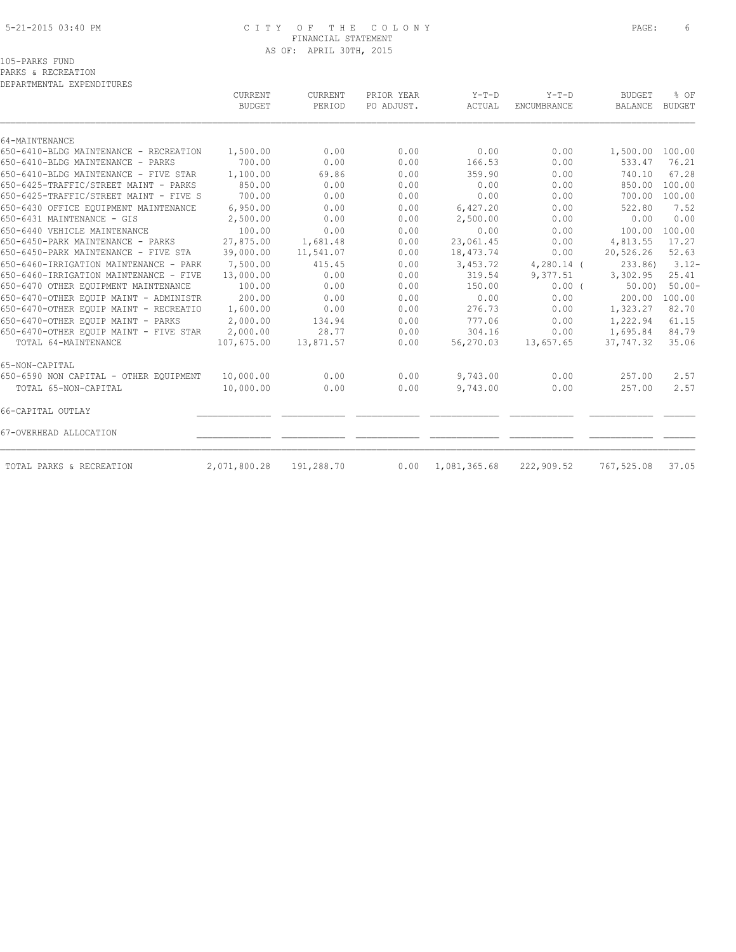### 5-21-2015 03:40 PM C I T Y O F T H E C O L O N Y PAGE: 6 FINANCIAL STATEMENT AS OF: APRIL 30TH, 2015

PARKS & RECREATION DEPARTMENTAL EXPENDITURES

|                                        | <b>CURRENT</b><br><b>BUDGET</b> | <b>CURRENT</b><br>PERIOD | PRIOR YEAR<br>PO ADJUST. | $Y-T-D$<br>ACTUAL | $Y-T-D$<br>ENCUMBRANCE | <b>BUDGET</b><br><b>BALANCE</b> | % OF<br><b>BUDGET</b> |
|----------------------------------------|---------------------------------|--------------------------|--------------------------|-------------------|------------------------|---------------------------------|-----------------------|
|                                        |                                 |                          |                          |                   |                        |                                 |                       |
| 64-MAINTENANCE                         |                                 |                          |                          |                   |                        |                                 |                       |
| 650-6410-BLDG MAINTENANCE - RECREATION | 1,500.00                        | 0.00                     | 0.00                     | 0.00              | 0.00                   | 1,500.00                        | 100.00                |
| 650-6410-BLDG MAINTENANCE - PARKS      | 700.00                          | 0.00                     | 0.00                     | 166.53            | 0.00                   | 533.47                          | 76.21                 |
| 650-6410-BLDG MAINTENANCE - FIVE STAR  | 1,100.00                        | 69.86                    | 0.00                     | 359.90            | 0.00                   | 740.10                          | 67.28                 |
| 650-6425-TRAFFIC/STREET MAINT - PARKS  | 850.00                          | 0.00                     | 0.00                     | 0.00              | 0.00                   | 850.00                          | 100.00                |
| 650-6425-TRAFFIC/STREET MAINT - FIVE S | 700.00                          | 0.00                     | 0.00                     | 0.00              | 0.00                   | 700.00                          | 100.00                |
| 650-6430 OFFICE EOUIPMENT MAINTENANCE  | 6,950.00                        | 0.00                     | 0.00                     | 6,427.20          | 0.00                   | 522.80                          | 7.52                  |
| 650-6431 MAINTENANCE - GIS             | 2,500.00                        | 0.00                     | 0.00                     | 2,500.00          | 0.00                   | 0.00                            | 0.00                  |
| 650-6440 VEHICLE MAINTENANCE           | 100.00                          | 0.00                     | 0.00                     | 0.00              | 0.00                   | 100.00                          | 100.00                |
| 650-6450-PARK MAINTENANCE - PARKS      | 27,875.00                       | 1,681.48                 | 0.00                     | 23,061.45         | 0.00                   | 4,813.55                        | 17.27                 |
| 650-6450-PARK MAINTENANCE - FIVE STA   | 39,000.00                       | 11,541.07                | 0.00                     | 18,473.74         | 0.00                   | 20,526.26                       | 52.63                 |
| 650-6460-IRRIGATION MAINTENANCE - PARK | 7,500.00                        | 415.45                   | 0.00                     | 3,453.72          | $4,280.14$ (           | 233.86)                         | $3.12 -$              |
| 650-6460-IRRIGATION MAINTENANCE - FIVE | 13,000.00                       | 0.00                     | 0.00                     | 319.54            | 9,377.51               | 3,302.95                        | 25.41                 |
| 650-6470 OTHER EOUIPMENT MAINTENANCE   | 100.00                          | 0.00                     | 0.00                     | 150.00            | 0.00(                  | 50.00                           | $50.00 -$             |
| 650-6470-OTHER EOUIP MAINT - ADMINISTR | 200.00                          | 0.00                     | 0.00                     | 0.00              | 0.00                   | 200.00                          | 100.00                |
| 650-6470-OTHER EQUIP MAINT - RECREATIO | 1,600.00                        | 0.00                     | 0.00                     | 276.73            | 0.00                   | 1,323.27                        | 82.70                 |
| 650-6470-OTHER EOUIP MAINT - PARKS     | 2,000.00                        | 134.94                   | 0.00                     | 777.06            | 0.00                   | 1,222.94                        | 61.15                 |
| 650-6470-OTHER EQUIP MAINT - FIVE STAR | 2,000.00                        | 28.77                    | 0.00                     | 304.16            | 0.00                   | 1,695.84                        | 84.79                 |
| TOTAL 64-MAINTENANCE                   | 107,675.00                      | 13,871.57                | 0.00                     | 56,270.03         | 13,657.65              | 37,747.32                       | 35.06                 |
| 65-NON-CAPITAL                         |                                 |                          |                          |                   |                        |                                 |                       |
| 650-6590 NON CAPITAL - OTHER EQUIPMENT | 10,000.00                       | 0.00                     | 0.00                     | 9,743.00          | 0.00                   | 257.00                          | 2.57                  |
| TOTAL 65-NON-CAPITAL                   | 10,000.00                       | 0.00                     | 0.00                     | 9,743.00          | 0.00                   | 257.00                          | 2.57                  |
| 66-CAPITAL OUTLAY                      |                                 |                          |                          |                   |                        |                                 |                       |
| 67-OVERHEAD ALLOCATION                 |                                 |                          |                          |                   |                        |                                 |                       |
| TOTAL PARKS & RECREATION               | 2,071,800.28                    | 191,288.70               | 0.00                     | 1,081,365.68      | 222,909.52             | 767,525.08                      | 37.05                 |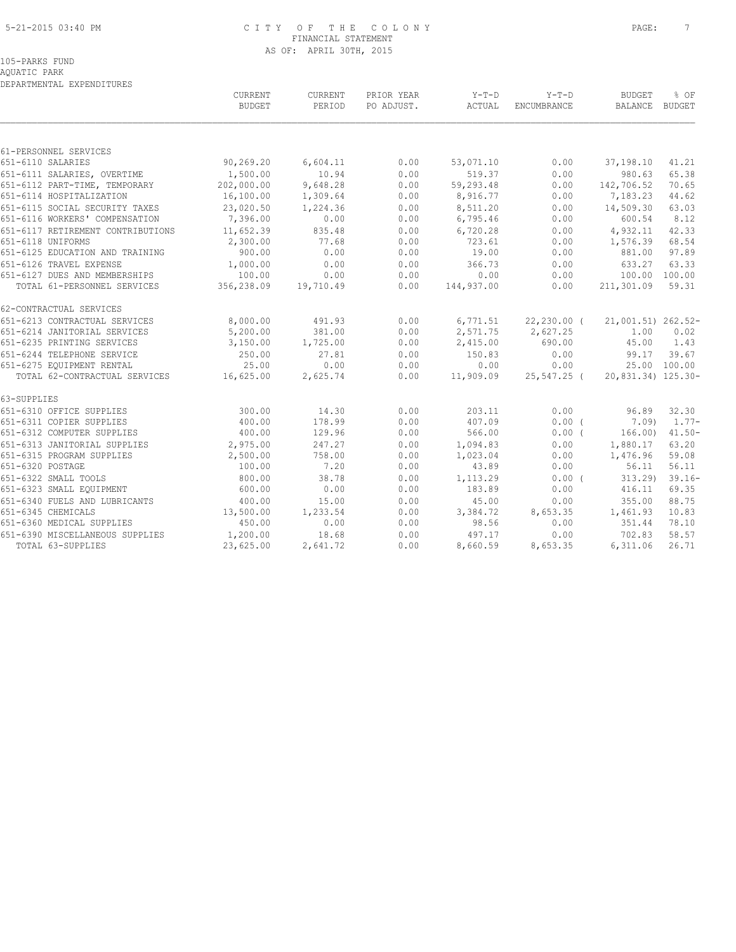#### 5-21-2015 03:40 PM C I T Y O F T H E C O L O N Y PAGE: 7 FINANCIAL STATEMENT AS OF: APRIL 30TH, 2015

## 105-PARKS FUND

AQUATIC PARK

| $Y-T-D$<br>CURRENT<br>CURRENT<br>PRIOR YEAR<br>Y-T-D<br><b>BUDGET</b><br>% OF<br><b>BUDGET</b><br>PERIOD<br>PO ADJUST.<br>ACTUAL<br>ENCUMBRANCE<br>BALANCE BUDGET<br>651-6110 SALARIES<br>90,269.20<br>6,604.11<br>0.00<br>53,071.10<br>0.00<br>41.21<br>37,198.10<br>1,500.00<br>10.94<br>0.00<br>519.37<br>651-6111 SALARIES, OVERTIME<br>0.00<br>980.63<br>65.38<br>202,000.00<br>9,648.28<br>0.00<br>59,293.48<br>142,706.52<br>651-6112 PART-TIME, TEMPORARY<br>0.00<br>70.65<br>16,100.00<br>1,309.64<br>0.00<br>7,183.23<br>44.62<br>651-6114 HOSPITALIZATION<br>8,916.77<br>0.00<br>63.03<br>651-6115 SOCIAL SECURITY TAXES<br>23,020.50<br>1,224.36<br>0.00<br>8,511.20<br>0.00<br>14,509.30<br>651-6116 WORKERS' COMPENSATION<br>7,396.00<br>0.00<br>8.12<br>0.00<br>6,795.46<br>0.00<br>600.54<br>835.48<br>0.00<br>4,932.11<br>42.33<br>11,652.39<br>6,720.28<br>0.00<br>2,300.00<br>77.68<br>0.00<br>723.61<br>1,576.39<br>68.54<br>0.00<br>651-6125 EDUCATION AND TRAINING<br>900.00<br>0.00<br>0.00<br>19.00<br>0.00<br>881.00<br>97.89<br>0.00<br>1,000.00<br>0.00<br>366.73<br>0.00<br>633.27<br>63.33<br>100.00<br>0.00<br>0.00<br>0.00<br>0.00<br>100.00 100.00<br>TOTAL 61-PERSONNEL SERVICES<br>356,238.09<br>0.00<br>0.00<br>211,301.09<br>59.31<br>19,710.49<br>144,937.00<br>8,000.00<br>491.93<br>0.00<br>6,771.51<br>$22,230.00$ (<br>21,001.51) 262.52-<br>5,200.00<br>381.00<br>0.00<br>2,571.75<br>2,627.25<br>1.00<br>0.02<br>3,150.00<br>1,725.00<br>0.00<br>2,415.00<br>690.00<br>45.00<br>1.43<br>27.81<br>39.67<br>250.00<br>0.00<br>150.83<br>0.00<br>99.17<br>25.00<br>0.00<br>0.00<br>0.00<br>25.00 100.00<br>0.00<br>TOTAL 62-CONTRACTUAL SERVICES<br>0.00<br>20,831.34) 125.30-<br>16,625.00<br>2,625.74<br>11,909.09<br>25,547.25 (<br>300.00<br>14.30<br>0.00<br>203.11<br>0.00<br>96.89<br>32.30<br>400.00<br>178.99<br>0.00<br>407.09<br>$0.00$ (<br>7.09)<br>400.00<br>0.00<br>129.96<br>566.00<br>$0.00$ (<br>166.00<br>651-6313 JANITORIAL SUPPLIES<br>0.00<br>2,975.00<br>247.27<br>1,094.83<br>0.00<br>1,880.17<br>63.20<br>2,500.00<br>758.00<br>0.00<br>1,023.04<br>0.00<br>1,476.96<br>59.08<br>100.00<br>7.20<br>0.00<br>0.00<br>56.11<br>56.11<br>43.89<br>38.78<br>$39.16 -$<br>800.00<br>0.00<br>0.00(<br>313.29<br>1,113.29<br>651-6323 SMALL EQUIPMENT<br>600.00<br>0.00<br>0.00<br>183.89<br>0.00<br>69.35<br>416.11<br>651-6340 FUELS AND LUBRICANTS<br>400.00<br>15.00<br>0.00<br>0.00<br>355.00<br>88.75<br>45.00<br>651-6345 CHEMICALS<br>13,500.00<br>1,233.54<br>0.00<br>3,384.72<br>8,653.35<br>10.83<br>1,461.93<br>450.00<br>0.00<br>0.00<br>98.56<br>0.00<br>351.44<br>78.10<br>651-6390 MISCELLANEOUS SUPPLIES<br>1,200.00<br>18.68<br>0.00<br>702.83<br>58.57<br>497.17<br>0.00<br>23,625.00<br>0.00<br>6,311.06<br>26.71<br>TOTAL 63-SUPPLIES<br>2,641.72<br>8,660.59<br>8,653.35 | DEPARTMENTAL EXPENDITURES         |  |  |  |           |
|----------------------------------------------------------------------------------------------------------------------------------------------------------------------------------------------------------------------------------------------------------------------------------------------------------------------------------------------------------------------------------------------------------------------------------------------------------------------------------------------------------------------------------------------------------------------------------------------------------------------------------------------------------------------------------------------------------------------------------------------------------------------------------------------------------------------------------------------------------------------------------------------------------------------------------------------------------------------------------------------------------------------------------------------------------------------------------------------------------------------------------------------------------------------------------------------------------------------------------------------------------------------------------------------------------------------------------------------------------------------------------------------------------------------------------------------------------------------------------------------------------------------------------------------------------------------------------------------------------------------------------------------------------------------------------------------------------------------------------------------------------------------------------------------------------------------------------------------------------------------------------------------------------------------------------------------------------------------------------------------------------------------------------------------------------------------------------------------------------------------------------------------------------------------------------------------------------------------------------------------------------------------------------------------------------------------------------------------------------------------------------------------------------------------------------------------------------------------------------------------------------------------------------------------------------------------------------------------------------------------------------------------------------------------------------------------------------------------------------------------------------------------------------------------------------------------------------------------------------|-----------------------------------|--|--|--|-----------|
|                                                                                                                                                                                                                                                                                                                                                                                                                                                                                                                                                                                                                                                                                                                                                                                                                                                                                                                                                                                                                                                                                                                                                                                                                                                                                                                                                                                                                                                                                                                                                                                                                                                                                                                                                                                                                                                                                                                                                                                                                                                                                                                                                                                                                                                                                                                                                                                                                                                                                                                                                                                                                                                                                                                                                                                                                                                          |                                   |  |  |  |           |
|                                                                                                                                                                                                                                                                                                                                                                                                                                                                                                                                                                                                                                                                                                                                                                                                                                                                                                                                                                                                                                                                                                                                                                                                                                                                                                                                                                                                                                                                                                                                                                                                                                                                                                                                                                                                                                                                                                                                                                                                                                                                                                                                                                                                                                                                                                                                                                                                                                                                                                                                                                                                                                                                                                                                                                                                                                                          |                                   |  |  |  |           |
|                                                                                                                                                                                                                                                                                                                                                                                                                                                                                                                                                                                                                                                                                                                                                                                                                                                                                                                                                                                                                                                                                                                                                                                                                                                                                                                                                                                                                                                                                                                                                                                                                                                                                                                                                                                                                                                                                                                                                                                                                                                                                                                                                                                                                                                                                                                                                                                                                                                                                                                                                                                                                                                                                                                                                                                                                                                          | 61-PERSONNEL SERVICES             |  |  |  |           |
|                                                                                                                                                                                                                                                                                                                                                                                                                                                                                                                                                                                                                                                                                                                                                                                                                                                                                                                                                                                                                                                                                                                                                                                                                                                                                                                                                                                                                                                                                                                                                                                                                                                                                                                                                                                                                                                                                                                                                                                                                                                                                                                                                                                                                                                                                                                                                                                                                                                                                                                                                                                                                                                                                                                                                                                                                                                          |                                   |  |  |  |           |
|                                                                                                                                                                                                                                                                                                                                                                                                                                                                                                                                                                                                                                                                                                                                                                                                                                                                                                                                                                                                                                                                                                                                                                                                                                                                                                                                                                                                                                                                                                                                                                                                                                                                                                                                                                                                                                                                                                                                                                                                                                                                                                                                                                                                                                                                                                                                                                                                                                                                                                                                                                                                                                                                                                                                                                                                                                                          |                                   |  |  |  |           |
|                                                                                                                                                                                                                                                                                                                                                                                                                                                                                                                                                                                                                                                                                                                                                                                                                                                                                                                                                                                                                                                                                                                                                                                                                                                                                                                                                                                                                                                                                                                                                                                                                                                                                                                                                                                                                                                                                                                                                                                                                                                                                                                                                                                                                                                                                                                                                                                                                                                                                                                                                                                                                                                                                                                                                                                                                                                          |                                   |  |  |  |           |
|                                                                                                                                                                                                                                                                                                                                                                                                                                                                                                                                                                                                                                                                                                                                                                                                                                                                                                                                                                                                                                                                                                                                                                                                                                                                                                                                                                                                                                                                                                                                                                                                                                                                                                                                                                                                                                                                                                                                                                                                                                                                                                                                                                                                                                                                                                                                                                                                                                                                                                                                                                                                                                                                                                                                                                                                                                                          |                                   |  |  |  |           |
|                                                                                                                                                                                                                                                                                                                                                                                                                                                                                                                                                                                                                                                                                                                                                                                                                                                                                                                                                                                                                                                                                                                                                                                                                                                                                                                                                                                                                                                                                                                                                                                                                                                                                                                                                                                                                                                                                                                                                                                                                                                                                                                                                                                                                                                                                                                                                                                                                                                                                                                                                                                                                                                                                                                                                                                                                                                          |                                   |  |  |  |           |
|                                                                                                                                                                                                                                                                                                                                                                                                                                                                                                                                                                                                                                                                                                                                                                                                                                                                                                                                                                                                                                                                                                                                                                                                                                                                                                                                                                                                                                                                                                                                                                                                                                                                                                                                                                                                                                                                                                                                                                                                                                                                                                                                                                                                                                                                                                                                                                                                                                                                                                                                                                                                                                                                                                                                                                                                                                                          |                                   |  |  |  |           |
|                                                                                                                                                                                                                                                                                                                                                                                                                                                                                                                                                                                                                                                                                                                                                                                                                                                                                                                                                                                                                                                                                                                                                                                                                                                                                                                                                                                                                                                                                                                                                                                                                                                                                                                                                                                                                                                                                                                                                                                                                                                                                                                                                                                                                                                                                                                                                                                                                                                                                                                                                                                                                                                                                                                                                                                                                                                          | 651-6117 RETIREMENT CONTRIBUTIONS |  |  |  |           |
|                                                                                                                                                                                                                                                                                                                                                                                                                                                                                                                                                                                                                                                                                                                                                                                                                                                                                                                                                                                                                                                                                                                                                                                                                                                                                                                                                                                                                                                                                                                                                                                                                                                                                                                                                                                                                                                                                                                                                                                                                                                                                                                                                                                                                                                                                                                                                                                                                                                                                                                                                                                                                                                                                                                                                                                                                                                          | 651-6118 UNIFORMS                 |  |  |  |           |
|                                                                                                                                                                                                                                                                                                                                                                                                                                                                                                                                                                                                                                                                                                                                                                                                                                                                                                                                                                                                                                                                                                                                                                                                                                                                                                                                                                                                                                                                                                                                                                                                                                                                                                                                                                                                                                                                                                                                                                                                                                                                                                                                                                                                                                                                                                                                                                                                                                                                                                                                                                                                                                                                                                                                                                                                                                                          |                                   |  |  |  |           |
|                                                                                                                                                                                                                                                                                                                                                                                                                                                                                                                                                                                                                                                                                                                                                                                                                                                                                                                                                                                                                                                                                                                                                                                                                                                                                                                                                                                                                                                                                                                                                                                                                                                                                                                                                                                                                                                                                                                                                                                                                                                                                                                                                                                                                                                                                                                                                                                                                                                                                                                                                                                                                                                                                                                                                                                                                                                          | 651-6126 TRAVEL EXPENSE           |  |  |  |           |
|                                                                                                                                                                                                                                                                                                                                                                                                                                                                                                                                                                                                                                                                                                                                                                                                                                                                                                                                                                                                                                                                                                                                                                                                                                                                                                                                                                                                                                                                                                                                                                                                                                                                                                                                                                                                                                                                                                                                                                                                                                                                                                                                                                                                                                                                                                                                                                                                                                                                                                                                                                                                                                                                                                                                                                                                                                                          | 651-6127 DUES AND MEMBERSHIPS     |  |  |  |           |
|                                                                                                                                                                                                                                                                                                                                                                                                                                                                                                                                                                                                                                                                                                                                                                                                                                                                                                                                                                                                                                                                                                                                                                                                                                                                                                                                                                                                                                                                                                                                                                                                                                                                                                                                                                                                                                                                                                                                                                                                                                                                                                                                                                                                                                                                                                                                                                                                                                                                                                                                                                                                                                                                                                                                                                                                                                                          |                                   |  |  |  |           |
|                                                                                                                                                                                                                                                                                                                                                                                                                                                                                                                                                                                                                                                                                                                                                                                                                                                                                                                                                                                                                                                                                                                                                                                                                                                                                                                                                                                                                                                                                                                                                                                                                                                                                                                                                                                                                                                                                                                                                                                                                                                                                                                                                                                                                                                                                                                                                                                                                                                                                                                                                                                                                                                                                                                                                                                                                                                          | 62-CONTRACTUAL SERVICES           |  |  |  |           |
|                                                                                                                                                                                                                                                                                                                                                                                                                                                                                                                                                                                                                                                                                                                                                                                                                                                                                                                                                                                                                                                                                                                                                                                                                                                                                                                                                                                                                                                                                                                                                                                                                                                                                                                                                                                                                                                                                                                                                                                                                                                                                                                                                                                                                                                                                                                                                                                                                                                                                                                                                                                                                                                                                                                                                                                                                                                          | 651-6213 CONTRACTUAL SERVICES     |  |  |  |           |
|                                                                                                                                                                                                                                                                                                                                                                                                                                                                                                                                                                                                                                                                                                                                                                                                                                                                                                                                                                                                                                                                                                                                                                                                                                                                                                                                                                                                                                                                                                                                                                                                                                                                                                                                                                                                                                                                                                                                                                                                                                                                                                                                                                                                                                                                                                                                                                                                                                                                                                                                                                                                                                                                                                                                                                                                                                                          | 651-6214 JANITORIAL SERVICES      |  |  |  |           |
|                                                                                                                                                                                                                                                                                                                                                                                                                                                                                                                                                                                                                                                                                                                                                                                                                                                                                                                                                                                                                                                                                                                                                                                                                                                                                                                                                                                                                                                                                                                                                                                                                                                                                                                                                                                                                                                                                                                                                                                                                                                                                                                                                                                                                                                                                                                                                                                                                                                                                                                                                                                                                                                                                                                                                                                                                                                          | 651-6235 PRINTING SERVICES        |  |  |  |           |
|                                                                                                                                                                                                                                                                                                                                                                                                                                                                                                                                                                                                                                                                                                                                                                                                                                                                                                                                                                                                                                                                                                                                                                                                                                                                                                                                                                                                                                                                                                                                                                                                                                                                                                                                                                                                                                                                                                                                                                                                                                                                                                                                                                                                                                                                                                                                                                                                                                                                                                                                                                                                                                                                                                                                                                                                                                                          | 651-6244 TELEPHONE SERVICE        |  |  |  |           |
|                                                                                                                                                                                                                                                                                                                                                                                                                                                                                                                                                                                                                                                                                                                                                                                                                                                                                                                                                                                                                                                                                                                                                                                                                                                                                                                                                                                                                                                                                                                                                                                                                                                                                                                                                                                                                                                                                                                                                                                                                                                                                                                                                                                                                                                                                                                                                                                                                                                                                                                                                                                                                                                                                                                                                                                                                                                          | 651-6275 EQUIPMENT RENTAL         |  |  |  |           |
|                                                                                                                                                                                                                                                                                                                                                                                                                                                                                                                                                                                                                                                                                                                                                                                                                                                                                                                                                                                                                                                                                                                                                                                                                                                                                                                                                                                                                                                                                                                                                                                                                                                                                                                                                                                                                                                                                                                                                                                                                                                                                                                                                                                                                                                                                                                                                                                                                                                                                                                                                                                                                                                                                                                                                                                                                                                          |                                   |  |  |  |           |
|                                                                                                                                                                                                                                                                                                                                                                                                                                                                                                                                                                                                                                                                                                                                                                                                                                                                                                                                                                                                                                                                                                                                                                                                                                                                                                                                                                                                                                                                                                                                                                                                                                                                                                                                                                                                                                                                                                                                                                                                                                                                                                                                                                                                                                                                                                                                                                                                                                                                                                                                                                                                                                                                                                                                                                                                                                                          | 63-SUPPLIES                       |  |  |  |           |
|                                                                                                                                                                                                                                                                                                                                                                                                                                                                                                                                                                                                                                                                                                                                                                                                                                                                                                                                                                                                                                                                                                                                                                                                                                                                                                                                                                                                                                                                                                                                                                                                                                                                                                                                                                                                                                                                                                                                                                                                                                                                                                                                                                                                                                                                                                                                                                                                                                                                                                                                                                                                                                                                                                                                                                                                                                                          | 651-6310 OFFICE SUPPLIES          |  |  |  |           |
|                                                                                                                                                                                                                                                                                                                                                                                                                                                                                                                                                                                                                                                                                                                                                                                                                                                                                                                                                                                                                                                                                                                                                                                                                                                                                                                                                                                                                                                                                                                                                                                                                                                                                                                                                                                                                                                                                                                                                                                                                                                                                                                                                                                                                                                                                                                                                                                                                                                                                                                                                                                                                                                                                                                                                                                                                                                          | 651-6311 COPIER SUPPLIES          |  |  |  | $1.77-$   |
|                                                                                                                                                                                                                                                                                                                                                                                                                                                                                                                                                                                                                                                                                                                                                                                                                                                                                                                                                                                                                                                                                                                                                                                                                                                                                                                                                                                                                                                                                                                                                                                                                                                                                                                                                                                                                                                                                                                                                                                                                                                                                                                                                                                                                                                                                                                                                                                                                                                                                                                                                                                                                                                                                                                                                                                                                                                          | 651-6312 COMPUTER SUPPLIES        |  |  |  | $41.50 -$ |
|                                                                                                                                                                                                                                                                                                                                                                                                                                                                                                                                                                                                                                                                                                                                                                                                                                                                                                                                                                                                                                                                                                                                                                                                                                                                                                                                                                                                                                                                                                                                                                                                                                                                                                                                                                                                                                                                                                                                                                                                                                                                                                                                                                                                                                                                                                                                                                                                                                                                                                                                                                                                                                                                                                                                                                                                                                                          |                                   |  |  |  |           |
|                                                                                                                                                                                                                                                                                                                                                                                                                                                                                                                                                                                                                                                                                                                                                                                                                                                                                                                                                                                                                                                                                                                                                                                                                                                                                                                                                                                                                                                                                                                                                                                                                                                                                                                                                                                                                                                                                                                                                                                                                                                                                                                                                                                                                                                                                                                                                                                                                                                                                                                                                                                                                                                                                                                                                                                                                                                          | 651-6315 PROGRAM SUPPLIES         |  |  |  |           |
|                                                                                                                                                                                                                                                                                                                                                                                                                                                                                                                                                                                                                                                                                                                                                                                                                                                                                                                                                                                                                                                                                                                                                                                                                                                                                                                                                                                                                                                                                                                                                                                                                                                                                                                                                                                                                                                                                                                                                                                                                                                                                                                                                                                                                                                                                                                                                                                                                                                                                                                                                                                                                                                                                                                                                                                                                                                          | 651-6320 POSTAGE                  |  |  |  |           |
|                                                                                                                                                                                                                                                                                                                                                                                                                                                                                                                                                                                                                                                                                                                                                                                                                                                                                                                                                                                                                                                                                                                                                                                                                                                                                                                                                                                                                                                                                                                                                                                                                                                                                                                                                                                                                                                                                                                                                                                                                                                                                                                                                                                                                                                                                                                                                                                                                                                                                                                                                                                                                                                                                                                                                                                                                                                          | 651-6322 SMALL TOOLS              |  |  |  |           |
|                                                                                                                                                                                                                                                                                                                                                                                                                                                                                                                                                                                                                                                                                                                                                                                                                                                                                                                                                                                                                                                                                                                                                                                                                                                                                                                                                                                                                                                                                                                                                                                                                                                                                                                                                                                                                                                                                                                                                                                                                                                                                                                                                                                                                                                                                                                                                                                                                                                                                                                                                                                                                                                                                                                                                                                                                                                          |                                   |  |  |  |           |
|                                                                                                                                                                                                                                                                                                                                                                                                                                                                                                                                                                                                                                                                                                                                                                                                                                                                                                                                                                                                                                                                                                                                                                                                                                                                                                                                                                                                                                                                                                                                                                                                                                                                                                                                                                                                                                                                                                                                                                                                                                                                                                                                                                                                                                                                                                                                                                                                                                                                                                                                                                                                                                                                                                                                                                                                                                                          |                                   |  |  |  |           |
|                                                                                                                                                                                                                                                                                                                                                                                                                                                                                                                                                                                                                                                                                                                                                                                                                                                                                                                                                                                                                                                                                                                                                                                                                                                                                                                                                                                                                                                                                                                                                                                                                                                                                                                                                                                                                                                                                                                                                                                                                                                                                                                                                                                                                                                                                                                                                                                                                                                                                                                                                                                                                                                                                                                                                                                                                                                          |                                   |  |  |  |           |
|                                                                                                                                                                                                                                                                                                                                                                                                                                                                                                                                                                                                                                                                                                                                                                                                                                                                                                                                                                                                                                                                                                                                                                                                                                                                                                                                                                                                                                                                                                                                                                                                                                                                                                                                                                                                                                                                                                                                                                                                                                                                                                                                                                                                                                                                                                                                                                                                                                                                                                                                                                                                                                                                                                                                                                                                                                                          | 651-6360 MEDICAL SUPPLIES         |  |  |  |           |
|                                                                                                                                                                                                                                                                                                                                                                                                                                                                                                                                                                                                                                                                                                                                                                                                                                                                                                                                                                                                                                                                                                                                                                                                                                                                                                                                                                                                                                                                                                                                                                                                                                                                                                                                                                                                                                                                                                                                                                                                                                                                                                                                                                                                                                                                                                                                                                                                                                                                                                                                                                                                                                                                                                                                                                                                                                                          |                                   |  |  |  |           |
|                                                                                                                                                                                                                                                                                                                                                                                                                                                                                                                                                                                                                                                                                                                                                                                                                                                                                                                                                                                                                                                                                                                                                                                                                                                                                                                                                                                                                                                                                                                                                                                                                                                                                                                                                                                                                                                                                                                                                                                                                                                                                                                                                                                                                                                                                                                                                                                                                                                                                                                                                                                                                                                                                                                                                                                                                                                          |                                   |  |  |  |           |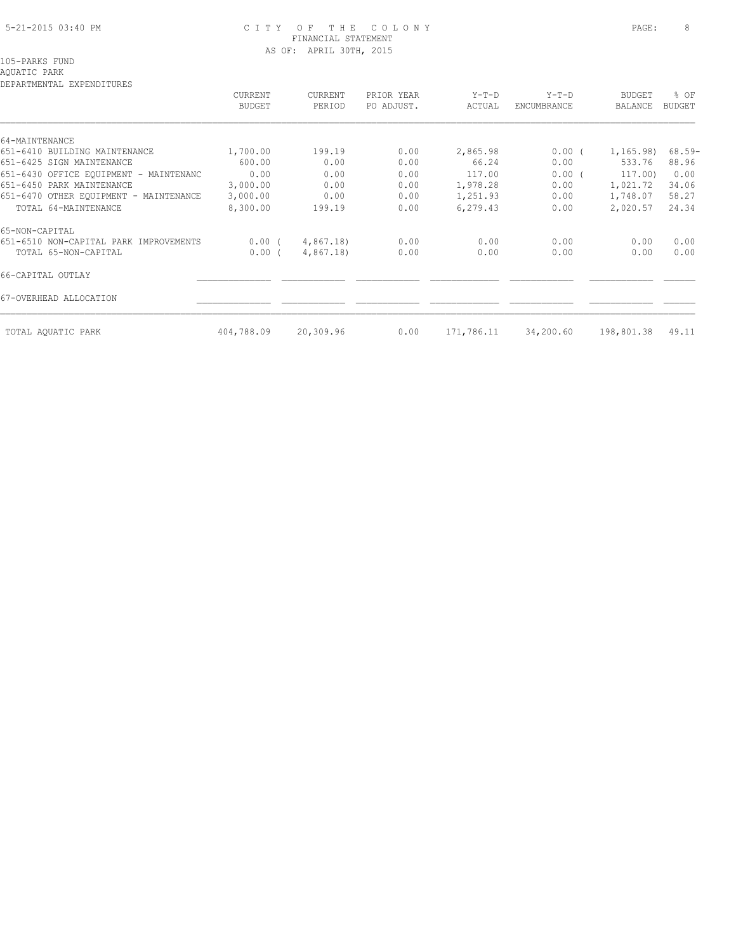### 5-21-2015 03:40 PM C I T Y O F T H E C O L O N Y PAGE: 8 FINANCIAL STATEMENT AS OF: APRIL 30TH, 2015

## AQUATIC PARK

DEPARTMENTAL EXPENDITURES

| DELANITENIAE EALENDIIONEO              | CURRENT<br><b>BUDGET</b> | <b>CURRENT</b><br>PERIOD | PRIOR YEAR<br>PO ADJUST. | $Y-T-D$<br>ACTUAL | $Y-T-D$<br>ENCUMBRANCE | <b>BUDGET</b><br>BALANCE | % OF<br>BUDGET |
|----------------------------------------|--------------------------|--------------------------|--------------------------|-------------------|------------------------|--------------------------|----------------|
| 64-MAINTENANCE                         |                          |                          |                          |                   |                        |                          |                |
| 651-6410 BUILDING MAINTENANCE          | 1,700.00                 | 199.19                   | 0.00                     | 2,865.98          | $0.00$ (               | 1,165.98)                | $68.59-$       |
| 651-6425 SIGN MAINTENANCE              | 600.00                   | 0.00                     | 0.00                     | 66.24             | 0.00                   | 533.76                   | 88.96          |
| 651-6430 OFFICE EOUIPMENT - MAINTENANC | 0.00                     | 0.00                     | 0.00                     | 117.00            | $0.00$ (               | 117.00)                  | 0.00           |
| 651-6450 PARK MAINTENANCE              | 3,000.00                 | 0.00                     | 0.00                     | 1,978.28          | 0.00                   | 1,021.72                 | 34.06          |
| 651-6470 OTHER EQUIPMENT - MAINTENANCE | 3,000.00                 | 0.00                     | 0.00                     | 1,251.93          | 0.00                   | 1,748.07                 | 58.27          |
| TOTAL 64-MAINTENANCE                   | 8,300.00                 | 199.19                   | 0.00                     | 6,279.43          | 0.00                   | 2,020.57                 | 24.34          |
| 65-NON-CAPITAL                         |                          |                          |                          |                   |                        |                          |                |
| 651-6510 NON-CAPITAL PARK IMPROVEMENTS | $0.00$ (                 | 4,867.18)                | 0.00                     | 0.00              | 0.00                   | 0.00                     | 0.00           |
| TOTAL 65-NON-CAPITAL                   | 0.00(                    | 4,867.18)                | 0.00                     | 0.00              | 0.00                   | 0.00                     | 0.00           |
| 66-CAPITAL OUTLAY                      |                          |                          |                          |                   |                        |                          |                |
| 67-OVERHEAD ALLOCATION                 |                          |                          |                          |                   |                        |                          |                |
| TOTAL AQUATIC PARK                     | 404,788.09               | 20,309.96                | 0.00                     | 171,786.11        | 34,200.60              | 198,801.38               | 49.11          |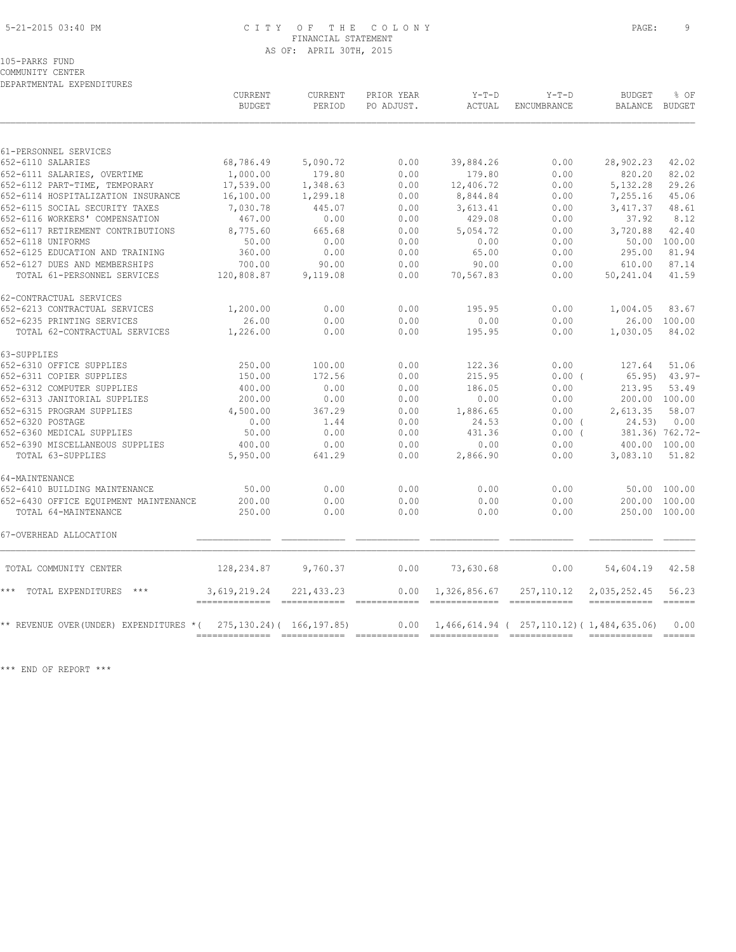#### 5-21-2015 03:40 PM C I T Y O F T H E C O L O N Y PAGE: 9 FINANCIAL STATEMENT AS OF: APRIL 30TH, 2015

105-PARKS FUND

COMMUNITY CENTER DEPARTMENTAL EXPENDITURES

|                                                               | CURRENT<br><b>BUDGET</b> | CURRENT<br>PERIOD           | PRIOR YEAR<br>PO ADJUST. | $Y-T-D$<br>ACTUAL                                                 | $Y-T-D$<br>ENCUMBRANCE | <b>BUDGET</b><br>BALANCE BUDGET      | % OF         |
|---------------------------------------------------------------|--------------------------|-----------------------------|--------------------------|-------------------------------------------------------------------|------------------------|--------------------------------------|--------------|
| 61-PERSONNEL SERVICES                                         |                          |                             |                          |                                                                   |                        |                                      |              |
| 652-6110 SALARIES                                             | 68,786.49                | 5,090.72                    | 0.00                     | 39,884.26                                                         | 0.00                   | 28,902.23                            | 42.02        |
| 652-6111 SALARIES, OVERTIME                                   | 1,000.00                 | 179.80                      | 0.00                     | 179.80                                                            | 0.00                   | 820.20                               | 82.02        |
| 652-6112 PART-TIME, TEMPORARY                                 | 17,539.00                | 1,348.63                    | 0.00                     | 12,406.72                                                         | 0.00                   | 5,132.28                             | 29.26        |
| 652-6114 HOSPITALIZATION INSURANCE                            | 16,100.00                | 1,299.18                    | 0.00                     | 8,844.84                                                          | 0.00                   | 7,255.16                             | 45.06        |
| 652-6115 SOCIAL SECURITY TAXES                                | 7,030.78                 | 445.07                      | 0.00                     | 3,613.41                                                          | 0.00                   | 3,417.37                             | 48.61        |
| 652-6116 WORKERS' COMPENSATION                                | 467.00                   | 0.00                        | 0.00                     | 429.08                                                            | 0.00                   | 37.92                                | 8.12         |
| 652-6117 RETIREMENT CONTRIBUTIONS                             | 8,775.60                 | 665.68                      | 0.00                     | 5,054.72                                                          | 0.00                   | 3,720.88                             | 42.40        |
| 652-6118 UNIFORMS                                             | 50.00                    | 0.00                        | 0.00                     | 0.00                                                              | 0.00                   | 50.00                                | 100.00       |
| 652-6125 EDUCATION AND TRAINING                               | 360.00                   | 0.00                        | 0.00                     | 65.00                                                             | 0.00                   | 295.00                               | 81.94        |
| 652-6127 DUES AND MEMBERSHIPS                                 | 700.00                   | 90.00                       | 0.00                     | 90.00                                                             | 0.00                   | 610.00                               | 87.14        |
| TOTAL 61-PERSONNEL SERVICES                                   | 120,808.87               | 9,119.08                    | 0.00                     | 70,567.83                                                         | 0.00                   | 50,241.04                            | 41.59        |
| 62-CONTRACTUAL SERVICES                                       |                          |                             |                          |                                                                   |                        |                                      |              |
| 652-6213 CONTRACTUAL SERVICES                                 | 1,200.00                 | 0.00                        | 0.00                     | 195.95                                                            | 0.00                   | 1,004.05                             | 83.67        |
| 652-6235 PRINTING SERVICES                                    | 26.00                    | 0.00                        | 0.00                     | 0.00                                                              | 0.00                   |                                      | 26.00 100.00 |
| TOTAL 62-CONTRACTUAL SERVICES                                 | 1,226.00                 | 0.00                        | 0.00                     | 195.95                                                            | 0.00                   | 1,030.05                             | 84.02        |
| 63-SUPPLIES                                                   |                          |                             |                          |                                                                   |                        |                                      |              |
| 652-6310 OFFICE SUPPLIES                                      | 250.00                   | 100.00                      | 0.00                     | 122.36                                                            | 0.00                   | 127.64                               | 51.06        |
| 652-6311 COPIER SUPPLIES                                      | 150.00                   | 172.56                      | 0.00                     | 215.95                                                            | 0.00(                  | 65.95)                               | $43.97 -$    |
| 652-6312 COMPUTER SUPPLIES                                    | 400.00                   | 0.00                        | 0.00                     | 186.05                                                            | 0.00                   | 213.95                               | 53.49        |
| 652-6313 JANITORIAL SUPPLIES                                  | 200.00                   | 0.00                        | 0.00                     | 0.00                                                              | 0.00                   | 200.00 100.00                        |              |
| 652-6315 PROGRAM SUPPLIES                                     | 4,500.00                 | 367.29                      | 0.00                     | 1,886.65                                                          | 0.00                   | 2,613.35                             | 58.07        |
| 652-6320 POSTAGE                                              | 0.00                     | 1.44                        | 0.00                     | 24.53                                                             | $0.00$ (               | 24.53)                               | 0.00         |
| 652-6360 MEDICAL SUPPLIES                                     | 50.00                    | 0.00                        | 0.00                     | 431.36                                                            | $0.00$ (               | 381.36) 762.72-                      |              |
| 652-6390 MISCELLANEOUS SUPPLIES                               | 400.00                   | 0.00                        | 0.00                     | 0.00                                                              | 0.00                   | 400.00 100.00                        |              |
| TOTAL 63-SUPPLIES                                             | 5,950.00                 | 641.29                      | 0.00                     | 2,866.90                                                          | 0.00                   | 3,083.10                             | 51.82        |
| 64-MAINTENANCE                                                |                          |                             |                          |                                                                   |                        |                                      |              |
| 652-6410 BUILDING MAINTENANCE                                 | 50.00                    | 0.00                        | 0.00                     | 0.00                                                              | 0.00                   |                                      | 50.00 100.00 |
| 652-6430 OFFICE EQUIPMENT MAINTENANCE<br>TOTAL 64-MAINTENANCE | 200.00<br>250.00         | 0.00<br>0.00                | 0.00<br>0.00             | 0.00<br>0.00                                                      | 0.00<br>0.00           | 200.00 100.00<br>250.00 100.00       |              |
| 67-OVERHEAD ALLOCATION                                        |                          |                             |                          |                                                                   |                        |                                      |              |
| TOTAL COMMUNITY CENTER                                        | 128,234.87               | 9,760.37                    | 0.00                     | 73,630.68                                                         | 0.00                   | 54,604.19                            | 42.58        |
| TOTAL EXPENDITURES ***<br>* * *                               | 3,619,219.24             | 221, 433.23                 | 0.00                     | 1,326,856.67<br>-------------- -------------                      | 257,110.12             | 2,035,252.45<br>------------- ------ | 56.23        |
| ** REVENUE OVER(UNDER) EXPENDITURES *(                        |                          | 275, 130.24) ( 166, 197.85) |                          | $0.00 \quad 1,466,614.94 \quad (257,110.12) \quad (1,484,635.06)$ |                        |                                      | 0.00         |

\*\*\* END OF REPORT \*\*\*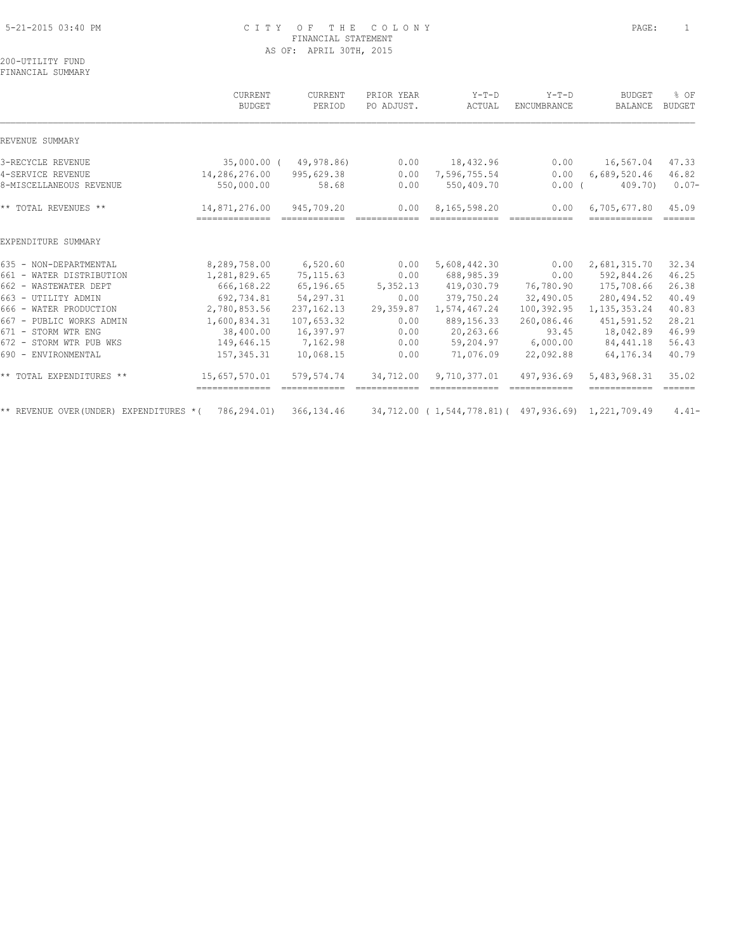## 5-21-2015 03:40 PM C I T Y O F T H E C O L O N Y PAGE: 1 FINANCIAL STATEMENT AS OF: APRIL 30TH, 2015

200-UTILITY FUND FINANCIAL SUMMARY

|                                         | CURRENT<br><b>BUDGET</b>        | <b>CURRENT</b><br>PERIOD                                                                                                                                                                                                                                                                                                                                                                                                                                                                           | PRIOR YEAR<br>PO ADJUST. | $Y-T-D$<br>ACTUAL                                  | $Y-T-D$<br>ENCUMBRANCE | <b>BUDGET</b><br>BALANCE     | % OF<br><b>BUDGET</b>                                                                                                                                                                                                                                                                                                                                                                                                                                                                                 |
|-----------------------------------------|---------------------------------|----------------------------------------------------------------------------------------------------------------------------------------------------------------------------------------------------------------------------------------------------------------------------------------------------------------------------------------------------------------------------------------------------------------------------------------------------------------------------------------------------|--------------------------|----------------------------------------------------|------------------------|------------------------------|-------------------------------------------------------------------------------------------------------------------------------------------------------------------------------------------------------------------------------------------------------------------------------------------------------------------------------------------------------------------------------------------------------------------------------------------------------------------------------------------------------|
| REVENUE SUMMARY                         |                                 |                                                                                                                                                                                                                                                                                                                                                                                                                                                                                                    |                          |                                                    |                        |                              |                                                                                                                                                                                                                                                                                                                                                                                                                                                                                                       |
| 3-RECYCLE REVENUE                       |                                 | 35,000.00 ( 49,978.86)                                                                                                                                                                                                                                                                                                                                                                                                                                                                             | 0.00                     | 18,432.96                                          | 0.00                   | 16,567.04                    | 47.33                                                                                                                                                                                                                                                                                                                                                                                                                                                                                                 |
| 4-SERVICE REVENUE                       | 14,286,276.00                   | 995,629.38                                                                                                                                                                                                                                                                                                                                                                                                                                                                                         | 0.00                     | 7,596,755.54                                       | 0.00                   | 6,689,520.46                 | 46.82                                                                                                                                                                                                                                                                                                                                                                                                                                                                                                 |
| 8-MISCELLANEOUS REVENUE                 | 550,000.00                      | 58.68                                                                                                                                                                                                                                                                                                                                                                                                                                                                                              | 0.00                     | 550,409.70                                         | $0.00$ (               | 409.70)                      | $0.07 -$                                                                                                                                                                                                                                                                                                                                                                                                                                                                                              |
| ** TOTAL REVENUES **                    | 14,871,276.00<br>-------------- | 945,709.20<br>$\begin{array}{cccccc} \multicolumn{2}{c}{} & \multicolumn{2}{c}{} & \multicolumn{2}{c}{} & \multicolumn{2}{c}{} & \multicolumn{2}{c}{} & \multicolumn{2}{c}{} & \multicolumn{2}{c}{} & \multicolumn{2}{c}{} & \multicolumn{2}{c}{} & \multicolumn{2}{c}{} & \multicolumn{2}{c}{} & \multicolumn{2}{c}{} & \multicolumn{2}{c}{} & \multicolumn{2}{c}{} & \multicolumn{2}{c}{} & \multicolumn{2}{c}{} & \multicolumn{2}{c}{} & \multicolumn{2}{c}{} & \multicolumn{2}{c}{} & \multic$ | 0.00<br>------------     | 8,165,598.20<br>=============                      | 0.00<br>============   | 6,705,677.80<br>------------ | 45.09<br>$=$ $=$ $=$ $=$ $=$ $=$                                                                                                                                                                                                                                                                                                                                                                                                                                                                      |
| EXPENDITURE SUMMARY                     |                                 |                                                                                                                                                                                                                                                                                                                                                                                                                                                                                                    |                          |                                                    |                        |                              |                                                                                                                                                                                                                                                                                                                                                                                                                                                                                                       |
| 635 - NON-DEPARTMENTAL                  | 8,289,758.00                    | 6,520.60                                                                                                                                                                                                                                                                                                                                                                                                                                                                                           | 0.00                     | 5,608,442.30                                       | 0.00                   | 2,681,315.70                 | 32.34                                                                                                                                                                                                                                                                                                                                                                                                                                                                                                 |
| 661 - WATER DISTRIBUTION                | 1,281,829.65                    | 75, 115.63                                                                                                                                                                                                                                                                                                                                                                                                                                                                                         | 0.00                     | 688,985.39                                         | 0.00                   | 592,844.26                   | 46.25                                                                                                                                                                                                                                                                                                                                                                                                                                                                                                 |
| 662 - WASTEWATER DEPT                   | 666,168.22                      | 65,196.65                                                                                                                                                                                                                                                                                                                                                                                                                                                                                          | 5,352.13                 | 419,030.79                                         | 76,780.90              | 175,708.66                   | 26.38                                                                                                                                                                                                                                                                                                                                                                                                                                                                                                 |
| 663 - UTILITY ADMIN                     | 692,734.81                      | 54,297.31                                                                                                                                                                                                                                                                                                                                                                                                                                                                                          | 0.00                     | 379,750.24                                         | 32,490.05              | 280,494.52                   | 40.49                                                                                                                                                                                                                                                                                                                                                                                                                                                                                                 |
| 666 - WATER PRODUCTION                  | 2,780,853.56                    | 237, 162. 13                                                                                                                                                                                                                                                                                                                                                                                                                                                                                       | 29,359.87                | 1,574,467.24                                       | 100,392.95             | 1, 135, 353.24               | 40.83                                                                                                                                                                                                                                                                                                                                                                                                                                                                                                 |
| 667 - PUBLIC WORKS ADMIN                | 1,600,834.31                    | 107,653.32                                                                                                                                                                                                                                                                                                                                                                                                                                                                                         | 0.00                     | 889,156.33                                         | 260,086.46             | 451,591.52                   | 28.21                                                                                                                                                                                                                                                                                                                                                                                                                                                                                                 |
| 671 - STORM WTR ENG                     | 38,400.00                       | 16,397.97                                                                                                                                                                                                                                                                                                                                                                                                                                                                                          | 0.00                     | 20,263.66                                          | 93.45                  | 18,042.89                    | 46.99                                                                                                                                                                                                                                                                                                                                                                                                                                                                                                 |
| 672 - STORM WTR PUB WKS                 | 149,646.15                      | 7,162.98                                                                                                                                                                                                                                                                                                                                                                                                                                                                                           | 0.00                     | 59,204.97                                          | 6,000.00               | 84,441.18                    | 56.43                                                                                                                                                                                                                                                                                                                                                                                                                                                                                                 |
| 690 - ENVIRONMENTAL                     | 157,345.31                      | 10,068.15                                                                                                                                                                                                                                                                                                                                                                                                                                                                                          | 0.00                     | 71,076.09                                          | 22,092.88              | 64,176.34                    | 40.79                                                                                                                                                                                                                                                                                                                                                                                                                                                                                                 |
| ** TOTAL EXPENDITURES **                | 15,657,570.01                   | 579,574.74                                                                                                                                                                                                                                                                                                                                                                                                                                                                                         | 34,712.00                | 9,710,377.01                                       | 497,936.69             | 5,483,968.31<br>============ | 35.02<br>$\begin{tabular}{cc} \multicolumn{2}{c} {\textbf{1}} & \multicolumn{2}{c} {\textbf{2}} & \multicolumn{2}{c} {\textbf{3}} & \multicolumn{2}{c} {\textbf{4}} & \multicolumn{2}{c} {\textbf{5}} & \multicolumn{2}{c} {\textbf{6}} & \multicolumn{2}{c} {\textbf{7}} & \multicolumn{2}{c} {\textbf{8}} & \multicolumn{2}{c} {\textbf{9}} & \multicolumn{2}{c} {\textbf{1}} & \multicolumn{2}{c} {\textbf{1}} & \multicolumn{2}{c} {\textbf{1}} & \multicolumn{2}{c} {\textbf{1}} & \multicolumn$ |
| ** REVENUE OVER (UNDER) EXPENDITURES *( | 786,294.01)                     | 366, 134.46                                                                                                                                                                                                                                                                                                                                                                                                                                                                                        |                          | 34,712.00 (1,544,778.81) (497,936.69) 1,221,709.49 |                        |                              | $4.41-$                                                                                                                                                                                                                                                                                                                                                                                                                                                                                               |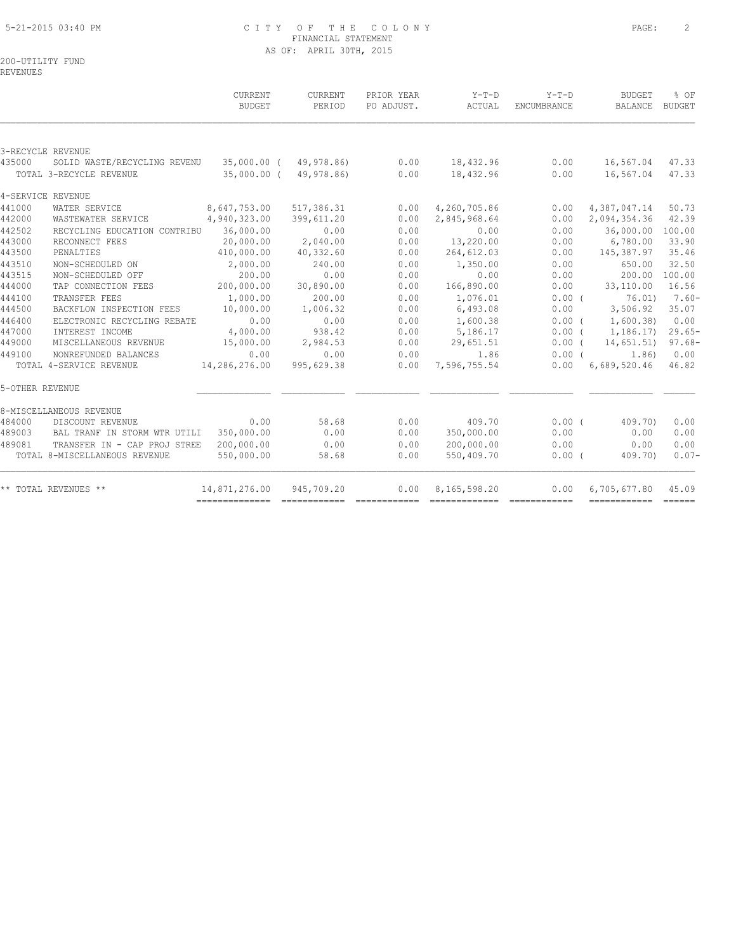## 5-21-2015 03:40 PM C I T Y O F T H E C O L O N Y PAGE: 2 FINANCIAL STATEMENT AS OF: APRIL 30TH, 2015

200-UTILITY FUND REVENUES

|                 |                               | CURRENT<br><b>BUDGET</b> | CURRENT<br>PERIOD | PRIOR YEAR<br>PO ADJUST. | $Y-T-D$<br>ACTUAL | $Y-T-D$<br>ENCUMBRANCE | <b>BUDGET</b><br><b>BALANCE</b> | % OF<br><b>BUDGET</b> |
|-----------------|-------------------------------|--------------------------|-------------------|--------------------------|-------------------|------------------------|---------------------------------|-----------------------|
|                 |                               |                          |                   |                          |                   |                        |                                 |                       |
|                 | 3-RECYCLE REVENUE             |                          |                   |                          |                   |                        |                                 |                       |
| 435000          | SOLID WASTE/RECYCLING REVENU  | 35,000.00 (              | 49,978.86)        | 0.00                     | 18,432.96         | 0.00                   | 16,567.04                       | 47.33                 |
|                 | TOTAL 3-RECYCLE REVENUE       | 35,000.00 (              | 49,978.86)        | 0.00                     | 18,432.96         | 0.00                   | 16,567.04                       | 47.33                 |
|                 | 4-SERVICE REVENUE             |                          |                   |                          |                   |                        |                                 |                       |
| 441000          | WATER SERVICE                 | 8,647,753.00             | 517,386.31        | 0.00                     | 4,260,705.86      | 0.00                   | 4,387,047.14                    | 50.73                 |
| 442000          | WASTEWATER SERVICE            | 4,940,323.00             | 399,611.20        | 0.00                     | 2,845,968.64      | 0.00                   | 2,094,354.36                    | 42.39                 |
| 442502          | RECYCLING EDUCATION CONTRIBU  | 36,000.00                | 0.00              | 0.00                     | 0.00              | 0.00                   | 36,000.00                       | 100.00                |
| 443000          | RECONNECT FEES                | 20,000.00                | 2,040.00          | 0.00                     | 13,220.00         | 0.00                   | 6,780.00                        | 33.90                 |
| 443500          | PENALTIES                     | 410,000.00               | 40,332.60         | 0.00                     | 264,612.03        | 0.00                   | 145,387.97                      | 35.46                 |
| 443510          | NON-SCHEDULED ON              | 2,000.00                 | 240.00            | 0.00                     | 1,350.00          | 0.00                   | 650.00                          | 32.50                 |
| 443515          | NON-SCHEDULED OFF             | 200.00                   | 0.00              | 0.00                     | 0.00              | 0.00                   | 200.00                          | 100.00                |
| 444000          | TAP CONNECTION FEES           | 200,000.00               | 30,890.00         | 0.00                     | 166,890.00        | 0.00                   | 33,110.00                       | 16.56                 |
| 444100          | TRANSFER FEES                 | 1,000.00                 | 200.00            | 0.00                     | 1,076.01          | 0.00(                  | 76.01)                          | $7.60 -$              |
| 444500          | BACKFLOW INSPECTION FEES      | 10,000.00                | 1,006.32          | 0.00                     | 6,493.08          | 0.00                   | 3,506.92                        | 35.07                 |
| 446400          | ELECTRONIC RECYCLING REBATE   | 0.00                     | 0.00              | 0.00                     | 1,600.38          | 0.00(                  | 1,600.38                        | 0.00                  |
| 447000          | INTEREST INCOME               | 4,000.00                 | 938.42            | 0.00                     | 5,186.17          | $0.00$ (               | 1,186.17)                       | $29.65-$              |
| 449000          | MISCELLANEOUS REVENUE         | 15,000.00                | 2,984.53          | 0.00                     | 29,651.51         | $0.00$ (               | 14,651.51)                      | $97.68 -$             |
| 449100          | NONREFUNDED BALANCES          | 0.00                     | 0.00              | 0.00                     | 1.86              | 0.00(                  | 1.86)                           | 0.00                  |
|                 | TOTAL 4-SERVICE REVENUE       | 14,286,276.00            | 995,629.38        | 0.00                     | 7,596,755.54      | 0.00                   | 6,689,520.46                    | 46.82                 |
| 5-OTHER REVENUE |                               |                          |                   |                          |                   |                        |                                 |                       |
|                 | 8-MISCELLANEOUS REVENUE       |                          |                   |                          |                   |                        |                                 |                       |
| 484000          | DISCOUNT REVENUE              | 0.00                     | 58.68             | 0.00                     | 409.70            | 0.00(                  | 409.70)                         | 0.00                  |
| 489003          | BAL TRANF IN STORM WTR UTILI  | 350,000.00               | 0.00              | 0.00                     | 350,000.00        | 0.00                   | 0.00                            | 0.00                  |
| 489081          | TRANSFER IN - CAP PROJ STREE  | 200,000.00               | 0.00              | 0.00                     | 200,000.00        | 0.00                   | 0.00                            | 0.00                  |
|                 | TOTAL 8-MISCELLANEOUS REVENUE | 550,000.00               | 58.68             | 0.00                     | 550,409.70        | $0.00$ (               | 409.70)                         | $0.07-$               |
|                 | ** TOTAL REVENUES **          | 14,871,276.00            | 945,709.20        | 0.00                     | 8,165,598.20      | 0.00                   | 6,705,677.80                    | 45.09                 |
|                 |                               |                          |                   |                          |                   |                        | ------------- ------            |                       |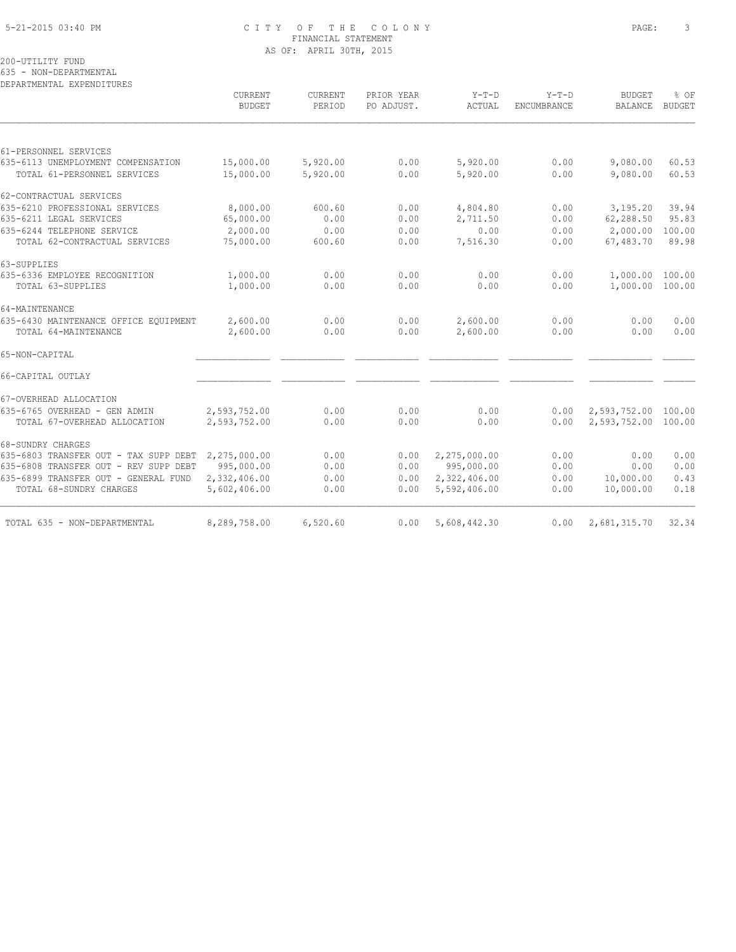## 5-21-2015 03:40 PM C I T Y O F T H E C O L O N Y PAGE: 3 FINANCIAL STATEMENT AS OF: APRIL 30TH, 2015

200-UTILITY FUND

635 - NON-DEPARTMENTAL

| DEPARTMENTAL EXPENDITURES             | CURRENT<br><b>BUDGET</b> | CURRENT<br>PERIOD | PRIOR YEAR<br>PO ADJUST. | $Y-T-D$<br>ACTUAL | $Y-T-D$<br>ENCUMBRANCE | <b>BUDGET</b><br>BALANCE | % OF<br><b>BUDGET</b> |
|---------------------------------------|--------------------------|-------------------|--------------------------|-------------------|------------------------|--------------------------|-----------------------|
|                                       |                          |                   |                          |                   |                        |                          |                       |
| 61-PERSONNEL SERVICES                 |                          |                   |                          |                   |                        |                          |                       |
| 635-6113 UNEMPLOYMENT COMPENSATION    | 15,000.00                | 5,920.00          | 0.00                     | 5,920.00          | 0.00                   | 9,080.00                 | 60.53                 |
| TOTAL 61-PERSONNEL SERVICES           | 15,000.00                | 5,920.00          | 0.00                     | 5,920.00          | 0.00                   | 9,080.00                 | 60.53                 |
| 62-CONTRACTUAL SERVICES               |                          |                   |                          |                   |                        |                          |                       |
| 635-6210 PROFESSIONAL SERVICES        | 8,000.00                 | 600.60            | 0.00                     | 4,804.80          | 0.00                   | 3,195.20                 | 39.94                 |
| 635-6211 LEGAL SERVICES               | 65,000.00                | 0.00              | 0.00                     | 2,711.50          | 0.00                   | 62,288.50                | 95.83                 |
| 635-6244 TELEPHONE SERVICE            | 2,000.00                 | 0.00              | 0.00                     | 0.00              | 0.00                   | 2,000.00                 | 100.00                |
| TOTAL 62-CONTRACTUAL SERVICES         | 75,000.00                | 600.60            | 0.00                     | 7,516.30          | 0.00                   | 67,483.70                | 89.98                 |
| 63-SUPPLIES                           |                          |                   |                          |                   |                        |                          |                       |
| 635-6336 EMPLOYEE RECOGNITION         | 1,000.00                 | 0.00              | 0.00                     | 0.00              | 0.00                   | 1,000.00                 | 100.00                |
| TOTAL 63-SUPPLIES                     | 1,000.00                 | 0.00              | 0.00                     | 0.00              | 0.00                   | 1,000.00 100.00          |                       |
| 64-MAINTENANCE                        |                          |                   |                          |                   |                        |                          |                       |
| 635-6430 MAINTENANCE OFFICE EQUIPMENT | 2,600.00                 | 0.00              | 0.00                     | 2,600.00          | 0.00                   | 0.00                     | 0.00                  |
| TOTAL 64-MAINTENANCE                  | 2,600.00                 | 0.00              | 0.00                     | 2,600.00          | 0.00                   | 0.00                     | 0.00                  |
| 65-NON-CAPITAL                        |                          |                   |                          |                   |                        |                          |                       |
| 66-CAPITAL OUTLAY                     |                          |                   |                          |                   |                        |                          |                       |
| 67-OVERHEAD ALLOCATION                |                          |                   |                          |                   |                        |                          |                       |
| 635-6765 OVERHEAD - GEN ADMIN         | 2,593,752.00             | 0.00              | 0.00                     | 0.00              | 0.00                   | 2,593,752.00 100.00      |                       |
| TOTAL 67-OVERHEAD ALLOCATION          | 2,593,752.00             | 0.00              | 0.00                     | 0.00              | 0.00                   | 2,593,752.00 100.00      |                       |
| 68-SUNDRY CHARGES                     |                          |                   |                          |                   |                        |                          |                       |
| 635-6803 TRANSFER OUT - TAX SUPP DEBT | 2,275,000.00             | 0.00              | 0.00                     | 2,275,000.00      | 0.00                   | 0.00                     | 0.00                  |
| 635-6808 TRANSFER OUT - REV SUPP DEBT | 995,000.00               | 0.00              | 0.00                     | 995,000.00        | 0.00                   | 0.00                     | 0.00                  |
| 635-6899 TRANSFER OUT - GENERAL FUND  | 2,332,406.00             | 0.00              | 0.00                     | 2,322,406.00      | 0.00                   | 10,000.00                | 0.43                  |
| TOTAL 68-SUNDRY CHARGES               | 5,602,406.00             | 0.00              | 0.00                     | 5,592,406.00      | 0.00                   | 10,000.00                | 0.18                  |
| TOTAL 635 - NON-DEPARTMENTAL          | 8,289,758.00             | 6,520.60          | 0.00                     | 5,608,442.30      | 0.00                   | 2,681,315.70             | 32.34                 |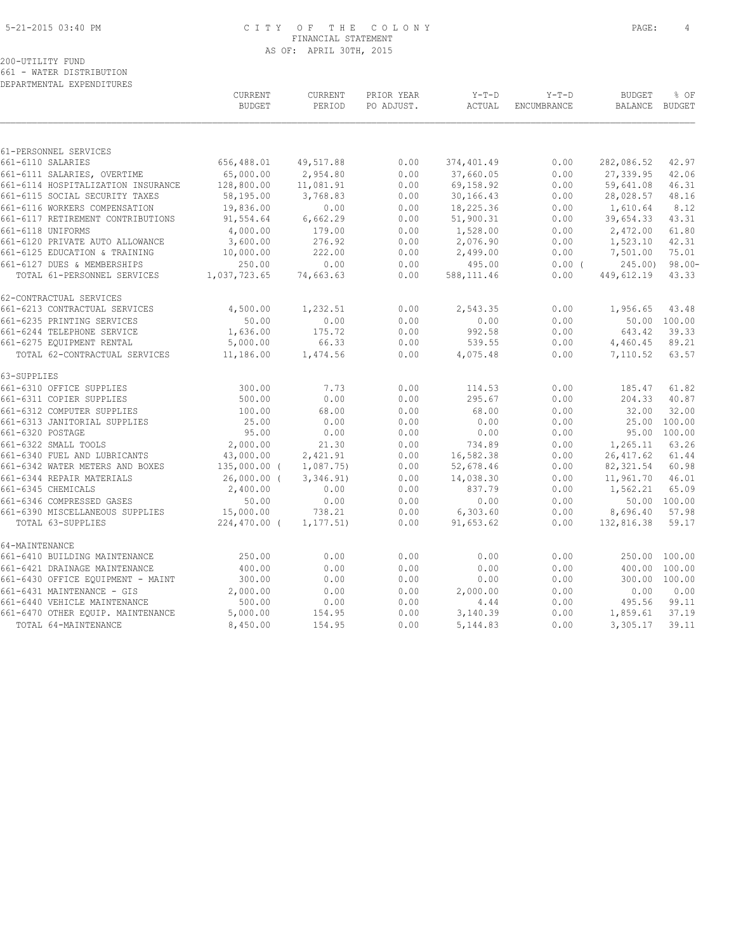#### 5-21-2015 03:40 PM C I T Y O F T H E C O L O N Y PAGE: 4 FINANCIAL STATEMENT AS OF: APRIL 30TH, 2015

200-UTILITY FUND 661 - WATER DISTRIBUTION

DEPARTMENTAL EXPENDITURES

|                                    | CURRENT<br><b>BUDGET</b> | CURRENT<br>PERIOD | PRIOR YEAR<br>PO ADJUST. | $Y-T-D$<br>ACTUAL | $Y-T-D$<br>ENCUMBRANCE | <b>BUDGET</b><br>BALANCE | % OF<br>BUDGET |
|------------------------------------|--------------------------|-------------------|--------------------------|-------------------|------------------------|--------------------------|----------------|
|                                    |                          |                   |                          |                   |                        |                          |                |
| 61-PERSONNEL SERVICES              |                          |                   |                          |                   |                        |                          |                |
| 661-6110 SALARIES                  | 656,488.01               | 49,517.88         | 0.00                     | 374,401.49        | 0.00                   | 282,086.52               | 42.97          |
| 661-6111 SALARIES, OVERTIME        | 65,000.00                | 2,954.80          | 0.00                     | 37,660.05         | 0.00                   | 27,339.95                | 42.06          |
| 661-6114 HOSPITALIZATION INSURANCE | 128,800.00               | 11,081.91         | 0.00                     | 69,158.92         | 0.00                   | 59,641.08                | 46.31          |
| 661-6115 SOCIAL SECURITY TAXES     | 58,195.00                | 3,768.83          | 0.00                     | 30,166.43         | 0.00                   | 28,028.57                | 48.16          |
| 661-6116 WORKERS COMPENSATION      | 19,836.00                | 0.00              | 0.00                     | 18,225.36         | 0.00                   | 1,610.64                 | 8.12           |
| 661-6117 RETIREMENT CONTRIBUTIONS  | 91,554.64                | 6,662.29          | 0.00                     | 51,900.31         | 0.00                   | 39,654.33                | 43.31          |
| 661-6118 UNIFORMS                  | 4,000.00                 | 179.00            | 0.00                     | 1,528.00          | 0.00                   | 2,472.00                 | 61.80          |
| 661-6120 PRIVATE AUTO ALLOWANCE    | 3,600.00                 | 276.92            | 0.00                     | 2,076.90          | 0.00                   | 1,523.10                 | 42.31          |
| 661-6125 EDUCATION & TRAINING      | 10,000.00                | 222.00            | 0.00                     | 2,499.00          | 0.00                   | 7,501.00                 | 75.01          |
| 661-6127 DUES & MEMBERSHIPS        | 250.00                   | 0.00              | 0.00                     | 495.00            | $0.00$ (               | 245.00                   | $98.00 -$      |
| TOTAL 61-PERSONNEL SERVICES        | 1,037,723.65             | 74,663.63         | 0.00                     | 588,111.46        | 0.00                   | 449,612.19               | 43.33          |
| 62-CONTRACTUAL SERVICES            |                          |                   |                          |                   |                        |                          |                |
| 661-6213 CONTRACTUAL SERVICES      | 4,500.00                 | 1,232.51          | 0.00                     | 2,543.35          | 0.00                   | 1,956.65                 | 43.48          |
| 661-6235 PRINTING SERVICES         | 50.00                    | 0.00              | 0.00                     | 0.00              | 0.00                   |                          | 50.00 100.00   |
| 661-6244 TELEPHONE SERVICE         | 1,636.00                 | 175.72            | 0.00                     | 992.58            | 0.00                   | 643.42                   | 39.33          |
| 661-6275 EQUIPMENT RENTAL          | 5,000.00                 | 66.33             | 0.00                     | 539.55            | 0.00                   | 4,460.45                 | 89.21          |
| TOTAL 62-CONTRACTUAL SERVICES      | 11,186.00                | 1,474.56          | 0.00                     | 4,075.48          | 0.00                   | 7,110.52                 | 63.57          |
| 63-SUPPLIES                        |                          |                   |                          |                   |                        |                          |                |
| 661-6310 OFFICE SUPPLIES           | 300.00                   | 7.73              | 0.00                     | 114.53            | 0.00                   | 185.47                   | 61.82          |
| 661-6311 COPIER SUPPLIES           | 500.00                   | 0.00              | 0.00                     | 295.67            | 0.00                   | 204.33                   | 40.87          |
| 661-6312 COMPUTER SUPPLIES         | 100.00                   | 68.00             | 0.00                     | 68.00             | 0.00                   | 32.00                    | 32.00          |
| 661-6313 JANITORIAL SUPPLIES       | 25.00                    | 0.00              | 0.00                     | 0.00              | 0.00                   | 25.00                    | 100.00         |
| 661-6320 POSTAGE                   | 95.00                    | 0.00              | 0.00                     | 0.00              | 0.00                   | 95.00                    | 100.00         |
| 661-6322 SMALL TOOLS               | 2,000.00                 | 21.30             | 0.00                     | 734.89            | 0.00                   | 1,265.11                 | 63.26          |
| 661-6340 FUEL AND LUBRICANTS       | 43,000.00                | 2,421.91          | 0.00                     | 16,582.38         | 0.00                   | 26, 417.62               | 61.44          |
| 661-6342 WATER METERS AND BOXES    | 135,000.00 (             | 1,087.75)         | 0.00                     | 52,678.46         | 0.00                   | 82, 321.54               | 60.98          |
| 661-6344 REPAIR MATERIALS          | $26,000.00$ (            | 3,346.91)         | 0.00                     | 14,038.30         | 0.00                   | 11,961.70                | 46.01          |
| 661-6345 CHEMICALS                 | 2,400.00                 | 0.00              | 0.00                     | 837.79            | 0.00                   | 1,562.21                 | 65.09          |
| 661-6346 COMPRESSED GASES          | 50.00                    | 0.00              | 0.00                     | 0.00              | 0.00                   |                          | 50.00 100.00   |
| 661-6390 MISCELLANEOUS SUPPLIES    | 15,000.00                | 738.21            | 0.00                     | 6,303.60          | 0.00                   | 8,696.40                 | 57.98          |
| TOTAL 63-SUPPLIES                  | 224,470.00 (             | 1, 177.51)        | 0.00                     | 91,653.62         | 0.00                   | 132,816.38               | 59.17          |
| 64-MAINTENANCE                     |                          |                   |                          |                   |                        |                          |                |
| 661-6410 BUILDING MAINTENANCE      | 250.00                   | 0.00              | 0.00                     | 0.00              | 0.00                   | 250.00                   | 100.00         |
| 661-6421 DRAINAGE MAINTENANCE      | 400.00                   | 0.00              | 0.00                     | 0.00              | 0.00                   | 400.00                   | 100.00         |
| 661-6430 OFFICE EQUIPMENT - MAINT  | 300.00                   | 0.00              | 0.00                     | 0.00              | 0.00                   | 300.00                   | 100.00         |
| 661-6431 MAINTENANCE - GIS         | 2,000.00                 | 0.00              | 0.00                     | 2,000.00          | 0.00                   | 0.00                     | 0.00           |
| 661-6440 VEHICLE MAINTENANCE       | 500.00                   | 0.00              | 0.00                     | 4.44              | 0.00                   | 495.56                   | 99.11          |
| 661-6470 OTHER EQUIP. MAINTENANCE  | 5,000.00                 | 154.95            | 0.00                     | 3,140.39          | 0.00                   | 1,859.61                 | 37.19          |
| TOTAL 64-MAINTENANCE               | 8,450.00                 | 154.95            | 0.00                     | 5,144.83          | 0.00                   | 3,305.17                 | 39.11          |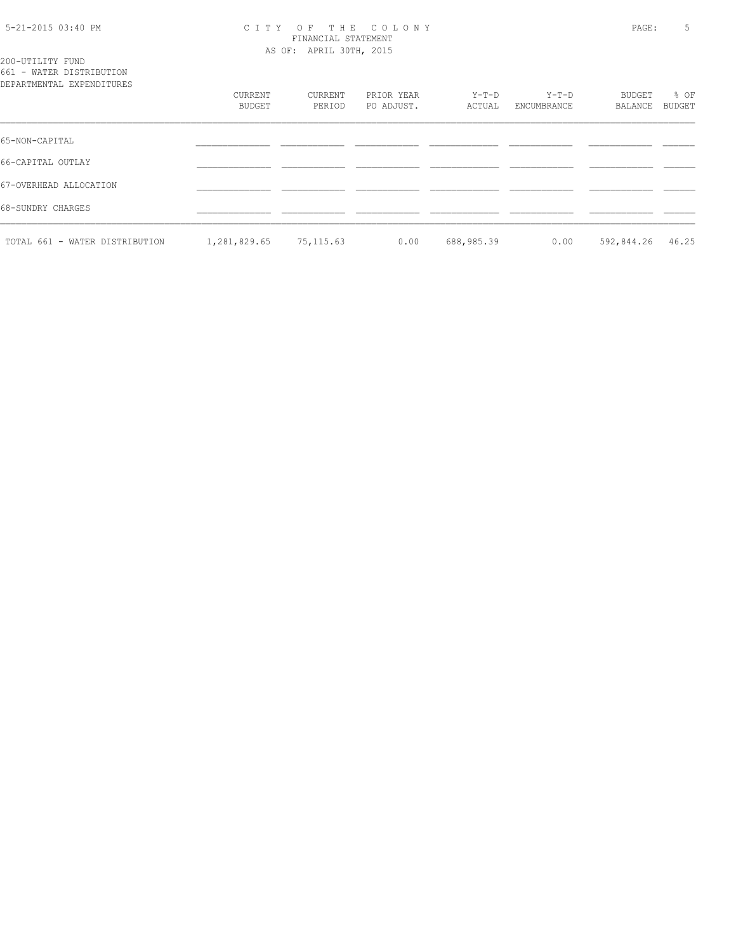#### 5-21-2015 03:40 PM C I T Y O F T H E C O L O N Y PAGE: 5 FINANCIAL STATEMENT AS OF: APRIL 30TH, 2015

200-UTILITY FUND 661 - WATER DISTRIBUTION

| DEPARTMENTAL EXPENDITURES      | CURRENT      | CURRENT    | PRIOR YEAR | Y-T-D      | Y-T-D       | BUDGET     | % OF          |
|--------------------------------|--------------|------------|------------|------------|-------------|------------|---------------|
|                                | BUDGET       | PERIOD     | PO ADJUST. | ACTUAL     | ENCUMBRANCE | BALANCE    | <b>BUDGET</b> |
| 65-NON-CAPITAL                 |              |            |            |            |             |            |               |
| 66-CAPITAL OUTLAY              |              |            |            |            |             |            |               |
| 67-OVERHEAD ALLOCATION         |              |            |            |            |             |            |               |
| 68-SUNDRY CHARGES              |              |            |            |            |             |            |               |
| TOTAL 661 - WATER DISTRIBUTION | 1,281,829.65 | 75, 115.63 | 0.00       | 688,985.39 | 0.00        | 592,844.26 | 46.25         |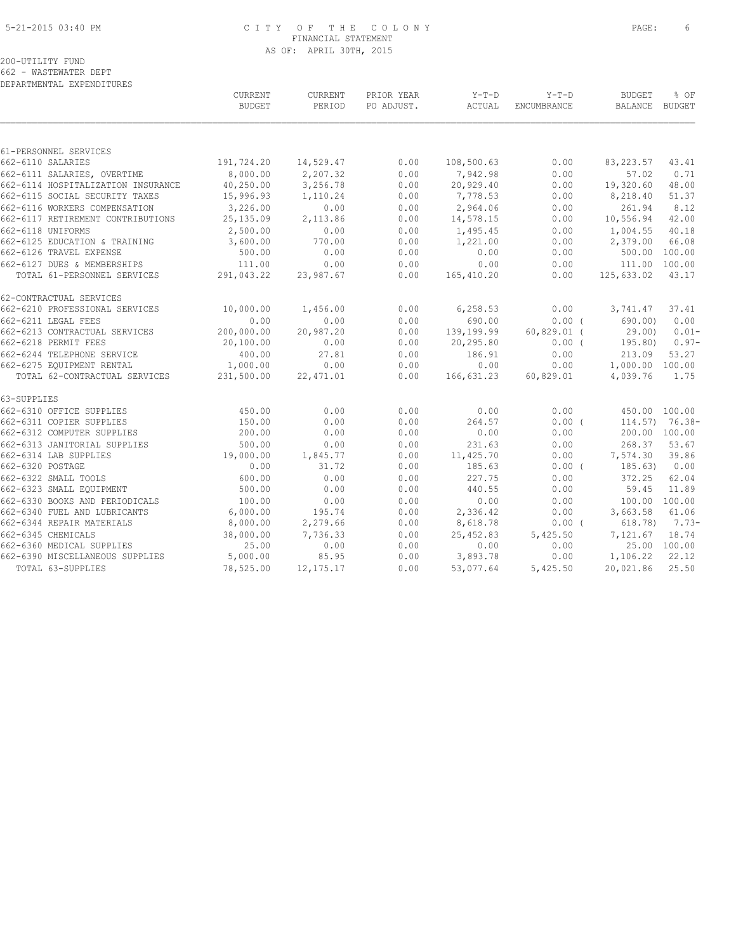#### 5-21-2015 03:40 PM C I T Y O F T H E C O L O N Y PAGE: 6 FINANCIAL STATEMENT AS OF: APRIL 30TH, 2015

200-UTILITY FUND

662 - WASTEWATER DEPT DEPARTMENTAL EXPENDITURES

| 61-PERSONNEL SERVICES<br>662-6110 SALARIES<br>191,724.20<br>14,529.47<br>0.00<br>108,500.63<br>0.00<br>83, 223.57<br>43.41<br>8,000.00<br>2,207.32<br>0.00<br>7,942.98<br>0.00<br>57.02<br>662-6111 SALARIES, OVERTIME<br>0.71<br>40,250.00<br>3,256.78<br>0.00<br>20,929.40<br>0.00<br>19,320.60<br>48.00<br>662-6114 HOSPITALIZATION INSURANCE<br>662-6115 SOCIAL SECURITY TAXES<br>15,996.93<br>1,110.24<br>0.00<br>7,778.53<br>0.00<br>8,218.40<br>51.37<br>3,226.00<br>662-6116 WORKERS COMPENSATION<br>0.00<br>0.00<br>2,964.06<br>0.00<br>261.94<br>8.12<br>2,113.86<br>0.00<br>42.00<br>662-6117 RETIREMENT CONTRIBUTIONS<br>25,135.09<br>14,578.15<br>0.00<br>10,556.94<br>662-6118 UNIFORMS<br>2,500.00<br>0.00<br>0.00<br>1,495.45<br>0.00<br>1,004.55<br>40.18<br>662-6125 EDUCATION & TRAINING<br>3,600.00<br>770.00<br>0.00<br>1,221.00<br>0.00<br>2,379.00<br>66.08<br>0.00<br>662-6126 TRAVEL EXPENSE<br>500.00<br>0.00<br>0.00<br>0.00<br>500.00<br>100.00<br>111.00<br>662-6127 DUES & MEMBERSHIPS<br>0.00<br>0.00<br>0.00<br>0.00<br>111.00 100.00<br>TOTAL 61-PERSONNEL SERVICES<br>291,043.22<br>0.00<br>125,633.02<br>43.17<br>23,987.67<br>165,410.20<br>0.00<br>10,000.00<br>1,456.00<br>0.00<br>6, 258.53<br>0.00<br>37.41<br>3,741.47<br>0.00<br>0.00<br>0.00<br>690.00<br>$0.00$ (<br>0.00<br>690.00)<br>200,000.00<br>20,987.20<br>0.00<br>139,199.99<br>$60,829.01$ (<br>29.00)<br>0.00<br>0.00<br>20,100.00<br>20,295.80<br>$0.00$ (<br>195.80)<br>400.00<br>27.81<br>0.00<br>186.91<br>0.00<br>213.09<br>53.27<br>0.00<br>1,000.00<br>0.00<br>0.00<br>0.00<br>1,000.00 100.00<br>TOTAL 62-CONTRACTUAL SERVICES<br>22, 471.01<br>60,829.01<br>231,500.00<br>0.00<br>166,631.23<br>4,039.76<br>1.75<br>450.00<br>0.00<br>0.00<br>0.00<br>0.00<br>450.00 100.00<br>0.00<br>150.00<br>0.00<br>264.57<br>0.00(<br>$114.57$ ) 76.38-<br>0.00<br>0.00<br>200.00<br>0.00<br>0.00<br>200.00 100.00<br>53.67<br>500.00<br>231.63<br>0.00<br>268.37<br>0.00<br>0.00<br>19,000.00<br>39.86<br>1,845.77<br>0.00<br>11,425.70<br>0.00<br>7,574.30<br>31.72<br>0.00<br>0.00<br>185.63<br>$0.00$ (<br>185.63)<br>0.00<br>600.00<br>0.00<br>0.00<br>227.75<br>0.00<br>372.25<br>62.04<br>0.00<br>0.00<br>500.00<br>0.00<br>440.55<br>59.45<br>11.89<br>100.00<br>0.00<br>0.00<br>0.00<br>0.00<br>100.00 100.00<br>6,000.00<br>195.74<br>0.00<br>2,336.42<br>0.00<br>3,663.58<br>61.06<br>2,279.66<br>8,000.00<br>0.00<br>8,618.78<br>0.00(<br>618.78)<br>38,000.00<br>7,736.33<br>0.00<br>25,452.83<br>18.74<br>5,425.50<br>7,121.67<br>25.00<br>0.00<br>0.00<br>25.00 100.00<br>0.00<br>0.00<br>5,000.00<br>85.95<br>0.00<br>3,893.78<br>0.00<br>1,106.22<br>22.12<br>25.50<br>TOTAL 63-SUPPLIES<br>78,525.00<br>0.00<br>5,425.50<br>20,021.86<br>12, 175. 17<br>53,077.64 |                                 | CURRENT<br><b>BUDGET</b> | CURRENT<br>PERIOD | PRIOR YEAR<br>PO ADJUST. | $Y-T-D$<br>ACTUAL | $Y-T-D$<br>ENCUMBRANCE | <b>BUDGET</b><br>BALANCE BUDGET | % OF     |
|-------------------------------------------------------------------------------------------------------------------------------------------------------------------------------------------------------------------------------------------------------------------------------------------------------------------------------------------------------------------------------------------------------------------------------------------------------------------------------------------------------------------------------------------------------------------------------------------------------------------------------------------------------------------------------------------------------------------------------------------------------------------------------------------------------------------------------------------------------------------------------------------------------------------------------------------------------------------------------------------------------------------------------------------------------------------------------------------------------------------------------------------------------------------------------------------------------------------------------------------------------------------------------------------------------------------------------------------------------------------------------------------------------------------------------------------------------------------------------------------------------------------------------------------------------------------------------------------------------------------------------------------------------------------------------------------------------------------------------------------------------------------------------------------------------------------------------------------------------------------------------------------------------------------------------------------------------------------------------------------------------------------------------------------------------------------------------------------------------------------------------------------------------------------------------------------------------------------------------------------------------------------------------------------------------------------------------------------------------------------------------------------------------------------------------------------------------------------------------------------------------------------------------------------------------------------------------------------------------------------------------------------------------------------------------------------------------------------------------------------------------------------------------------------|---------------------------------|--------------------------|-------------------|--------------------------|-------------------|------------------------|---------------------------------|----------|
|                                                                                                                                                                                                                                                                                                                                                                                                                                                                                                                                                                                                                                                                                                                                                                                                                                                                                                                                                                                                                                                                                                                                                                                                                                                                                                                                                                                                                                                                                                                                                                                                                                                                                                                                                                                                                                                                                                                                                                                                                                                                                                                                                                                                                                                                                                                                                                                                                                                                                                                                                                                                                                                                                                                                                                                           |                                 |                          |                   |                          |                   |                        |                                 |          |
|                                                                                                                                                                                                                                                                                                                                                                                                                                                                                                                                                                                                                                                                                                                                                                                                                                                                                                                                                                                                                                                                                                                                                                                                                                                                                                                                                                                                                                                                                                                                                                                                                                                                                                                                                                                                                                                                                                                                                                                                                                                                                                                                                                                                                                                                                                                                                                                                                                                                                                                                                                                                                                                                                                                                                                                           |                                 |                          |                   |                          |                   |                        |                                 |          |
|                                                                                                                                                                                                                                                                                                                                                                                                                                                                                                                                                                                                                                                                                                                                                                                                                                                                                                                                                                                                                                                                                                                                                                                                                                                                                                                                                                                                                                                                                                                                                                                                                                                                                                                                                                                                                                                                                                                                                                                                                                                                                                                                                                                                                                                                                                                                                                                                                                                                                                                                                                                                                                                                                                                                                                                           |                                 |                          |                   |                          |                   |                        |                                 |          |
|                                                                                                                                                                                                                                                                                                                                                                                                                                                                                                                                                                                                                                                                                                                                                                                                                                                                                                                                                                                                                                                                                                                                                                                                                                                                                                                                                                                                                                                                                                                                                                                                                                                                                                                                                                                                                                                                                                                                                                                                                                                                                                                                                                                                                                                                                                                                                                                                                                                                                                                                                                                                                                                                                                                                                                                           |                                 |                          |                   |                          |                   |                        |                                 |          |
|                                                                                                                                                                                                                                                                                                                                                                                                                                                                                                                                                                                                                                                                                                                                                                                                                                                                                                                                                                                                                                                                                                                                                                                                                                                                                                                                                                                                                                                                                                                                                                                                                                                                                                                                                                                                                                                                                                                                                                                                                                                                                                                                                                                                                                                                                                                                                                                                                                                                                                                                                                                                                                                                                                                                                                                           |                                 |                          |                   |                          |                   |                        |                                 |          |
|                                                                                                                                                                                                                                                                                                                                                                                                                                                                                                                                                                                                                                                                                                                                                                                                                                                                                                                                                                                                                                                                                                                                                                                                                                                                                                                                                                                                                                                                                                                                                                                                                                                                                                                                                                                                                                                                                                                                                                                                                                                                                                                                                                                                                                                                                                                                                                                                                                                                                                                                                                                                                                                                                                                                                                                           |                                 |                          |                   |                          |                   |                        |                                 |          |
|                                                                                                                                                                                                                                                                                                                                                                                                                                                                                                                                                                                                                                                                                                                                                                                                                                                                                                                                                                                                                                                                                                                                                                                                                                                                                                                                                                                                                                                                                                                                                                                                                                                                                                                                                                                                                                                                                                                                                                                                                                                                                                                                                                                                                                                                                                                                                                                                                                                                                                                                                                                                                                                                                                                                                                                           |                                 |                          |                   |                          |                   |                        |                                 |          |
|                                                                                                                                                                                                                                                                                                                                                                                                                                                                                                                                                                                                                                                                                                                                                                                                                                                                                                                                                                                                                                                                                                                                                                                                                                                                                                                                                                                                                                                                                                                                                                                                                                                                                                                                                                                                                                                                                                                                                                                                                                                                                                                                                                                                                                                                                                                                                                                                                                                                                                                                                                                                                                                                                                                                                                                           |                                 |                          |                   |                          |                   |                        |                                 |          |
|                                                                                                                                                                                                                                                                                                                                                                                                                                                                                                                                                                                                                                                                                                                                                                                                                                                                                                                                                                                                                                                                                                                                                                                                                                                                                                                                                                                                                                                                                                                                                                                                                                                                                                                                                                                                                                                                                                                                                                                                                                                                                                                                                                                                                                                                                                                                                                                                                                                                                                                                                                                                                                                                                                                                                                                           |                                 |                          |                   |                          |                   |                        |                                 |          |
|                                                                                                                                                                                                                                                                                                                                                                                                                                                                                                                                                                                                                                                                                                                                                                                                                                                                                                                                                                                                                                                                                                                                                                                                                                                                                                                                                                                                                                                                                                                                                                                                                                                                                                                                                                                                                                                                                                                                                                                                                                                                                                                                                                                                                                                                                                                                                                                                                                                                                                                                                                                                                                                                                                                                                                                           |                                 |                          |                   |                          |                   |                        |                                 |          |
|                                                                                                                                                                                                                                                                                                                                                                                                                                                                                                                                                                                                                                                                                                                                                                                                                                                                                                                                                                                                                                                                                                                                                                                                                                                                                                                                                                                                                                                                                                                                                                                                                                                                                                                                                                                                                                                                                                                                                                                                                                                                                                                                                                                                                                                                                                                                                                                                                                                                                                                                                                                                                                                                                                                                                                                           |                                 |                          |                   |                          |                   |                        |                                 |          |
|                                                                                                                                                                                                                                                                                                                                                                                                                                                                                                                                                                                                                                                                                                                                                                                                                                                                                                                                                                                                                                                                                                                                                                                                                                                                                                                                                                                                                                                                                                                                                                                                                                                                                                                                                                                                                                                                                                                                                                                                                                                                                                                                                                                                                                                                                                                                                                                                                                                                                                                                                                                                                                                                                                                                                                                           |                                 |                          |                   |                          |                   |                        |                                 |          |
|                                                                                                                                                                                                                                                                                                                                                                                                                                                                                                                                                                                                                                                                                                                                                                                                                                                                                                                                                                                                                                                                                                                                                                                                                                                                                                                                                                                                                                                                                                                                                                                                                                                                                                                                                                                                                                                                                                                                                                                                                                                                                                                                                                                                                                                                                                                                                                                                                                                                                                                                                                                                                                                                                                                                                                                           |                                 |                          |                   |                          |                   |                        |                                 |          |
|                                                                                                                                                                                                                                                                                                                                                                                                                                                                                                                                                                                                                                                                                                                                                                                                                                                                                                                                                                                                                                                                                                                                                                                                                                                                                                                                                                                                                                                                                                                                                                                                                                                                                                                                                                                                                                                                                                                                                                                                                                                                                                                                                                                                                                                                                                                                                                                                                                                                                                                                                                                                                                                                                                                                                                                           | 62-CONTRACTUAL SERVICES         |                          |                   |                          |                   |                        |                                 |          |
|                                                                                                                                                                                                                                                                                                                                                                                                                                                                                                                                                                                                                                                                                                                                                                                                                                                                                                                                                                                                                                                                                                                                                                                                                                                                                                                                                                                                                                                                                                                                                                                                                                                                                                                                                                                                                                                                                                                                                                                                                                                                                                                                                                                                                                                                                                                                                                                                                                                                                                                                                                                                                                                                                                                                                                                           | 662-6210 PROFESSIONAL SERVICES  |                          |                   |                          |                   |                        |                                 |          |
|                                                                                                                                                                                                                                                                                                                                                                                                                                                                                                                                                                                                                                                                                                                                                                                                                                                                                                                                                                                                                                                                                                                                                                                                                                                                                                                                                                                                                                                                                                                                                                                                                                                                                                                                                                                                                                                                                                                                                                                                                                                                                                                                                                                                                                                                                                                                                                                                                                                                                                                                                                                                                                                                                                                                                                                           | 662-6211 LEGAL FEES             |                          |                   |                          |                   |                        |                                 |          |
|                                                                                                                                                                                                                                                                                                                                                                                                                                                                                                                                                                                                                                                                                                                                                                                                                                                                                                                                                                                                                                                                                                                                                                                                                                                                                                                                                                                                                                                                                                                                                                                                                                                                                                                                                                                                                                                                                                                                                                                                                                                                                                                                                                                                                                                                                                                                                                                                                                                                                                                                                                                                                                                                                                                                                                                           | 662-6213 CONTRACTUAL SERVICES   |                          |                   |                          |                   |                        |                                 | $0.01 -$ |
|                                                                                                                                                                                                                                                                                                                                                                                                                                                                                                                                                                                                                                                                                                                                                                                                                                                                                                                                                                                                                                                                                                                                                                                                                                                                                                                                                                                                                                                                                                                                                                                                                                                                                                                                                                                                                                                                                                                                                                                                                                                                                                                                                                                                                                                                                                                                                                                                                                                                                                                                                                                                                                                                                                                                                                                           | 662-6218 PERMIT FEES            |                          |                   |                          |                   |                        |                                 | $0.97-$  |
|                                                                                                                                                                                                                                                                                                                                                                                                                                                                                                                                                                                                                                                                                                                                                                                                                                                                                                                                                                                                                                                                                                                                                                                                                                                                                                                                                                                                                                                                                                                                                                                                                                                                                                                                                                                                                                                                                                                                                                                                                                                                                                                                                                                                                                                                                                                                                                                                                                                                                                                                                                                                                                                                                                                                                                                           | 662-6244 TELEPHONE SERVICE      |                          |                   |                          |                   |                        |                                 |          |
|                                                                                                                                                                                                                                                                                                                                                                                                                                                                                                                                                                                                                                                                                                                                                                                                                                                                                                                                                                                                                                                                                                                                                                                                                                                                                                                                                                                                                                                                                                                                                                                                                                                                                                                                                                                                                                                                                                                                                                                                                                                                                                                                                                                                                                                                                                                                                                                                                                                                                                                                                                                                                                                                                                                                                                                           | 662-6275 EQUIPMENT RENTAL       |                          |                   |                          |                   |                        |                                 |          |
|                                                                                                                                                                                                                                                                                                                                                                                                                                                                                                                                                                                                                                                                                                                                                                                                                                                                                                                                                                                                                                                                                                                                                                                                                                                                                                                                                                                                                                                                                                                                                                                                                                                                                                                                                                                                                                                                                                                                                                                                                                                                                                                                                                                                                                                                                                                                                                                                                                                                                                                                                                                                                                                                                                                                                                                           |                                 |                          |                   |                          |                   |                        |                                 |          |
|                                                                                                                                                                                                                                                                                                                                                                                                                                                                                                                                                                                                                                                                                                                                                                                                                                                                                                                                                                                                                                                                                                                                                                                                                                                                                                                                                                                                                                                                                                                                                                                                                                                                                                                                                                                                                                                                                                                                                                                                                                                                                                                                                                                                                                                                                                                                                                                                                                                                                                                                                                                                                                                                                                                                                                                           | 63-SUPPLIES                     |                          |                   |                          |                   |                        |                                 |          |
|                                                                                                                                                                                                                                                                                                                                                                                                                                                                                                                                                                                                                                                                                                                                                                                                                                                                                                                                                                                                                                                                                                                                                                                                                                                                                                                                                                                                                                                                                                                                                                                                                                                                                                                                                                                                                                                                                                                                                                                                                                                                                                                                                                                                                                                                                                                                                                                                                                                                                                                                                                                                                                                                                                                                                                                           | 662-6310 OFFICE SUPPLIES        |                          |                   |                          |                   |                        |                                 |          |
|                                                                                                                                                                                                                                                                                                                                                                                                                                                                                                                                                                                                                                                                                                                                                                                                                                                                                                                                                                                                                                                                                                                                                                                                                                                                                                                                                                                                                                                                                                                                                                                                                                                                                                                                                                                                                                                                                                                                                                                                                                                                                                                                                                                                                                                                                                                                                                                                                                                                                                                                                                                                                                                                                                                                                                                           | 662-6311 COPIER SUPPLIES        |                          |                   |                          |                   |                        |                                 |          |
|                                                                                                                                                                                                                                                                                                                                                                                                                                                                                                                                                                                                                                                                                                                                                                                                                                                                                                                                                                                                                                                                                                                                                                                                                                                                                                                                                                                                                                                                                                                                                                                                                                                                                                                                                                                                                                                                                                                                                                                                                                                                                                                                                                                                                                                                                                                                                                                                                                                                                                                                                                                                                                                                                                                                                                                           | 662-6312 COMPUTER SUPPLIES      |                          |                   |                          |                   |                        |                                 |          |
|                                                                                                                                                                                                                                                                                                                                                                                                                                                                                                                                                                                                                                                                                                                                                                                                                                                                                                                                                                                                                                                                                                                                                                                                                                                                                                                                                                                                                                                                                                                                                                                                                                                                                                                                                                                                                                                                                                                                                                                                                                                                                                                                                                                                                                                                                                                                                                                                                                                                                                                                                                                                                                                                                                                                                                                           | 662-6313 JANITORIAL SUPPLIES    |                          |                   |                          |                   |                        |                                 |          |
|                                                                                                                                                                                                                                                                                                                                                                                                                                                                                                                                                                                                                                                                                                                                                                                                                                                                                                                                                                                                                                                                                                                                                                                                                                                                                                                                                                                                                                                                                                                                                                                                                                                                                                                                                                                                                                                                                                                                                                                                                                                                                                                                                                                                                                                                                                                                                                                                                                                                                                                                                                                                                                                                                                                                                                                           | 662-6314 LAB SUPPLIES           |                          |                   |                          |                   |                        |                                 |          |
|                                                                                                                                                                                                                                                                                                                                                                                                                                                                                                                                                                                                                                                                                                                                                                                                                                                                                                                                                                                                                                                                                                                                                                                                                                                                                                                                                                                                                                                                                                                                                                                                                                                                                                                                                                                                                                                                                                                                                                                                                                                                                                                                                                                                                                                                                                                                                                                                                                                                                                                                                                                                                                                                                                                                                                                           | 662-6320 POSTAGE                |                          |                   |                          |                   |                        |                                 |          |
|                                                                                                                                                                                                                                                                                                                                                                                                                                                                                                                                                                                                                                                                                                                                                                                                                                                                                                                                                                                                                                                                                                                                                                                                                                                                                                                                                                                                                                                                                                                                                                                                                                                                                                                                                                                                                                                                                                                                                                                                                                                                                                                                                                                                                                                                                                                                                                                                                                                                                                                                                                                                                                                                                                                                                                                           | 662-6322 SMALL TOOLS            |                          |                   |                          |                   |                        |                                 |          |
|                                                                                                                                                                                                                                                                                                                                                                                                                                                                                                                                                                                                                                                                                                                                                                                                                                                                                                                                                                                                                                                                                                                                                                                                                                                                                                                                                                                                                                                                                                                                                                                                                                                                                                                                                                                                                                                                                                                                                                                                                                                                                                                                                                                                                                                                                                                                                                                                                                                                                                                                                                                                                                                                                                                                                                                           | 662-6323 SMALL EQUIPMENT        |                          |                   |                          |                   |                        |                                 |          |
|                                                                                                                                                                                                                                                                                                                                                                                                                                                                                                                                                                                                                                                                                                                                                                                                                                                                                                                                                                                                                                                                                                                                                                                                                                                                                                                                                                                                                                                                                                                                                                                                                                                                                                                                                                                                                                                                                                                                                                                                                                                                                                                                                                                                                                                                                                                                                                                                                                                                                                                                                                                                                                                                                                                                                                                           | 662-6330 BOOKS AND PERIODICALS  |                          |                   |                          |                   |                        |                                 |          |
|                                                                                                                                                                                                                                                                                                                                                                                                                                                                                                                                                                                                                                                                                                                                                                                                                                                                                                                                                                                                                                                                                                                                                                                                                                                                                                                                                                                                                                                                                                                                                                                                                                                                                                                                                                                                                                                                                                                                                                                                                                                                                                                                                                                                                                                                                                                                                                                                                                                                                                                                                                                                                                                                                                                                                                                           | 662-6340 FUEL AND LUBRICANTS    |                          |                   |                          |                   |                        |                                 |          |
|                                                                                                                                                                                                                                                                                                                                                                                                                                                                                                                                                                                                                                                                                                                                                                                                                                                                                                                                                                                                                                                                                                                                                                                                                                                                                                                                                                                                                                                                                                                                                                                                                                                                                                                                                                                                                                                                                                                                                                                                                                                                                                                                                                                                                                                                                                                                                                                                                                                                                                                                                                                                                                                                                                                                                                                           | 662-6344 REPAIR MATERIALS       |                          |                   |                          |                   |                        |                                 | 7.73-    |
|                                                                                                                                                                                                                                                                                                                                                                                                                                                                                                                                                                                                                                                                                                                                                                                                                                                                                                                                                                                                                                                                                                                                                                                                                                                                                                                                                                                                                                                                                                                                                                                                                                                                                                                                                                                                                                                                                                                                                                                                                                                                                                                                                                                                                                                                                                                                                                                                                                                                                                                                                                                                                                                                                                                                                                                           | 662-6345 CHEMICALS              |                          |                   |                          |                   |                        |                                 |          |
|                                                                                                                                                                                                                                                                                                                                                                                                                                                                                                                                                                                                                                                                                                                                                                                                                                                                                                                                                                                                                                                                                                                                                                                                                                                                                                                                                                                                                                                                                                                                                                                                                                                                                                                                                                                                                                                                                                                                                                                                                                                                                                                                                                                                                                                                                                                                                                                                                                                                                                                                                                                                                                                                                                                                                                                           | 662-6360 MEDICAL SUPPLIES       |                          |                   |                          |                   |                        |                                 |          |
|                                                                                                                                                                                                                                                                                                                                                                                                                                                                                                                                                                                                                                                                                                                                                                                                                                                                                                                                                                                                                                                                                                                                                                                                                                                                                                                                                                                                                                                                                                                                                                                                                                                                                                                                                                                                                                                                                                                                                                                                                                                                                                                                                                                                                                                                                                                                                                                                                                                                                                                                                                                                                                                                                                                                                                                           | 662-6390 MISCELLANEOUS SUPPLIES |                          |                   |                          |                   |                        |                                 |          |
|                                                                                                                                                                                                                                                                                                                                                                                                                                                                                                                                                                                                                                                                                                                                                                                                                                                                                                                                                                                                                                                                                                                                                                                                                                                                                                                                                                                                                                                                                                                                                                                                                                                                                                                                                                                                                                                                                                                                                                                                                                                                                                                                                                                                                                                                                                                                                                                                                                                                                                                                                                                                                                                                                                                                                                                           |                                 |                          |                   |                          |                   |                        |                                 |          |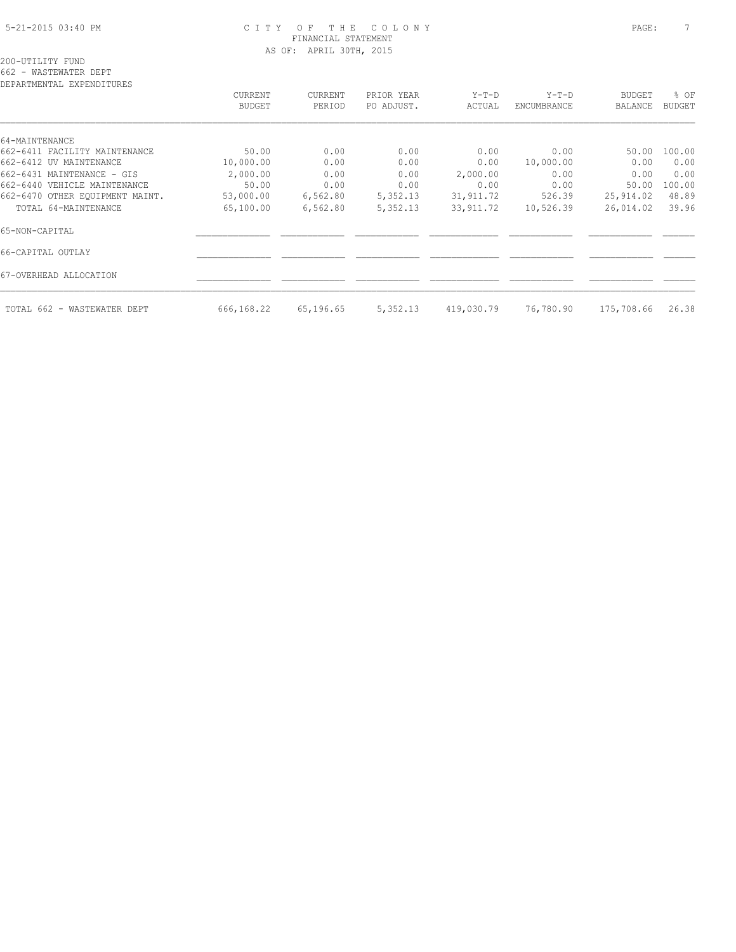## 5-21-2015 03:40 PM C I T Y O F T H E C O L O N Y PAGE: 7 FINANCIAL STATEMENT AS OF: APRIL 30TH, 2015

DEPARTMENTAL EXPENDITURES CURRENT CURRENT PRIOR YEAR Y-T-D Y-T-D BUDGET % OF BUDGET PERIOD PO ADJUST. ACTUAL ENCUMBRANCE BALANCE BUDGET  $\mathcal{L} = \{ \mathcal{L} = \{ \mathcal{L} = \{ \mathcal{L} = \{ \mathcal{L} = \{ \mathcal{L} = \{ \mathcal{L} = \{ \mathcal{L} = \{ \mathcal{L} = \{ \mathcal{L} = \{ \mathcal{L} = \{ \mathcal{L} = \{ \mathcal{L} = \{ \mathcal{L} = \{ \mathcal{L} = \{ \mathcal{L} = \{ \mathcal{L} = \{ \mathcal{L} = \{ \mathcal{L} = \{ \mathcal{L} = \{ \mathcal{L} = \{ \mathcal{L} = \{ \mathcal{L} = \{ \mathcal{L} = \{ \mathcal{$ 64-MAINTENANCE 662-6411 FACILITY MAINTENANCE 50.00 0.00 0.00 0.00 0.00 50.00 100.00 662-6412 UV MAINTENANCE 10,000.00 0.00 0.00 0.00 10,000.00 0.00 0.00 662-6431 MAINTENANCE - GIS 2,000.00 0.00 0.00 2,000.00 0.00 0.00 0.00 662-6440 VEHICLE MAINTENANCE 50.00 0.00 0.00 0.00 0.00 50.00 100.00 662-6470 OTHER EQUIPMENT MAINT. 53,000.00 6,562.80 5,352.13 31,911.72 526.39 25,914.02 48.89 TOTAL 64-MAINTENANCE 65,100.00 6,562.80 5,352.13 33,911.72 10,526.39 26,014.02 39.96 65-NON-CAPITAL \_\_\_\_\_\_\_\_\_\_\_\_\_\_ \_\_\_\_\_\_\_\_\_\_\_\_ \_\_\_\_\_\_\_\_\_\_\_\_ \_\_\_\_\_\_\_\_\_\_\_\_\_ \_\_\_\_\_\_\_\_\_\_\_\_ \_\_\_\_\_\_\_\_\_\_\_\_ \_\_\_\_\_\_ 66-CAPITAL OUTLAY \_\_\_\_\_\_\_\_\_\_\_\_\_\_ \_\_\_\_\_\_\_\_\_\_\_\_ \_\_\_\_\_\_\_\_\_\_\_\_ \_\_\_\_\_\_\_\_\_\_\_\_\_ \_\_\_\_\_\_\_\_\_\_\_\_ \_\_\_\_\_\_\_\_\_\_\_\_ \_\_\_\_\_\_ 67-OVERHEAD ALLOCATION \_\_\_\_\_\_\_\_\_\_\_\_\_\_ \_\_\_\_\_\_\_\_\_\_\_\_ \_\_\_\_\_\_\_\_\_\_\_\_ \_\_\_\_\_\_\_\_\_\_\_\_\_ \_\_\_\_\_\_\_\_\_\_\_\_ \_\_\_\_\_\_\_\_\_\_\_\_ \_\_\_\_\_\_

TOTAL 662 - WASTEWATER DEPT 666,168.22 65,196.65 5,352.13 419,030.79 76,780.90 175,708.66 26.38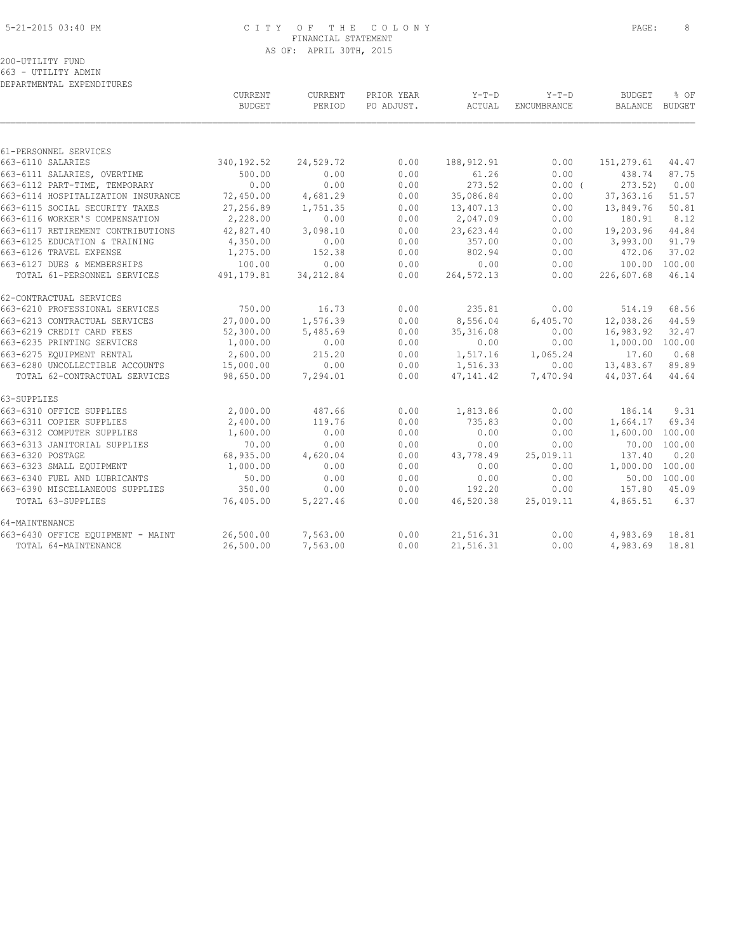#### 5-21-2015 03:40 PM C I T Y O F T H E C O L O N Y PAGE: 8 FINANCIAL STATEMENT AS OF: APRIL 30TH, 2015

| DEPARTMENTAL EXPENDITURES          |                          |                   |                          |                   |                        |                                 |              |
|------------------------------------|--------------------------|-------------------|--------------------------|-------------------|------------------------|---------------------------------|--------------|
|                                    | CURRENT<br><b>BUDGET</b> | CURRENT<br>PERIOD | PRIOR YEAR<br>PO ADJUST. | $Y-T-D$<br>ACTUAL | $Y-T-D$<br>ENCUMBRANCE | <b>BUDGET</b><br>BALANCE BUDGET | % OF         |
|                                    |                          |                   |                          |                   |                        |                                 |              |
| 61-PERSONNEL SERVICES              |                          |                   |                          |                   |                        |                                 |              |
| 663-6110 SALARIES                  | 340, 192.52              | 24,529.72         | 0.00                     | 188, 912.91       | 0.00                   | 151,279.61                      | 44.47        |
| 663-6111 SALARIES, OVERTIME        | 500.00                   | 0.00              | 0.00                     | 61.26             | 0.00                   | 438.74                          | 87.75        |
| 663-6112 PART-TIME, TEMPORARY      | 0.00                     | 0.00              | 0.00                     | 273.52            | 0.00(                  | 273.52)                         | 0.00         |
| 663-6114 HOSPITALIZATION INSURANCE | 72,450.00                | 4,681.29          | 0.00                     | 35,086.84         | 0.00                   | 37, 363. 16                     | 51.57        |
| 663-6115 SOCIAL SECURITY TAXES     | 27,256.89                | 1,751.35          | 0.00                     | 13,407.13         | 0.00                   | 13,849.76                       | 50.81        |
| 663-6116 WORKER'S COMPENSATION     | 2,228.00                 | 0.00              | 0.00                     | 2,047.09          | 0.00                   | 180.91                          | 8.12         |
| 663-6117 RETIREMENT CONTRIBUTIONS  | 42,827.40                | 3,098.10          | 0.00                     | 23,623.44         | 0.00                   | 19,203.96                       | 44.84        |
| 663-6125 EDUCATION & TRAINING      | 4,350.00                 | 0.00              | 0.00                     | 357.00            | 0.00                   | 3,993.00                        | 91.79        |
| 663-6126 TRAVEL EXPENSE            | 1,275.00                 | 152.38            | 0.00                     | 802.94            | 0.00                   | 472.06                          | 37.02        |
| 663-6127 DUES & MEMBERSHIPS        | 100.00                   | 0.00              | 0.00                     | 0.00              | 0.00                   | 100.00                          | 100.00       |
| TOTAL 61-PERSONNEL SERVICES        | 491, 179.81              | 34, 212.84        | 0.00                     | 264, 572.13       | 0.00                   | 226,607.68                      | 46.14        |
| 62-CONTRACTUAL SERVICES            |                          |                   |                          |                   |                        |                                 |              |
| 663-6210 PROFESSIONAL SERVICES     | 750.00                   | 16.73             | 0.00                     | 235.81            | 0.00                   | 514.19                          | 68.56        |
| 663-6213 CONTRACTUAL SERVICES      | 27,000.00                | 1,576.39          | 0.00                     | 8,556.04          | 6,405.70               | 12,038.26                       | 44.59        |
| 663-6219 CREDIT CARD FEES          | 52,300.00                | 5,485.69          | 0.00                     | 35, 316.08        | 0.00                   | 16,983.92                       | 32.47        |
| 663-6235 PRINTING SERVICES         | 1,000.00                 | 0.00              | 0.00                     | 0.00              | 0.00                   | 1,000.00                        | 100.00       |
| 663-6275 EOUIPMENT RENTAL          | 2,600.00                 | 215.20            | 0.00                     | 1,517.16          | 1,065.24               | 17.60                           | 0.68         |
| 663-6280 UNCOLLECTIBLE ACCOUNTS    | 15,000.00                | 0.00              | 0.00                     | 1,516.33          | 0.00                   | 13,483.67                       | 89.89        |
| TOTAL 62-CONTRACTUAL SERVICES      | 98,650.00                | 7,294.01          | 0.00                     | 47, 141.42        | 7,470.94               | 44,037.64                       | 44.64        |
| 63-SUPPLIES                        |                          |                   |                          |                   |                        |                                 |              |
| 663-6310 OFFICE SUPPLIES           | 2,000.00                 | 487.66            | 0.00                     | 1,813.86          | 0.00                   | 186.14                          | 9.31         |
| 663-6311 COPIER SUPPLIES           | 2,400.00                 | 119.76            | 0.00                     | 735.83            | 0.00                   | 1,664.17                        | 69.34        |
| 663-6312 COMPUTER SUPPLIES         | 1,600.00                 | 0.00              | 0.00                     | 0.00              | 0.00                   | 1,600.00                        | 100.00       |
| 663-6313 JANITORIAL SUPPLIES       | 70.00                    | 0.00              | 0.00                     | 0.00              | 0.00                   |                                 | 70.00 100.00 |
| 663-6320 POSTAGE                   | 68,935.00                | 4,620.04          | 0.00                     | 43,778.49         | 25,019.11              | 137.40                          | 0.20         |
| 663-6323 SMALL EQUIPMENT           | 1,000.00                 | 0.00              | 0.00                     | 0.00              | 0.00                   | 1,000.00 100.00                 |              |
| 663-6340 FUEL AND LUBRICANTS       | 50.00                    | 0.00              | 0.00                     | 0.00              | 0.00                   |                                 | 50.00 100.00 |
| 663-6390 MISCELLANEOUS SUPPLIES    | 350.00                   | 0.00              | 0.00                     | 192.20            | 0.00                   | 157.80                          | 45.09        |
| TOTAL 63-SUPPLIES                  | 76,405.00                | 5,227.46          | 0.00                     | 46,520.38         | 25,019.11              | 4,865.51                        | 6.37         |
| 64-MAINTENANCE                     |                          |                   |                          |                   |                        |                                 |              |
| 663-6430 OFFICE EQUIPMENT - MAINT  | 26,500.00                | 7,563.00          | 0.00                     | 21,516.31         | 0.00                   | 4,983.69                        | 18.81        |
| TOTAL 64-MAINTENANCE               | 26,500.00                | 7,563.00          | 0.00                     | 21,516.31         | 0.00                   | 4,983.69                        | 18.81        |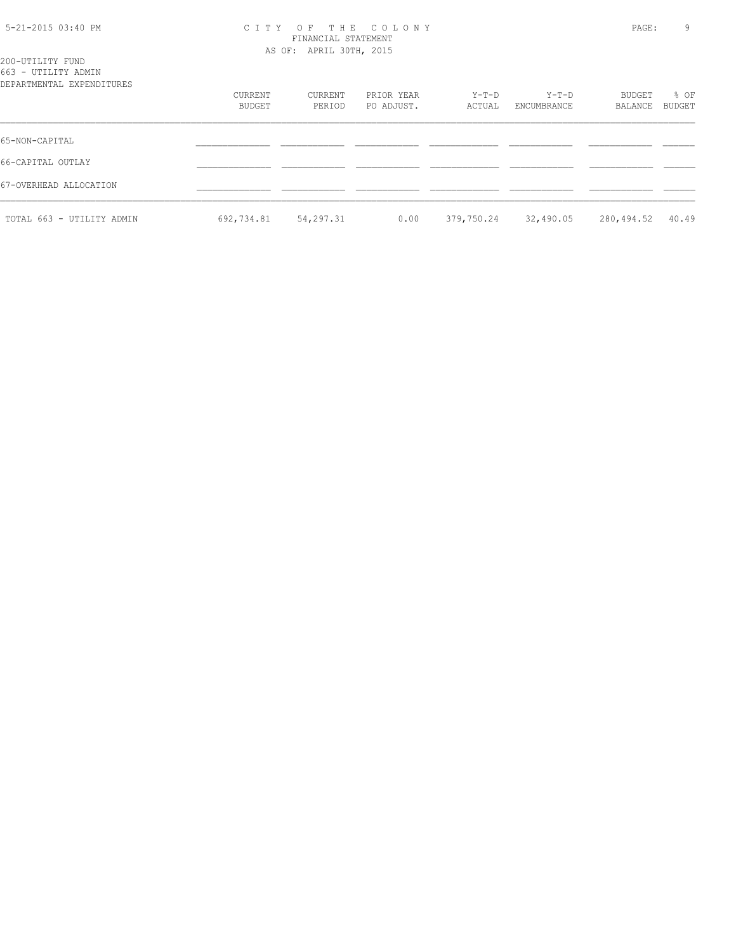| 5-21-2015 03:40 PM |  |  |
|--------------------|--|--|
|--------------------|--|--|

### 5-21-2015 03:40 PM C I T Y O F T H E C O L O N Y PAGE: 9 FINANCIAL STATEMENT AS OF: APRIL 30TH, 2015

| 200-UTILITY FUND<br>663 - UTILITY ADMIN<br>DEPARTMENTAL EXPENDITURES |                   |                   |                          |                 |                      |                   |                |
|----------------------------------------------------------------------|-------------------|-------------------|--------------------------|-----------------|----------------------|-------------------|----------------|
|                                                                      | CURRENT<br>BUDGET | CURRENT<br>PERIOD | PRIOR YEAR<br>PO ADJUST. | Y-T-D<br>ACTUAL | Y-T-D<br>ENCUMBRANCE | BUDGET<br>BALANCE | % OF<br>BUDGET |
| 65-NON-CAPITAL                                                       |                   |                   |                          |                 |                      |                   |                |
| 66-CAPITAL OUTLAY                                                    |                   |                   |                          |                 |                      |                   |                |
| 67-OVERHEAD ALLOCATION                                               |                   |                   |                          |                 |                      |                   |                |
| TOTAL 663 - UTILITY ADMIN                                            | 692,734.81        | 54,297.31         | 0.00                     | 379,750.24      | 32,490.05            | 280,494.52        | 40.49          |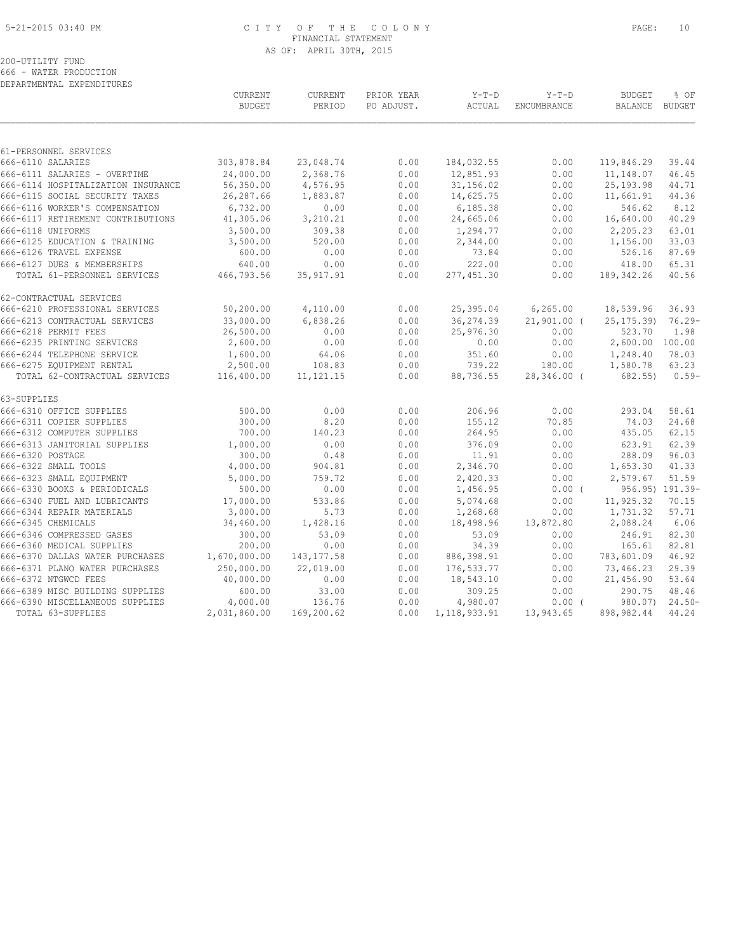#### 5-21-2015 03:40 PM C I T Y O F T H E C O L O N Y PAGE: 10 FINANCIAL STATEMENT AS OF: APRIL 30TH, 2015

200-UTILITY FUND

666 - WATER PRODUCTION DEPARTMENTAL EXPENDITURES

|                                    | CURRENT<br><b>BUDGET</b> | CURRENT<br>PERIOD | PRIOR YEAR<br>PO ADJUST. | $Y-T-D$<br>ACTUAL | $Y-T-D$<br>ENCUMBRANCE | <b>BUDGET</b><br>BALANCE BUDGET | % OF            |
|------------------------------------|--------------------------|-------------------|--------------------------|-------------------|------------------------|---------------------------------|-----------------|
|                                    |                          |                   |                          |                   |                        |                                 |                 |
| 61-PERSONNEL SERVICES              |                          |                   |                          |                   |                        |                                 |                 |
| 666-6110 SALARIES                  | 303,878.84               | 23,048.74         | 0.00                     | 184,032.55        | 0.00                   | 119,846.29                      | 39.44           |
| 666-6111 SALARIES - OVERTIME       | 24,000.00                | 2,368.76          | 0.00                     | 12,851.93         | 0.00                   | 11,148.07                       | 46.45           |
| 666-6114 HOSPITALIZATION INSURANCE | 56,350.00                | 4,576.95          | 0.00                     | 31,156.02         | 0.00                   | 25, 193.98                      | 44.71           |
| 666-6115 SOCIAL SECURITY TAXES     | 26,287.66                | 1,883.87          | 0.00                     | 14,625.75         | 0.00                   | 11,661.91                       | 44.36           |
| 666-6116 WORKER'S COMPENSATION     | 6,732.00                 | 0.00              | 0.00                     | 6,185.38          | 0.00                   | 546.62                          | 8.12            |
| 666-6117 RETIREMENT CONTRIBUTIONS  | 41,305.06                | 3,210.21          | 0.00                     | 24,665.06         | 0.00                   | 16,640.00                       | 40.29           |
| 666-6118 UNIFORMS                  | 3,500.00                 | 309.38            | 0.00                     | 1,294.77          | 0.00                   | 2,205.23                        | 63.01           |
| 666-6125 EDUCATION & TRAINING      | 3,500.00                 | 520.00            | 0.00                     | 2,344.00          | 0.00                   | 1,156.00                        | 33.03           |
| 666-6126 TRAVEL EXPENSE            | 600.00                   | 0.00              | 0.00                     | 73.84             | 0.00                   | 526.16                          | 87.69           |
| 666-6127 DUES & MEMBERSHIPS        | 640.00                   | 0.00              | 0.00                     | 222.00            | 0.00                   | 418.00                          | 65.31           |
| TOTAL 61-PERSONNEL SERVICES        | 466,793.56               | 35, 917.91        | 0.00                     | 277,451.30        | 0.00                   | 189, 342.26                     | 40.56           |
| 62-CONTRACTUAL SERVICES            |                          |                   |                          |                   |                        |                                 |                 |
| 666-6210 PROFESSIONAL SERVICES     | 50,200.00                | 4,110.00          | 0.00                     | 25,395.04         | 6, 265.00              | 18,539.96                       | 36.93           |
| 666-6213 CONTRACTUAL SERVICES      | 33,000.00                | 6,838.26          | 0.00                     | 36, 274.39        | $21,901.00$ (          | 25, 175, 39                     | $76.29 -$       |
| 666-6218 PERMIT FEES               | 26,500.00                | 0.00              | 0.00                     | 25,976.30         | 0.00                   | 523.70                          | 1.98            |
| 666-6235 PRINTING SERVICES         | 2,600.00                 | 0.00              | 0.00                     | 0.00              | 0.00                   | 2,600.00                        | 100.00          |
| 666-6244 TELEPHONE SERVICE         | 1,600.00                 | 64.06             | 0.00                     | 351.60            | 0.00                   | 1,248.40                        | 78.03           |
| 666-6275 EQUIPMENT RENTAL          | 2,500.00                 | 108.83            | 0.00                     | 739.22            | 180.00                 | 1,580.78                        | 63.23           |
| TOTAL 62-CONTRACTUAL SERVICES      | 116,400.00               | 11, 121. 15       | 0.00                     | 88,736.55         | 28,346.00 (            | 682.55)                         | $0.59-$         |
| 63-SUPPLIES                        |                          |                   |                          |                   |                        |                                 |                 |
| 666-6310 OFFICE SUPPLIES           | 500.00                   | 0.00              | 0.00                     | 206.96            | 0.00                   | 293.04                          | 58.61           |
| 666-6311 COPIER SUPPLIES           | 300.00                   | 8.20              | 0.00                     | 155.12            | 70.85                  | 74.03                           | 24.68           |
| 666-6312 COMPUTER SUPPLIES         | 700.00                   | 140.23            | 0.00                     | 264.95            | 0.00                   | 435.05                          | 62.15           |
| 666-6313 JANITORIAL SUPPLIES       | 1,000.00                 | 0.00              | 0.00                     | 376.09            | 0.00                   | 623.91                          | 62.39           |
| 666-6320 POSTAGE                   | 300.00                   | 0.48              | 0.00                     | 11.91             | 0.00                   | 288.09                          | 96.03           |
| 666-6322 SMALL TOOLS               | 4,000.00                 | 904.81            | 0.00                     | 2,346.70          | 0.00                   | 1,653.30                        | 41.33           |
| 666-6323 SMALL EQUIPMENT           | 5,000.00                 | 759.72            | 0.00                     | 2,420.33          | 0.00                   | 2,579.67                        | 51.59           |
| 666-6330 BOOKS & PERIODICALS       | 500.00                   | 0.00              | 0.00                     | 1,456.95          | $0.00$ (               |                                 | 956.95) 191.39- |
| 666-6340 FUEL AND LUBRICANTS       | 17,000.00                | 533.86            | 0.00                     | 5,074.68          | 0.00                   | 11,925.32                       | 70.15           |
| 666-6344 REPAIR MATERIALS          | 3,000.00                 | 5.73              | 0.00                     | 1,268.68          | 0.00                   | 1,731.32                        | 57.71           |
| 666-6345 CHEMICALS                 | 34,460.00                | 1,428.16          | 0.00                     | 18,498.96         | 13,872.80              | 2,088.24                        | 6.06            |
| 666-6346 COMPRESSED GASES          | 300.00                   | 53.09             | 0.00                     | 53.09             | 0.00                   | 246.91                          | 82.30           |
| 666-6360 MEDICAL SUPPLIES          | 200.00                   | 0.00              | 0.00                     | 34.39             | 0.00                   | 165.61                          | 82.81           |
| 666-6370 DALLAS WATER PURCHASES    | 1,670,000.00             | 143, 177.58       | 0.00                     | 886, 398.91       | 0.00                   | 783,601.09                      | 46.92           |
| 666-6371 PLANO WATER PURCHASES     | 250,000.00               | 22,019.00         | 0.00                     | 176, 533.77       | 0.00                   | 73,466.23                       | 29.39           |
| 666-6372 NTGWCD FEES               | 40,000.00                | 0.00              | 0.00                     | 18,543.10         | 0.00                   | 21,456.90                       | 53.64           |
| 666-6389 MISC BUILDING SUPPLIES    | 600.00                   | 33.00             | 0.00                     | 309.25            | 0.00                   | 290.75                          | 48.46           |
| 666-6390 MISCELLANEOUS SUPPLIES    | 4,000.00                 | 136.76            | 0.00                     | 4,980.07          | $0.00$ (               | 980.07)                         | $24.50-$        |
| TOTAL 63-SUPPLIES                  | 2,031,860.00             | 169,200.62        | 0.00                     | 1, 118, 933.91    | 13,943.65              | 898,982.44                      | 44.24           |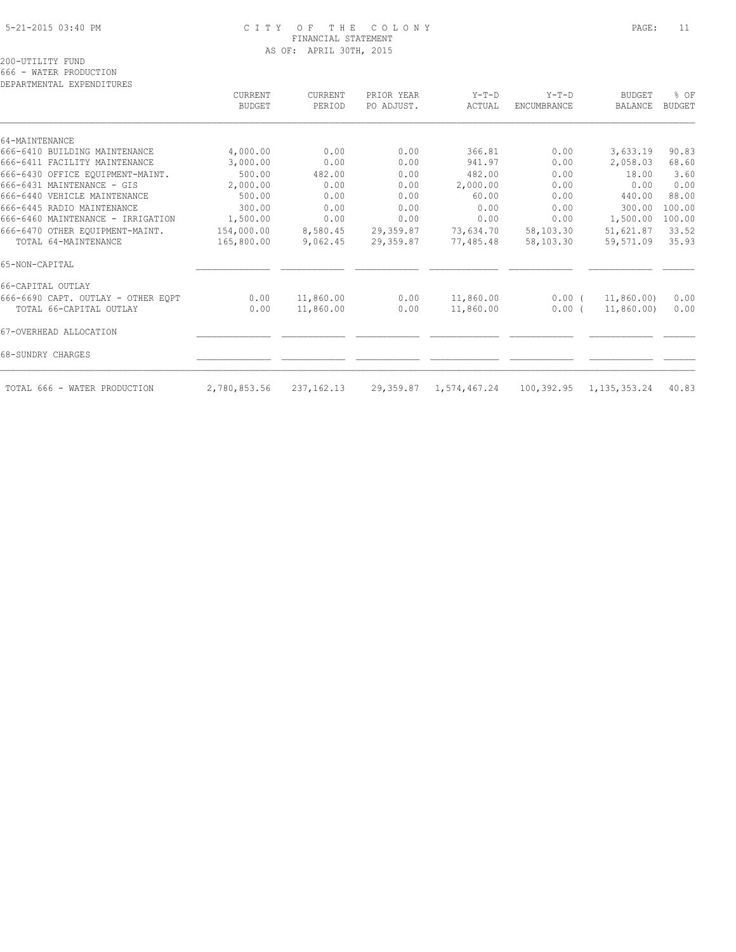#### 5-21-2015 03:40 PM C I T Y O F T H E C O L O N Y PAGE: 11 FINANCIAL STATEMENT AS OF: APRIL 30TH, 2015

666 - WATER PRODUCTION DEPARTMENTAL EXPENDITURES

| DEFANIMENIAL EAFENDIIUNES          |                          |                   |                          |                   |                               |                          |                       |
|------------------------------------|--------------------------|-------------------|--------------------------|-------------------|-------------------------------|--------------------------|-----------------------|
|                                    | CURRENT<br><b>BUDGET</b> | CURRENT<br>PERIOD | PRIOR YEAR<br>PO ADJUST. | $Y-T-D$<br>ACTUAL | $Y-T-D$<br><b>ENCUMBRANCE</b> | <b>BUDGET</b><br>BALANCE | % OF<br><b>BUDGET</b> |
|                                    |                          |                   |                          |                   |                               |                          |                       |
| 64-MAINTENANCE                     |                          |                   |                          |                   |                               |                          |                       |
| 666-6410 BUILDING MAINTENANCE      | 4,000.00                 | 0.00              | 0.00                     | 366.81            | 0.00                          | 3,633.19                 | 90.83                 |
| 666-6411 FACILITY MAINTENANCE      | 3,000.00                 | 0.00              | 0.00                     | 941.97            | 0.00                          | 2,058.03                 | 68.60                 |
| 666-6430 OFFICE EQUIPMENT-MAINT.   | 500.00                   | 482.00            | 0.00                     | 482.00            | 0.00                          | 18.00                    | 3.60                  |
| 666-6431 MAINTENANCE - GIS         | 2,000.00                 | 0.00              | 0.00                     | 2,000.00          | 0.00                          | 0.00                     | 0.00                  |
| 666-6440 VEHICLE MAINTENANCE       | 500.00                   | 0.00              | 0.00                     | 60.00             | 0.00                          | 440.00                   | 88.00                 |
| 666-6445 RADIO MAINTENANCE         | 300.00                   | 0.00              | 0.00                     | 0.00              | 0.00                          | 300.00                   | 100.00                |
| 666-6460 MAINTENANCE - IRRIGATION  | 1,500.00                 | 0.00              | 0.00                     | 0.00              | 0.00                          | 1,500.00                 | 100.00                |
| 666-6470 OTHER EOUIPMENT-MAINT.    | 154,000.00               | 8,580.45          | 29,359.87                | 73,634.70         | 58,103.30                     | 51,621.87                | 33.52                 |
| TOTAL 64-MAINTENANCE               | 165,800.00               | 9,062.45          | 29,359.87                | 77,485.48         | 58,103.30                     | 59,571.09                | 35.93                 |
| 65-NON-CAPITAL                     |                          |                   |                          |                   |                               |                          |                       |
| 66-CAPITAL OUTLAY                  |                          |                   |                          |                   |                               |                          |                       |
| 666-6690 CAPT. OUTLAY - OTHER EQPT | 0.00                     | 11,860.00         | 0.00                     | 11,860.00         | 0.00(                         | 11,860.00)               | 0.00                  |
| TOTAL 66-CAPITAL OUTLAY            | 0.00                     | 11,860.00         | 0.00                     | 11,860.00         | $0.00$ (                      | 11,860.00)               | 0.00                  |
| 67-OVERHEAD ALLOCATION             |                          |                   |                          |                   |                               |                          |                       |
| 68-SUNDRY CHARGES                  |                          |                   |                          |                   |                               |                          |                       |
| TOTAL 666 - WATER PRODUCTION       | 2,780,853.56             | 237, 162. 13      | 29,359.87                | 1,574,467.24      | 100,392.95                    | 1, 135, 353. 24          | 40.83                 |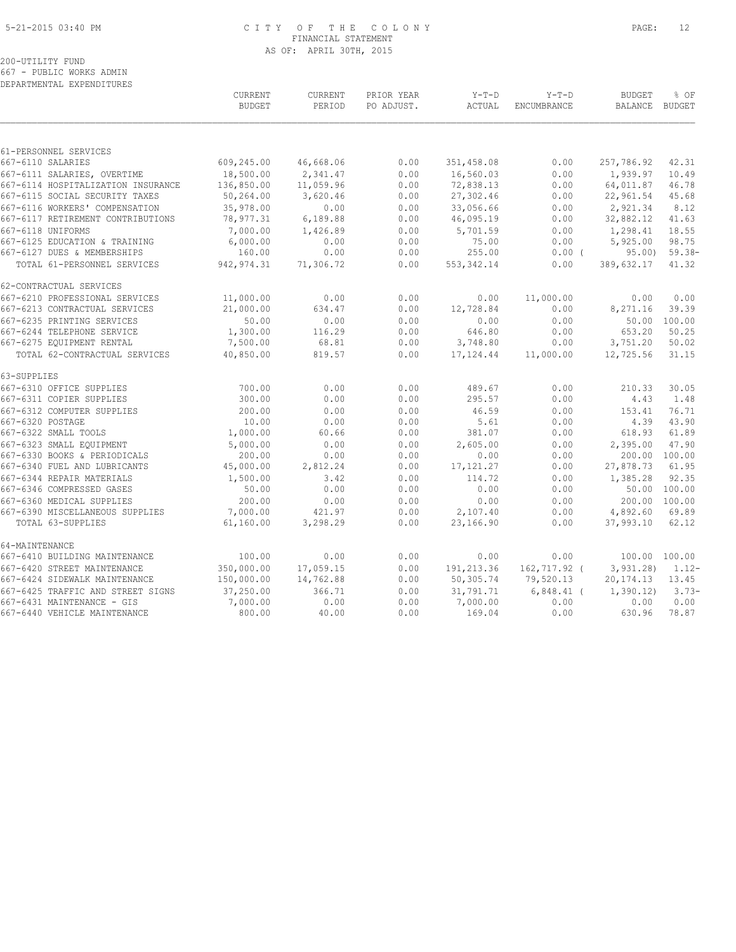#### 5-21-2015 03:40 PM C I T Y O F T H E C O L O N Y PAGE: 12 FINANCIAL STATEMENT AS OF: APRIL 30TH, 2015

200-UTILITY FUND

667 - PUBLIC WORKS ADMIN DEPARTMENTAL EXPENDITURES

|                                    | <b>CURRENT</b><br><b>BUDGET</b> | CURRENT<br>PERIOD | PRIOR YEAR<br>PO ADJUST. | $Y-T-D$<br>ACTUAL | $Y-T-D$<br><b>ENCUMBRANCE</b> | <b>BUDGET</b><br><b>BALANCE</b> | % OF<br>BUDGET |
|------------------------------------|---------------------------------|-------------------|--------------------------|-------------------|-------------------------------|---------------------------------|----------------|
|                                    |                                 |                   |                          |                   |                               |                                 |                |
| 61-PERSONNEL SERVICES              |                                 |                   |                          |                   |                               |                                 |                |
| 667-6110 SALARIES                  | 609,245.00                      | 46,668.06         | 0.00                     | 351,458.08        | 0.00                          | 257,786.92                      | 42.31          |
| 667-6111 SALARIES, OVERTIME        | 18,500.00                       | 2,341.47          | 0.00                     | 16,560.03         | 0.00                          | 1,939.97                        | 10.49          |
| 667-6114 HOSPITALIZATION INSURANCE | 136,850.00                      | 11,059.96         | 0.00                     | 72,838.13         | 0.00                          | 64,011.87                       | 46.78          |
| 667-6115 SOCIAL SECURITY TAXES     | 50,264.00                       | 3,620.46          | 0.00                     | 27,302.46         | 0.00                          | 22,961.54                       | 45.68          |
| 667-6116 WORKERS' COMPENSATION     | 35,978.00                       | 0.00              | 0.00                     | 33,056.66         | 0.00                          | 2,921.34                        | 8.12           |
| 667-6117 RETIREMENT CONTRIBUTIONS  | 78,977.31                       | 6,189.88          | 0.00                     | 46,095.19         | 0.00                          | 32,882.12                       | 41.63          |
| 667-6118 UNIFORMS                  | 7,000.00                        | 1,426.89          | 0.00                     | 5,701.59          | 0.00                          | 1,298.41                        | 18.55          |
| 667-6125 EDUCATION & TRAINING      | 6,000.00                        | 0.00              | 0.00                     | 75.00             | 0.00                          | 5,925.00                        | 98.75          |
| 667-6127 DUES & MEMBERSHIPS        | 160.00                          | 0.00              | 0.00                     | 255.00            | $0.00$ (                      | $95.00$ )                       | $59.38 -$      |
| TOTAL 61-PERSONNEL SERVICES        | 942, 974.31                     | 71,306.72         | 0.00                     | 553, 342.14       | 0.00                          | 389,632.17                      | 41.32          |
| 62-CONTRACTUAL SERVICES            |                                 |                   |                          |                   |                               |                                 |                |
| 667-6210 PROFESSIONAL SERVICES     | 11,000.00                       | 0.00              | 0.00                     | 0.00              | 11,000.00                     | 0.00                            | 0.00           |
| 667-6213 CONTRACTUAL SERVICES      | 21,000.00                       | 634.47            | 0.00                     | 12,728.84         | 0.00                          | 8,271.16                        | 39.39          |
| 667-6235 PRINTING SERVICES         | 50.00                           | 0.00              | 0.00                     | 0.00              | 0.00                          | 50.00                           | 100.00         |
| 667-6244 TELEPHONE SERVICE         | 1,300.00                        | 116.29            | 0.00                     | 646.80            | 0.00                          | 653.20                          | 50.25          |
| 667-6275 EQUIPMENT RENTAL          | 7,500.00                        | 68.81             | 0.00                     | 3,748.80          | 0.00                          | 3,751.20                        | 50.02          |
| TOTAL 62-CONTRACTUAL SERVICES      | 40,850.00                       | 819.57            | 0.00                     | 17, 124.44        | 11,000.00                     | 12,725.56                       | 31.15          |
| 63-SUPPLIES                        |                                 |                   |                          |                   |                               |                                 |                |
| 667-6310 OFFICE SUPPLIES           | 700.00                          | 0.00              | 0.00                     | 489.67            | 0.00                          | 210.33                          | 30.05          |
| 667-6311 COPIER SUPPLIES           | 300.00                          | 0.00              | 0.00                     | 295.57            | 0.00                          | 4.43                            | 1.48           |
| 667-6312 COMPUTER SUPPLIES         | 200.00                          | 0.00              | 0.00                     | 46.59             | 0.00                          | 153.41                          | 76.71          |
| 667-6320 POSTAGE                   | 10.00                           | 0.00              | 0.00                     | 5.61              | 0.00                          | 4.39                            | 43.90          |
| 667-6322 SMALL TOOLS               | 1,000.00                        | 60.66             | 0.00                     | 381.07            | 0.00                          | 618.93                          | 61.89          |
| 667-6323 SMALL EQUIPMENT           | 5,000.00                        | 0.00              | 0.00                     | 2,605.00          | 0.00                          | 2,395.00                        | 47.90          |
| 667-6330 BOOKS & PERIODICALS       | 200.00                          | 0.00              | 0.00                     | 0.00              | 0.00                          | 200.00 100.00                   |                |
| 667-6340 FUEL AND LUBRICANTS       | 45,000.00                       | 2,812.24          | 0.00                     | 17, 121.27        | 0.00                          | 27,878.73                       | 61.95          |
| 667-6344 REPAIR MATERIALS          | 1,500.00                        | 3.42              | 0.00                     | 114.72            | 0.00                          | 1,385.28                        | 92.35          |
| 667-6346 COMPRESSED GASES          | 50.00                           | 0.00              | 0.00                     | 0.00              | 0.00                          | 50.00                           | 100.00         |
| 667-6360 MEDICAL SUPPLIES          | 200.00                          | 0.00              | 0.00                     | 0.00              | 0.00                          | 200.00                          | 100.00         |
| 667-6390 MISCELLANEOUS SUPPLIES    | 7,000.00                        | 421.97            | 0.00                     | 2,107.40          | 0.00                          | 4,892.60                        | 69.89          |
| TOTAL 63-SUPPLIES                  | 61,160.00                       | 3,298.29          | 0.00                     | 23,166.90         | 0.00                          | 37,993.10                       | 62.12          |
| 64-MAINTENANCE                     |                                 |                   |                          |                   |                               |                                 |                |
| 667-6410 BUILDING MAINTENANCE      | 100.00                          | 0.00              | 0.00                     | 0.00              | 0.00                          | 100.00 100.00                   |                |
| 667-6420 STREET MAINTENANCE        | 350,000.00                      | 17,059.15         | 0.00                     | 191,213.36        | 162,717.92 (                  | 3,931.28                        | $1.12-$        |
| 667-6424 SIDEWALK MAINTENANCE      | 150,000.00                      | 14,762.88         | 0.00                     | 50,305.74         | 79,520.13                     | 20, 174. 13                     | 13.45          |
| 667-6425 TRAFFIC AND STREET SIGNS  | 37,250.00                       | 366.71            | 0.00                     | 31,791.71         | $6,848.41$ (                  | 1,390.12                        | $3.73-$        |
| 667-6431 MAINTENANCE - GIS         | 7,000.00                        | 0.00              | 0.00                     | 7,000.00          | 0.00                          | 0.00                            | 0.00           |
| 667-6440 VEHICLE MAINTENANCE       | 800.00                          | 40.00             | 0.00                     | 169.04            | 0.00                          | 630.96                          | 78.87          |
|                                    |                                 |                   |                          |                   |                               |                                 |                |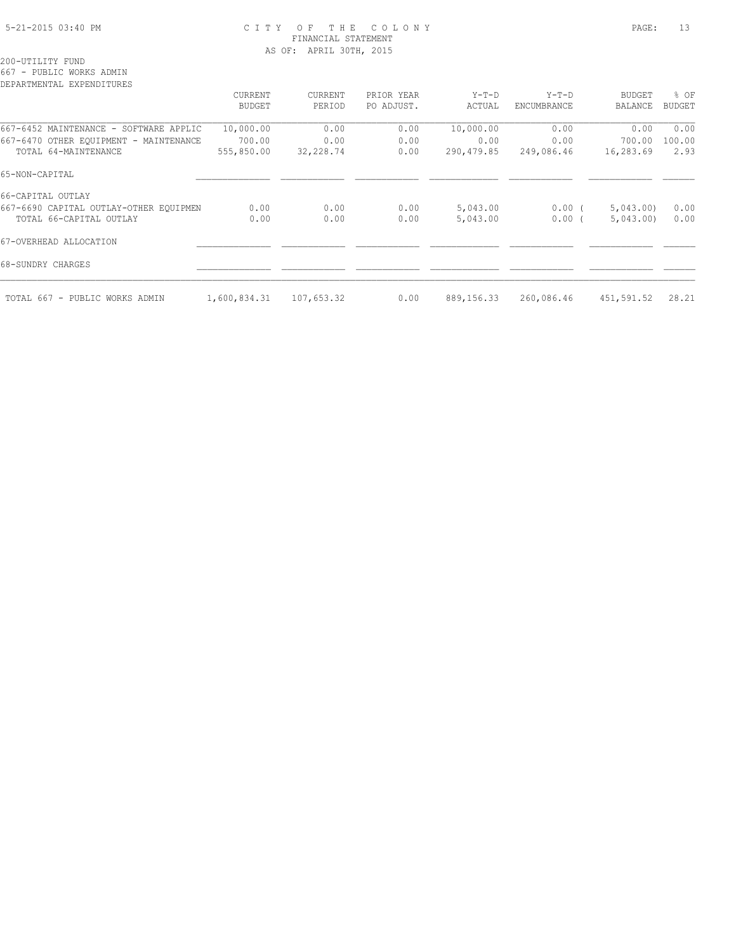#### 5-21-2015 03:40 PM C I T Y O F T H E C O L O N Y PAGE: 13 FINANCIAL STATEMENT AS OF: APRIL 30TH, 2015

200-UTILITY FUND

667 - PUBLIC WORKS ADMIN

| DEPARTMENTAL EXPENDITURES              |               |            |            |            |                    |                |               |
|----------------------------------------|---------------|------------|------------|------------|--------------------|----------------|---------------|
|                                        | CURRENT       | CURRENT    | PRIOR YEAR | $Y-T-D$    | $Y-T-D$            | <b>BUDGET</b>  | % OF          |
|                                        | <b>BUDGET</b> | PERIOD     | PO ADJUST. | ACTUAL     | <b>ENCUMBRANCE</b> | <b>BALANCE</b> | <b>BUDGET</b> |
| 667-6452 MAINTENANCE - SOFTWARE APPLIC | 10,000.00     | 0.00       | 0.00       | 10,000.00  | 0.00               | 0.00           | 0.00          |
| 667-6470 OTHER EQUIPMENT - MAINTENANCE | 700.00        | 0.00       | 0.00       | 0.00       | 0.00               | 700.00         | 100.00        |
| TOTAL 64-MAINTENANCE                   | 555,850.00    | 32,228.74  | 0.00       | 290,479.85 | 249,086.46         | 16,283.69      | 2.93          |
| 65-NON-CAPITAL                         |               |            |            |            |                    |                |               |
| 66-CAPITAL OUTLAY                      |               |            |            |            |                    |                |               |
| 667-6690 CAPITAL OUTLAY-OTHER EQUIPMEN | 0.00          | 0.00       | 0.00       | 5,043.00   | $0.00$ (           | 5,043.00       | 0.00          |
| TOTAL 66-CAPITAL OUTLAY                | 0.00          | 0.00       | 0.00       | 5,043.00   | 0.00(              | 5,043.00       | 0.00          |
| 67-OVERHEAD ALLOCATION                 |               |            |            |            |                    |                |               |
| 68-SUNDRY CHARGES                      |               |            |            |            |                    |                |               |
| TOTAL 667 - PUBLIC WORKS ADMIN         | 1,600,834.31  | 107,653.32 | 0.00       | 889,156.33 | 260,086.46         | 451,591.52     | 28.21         |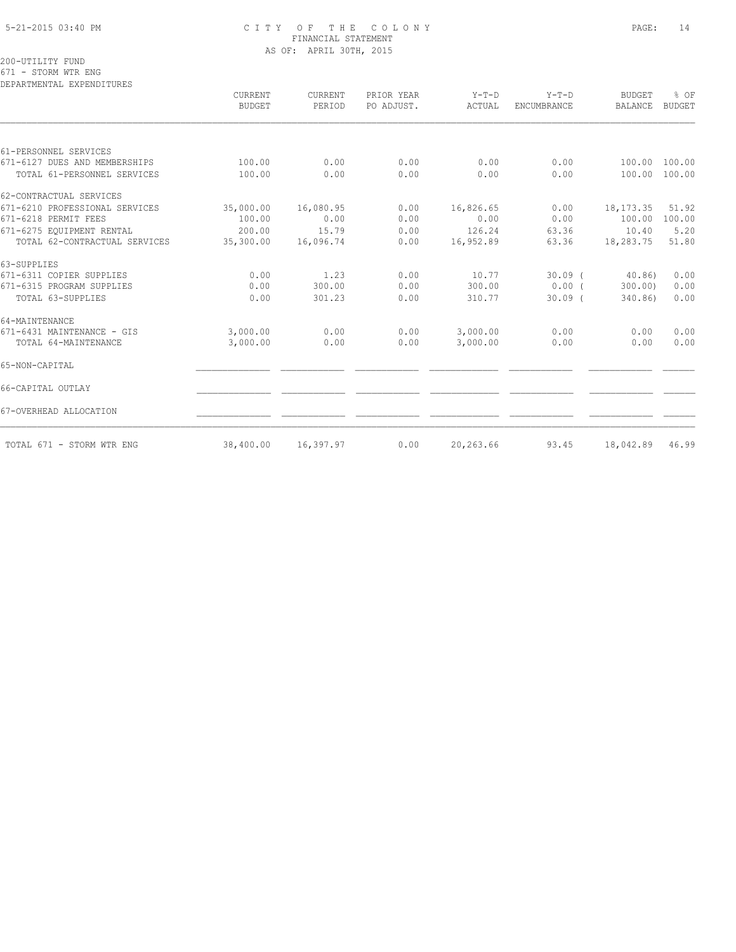#### 5-21-2015 03:40 PM C I T Y O F T H E C O L O N Y PAGE: 14 FINANCIAL STATEMENT AS OF: APRIL 30TH, 2015

200-UTILITY FUND

671 - STORM WTR ENG

| DEPARTMENTAL EXPENDITURES      |                          |                          |                          |                   |                        |                          |                |
|--------------------------------|--------------------------|--------------------------|--------------------------|-------------------|------------------------|--------------------------|----------------|
|                                | CURRENT<br><b>BUDGET</b> | <b>CURRENT</b><br>PERIOD | PRIOR YEAR<br>PO ADJUST. | $Y-T-D$<br>ACTUAL | $Y-T-D$<br>ENCUMBRANCE | <b>BUDGET</b><br>BALANCE | % OF<br>BUDGET |
|                                |                          |                          |                          |                   |                        |                          |                |
| 61-PERSONNEL SERVICES          |                          |                          |                          |                   |                        |                          |                |
| 671-6127 DUES AND MEMBERSHIPS  | 100.00                   | 0.00                     | 0.00                     | 0.00              | 0.00                   | 100.00                   | 100.00         |
| TOTAL 61-PERSONNEL SERVICES    | 100.00                   | 0.00                     | 0.00                     | 0.00              | 0.00                   | 100.00                   | 100.00         |
| 62-CONTRACTUAL SERVICES        |                          |                          |                          |                   |                        |                          |                |
| 671-6210 PROFESSIONAL SERVICES | 35,000.00                | 16,080.95                | 0.00                     | 16,826.65         | 0.00                   | 18, 173. 35              | 51.92          |
| 671-6218 PERMIT FEES           | 100.00                   | 0.00                     | 0.00                     | 0.00              | 0.00                   | 100.00                   | 100.00         |
| 671-6275 EQUIPMENT RENTAL      | 200.00                   | 15.79                    | 0.00                     | 126.24            | 63.36                  | 10.40                    | 5.20           |
| TOTAL 62-CONTRACTUAL SERVICES  | 35,300.00                | 16,096.74                | 0.00                     | 16,952.89         | 63.36                  | 18,283.75                | 51.80          |
| 63-SUPPLIES                    |                          |                          |                          |                   |                        |                          |                |
| 671-6311 COPIER SUPPLIES       | 0.00                     | 1.23                     | 0.00                     | 10.77             | $30.09$ (              | 40.86                    | 0.00           |
| 671-6315 PROGRAM SUPPLIES      | 0.00                     | 300.00                   | 0.00                     | 300.00            | $0.00$ (               | 300.00)                  | 0.00           |
| TOTAL 63-SUPPLIES              | 0.00                     | 301.23                   | 0.00                     | 310.77            | $30.09$ $($            | 340.86)                  | 0.00           |
| 64-MAINTENANCE                 |                          |                          |                          |                   |                        |                          |                |
| 671-6431 MAINTENANCE - GIS     | 3,000.00                 | 0.00                     | 0.00                     | 3,000.00          | 0.00                   | 0.00                     | 0.00           |
| TOTAL 64-MAINTENANCE           | 3,000.00                 | 0.00                     | 0.00                     | 3,000.00          | 0.00                   | 0.00                     | 0.00           |
| 65-NON-CAPITAL                 |                          |                          |                          |                   |                        |                          |                |
| 66-CAPITAL OUTLAY              |                          |                          |                          |                   |                        |                          |                |
| 67-OVERHEAD ALLOCATION         |                          |                          |                          |                   |                        |                          |                |
| TOTAL 671 - STORM WTR ENG      | 38,400.00                | 16,397.97                | 0.00                     | 20,263.66         | 93.45                  | 18,042.89                | 46.99          |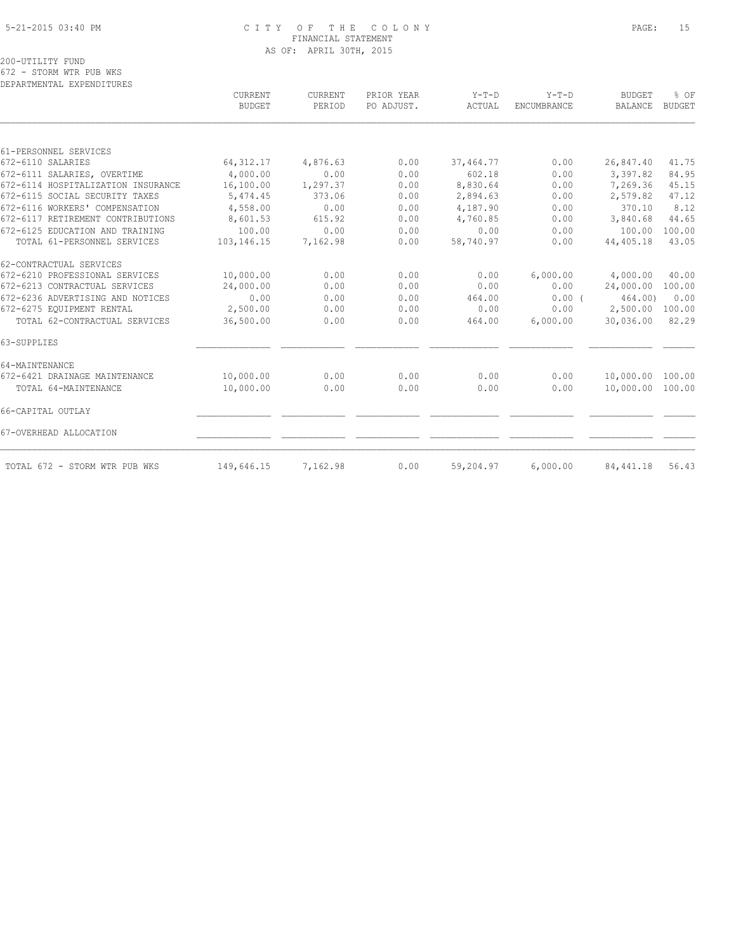#### 5-21-2015 03:40 PM C I T Y O F T H E C O L O N Y PAGE: 15 FINANCIAL STATEMENT AS OF: APRIL 30TH, 2015

200-UTILITY FUND

672 - STORM WTR PUB WKS DEPARTMENTAL EXPENDITURES

|                                    | CURRENT<br><b>BUDGET</b> | <b>CURRENT</b><br>PERIOD | PRIOR YEAR<br>PO ADJUST. | $Y-T-D$<br>ACTUAL | $Y-T-D$<br><b>ENCUMBRANCE</b> | <b>BUDGET</b><br><b>BALANCE</b> | % OF<br><b>BUDGET</b> |
|------------------------------------|--------------------------|--------------------------|--------------------------|-------------------|-------------------------------|---------------------------------|-----------------------|
|                                    |                          |                          |                          |                   |                               |                                 |                       |
| 61-PERSONNEL SERVICES              |                          |                          |                          |                   |                               |                                 |                       |
| 672-6110 SALARIES                  | 64, 312.17               | 4,876.63                 | 0.00                     | 37,464.77         | 0.00                          | 26,847.40                       | 41.75                 |
| 672-6111 SALARIES, OVERTIME        | 4,000.00                 | 0.00                     | 0.00                     | 602.18            | 0.00                          | 3,397.82                        | 84.95                 |
| 672-6114 HOSPITALIZATION INSURANCE | 16,100.00                | 1,297.37                 | 0.00                     | 8,830.64          | 0.00                          | 7,269.36                        | 45.15                 |
| 672-6115 SOCIAL SECURITY TAXES     | 5,474.45                 | 373.06                   | 0.00                     | 2,894.63          | 0.00                          | 2,579.82                        | 47.12                 |
| 672-6116 WORKERS' COMPENSATION     | 4,558.00                 | 0.00                     | 0.00                     | 4,187.90          | 0.00                          | 370.10                          | 8.12                  |
| 672-6117 RETIREMENT CONTRIBUTIONS  | 8,601.53                 | 615.92                   | 0.00                     | 4,760.85          | 0.00                          | 3,840.68                        | 44.65                 |
| 672-6125 EDUCATION AND TRAINING    | 100.00                   | 0.00                     | 0.00                     | 0.00              | 0.00                          | 100.00                          | 100.00                |
| TOTAL 61-PERSONNEL SERVICES        | 103,146.15               | 7,162.98                 | 0.00                     | 58,740.97         | 0.00                          | 44,405.18                       | 43.05                 |
| 62-CONTRACTUAL SERVICES            |                          |                          |                          |                   |                               |                                 |                       |
| 672-6210 PROFESSIONAL SERVICES     | 10,000.00                | 0.00                     | 0.00                     | 0.00              | 6,000.00                      | 4,000.00                        | 40.00                 |
| 672-6213 CONTRACTUAL SERVICES      | 24,000.00                | 0.00                     | 0.00                     | 0.00              | 0.00                          | 24,000.00                       | 100.00                |
| 672-6236 ADVERTISING AND NOTICES   | 0.00                     | 0.00                     | 0.00                     | 464.00            | 0.00(                         | 464.00                          | 0.00                  |
| 672-6275 EQUIPMENT RENTAL          | 2,500.00                 | 0.00                     | 0.00                     | 0.00              | 0.00                          | 2,500.00                        | 100.00                |
| TOTAL 62-CONTRACTUAL SERVICES      | 36,500.00                | 0.00                     | 0.00                     | 464.00            | 6,000.00                      | 30,036.00                       | 82.29                 |
| 63-SUPPLIES                        |                          |                          |                          |                   |                               |                                 |                       |
| 64-MAINTENANCE                     |                          |                          |                          |                   |                               |                                 |                       |
| 672-6421 DRAINAGE MAINTENANCE      | 10,000.00                | 0.00                     | 0.00                     | 0.00              | 0.00                          | 10,000.00                       | 100.00                |
| TOTAL 64-MAINTENANCE               | 10,000.00                | 0.00                     | 0.00                     | 0.00              | 0.00                          | 10,000.00                       | 100.00                |
| 66-CAPITAL OUTLAY                  |                          |                          |                          |                   |                               |                                 |                       |
| 67-OVERHEAD ALLOCATION             |                          |                          |                          |                   |                               |                                 |                       |
| TOTAL 672 - STORM WTR PUB WKS      | 149,646.15               | 7,162.98                 | 0.00                     | 59,204.97         | 6,000.00                      | 84, 441.18                      | 56.43                 |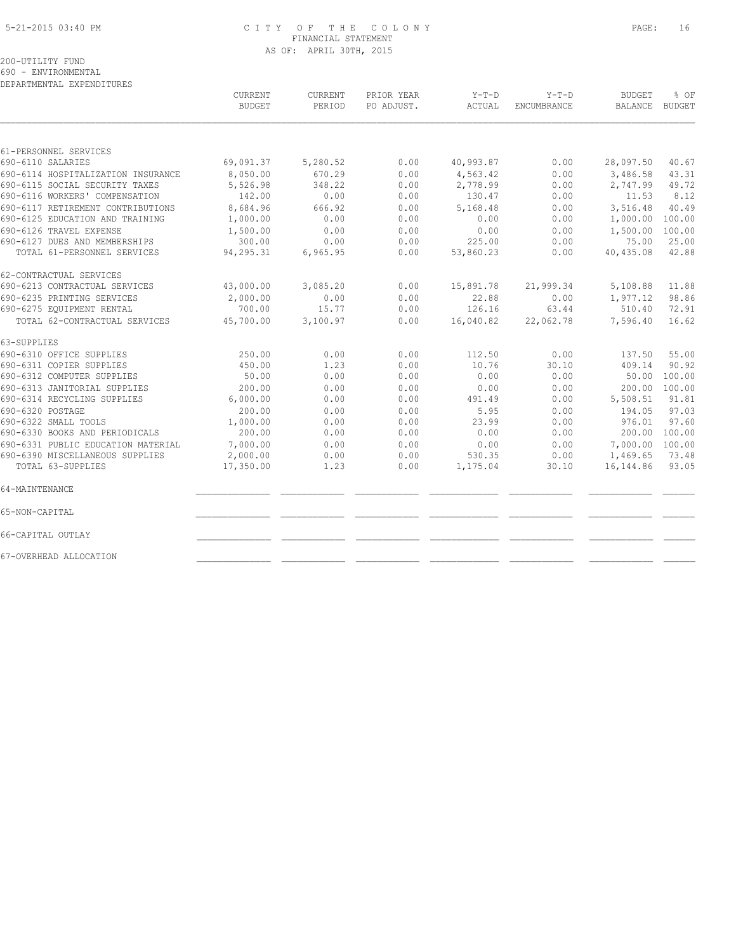#### 5-21-2015 03:40 PM C I T Y O F T H E C O L O N Y PAGE: 16 FINANCIAL STATEMENT AS OF: APRIL 30TH, 2015

200-UTILITY FUND

690 - ENVIRONMENTAL

DEPARTMENTAL EXPENDITURES

|                                    | <b>CURRENT</b><br><b>BUDGET</b> | <b>CURRENT</b><br>PERIOD | PRIOR YEAR<br>PO ADJUST. | $Y-T-D$<br>ACTUAL | $Y-T-D$<br>ENCUMBRANCE | <b>BUDGET</b><br>BALANCE | % OF<br><b>BUDGET</b> |
|------------------------------------|---------------------------------|--------------------------|--------------------------|-------------------|------------------------|--------------------------|-----------------------|
|                                    |                                 |                          |                          |                   |                        |                          |                       |
| 61-PERSONNEL SERVICES              |                                 |                          |                          |                   |                        |                          |                       |
| 690-6110 SALARIES                  | 69,091.37                       | 5,280.52                 | 0.00                     | 40,993.87         | 0.00                   | 28,097.50                | 40.67                 |
| 690-6114 HOSPITALIZATION INSURANCE | 8,050.00                        | 670.29                   | 0.00                     | 4,563.42          | 0.00                   | 3,486.58                 | 43.31                 |
| 690-6115 SOCIAL SECURITY TAXES     | 5,526.98                        | 348.22                   | 0.00                     | 2,778.99          | 0.00                   | 2,747.99                 | 49.72                 |
| 690-6116 WORKERS' COMPENSATION     | 142.00                          | 0.00                     | 0.00                     | 130.47            | 0.00                   | 11.53                    | 8.12                  |
| 690-6117 RETIREMENT CONTRIBUTIONS  | 8,684.96                        | 666.92                   | 0.00                     | 5,168.48          | 0.00                   | 3,516.48                 | 40.49                 |
| 690-6125 EDUCATION AND TRAINING    | 1,000.00                        | 0.00                     | 0.00                     | 0.00              | 0.00                   | 1,000.00                 | 100.00                |
| 690-6126 TRAVEL EXPENSE            | 1,500.00                        | 0.00                     | 0.00                     | 0.00              | 0.00                   | 1,500.00                 | 100.00                |
| 690-6127 DUES AND MEMBERSHIPS      | 300.00                          | 0.00                     | 0.00                     | 225.00            | 0.00                   | 75.00                    | 25.00                 |
| TOTAL 61-PERSONNEL SERVICES        | 94,295.31                       | 6,965.95                 | 0.00                     | 53,860.23         | 0.00                   | 40,435.08                | 42.88                 |
| 62-CONTRACTUAL SERVICES            |                                 |                          |                          |                   |                        |                          |                       |
| 690-6213 CONTRACTUAL SERVICES      | 43,000.00                       | 3,085.20                 | 0.00                     | 15,891.78         | 21,999.34              | 5,108.88                 | 11.88                 |
| 690-6235 PRINTING SERVICES         | 2,000.00                        | 0.00                     | 0.00                     | 22.88             | 0.00                   | 1,977.12                 | 98.86                 |
| 690-6275 EQUIPMENT RENTAL          | 700.00                          | 15.77                    | 0.00                     | 126.16            | 63.44                  | 510.40                   | 72.91                 |
| TOTAL 62-CONTRACTUAL SERVICES      | 45,700.00                       | 3,100.97                 | 0.00                     | 16,040.82         | 22,062.78              | 7,596.40                 | 16.62                 |
| 63-SUPPLIES                        |                                 |                          |                          |                   |                        |                          |                       |
| 690-6310 OFFICE SUPPLIES           | 250.00                          | 0.00                     | 0.00                     | 112.50            | 0.00                   | 137.50                   | 55.00                 |
| 690-6311 COPIER SUPPLIES           | 450.00                          | 1.23                     | 0.00                     | 10.76             | 30.10                  | 409.14                   | 90.92                 |
| 690-6312 COMPUTER SUPPLIES         | 50.00                           | 0.00                     | 0.00                     | 0.00              | 0.00                   | 50.00                    | 100.00                |
| 690-6313 JANITORIAL SUPPLIES       | 200.00                          | 0.00                     | 0.00                     | 0.00              | 0.00                   | 200.00                   | 100.00                |
| 690-6314 RECYCLING SUPPLIES        | 6,000.00                        | 0.00                     | 0.00                     | 491.49            | 0.00                   | 5,508.51                 | 91.81                 |
| 690-6320 POSTAGE                   | 200.00                          | 0.00                     | 0.00                     | 5.95              | 0.00                   | 194.05                   | 97.03                 |
| 690-6322 SMALL TOOLS               | 1,000.00                        | 0.00                     | 0.00                     | 23.99             | 0.00                   | 976.01                   | 97.60                 |
| 690-6330 BOOKS AND PERIODICALS     | 200.00                          | 0.00                     | 0.00                     | 0.00              | 0.00                   | 200.00                   | 100.00                |
| 690-6331 PUBLIC EDUCATION MATERIAL | 7,000.00                        | 0.00                     | 0.00                     | 0.00              | 0.00                   | 7,000.00 100.00          |                       |
| 690-6390 MISCELLANEOUS SUPPLIES    | 2,000.00                        | 0.00                     | 0.00                     | 530.35            | 0.00                   | 1,469.65                 | 73.48                 |
| TOTAL 63-SUPPLIES                  | 17,350.00                       | 1.23                     | 0.00                     | 1,175.04          | 30.10                  | 16, 144.86               | 93.05                 |
| 64-MAINTENANCE                     |                                 |                          |                          |                   |                        |                          |                       |
| 65-NON-CAPITAL                     |                                 |                          |                          |                   |                        |                          |                       |
| 66-CAPITAL OUTLAY                  |                                 |                          |                          |                   |                        |                          |                       |
| 67-OVERHEAD ALLOCATION             |                                 |                          |                          |                   |                        |                          |                       |